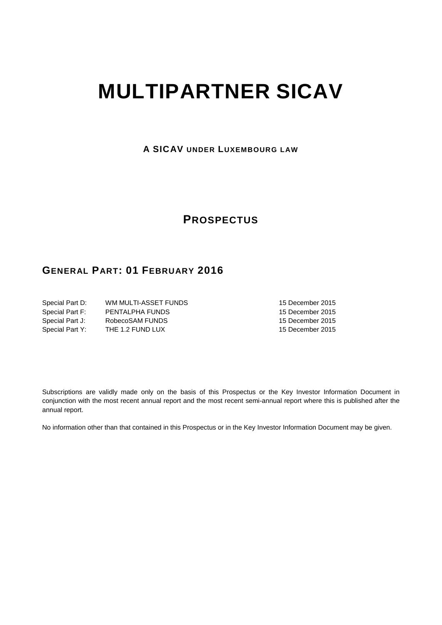# **MULTIPARTNER SICAV**

**A SICAV UNDER LUXEMBOURG LAW**

# **PROSPECTUS**

# **GENERAL PART: 01 FEBRUARY 2016**

| Special Part D: | WM MULTI-ASSET FUNDS |
|-----------------|----------------------|
| Special Part F: | PENTALPHA FUNDS      |
| Special Part J: | RobecoSAM FUNDS      |
| Special Part Y: | THE 1.2 FUND LUX     |

15 December 2015 15 December 2015 15 December 2015 15 December 2015

Subscriptions are validly made only on the basis of this Prospectus or the Key Investor Information Document in conjunction with the most recent annual report and the most recent semi-annual report where this is published after the annual report.

No information other than that contained in this Prospectus or in the Key Investor Information Document may be given.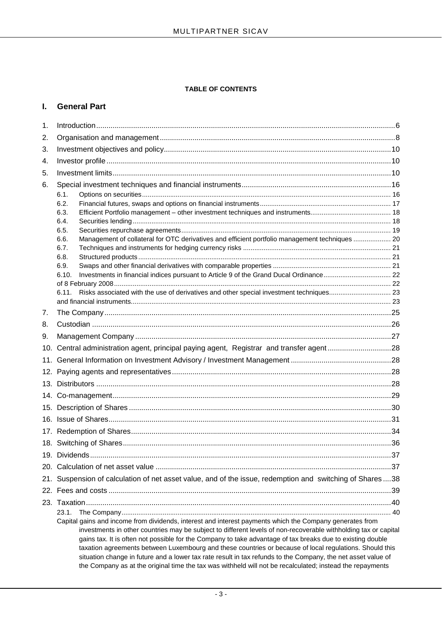## **TABLE OF CONTENTS**

## **I. General Part**

| 1.              |                                                                                                                                                                                                                                                                                                                                                                                                                                                                                                                                                                                                                                                                                            |  |  |
|-----------------|--------------------------------------------------------------------------------------------------------------------------------------------------------------------------------------------------------------------------------------------------------------------------------------------------------------------------------------------------------------------------------------------------------------------------------------------------------------------------------------------------------------------------------------------------------------------------------------------------------------------------------------------------------------------------------------------|--|--|
| 2.              |                                                                                                                                                                                                                                                                                                                                                                                                                                                                                                                                                                                                                                                                                            |  |  |
| 3.              |                                                                                                                                                                                                                                                                                                                                                                                                                                                                                                                                                                                                                                                                                            |  |  |
| 4.              |                                                                                                                                                                                                                                                                                                                                                                                                                                                                                                                                                                                                                                                                                            |  |  |
| 5.              |                                                                                                                                                                                                                                                                                                                                                                                                                                                                                                                                                                                                                                                                                            |  |  |
| 6.              |                                                                                                                                                                                                                                                                                                                                                                                                                                                                                                                                                                                                                                                                                            |  |  |
|                 | 6.1.                                                                                                                                                                                                                                                                                                                                                                                                                                                                                                                                                                                                                                                                                       |  |  |
|                 | 6.2.                                                                                                                                                                                                                                                                                                                                                                                                                                                                                                                                                                                                                                                                                       |  |  |
|                 | 6.3.                                                                                                                                                                                                                                                                                                                                                                                                                                                                                                                                                                                                                                                                                       |  |  |
|                 | 6.4.                                                                                                                                                                                                                                                                                                                                                                                                                                                                                                                                                                                                                                                                                       |  |  |
|                 | 6.5.<br>Management of collateral for OTC derivatives and efficient portfolio management techniques  20<br>6.6.                                                                                                                                                                                                                                                                                                                                                                                                                                                                                                                                                                             |  |  |
|                 | 6.7.                                                                                                                                                                                                                                                                                                                                                                                                                                                                                                                                                                                                                                                                                       |  |  |
|                 | 6.8.                                                                                                                                                                                                                                                                                                                                                                                                                                                                                                                                                                                                                                                                                       |  |  |
|                 | 6.9.                                                                                                                                                                                                                                                                                                                                                                                                                                                                                                                                                                                                                                                                                       |  |  |
|                 | 6.10.                                                                                                                                                                                                                                                                                                                                                                                                                                                                                                                                                                                                                                                                                      |  |  |
|                 | Risks associated with the use of derivatives and other special investment techniques 23<br>6.11.                                                                                                                                                                                                                                                                                                                                                                                                                                                                                                                                                                                           |  |  |
|                 |                                                                                                                                                                                                                                                                                                                                                                                                                                                                                                                                                                                                                                                                                            |  |  |
| 7.              |                                                                                                                                                                                                                                                                                                                                                                                                                                                                                                                                                                                                                                                                                            |  |  |
| 8.              |                                                                                                                                                                                                                                                                                                                                                                                                                                                                                                                                                                                                                                                                                            |  |  |
| 9.              |                                                                                                                                                                                                                                                                                                                                                                                                                                                                                                                                                                                                                                                                                            |  |  |
|                 | 10. Central administration agent, principal paying agent, Registrar and transfer agent28                                                                                                                                                                                                                                                                                                                                                                                                                                                                                                                                                                                                   |  |  |
| 11 <sub>1</sub> |                                                                                                                                                                                                                                                                                                                                                                                                                                                                                                                                                                                                                                                                                            |  |  |
|                 |                                                                                                                                                                                                                                                                                                                                                                                                                                                                                                                                                                                                                                                                                            |  |  |
|                 |                                                                                                                                                                                                                                                                                                                                                                                                                                                                                                                                                                                                                                                                                            |  |  |
|                 |                                                                                                                                                                                                                                                                                                                                                                                                                                                                                                                                                                                                                                                                                            |  |  |
|                 |                                                                                                                                                                                                                                                                                                                                                                                                                                                                                                                                                                                                                                                                                            |  |  |
|                 |                                                                                                                                                                                                                                                                                                                                                                                                                                                                                                                                                                                                                                                                                            |  |  |
|                 |                                                                                                                                                                                                                                                                                                                                                                                                                                                                                                                                                                                                                                                                                            |  |  |
|                 |                                                                                                                                                                                                                                                                                                                                                                                                                                                                                                                                                                                                                                                                                            |  |  |
|                 |                                                                                                                                                                                                                                                                                                                                                                                                                                                                                                                                                                                                                                                                                            |  |  |
|                 |                                                                                                                                                                                                                                                                                                                                                                                                                                                                                                                                                                                                                                                                                            |  |  |
| 21.             | Suspension of calculation of net asset value, and of the issue, redemption and switching of Shares38                                                                                                                                                                                                                                                                                                                                                                                                                                                                                                                                                                                       |  |  |
|                 |                                                                                                                                                                                                                                                                                                                                                                                                                                                                                                                                                                                                                                                                                            |  |  |
|                 |                                                                                                                                                                                                                                                                                                                                                                                                                                                                                                                                                                                                                                                                                            |  |  |
|                 | 23.1.<br>Capital gains and income from dividends, interest and interest payments which the Company generates from<br>investments in other countries may be subject to different levels of non-recoverable withholding tax or capital<br>gains tax. It is often not possible for the Company to take advantage of tax breaks due to existing double<br>taxation agreements between Luxembourg and these countries or because of local regulations. Should this<br>situation change in future and a lower tax rate result in tax refunds to the Company, the net asset value of<br>the Company as at the original time the tax was withheld will not be recalculated; instead the repayments |  |  |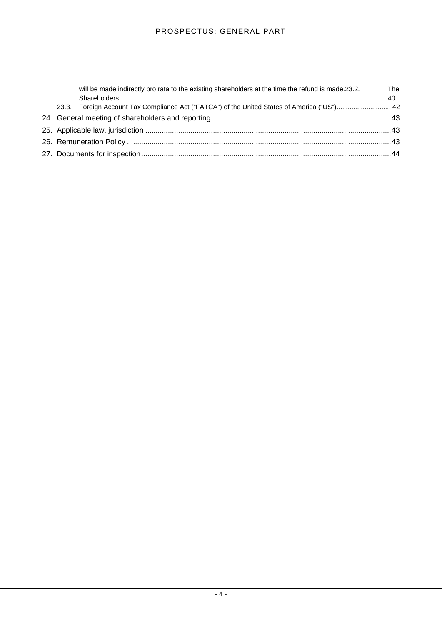|  | will be made indirectly pro rata to the existing shareholders at the time the refund is made.23.2.<br>Shareholders | <b>The</b><br>40 |
|--|--------------------------------------------------------------------------------------------------------------------|------------------|
|  | 23.3. Foreign Account Tax Compliance Act ("FATCA") of the United States of America ("US") 42                       |                  |
|  |                                                                                                                    |                  |
|  |                                                                                                                    |                  |
|  |                                                                                                                    |                  |
|  |                                                                                                                    |                  |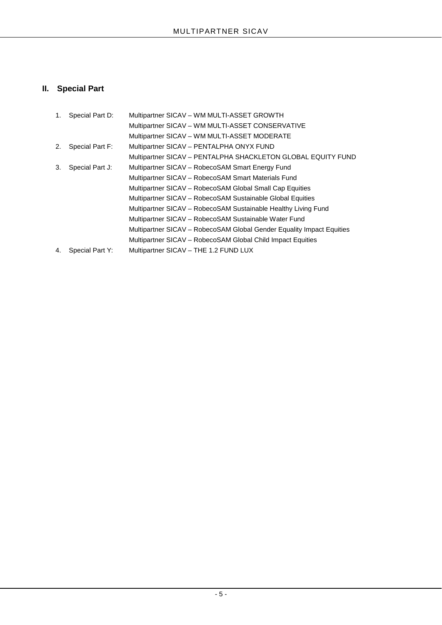# **II. Special Part**

| 1. | Special Part D: | Multipartner SICAV - WM MULTI-ASSET GROWTH                            |
|----|-----------------|-----------------------------------------------------------------------|
|    |                 | Multipartner SICAV - WM MULTI-ASSET CONSERVATIVE                      |
|    |                 | Multipartner SICAV - WM MULTI-ASSET MODERATE                          |
| 2. | Special Part F: | Multipartner SICAV - PENTALPHA ONYX FUND                              |
|    |                 | Multipartner SICAV - PENTALPHA SHACKLETON GLOBAL EQUITY FUND          |
| 3. | Special Part J: | Multipartner SICAV - RobecoSAM Smart Energy Fund                      |
|    |                 | Multipartner SICAV - RobecoSAM Smart Materials Fund                   |
|    |                 | Multipartner SICAV – RobecoSAM Global Small Cap Equities              |
|    |                 | Multipartner SICAV - RobecoSAM Sustainable Global Equities            |
|    |                 | Multipartner SICAV – RobecoSAM Sustainable Healthy Living Fund        |
|    |                 | Multipartner SICAV - RobecoSAM Sustainable Water Fund                 |
|    |                 | Multipartner SICAV - RobecoSAM Global Gender Equality Impact Equities |
|    |                 | Multipartner SICAV - RobecoSAM Global Child Impact Equities           |
| 4. | Special Part Y: | Multipartner SICAV - THE 1.2 FUND LUX                                 |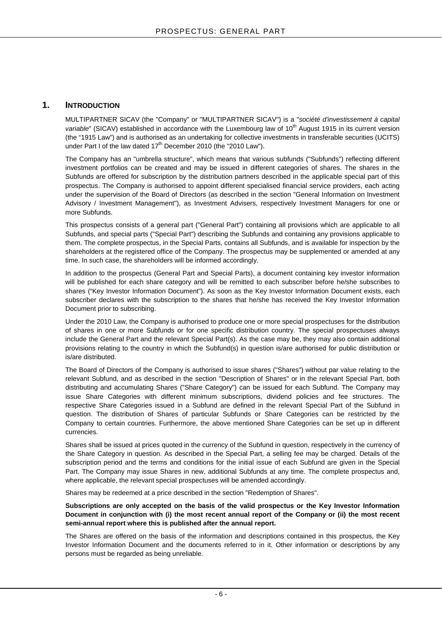## <span id="page-5-0"></span>**1. INTRODUCTION**

MULTIPARTNER SICAV (the "Company" or "MULTIPARTNER SICAV") is a "*société d'investissement à capital variable*" (SICAV) established in accordance with the Luxembourg law of 10<sup>th</sup> August 1915 in its current version (the "1915 Law") and is authorised as an undertaking for collective investments in transferable securities (UCITS) under Part I of the law dated  $17<sup>th</sup>$  December 2010 (the "2010 Law").

The Company has an "umbrella structure", which means that various subfunds ("Subfunds") reflecting different investment portfolios can be created and may be issued in different categories of shares. The shares in the Subfunds are offered for subscription by the distribution partners described in the applicable special part of this prospectus. The Company is authorised to appoint different specialised financial service providers, each acting under the supervision of the Board of Directors (as described in the section "General Information on Investment Advisory / Investment Management"), as Investment Advisers, respectively Investment Managers for one or more Subfunds.

This prospectus consists of a general part ("General Part") containing all provisions which are applicable to all Subfunds, and special parts ("Special Part") describing the Subfunds and containing any provisions applicable to them. The complete prospectus, in the Special Parts, contains all Subfunds, and is available for inspection by the shareholders at the registered office of the Company. The prospectus may be supplemented or amended at any time. In such case, the shareholders will be informed accordingly.

In addition to the prospectus (General Part and Special Parts), a document containing key investor information will be published for each share category and will be remitted to each subscriber before he/she subscribes to shares ("Key Investor Information Document"). As soon as the Key Investor Information Document exists, each subscriber declares with the subscription to the shares that he/she has received the Key Investor Information Document prior to subscribing.

Under the 2010 Law, the Company is authorised to produce one or more special prospectuses for the distribution of shares in one or more Subfunds or for one specific distribution country. The special prospectuses always include the General Part and the relevant Special Part(s). As the case may be, they may also contain additional provisions relating to the country in which the Subfund(s) in question is/are authorised for public distribution or is/are distributed.

The Board of Directors of the Company is authorised to issue shares ("Shares") without par value relating to the relevant Subfund, and as described in the section "Description of Shares" or in the relevant Special Part, both distributing and accumulating Shares ("Share Category") can be issued for each Subfund. The Company may issue Share Categories with different minimum subscriptions, dividend policies and fee structures. The respective Share Categories issued in a Subfund are defined in the relevant Special Part of the Subfund in question. The distribution of Shares of particular Subfunds or Share Categories can be restricted by the Company to certain countries. Furthermore, the above mentioned Share Categories can be set up in different currencies.

Shares shall be issued at prices quoted in the currency of the Subfund in question, respectively in the currency of the Share Category in question. As described in the Special Part, a selling fee may be charged. Details of the subscription period and the terms and conditions for the initial issue of each Subfund are given in the Special Part. The Company may issue Shares in new, additional Subfunds at any time. The complete prospectus and, where applicable, the relevant special prospectuses will be amended accordingly.

Shares may be redeemed at a price described in the section "Redemption of Shares".

**Subscriptions are only accepted on the basis of the valid prospectus or the Key Investor Information Document in conjunction with (i) the most recent annual report of the Company or (ii) the most recent semi-annual report where this is published after the annual report.**

<span id="page-5-1"></span>The Shares are offered on the basis of the information and descriptions contained in this prospectus, the Key Investor Information Document and the documents referred to in it. Other information or descriptions by any persons must be regarded as being unreliable.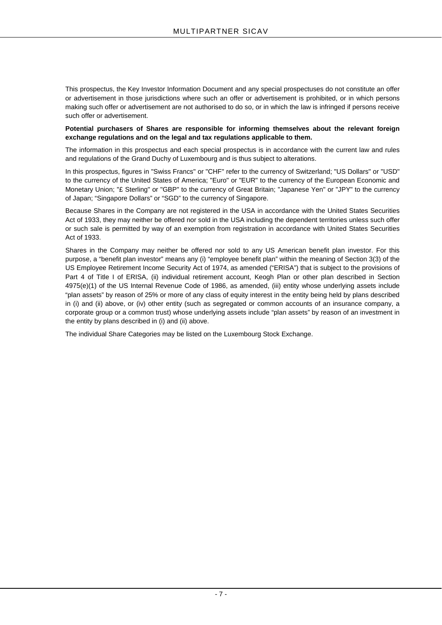This prospectus, the Key Investor Information Document and any special prospectuses do not constitute an offer or advertisement in those jurisdictions where such an offer or advertisement is prohibited, or in which persons making such offer or advertisement are not authorised to do so, or in which the law is infringed if persons receive such offer or advertisement.

## **Potential purchasers of Shares are responsible for informing themselves about the relevant foreign exchange regulations and on the legal and tax regulations applicable to them.**

The information in this prospectus and each special prospectus is in accordance with the current law and rules and regulations of the Grand Duchy of Luxembourg and is thus subject to alterations.

In this prospectus, figures in "Swiss Francs" or "CHF" refer to the currency of Switzerland; "US Dollars" or "USD" to the currency of the United States of America; "Euro" or "EUR" to the currency of the European Economic and Monetary Union; "£ Sterling" or "GBP" to the currency of Great Britain; "Japanese Yen" or "JPY" to the currency of Japan; "Singapore Dollars" or "SGD" to the currency of Singapore.

Because Shares in the Company are not registered in the USA in accordance with the United States Securities Act of 1933, they may neither be offered nor sold in the USA including the dependent territories unless such offer or such sale is permitted by way of an exemption from registration in accordance with United States Securities Act of 1933.

Shares in the Company may neither be offered nor sold to any US American benefit plan investor. For this purpose, a "benefit plan investor" means any (i) "employee benefit plan" within the meaning of Section 3(3) of the US Employee Retirement Income Security Act of 1974, as amended ("ERISA") that is subject to the provisions of Part 4 of Title I of ERISA, (ii) individual retirement account, Keogh Plan or other plan described in Section 4975(e)(1) of the US Internal Revenue Code of 1986, as amended, (iii) entity whose underlying assets include "plan assets" by reason of 25% or more of any class of equity interest in the entity being held by plans described in (i) and (ii) above, or (iv) other entity (such as segregated or common accounts of an insurance company, a corporate group or a common trust) whose underlying assets include "plan assets" by reason of an investment in the entity by plans described in (i) and (ii) above.

The individual Share Categories may be listed on the Luxembourg Stock Exchange.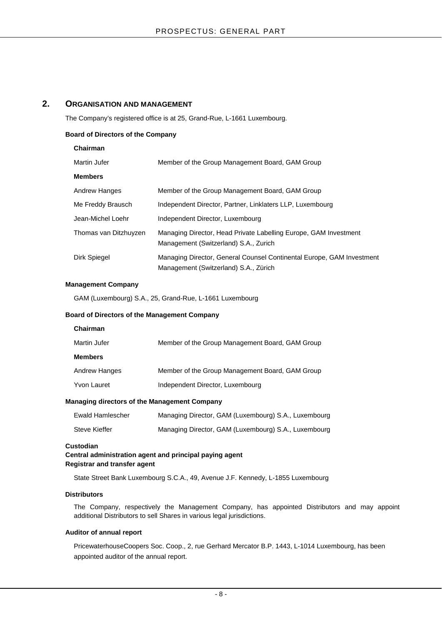## <span id="page-7-0"></span>**2. ORGANISATION AND MANAGEMENT**

The Company's registered office is at 25, Grand-Rue, L-1661 Luxembourg.

## **Board of Directors of the Company**

## **Chairman**

| Martin Jufer          | Member of the Group Management Board, GAM Group                                                                |  |
|-----------------------|----------------------------------------------------------------------------------------------------------------|--|
| <b>Members</b>        |                                                                                                                |  |
| Andrew Hanges         | Member of the Group Management Board, GAM Group                                                                |  |
| Me Freddy Brausch     | Independent Director, Partner, Linklaters LLP, Luxembourg                                                      |  |
| Jean-Michel Loehr     | Independent Director, Luxembourg                                                                               |  |
| Thomas van Ditzhuyzen | Managing Director, Head Private Labelling Europe, GAM Investment<br>Management (Switzerland) S.A., Zurich      |  |
| Dirk Spiegel          | Managing Director, General Counsel Continental Europe, GAM Investment<br>Management (Switzerland) S.A., Zürich |  |

## **Management Company**

GAM (Luxembourg) S.A., 25, Grand-Rue, L-1661 Luxembourg

## **Board of Directors of the Management Company**

| Chairman             |                                                 |
|----------------------|-------------------------------------------------|
| Martin Jufer         | Member of the Group Management Board, GAM Group |
| <b>Members</b>       |                                                 |
| <b>Andrew Hanges</b> | Member of the Group Management Board, GAM Group |
| <b>Yvon Lauret</b>   | Independent Director, Luxembourg                |

## **Managing directors of the Management Company**

| Ewald Hamlescher | Managing Director, GAM (Luxembourg) S.A., Luxembourg |
|------------------|------------------------------------------------------|
| Steve Kieffer    | Managing Director, GAM (Luxembourg) S.A., Luxembourg |

## **Custodian**

## **Central administration agent and principal paying agent Registrar and transfer agent**

State Street Bank Luxembourg S.C.A., 49, Avenue J.F. Kennedy, L-1855 Luxembourg

## **Distributors**

The Company, respectively the Management Company, has appointed Distributors and may appoint additional Distributors to sell Shares in various legal jurisdictions.

## **Auditor of annual report**

PricewaterhouseCoopers Soc. Coop., 2, rue Gerhard Mercator B.P. 1443, L-1014 Luxembourg, has been appointed auditor of the annual report.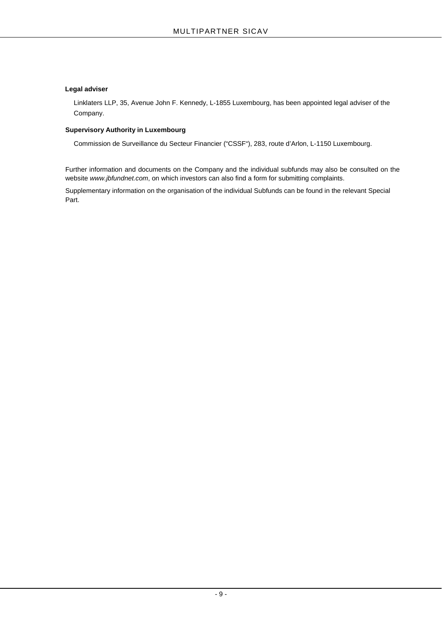## **Legal adviser**

Linklaters LLP, 35, Avenue John F. Kennedy, L-1855 Luxembourg, has been appointed legal adviser of the Company.

## **Supervisory Authority in Luxembourg**

Commission de Surveillance du Secteur Financier ("CSSF"), 283, route d'Arlon, L-1150 Luxembourg.

Further information and documents on the Company and the individual subfunds may also be consulted on the website *[www.jbfundnet.com](http://www.jbfundnet.com/)*, on which investors can also find a form for submitting complaints.

Supplementary information on the organisation of the individual Subfunds can be found in the relevant Special Part.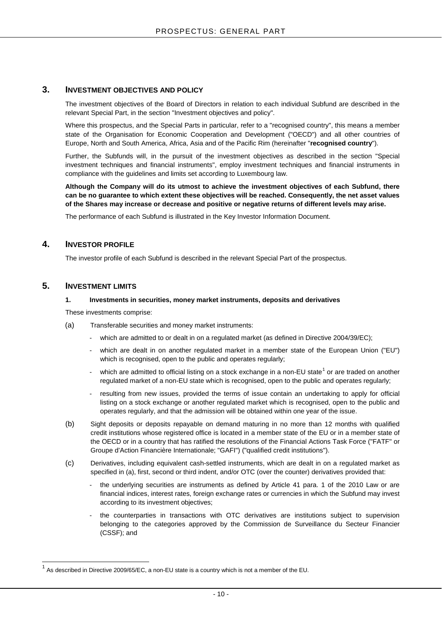## <span id="page-9-0"></span>**3. INVESTMENT OBJECTIVES AND POLICY**

The investment objectives of the Board of Directors in relation to each individual Subfund are described in the relevant Special Part, in the section "Investment objectives and policy".

Where this prospectus, and the Special Parts in particular, refer to a "recognised country", this means a member state of the Organisation for Economic Cooperation and Development ("OECD") and all other countries of Europe, North and South America, Africa, Asia and of the Pacific Rim (hereinafter "**recognised country**").

Further, the Subfunds will, in the pursuit of the investment objectives as described in the section "Special investment techniques and financial instruments", employ investment techniques and financial instruments in compliance with the guidelines and limits set according to Luxembourg law.

**Although the Company will do its utmost to achieve the investment objectives of each Subfund, there can be no guarantee to which extent these objectives will be reached. Consequently, the net asset values of the Shares may increase or decrease and positive or negative returns of different levels may arise.**

The performance of each Subfund is illustrated in the Key Investor Information Document.

## <span id="page-9-1"></span>**4. INVESTOR PROFILE**

The investor profile of each Subfund is described in the relevant Special Part of the prospectus.

## <span id="page-9-2"></span>**5. INVESTMENT LIMITS**

## **1. Investments in securities, money market instruments, deposits and derivatives**

These investments comprise:

- (a) Transferable securities and money market instruments:
	- which are admitted to or dealt in on a regulated market (as defined in Directive 2004/39/EC);
	- which are dealt in on another regulated market in a member state of the European Union ("EU") which is recognised, open to the public and operates regularly;
	- which are admitted to official listing on a stock exchange in a non-EU state<sup>[1](#page-5-1)</sup> or are traded on another regulated market of a non-EU state which is recognised, open to the public and operates regularly;
	- resulting from new issues, provided the terms of issue contain an undertaking to apply for official listing on a stock exchange or another regulated market which is recognised, open to the public and operates regularly, and that the admission will be obtained within one year of the issue.
- (b) Sight deposits or deposits repayable on demand maturing in no more than 12 months with qualified credit institutions whose registered office is located in a member state of the EU or in a member state of the OECD or in a country that has ratified the resolutions of the Financial Actions Task Force ("FATF" or Groupe d'Action Financière Internationale; "GAFI") ("qualified credit institutions").
- (c) Derivatives, including equivalent cash-settled instruments, which are dealt in on a regulated market as specified in (a), first, second or third indent, and/or OTC (over the counter) derivatives provided that:
	- the underlying securities are instruments as defined by Article 41 para. 1 of the 2010 Law or are financial indices, interest rates, foreign exchange rates or currencies in which the Subfund may invest according to its investment objectives;
	- the counterparties in transactions with OTC derivatives are institutions subject to supervision belonging to the categories approved by the Commission de Surveillance du Secteur Financier (CSSF); and

 $1$  As described in Directive 2009/65/EC, a non-EU state is a country which is not a member of the EU.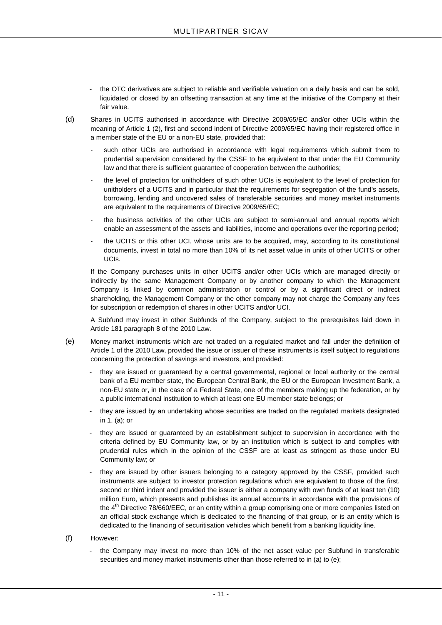- the OTC derivatives are subject to reliable and verifiable valuation on a daily basis and can be sold, liquidated or closed by an offsetting transaction at any time at the initiative of the Company at their fair value.
- (d) Shares in UCITS authorised in accordance with Directive 2009/65/EC and/or other UCIs within the meaning of Article 1 (2), first and second indent of Directive 2009/65/EC having their registered office in a member state of the EU or a non-EU state, provided that:
	- such other UCIs are authorised in accordance with legal requirements which submit them to prudential supervision considered by the CSSF to be equivalent to that under the EU Community law and that there is sufficient guarantee of cooperation between the authorities;
	- the level of protection for unitholders of such other UCIs is equivalent to the level of protection for unitholders of a UCITS and in particular that the requirements for segregation of the fund's assets, borrowing, lending and uncovered sales of transferable securities and money market instruments are equivalent to the requirements of Directive 2009/65/EC;
	- the business activities of the other UCIs are subject to semi-annual and annual reports which enable an assessment of the assets and liabilities, income and operations over the reporting period;
	- the UCITS or this other UCI, whose units are to be acquired, may, according to its constitutional documents, invest in total no more than 10% of its net asset value in units of other UCITS or other UCIs.

If the Company purchases units in other UCITS and/or other UCIs which are managed directly or indirectly by the same Management Company or by another company to which the Management Company is linked by common administration or control or by a significant direct or indirect shareholding, the Management Company or the other company may not charge the Company any fees for subscription or redemption of shares in other UCITS and/or UCI.

A Subfund may invest in other Subfunds of the Company, subject to the prerequisites laid down in Article 181 paragraph 8 of the 2010 Law.

- (e) Money market instruments which are not traded on a regulated market and fall under the definition of Article 1 of the 2010 Law, provided the issue or issuer of these instruments is itself subject to regulations concerning the protection of savings and investors, and provided:
	- they are issued or guaranteed by a central governmental, regional or local authority or the central bank of a EU member state, the European Central Bank, the EU or the European Investment Bank, a non-EU state or, in the case of a Federal State, one of the members making up the federation, or by a public international institution to which at least one EU member state belongs; or
	- they are issued by an undertaking whose securities are traded on the regulated markets designated in 1. (a); or
	- they are issued or guaranteed by an establishment subject to supervision in accordance with the criteria defined by EU Community law, or by an institution which is subject to and complies with prudential rules which in the opinion of the CSSF are at least as stringent as those under EU Community law; or
	- they are issued by other issuers belonging to a category approved by the CSSF, provided such instruments are subject to investor protection regulations which are equivalent to those of the first, second or third indent and provided the issuer is either a company with own funds of at least ten (10) million Euro, which presents and publishes its annual accounts in accordance with the provisions of the 4<sup>th</sup> Directive 78/660/EEC, or an entity within a group comprising one or more companies listed on an official stock exchange which is dedicated to the financing of that group, or is an entity which is dedicated to the financing of securitisation vehicles which benefit from a banking liquidity line.
- (f) However:
	- the Company may invest no more than 10% of the net asset value per Subfund in transferable securities and money market instruments other than those referred to in (a) to (e);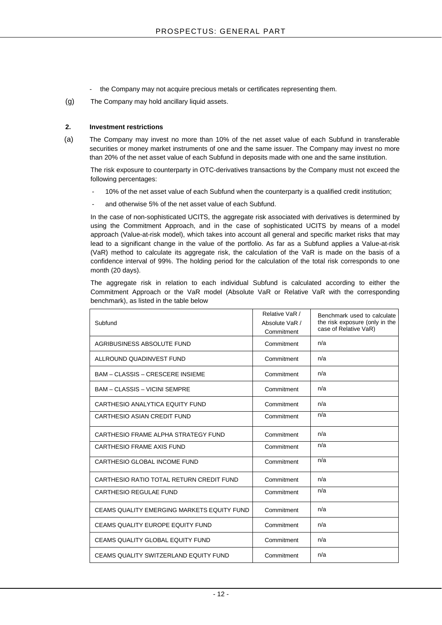- the Company may not acquire precious metals or certificates representing them.
- (g) The Company may hold ancillary liquid assets.

## **2. Investment restrictions**

(a) The Company may invest no more than 10% of the net asset value of each Subfund in transferable securities or money market instruments of one and the same issuer. The Company may invest no more than 20% of the net asset value of each Subfund in deposits made with one and the same institution.

The risk exposure to counterparty in OTC-derivatives transactions by the Company must not exceed the following percentages:

- 10% of the net asset value of each Subfund when the counterparty is a qualified credit institution;
- and otherwise 5% of the net asset value of each Subfund.

In the case of non-sophisticated UCITS, the aggregate risk associated with derivatives is determined by using the Commitment Approach, and in the case of sophisticated UCITS by means of a model approach (Value-at-risk model), which takes into account all general and specific market risks that may lead to a significant change in the value of the portfolio. As far as a Subfund applies a Value-at-risk (VaR) method to calculate its aggregate risk, the calculation of the VaR is made on the basis of a confidence interval of 99%. The holding period for the calculation of the total risk corresponds to one month (20 days).

The aggregate risk in relation to each individual Subfund is calculated according to either the Commitment Approach or the VaR model (Absolute VaR or Relative VaR with the corresponding benchmark), as listed in the table below

| Subfund                                    | Relative VaR /<br>Absolute VaR /<br>Commitment | Benchmark used to calculate<br>the risk exposure (only in the<br>case of Relative VaR) |
|--------------------------------------------|------------------------------------------------|----------------------------------------------------------------------------------------|
| AGRIBUSINESS ABSOLUTE FUND                 | Commitment                                     | n/a                                                                                    |
| ALLROUND QUADINVEST FUND                   | Commitment                                     | n/a                                                                                    |
| <b>BAM - CLASSIS - CRESCERE INSIEME</b>    | Commitment                                     | n/a                                                                                    |
| <b>BAM - CLASSIS - VICINI SEMPRE</b>       | Commitment                                     | n/a                                                                                    |
| CARTHESIO ANALYTICA EQUITY FUND            | Commitment                                     | n/a                                                                                    |
| CARTHESIO ASIAN CREDIT FUND                | Commitment                                     | n/a                                                                                    |
| CARTHESIO FRAME ALPHA STRATEGY FUND        | Commitment                                     | n/a                                                                                    |
| CARTHESIO FRAME AXIS FUND                  | Commitment                                     | n/a                                                                                    |
| CARTHESIO GLOBAL INCOME FUND               | Commitment                                     | n/a                                                                                    |
| CARTHESIO RATIO TOTAL RETURN CREDIT FUND   | Commitment                                     | n/a                                                                                    |
| <b>CARTHESIO REGULAE FUND</b>              | Commitment                                     | n/a                                                                                    |
| CEAMS QUALITY EMERGING MARKETS EQUITY FUND | Commitment                                     | n/a                                                                                    |
| CEAMS QUALITY EUROPE EQUITY FUND           | Commitment                                     | n/a                                                                                    |
| <b>CEAMS QUALITY GLOBAL EQUITY FUND</b>    | Commitment                                     | n/a                                                                                    |
| CEAMS QUALITY SWITZERLAND EQUITY FUND      | Commitment                                     | n/a                                                                                    |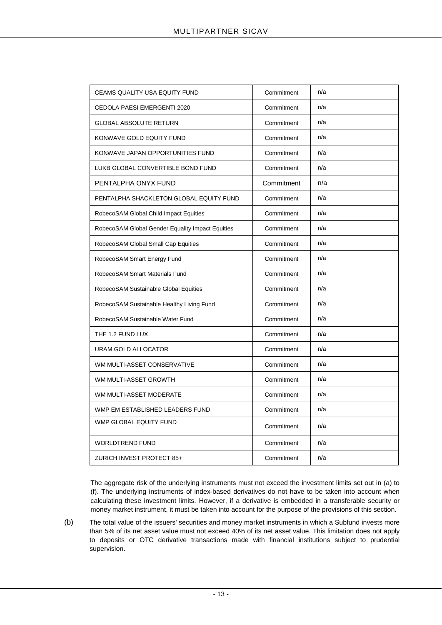| <b>CEAMS QUALITY USA EQUITY FUND</b>             | Commitment | n/a |
|--------------------------------------------------|------------|-----|
| CEDOLA PAESI EMERGENTI 2020                      | Commitment | n/a |
| <b>GLOBAL ABSOLUTE RETURN</b>                    | Commitment | n/a |
| KONWAVE GOLD EQUITY FUND                         | Commitment | n/a |
| KONWAVE JAPAN OPPORTUNITIES FUND                 | Commitment | n/a |
| LUKB GLOBAL CONVERTIBLE BOND FUND                | Commitment | n/a |
| PENTALPHA ONYX FUND                              | Commitment | n/a |
| PENTALPHA SHACKLETON GLOBAL EQUITY FUND          | Commitment | n/a |
| RobecoSAM Global Child Impact Equities           | Commitment | n/a |
| RobecoSAM Global Gender Equality Impact Equities | Commitment | n/a |
| RobecoSAM Global Small Cap Equities              | Commitment | n/a |
| RobecoSAM Smart Energy Fund                      | Commitment | n/a |
| RobecoSAM Smart Materials Fund                   | Commitment | n/a |
| RobecoSAM Sustainable Global Equities            | Commitment | n/a |
| RobecoSAM Sustainable Healthy Living Fund        | Commitment | n/a |
| RobecoSAM Sustainable Water Fund                 | Commitment | n/a |
| THE 1.2 FUND LUX                                 | Commitment | n/a |
| URAM GOLD ALLOCATOR                              | Commitment | n/a |
| WM MULTI-ASSET CONSERVATIVE                      | Commitment | n/a |
| WM MULTI-ASSET GROWTH                            | Commitment | n/a |
| WM MULTI-ASSET MODERATE                          | Commitment | n/a |
| WMP EM ESTABLISHED LEADERS FUND                  | Commitment | n/a |
| WMP GLOBAL EQUITY FUND                           | Commitment | n/a |
| WORLDTREND FUND                                  | Commitment | n/a |
| ZURICH INVEST PROTECT 85+                        | Commitment | n/a |

The aggregate risk of the underlying instruments must not exceed the investment limits set out in (a) to (f). The underlying instruments of index-based derivatives do not have to be taken into account when calculating these investment limits. However, if a derivative is embedded in a transferable security or money market instrument, it must be taken into account for the purpose of the provisions of this section.

(b) The total value of the issuers' securities and money market instruments in which a Subfund invests more than 5% of its net asset value must not exceed 40% of its net asset value. This limitation does not apply to deposits or OTC derivative transactions made with financial institutions subject to prudential supervision.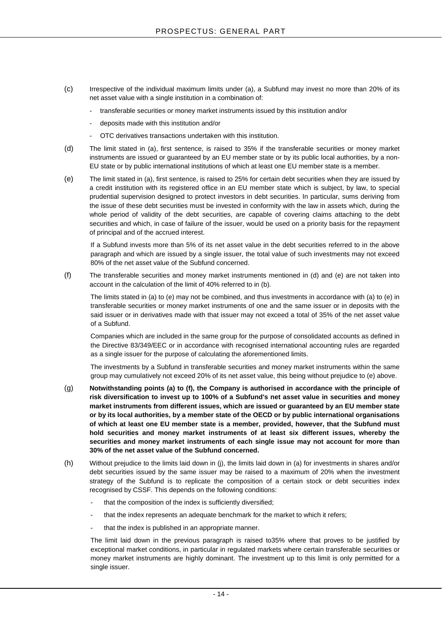- (c) Irrespective of the individual maximum limits under (a), a Subfund may invest no more than 20% of its net asset value with a single institution in a combination of:
	- transferable securities or money market instruments issued by this institution and/or
	- deposits made with this institution and/or
	- OTC derivatives transactions undertaken with this institution.
- (d) The limit stated in (a), first sentence, is raised to 35% if the transferable securities or money market instruments are issued or guaranteed by an EU member state or by its public local authorities, by a non-EU state or by public international institutions of which at least one EU member state is a member.
- (e) The limit stated in (a), first sentence, is raised to 25% for certain debt securities when they are issued by a credit institution with its registered office in an EU member state which is subject, by law, to special prudential supervision designed to protect investors in debt securities. In particular, sums deriving from the issue of these debt securities must be invested in conformity with the law in assets which, during the whole period of validity of the debt securities, are capable of covering claims attaching to the debt securities and which, in case of failure of the issuer, would be used on a priority basis for the repayment of principal and of the accrued interest.

If a Subfund invests more than 5% of its net asset value in the debt securities referred to in the above paragraph and which are issued by a single issuer, the total value of such investments may not exceed 80% of the net asset value of the Subfund concerned.

(f) The transferable securities and money market instruments mentioned in (d) and (e) are not taken into account in the calculation of the limit of 40% referred to in (b).

The limits stated in (a) to (e) may not be combined, and thus investments in accordance with (a) to (e) in transferable securities or money market instruments of one and the same issuer or in deposits with the said issuer or in derivatives made with that issuer may not exceed a total of 35% of the net asset value of a Subfund.

Companies which are included in the same group for the purpose of consolidated accounts as defined in the Directive 83/349/EEC or in accordance with recognised international accounting rules are regarded as a single issuer for the purpose of calculating the aforementioned limits.

The investments by a Subfund in transferable securities and money market instruments within the same group may cumulatively not exceed 20% of its net asset value, this being without prejudice to (e) above.

- (g) **Notwithstanding points (a) to (f), the Company is authorised in accordance with the principle of risk diversification to invest up to 100% of a Subfund's net asset value in securities and money market instruments from different issues, which are issued or guaranteed by an EU member state or by its local authorities, by a member state of the OECD or by public international organisations of which at least one EU member state is a member, provided, however, that the Subfund must hold securities and money market instruments of at least six different issues, whereby the securities and money market instruments of each single issue may not account for more than 30% of the net asset value of the Subfund concerned.**
- (h) Without prejudice to the limits laid down in (j), the limits laid down in (a) for investments in shares and/or debt securities issued by the same issuer may be raised to a maximum of 20% when the investment strategy of the Subfund is to replicate the composition of a certain stock or debt securities index recognised by CSSF. This depends on the following conditions:
	- that the composition of the index is sufficiently diversified;
	- that the index represents an adequate benchmark for the market to which it refers;
	- that the index is published in an appropriate manner.

The limit laid down in the previous paragraph is raised to35% where that proves to be justified by exceptional market conditions, in particular in regulated markets where certain transferable securities or money market instruments are highly dominant. The investment up to this limit is only permitted for a single issuer.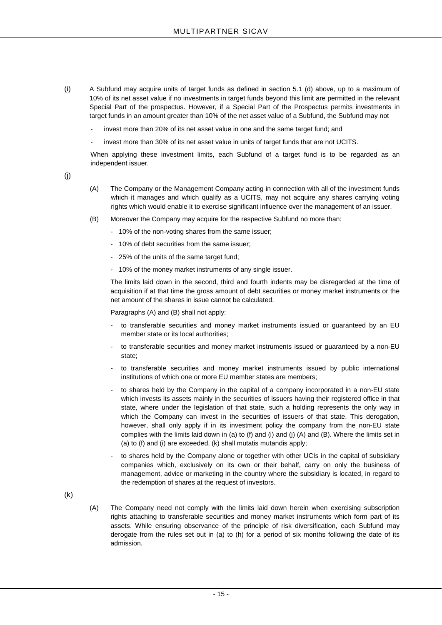- (i) A Subfund may acquire units of target funds as defined in section 5.1 (d) above, up to a maximum of 10% of its net asset value if no investments in target funds beyond this limit are permitted in the relevant Special Part of the prospectus. However, if a Special Part of the Prospectus permits investments in target funds in an amount greater than 10% of the net asset value of a Subfund, the Subfund may not
	- invest more than 20% of its net asset value in one and the same target fund; and
	- invest more than 30% of its net asset value in units of target funds that are not UCITS.

When applying these investment limits, each Subfund of a target fund is to be regarded as an independent issuer.

(j)

- (A) The Company or the Management Company acting in connection with all of the investment funds which it manages and which qualify as a UCITS, may not acquire any shares carrying voting rights which would enable it to exercise significant influence over the management of an issuer.
- (B) Moreover the Company may acquire for the respective Subfund no more than:
	- 10% of the non-voting shares from the same issuer;
	- 10% of debt securities from the same issuer;
	- 25% of the units of the same target fund;
	- 10% of the money market instruments of any single issuer.

The limits laid down in the second, third and fourth indents may be disregarded at the time of acquisition if at that time the gross amount of debt securities or money market instruments or the net amount of the shares in issue cannot be calculated.

Paragraphs (A) and (B) shall not apply:

- to transferable securities and money market instruments issued or guaranteed by an EU member state or its local authorities;
- to transferable securities and money market instruments issued or quaranteed by a non-EU state;
- to transferable securities and money market instruments issued by public international institutions of which one or more EU member states are members;
- to shares held by the Company in the capital of a company incorporated in a non-EU state which invests its assets mainly in the securities of issuers having their registered office in that state, where under the legislation of that state, such a holding represents the only way in which the Company can invest in the securities of issuers of that state. This derogation, however, shall only apply if in its investment policy the company from the non-EU state complies with the limits laid down in (a) to (f) and (i) and (j) (A) and (B). Where the limits set in (a) to (f) and (i) are exceeded, (k) shall mutatis mutandis apply;
- to shares held by the Company alone or together with other UCIs in the capital of subsidiary companies which, exclusively on its own or their behalf, carry on only the business of management, advice or marketing in the country where the subsidiary is located, in regard to the redemption of shares at the request of investors.

(k)

(A) The Company need not comply with the limits laid down herein when exercising subscription rights attaching to transferable securities and money market instruments which form part of its assets. While ensuring observance of the principle of risk diversification, each Subfund may derogate from the rules set out in (a) to (h) for a period of six months following the date of its admission.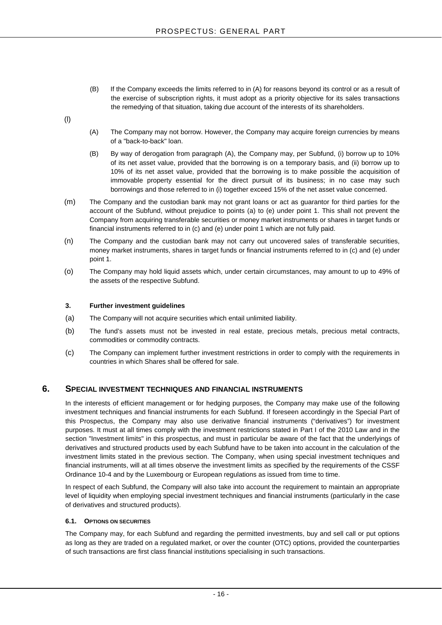- (B) If the Company exceeds the limits referred to in (A) for reasons beyond its control or as a result of the exercise of subscription rights, it must adopt as a priority objective for its sales transactions the remedying of that situation, taking due account of the interests of its shareholders.
- (l)
- (A) The Company may not borrow. However, the Company may acquire foreign currencies by means of a "back-to-back" loan.
- (B) By way of derogation from paragraph (A), the Company may, per Subfund, (i) borrow up to 10% of its net asset value, provided that the borrowing is on a temporary basis, and (ii) borrow up to 10% of its net asset value, provided that the borrowing is to make possible the acquisition of immovable property essential for the direct pursuit of its business; in no case may such borrowings and those referred to in (i) together exceed 15% of the net asset value concerned.
- (m) The Company and the custodian bank may not grant loans or act as guarantor for third parties for the account of the Subfund, without prejudice to points (a) to (e) under point 1. This shall not prevent the Company from acquiring transferable securities or money market instruments or shares in target funds or financial instruments referred to in (c) and (e) under point 1 which are not fully paid.
- (n) The Company and the custodian bank may not carry out uncovered sales of transferable securities, money market instruments, shares in target funds or financial instruments referred to in (c) and (e) under point 1.
- (o) The Company may hold liquid assets which, under certain circumstances, may amount to up to 49% of the assets of the respective Subfund.

## **3. Further investment guidelines**

- (a) The Company will not acquire securities which entail unlimited liability.
- (b) The fund's assets must not be invested in real estate, precious metals, precious metal contracts, commodities or commodity contracts.
- (c) The Company can implement further investment restrictions in order to comply with the requirements in countries in which Shares shall be offered for sale.

## <span id="page-15-0"></span>**6. SPECIAL INVESTMENT TECHNIQUES AND FINANCIAL INSTRUMENTS**

In the interests of efficient management or for hedging purposes, the Company may make use of the following investment techniques and financial instruments for each Subfund. If foreseen accordingly in the Special Part of this Prospectus, the Company may also use derivative financial instruments ("derivatives") for investment purposes. It must at all times comply with the investment restrictions stated in Part I of the 2010 Law and in the section "Investment limits" in this prospectus, and must in particular be aware of the fact that the underlyings of derivatives and structured products used by each Subfund have to be taken into account in the calculation of the investment limits stated in the previous section. The Company, when using special investment techniques and financial instruments, will at all times observe the investment limits as specified by the requirements of the CSSF Ordinance 10-4 and by the Luxembourg or European regulations as issued from time to time.

In respect of each Subfund, the Company will also take into account the requirement to maintain an appropriate level of liquidity when employing special investment techniques and financial instruments (particularly in the case of derivatives and structured products).

## <span id="page-15-1"></span>**6.1. OPTIONS ON SECURITIES**

The Company may, for each Subfund and regarding the permitted investments, buy and sell call or put options as long as they are traded on a regulated market, or over the counter (OTC) options, provided the counterparties of such transactions are first class financial institutions specialising in such transactions.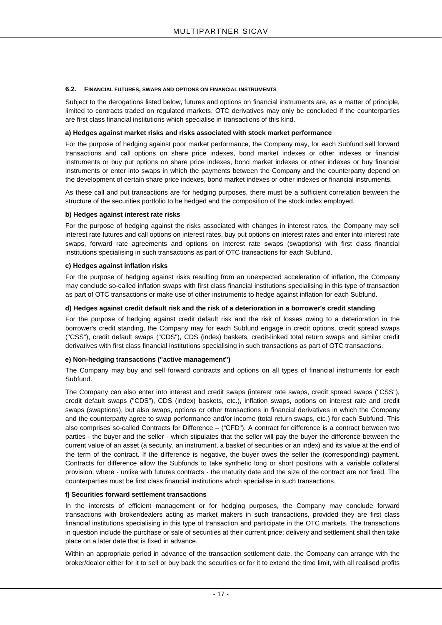#### <span id="page-16-0"></span>**6.2. FINANCIAL FUTURES, SWAPS AND OPTIONS ON FINANCIAL INSTRUMENTS**

Subject to the derogations listed below, futures and options on financial instruments are, as a matter of principle, limited to contracts traded on regulated markets. OTC derivatives may only be concluded if the counterparties are first class financial institutions which specialise in transactions of this kind.

## **a) Hedges against market risks and risks associated with stock market performance**

For the purpose of hedging against poor market performance, the Company may, for each Subfund sell forward transactions and call options on share price indexes, bond market indexes or other indexes or financial instruments or buy put options on share price indexes, bond market indexes or other indexes or buy financial instruments or enter into swaps in which the payments between the Company and the counterparty depend on the development of certain share price indexes, bond market indexes or other indexes or financial instruments.

As these call and put transactions are for hedging purposes, there must be a sufficient correlation between the structure of the securities portfolio to be hedged and the composition of the stock index employed.

## **b) Hedges against interest rate risks**

For the purpose of hedging against the risks associated with changes in interest rates, the Company may sell interest rate futures and call options on interest rates, buy put options on interest rates and enter into interest rate swaps, forward rate agreements and options on interest rate swaps (swaptions) with first class financial institutions specialising in such transactions as part of OTC transactions for each Subfund.

## **c) Hedges against inflation risks**

For the purpose of hedging against risks resulting from an unexpected acceleration of inflation, the Company may conclude so-called inflation swaps with first class financial institutions specialising in this type of transaction as part of OTC transactions or make use of other instruments to hedge against inflation for each Subfund.

## **d) Hedges against credit default risk and the risk of a deterioration in a borrower's credit standing**

For the purpose of hedging against credit default risk and the risk of losses owing to a deterioration in the borrower's credit standing, the Company may for each Subfund engage in credit options, credit spread swaps ("CSS"), credit default swaps ("CDS"), CDS (index) baskets, credit-linked total return swaps and similar credit derivatives with first class financial institutions specialising in such transactions as part of OTC transactions.

## **e) Non-hedging transactions ("active management")**

The Company may buy and sell forward contracts and options on all types of financial instruments for each Subfund.

The Company can also enter into interest and credit swaps (interest rate swaps, credit spread swaps ("CSS"), credit default swaps ("CDS"), CDS (index) baskets, etc.), inflation swaps, options on interest rate and credit swaps (swaptions), but also swaps, options or other transactions in financial derivatives in which the Company and the counterparty agree to swap performance and/or income (total return swaps, etc.) for each Subfund. This also comprises so-called Contracts for Difference – ("CFD"). A contract for difference is a contract between two parties - the buyer and the seller - which stipulates that the seller will pay the buyer the difference between the current value of an asset (a security, an instrument, a basket of securities or an index) and its value at the end of the term of the contract. If the difference is negative, the buyer owes the seller the (corresponding) payment. Contracts for difference allow the Subfunds to take synthetic long or short positions with a variable collateral provision, where - unlike with futures contracts - the maturity date and the size of the contract are not fixed. The counterparties must be first class financial institutions which specialise in such transactions.

## **f) Securities forward settlement transactions**

In the interests of efficient management or for hedging purposes, the Company may conclude forward transactions with broker/dealers acting as market makers in such transactions, provided they are first class financial institutions specialising in this type of transaction and participate in the OTC markets. The transactions in question include the purchase or sale of securities at their current price; delivery and settlement shall then take place on a later date that is fixed in advance.

Within an appropriate period in advance of the transaction settlement date, the Company can arrange with the broker/dealer either for it to sell or buy back the securities or for it to extend the time limit, with all realised profits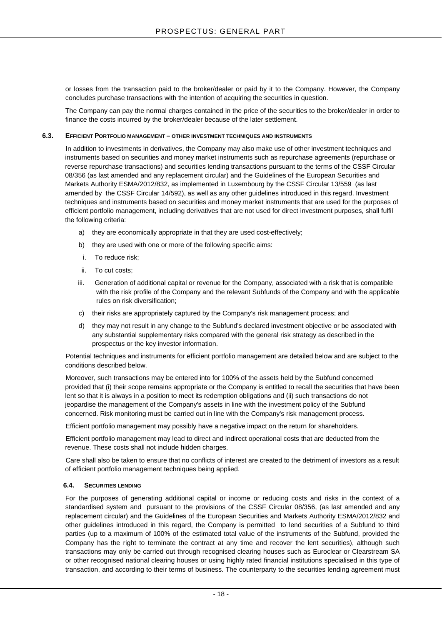or losses from the transaction paid to the broker/dealer or paid by it to the Company. However, the Company concludes purchase transactions with the intention of acquiring the securities in question.

The Company can pay the normal charges contained in the price of the securities to the broker/dealer in order to finance the costs incurred by the broker/dealer because of the later settlement.

## <span id="page-17-0"></span>**6.3. EFFICIENT PORTFOLIO MANAGEMENT – OTHER INVESTMENT TECHNIQUES AND INSTRUMENTS**

In addition to investments in derivatives, the Company may also make use of other investment techniques and instruments based on securities and money market instruments such as repurchase agreements (repurchase or reverse repurchase transactions) and securities lending transactions pursuant to the terms of the CSSF Circular 08/356 (as last amended and any replacement circular) and the Guidelines of the European Securities and Markets Authority ESMA/2012/832, as implemented in Luxembourg by the CSSF Circular 13/559 (as last amended by the CSSF Circular 14/592), as well as any other guidelines introduced in this regard. Investment techniques and instruments based on securities and money market instruments that are used for the purposes of efficient portfolio management, including derivatives that are not used for direct investment purposes, shall fulfil the following criteria:

- a) they are economically appropriate in that they are used cost-effectively;
- b) they are used with one or more of the following specific aims:
- i. To reduce risk;
- ii. To cut costs;
- iii. Generation of additional capital or revenue for the Company, associated with a risk that is compatible with the risk profile of the Company and the relevant Subfunds of the Company and with the applicable rules on risk diversification;
- c) their risks are appropriately captured by the Company's risk management process; and
- d) they may not result in any change to the Subfund's declared investment objective or be associated with any substantial supplementary risks compared with the general risk strategy as described in the prospectus or the key investor information.

Potential techniques and instruments for efficient portfolio management are detailed below and are subject to the conditions described below.

Moreover, such transactions may be entered into for 100% of the assets held by the Subfund concerned provided that (i) their scope remains appropriate or the Company is entitled to recall the securities that have been lent so that it is always in a position to meet its redemption obligations and (ii) such transactions do not jeopardise the management of the Company's assets in line with the investment policy of the Subfund concerned. Risk monitoring must be carried out in line with the Company's risk management process.

Efficient portfolio management may possibly have a negative impact on the return for shareholders.

Efficient portfolio management may lead to direct and indirect operational costs that are deducted from the revenue. These costs shall not include hidden charges.

Care shall also be taken to ensure that no conflicts of interest are created to the detriment of investors as a result of efficient portfolio management techniques being applied.

## <span id="page-17-1"></span>**6.4. SECURITIES LENDING**

For the purposes of generating additional capital or income or reducing costs and risks in the context of a standardised system and pursuant to the provisions of the CSSF Circular 08/356, (as last amended and any replacement circular) and the Guidelines of the European Securities and Markets Authority ESMA/2012/832 and other guidelines introduced in this regard, the Company is permitted to lend securities of a Subfund to third parties (up to a maximum of 100% of the estimated total value of the instruments of the Subfund, provided the Company has the right to terminate the contract at any time and recover the lent securities), although such transactions may only be carried out through recognised clearing houses such as Euroclear or Clearstream SA or other recognised national clearing houses or using highly rated financial institutions specialised in this type of transaction, and according to their terms of business. The counterparty to the securities lending agreement must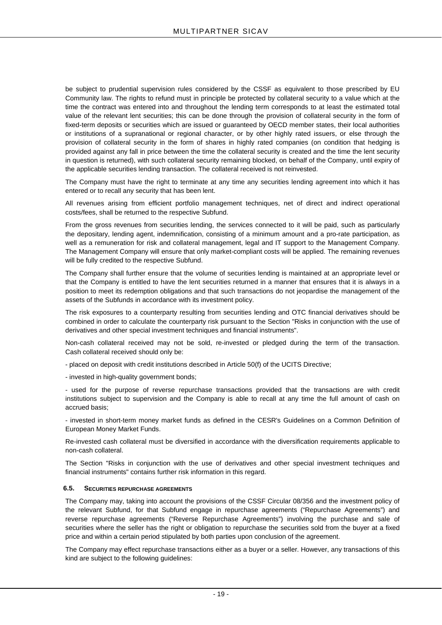be subject to prudential supervision rules considered by the CSSF as equivalent to those prescribed by EU Community law. The rights to refund must in principle be protected by collateral security to a value which at the time the contract was entered into and throughout the lending term corresponds to at least the estimated total value of the relevant lent securities; this can be done through the provision of collateral security in the form of fixed-term deposits or securities which are issued or guaranteed by OECD member states, their local authorities or institutions of a supranational or regional character, or by other highly rated issuers, or else through the provision of collateral security in the form of shares in highly rated companies (on condition that hedging is provided against any fall in price between the time the collateral security is created and the time the lent security in question is returned), with such collateral security remaining blocked, on behalf of the Company, until expiry of the applicable securities lending transaction. The collateral received is not reinvested.

The Company must have the right to terminate at any time any securities lending agreement into which it has entered or to recall any security that has been lent.

All revenues arising from efficient portfolio management techniques, net of direct and indirect operational costs/fees, shall be returned to the respective Subfund.

From the gross revenues from securities lending, the services connected to it will be paid, such as particularly the depositary, lending agent, indemnification, consisting of a minimum amount and a pro-rate participation, as well as a remuneration for risk and collateral management, legal and IT support to the Management Company. The Management Company will ensure that only market-compliant costs will be applied. The remaining revenues will be fully credited to the respective Subfund.

The Company shall further ensure that the volume of securities lending is maintained at an appropriate level or that the Company is entitled to have the lent securities returned in a manner that ensures that it is always in a position to meet its redemption obligations and that such transactions do not jeopardise the management of the assets of the Subfunds in accordance with its investment policy.

The risk exposures to a counterparty resulting from securities lending and OTC financial derivatives should be combined in order to calculate the counterparty risk pursuant to the Section "Risks in conjunction with the use of derivatives and other special investment techniques and financial instruments".

Non-cash collateral received may not be sold, re-invested or pledged during the term of the transaction. Cash collateral received should only be:

- placed on deposit with credit institutions described in Article 50(f) of the UCITS Directive;

- invested in high-quality government bonds;

- used for the purpose of reverse repurchase transactions provided that the transactions are with credit institutions subject to supervision and the Company is able to recall at any time the full amount of cash on accrued basis;

- invested in short-term money market funds as defined in the CESR's Guidelines on a Common Definition of European Money Market Funds.

Re-invested cash collateral must be diversified in accordance with the diversification requirements applicable to non-cash collateral.

The Section "Risks in conjunction with the use of derivatives and other special investment techniques and financial instruments" contains further risk information in this regard.

## <span id="page-18-0"></span>**6.5. SECURITIES REPURCHASE AGREEMENTS**

The Company may, taking into account the provisions of the CSSF Circular 08/356 and the investment policy of the relevant Subfund, for that Subfund engage in repurchase agreements ("Repurchase Agreements") and reverse repurchase agreements ("Reverse Repurchase Agreements") involving the purchase and sale of securities where the seller has the right or obligation to repurchase the securities sold from the buyer at a fixed price and within a certain period stipulated by both parties upon conclusion of the agreement.

The Company may effect repurchase transactions either as a buyer or a seller. However, any transactions of this kind are subject to the following guidelines: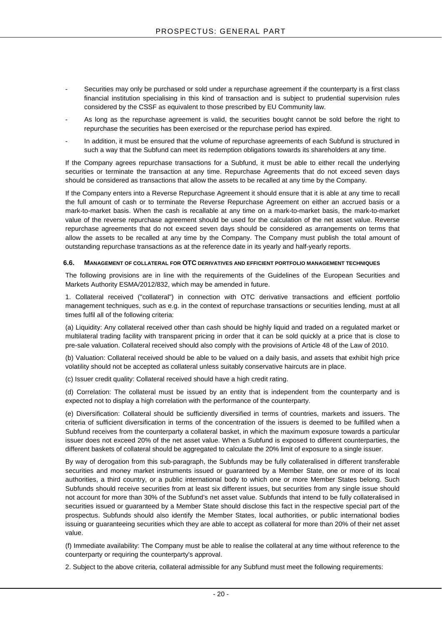- Securities may only be purchased or sold under a repurchase agreement if the counterparty is a first class financial institution specialising in this kind of transaction and is subject to prudential supervision rules considered by the CSSF as equivalent to those prescribed by EU Community law.
- As long as the repurchase agreement is valid, the securities bought cannot be sold before the right to repurchase the securities has been exercised or the repurchase period has expired.
- In addition, it must be ensured that the volume of repurchase agreements of each Subfund is structured in such a way that the Subfund can meet its redemption obligations towards its shareholders at any time.

If the Company agrees repurchase transactions for a Subfund, it must be able to either recall the underlying securities or terminate the transaction at any time. Repurchase Agreements that do not exceed seven days should be considered as transactions that allow the assets to be recalled at any time by the Company.

If the Company enters into a Reverse Repurchase Agreement it should ensure that it is able at any time to recall the full amount of cash or to terminate the Reverse Repurchase Agreement on either an accrued basis or a mark-to-market basis. When the cash is recallable at any time on a mark-to-market basis, the mark-to-market value of the reverse repurchase agreement should be used for the calculation of the net asset value. Reverse repurchase agreements that do not exceed seven days should be considered as arrangements on terms that allow the assets to be recalled at any time by the Company. The Company must publish the total amount of outstanding repurchase transactions as at the reference date in its yearly and half-yearly reports.

#### <span id="page-19-0"></span>**6.6. MANAGEMENT OF COLLATERAL FOR OTC DERIVATIVES AND EFFICIENT PORTFOLIO MANAGEMENT TECHNIQUES**

The following provisions are in line with the requirements of the Guidelines of the European Securities and Markets Authority ESMA/2012/832, which may be amended in future.

1. Collateral received ("collateral") in connection with OTC derivative transactions and efficient portfolio management techniques, such as e.g. in the context of repurchase transactions or securities lending, must at all times fulfil all of the following criteria:

(a) Liquidity: Any collateral received other than cash should be highly liquid and traded on a regulated market or multilateral trading facility with transparent pricing in order that it can be sold quickly at a price that is close to pre-sale valuation. Collateral received should also comply with the provisions of Article 48 of the Law of 2010.

(b) Valuation: Collateral received should be able to be valued on a daily basis, and assets that exhibit high price volatility should not be accepted as collateral unless suitably conservative haircuts are in place.

(c) Issuer credit quality: Collateral received should have a high credit rating.

(d) Correlation: The collateral must be issued by an entity that is independent from the counterparty and is expected not to display a high correlation with the performance of the counterparty.

(e) Diversification: Collateral should be sufficiently diversified in terms of countries, markets and issuers. The criteria of sufficient diversification in terms of the concentration of the issuers is deemed to be fulfilled when a Subfund receives from the counterparty a collateral basket, in which the maximum exposure towards a particular issuer does not exceed 20% of the net asset value. When a Subfund is exposed to different counterparties, the different baskets of collateral should be aggregated to calculate the 20% limit of exposure to a single issuer.

By way of derogation from this sub-paragraph, the Subfunds may be fully collateralised in different transferable securities and money market instruments issued or guaranteed by a Member State, one or more of its local authorities, a third country, or a public international body to which one or more Member States belong. Such Subfunds should receive securities from at least six different issues, but securities from any single issue should not account for more than 30% of the Subfund's net asset value. Subfunds that intend to be fully collateralised in securities issued or guaranteed by a Member State should disclose this fact in the respective special part of the prospectus. Subfunds should also identify the Member States, local authorities, or public international bodies issuing or guaranteeing securities which they are able to accept as collateral for more than 20% of their net asset value.

(f) Immediate availability: The Company must be able to realise the collateral at any time without reference to the counterparty or requiring the counterparty's approval.

2. Subject to the above criteria, collateral admissible for any Subfund must meet the following requirements: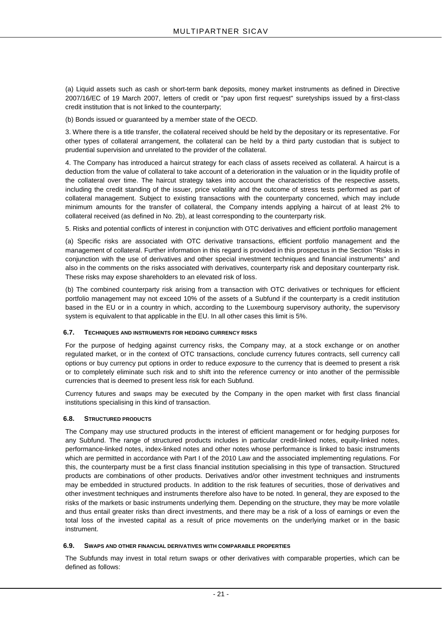(a) Liquid assets such as cash or short-term bank deposits, money market instruments as defined in Directive 2007/16/EC of 19 March 2007, letters of credit or "pay upon first request" suretyships issued by a first-class credit institution that is not linked to the counterparty;

(b) Bonds issued or guaranteed by a member state of the OECD.

3. Where there is a title transfer, the collateral received should be held by the depositary or its representative. For other types of collateral arrangement, the collateral can be held by a third party custodian that is subject to prudential supervision and unrelated to the provider of the collateral.

4. The Company has introduced a haircut strategy for each class of assets received as collateral. A haircut is a deduction from the value of collateral to take account of a deterioration in the valuation or in the liquidity profile of the collateral over time. The haircut strategy takes into account the characteristics of the respective assets, including the credit standing of the issuer, price volatility and the outcome of stress tests performed as part of collateral management. Subject to existing transactions with the counterparty concerned, which may include minimum amounts for the transfer of collateral, the Company intends applying a haircut of at least 2% to collateral received (as defined in No. 2b), at least corresponding to the counterparty risk.

5. Risks and potential conflicts of interest in conjunction with OTC derivatives and efficient portfolio management

(a) Specific risks are associated with OTC derivative transactions, efficient portfolio management and the management of collateral. Further information in this regard is provided in this prospectus in the Section "Risks in conjunction with the use of derivatives and other special investment techniques and financial instruments" and also in the comments on the risks associated with derivatives, counterparty risk and depositary counterparty risk. These risks may expose shareholders to an elevated risk of loss.

(b) The combined counterparty risk arising from a transaction with OTC derivatives or techniques for efficient portfolio management may not exceed 10% of the assets of a Subfund if the counterparty is a credit institution based in the EU or in a country in which, according to the Luxembourg supervisory authority, the supervisory system is equivalent to that applicable in the EU. In all other cases this limit is 5%.

## <span id="page-20-0"></span>**6.7. TECHNIQUES AND INSTRUMENTS FOR HEDGING CURRENCY RISKS**

For the purpose of hedging against currency risks, the Company may, at a stock exchange or on another regulated market, or in the context of OTC transactions, conclude currency futures contracts, sell currency call options or buy currency put options in order to reduce *exposure* to the currency that is deemed to present a risk or to completely eliminate such risk and to shift into the reference currency or into another of the permissible currencies that is deemed to present less risk for each Subfund.

Currency futures and swaps may be executed by the Company in the open market with first class financial institutions specialising in this kind of transaction.

## <span id="page-20-1"></span>**6.8. STRUCTURED PRODUCTS**

The Company may use structured products in the interest of efficient management or for hedging purposes for any Subfund. The range of structured products includes in particular credit-linked notes, equity-linked notes, performance-linked notes, index-linked notes and other notes whose performance is linked to basic instruments which are permitted in accordance with Part I of the 2010 Law and the associated implementing regulations. For this, the counterparty must be a first class financial institution specialising in this type of transaction. Structured products are combinations of other products. Derivatives and/or other investment techniques and instruments may be embedded in structured products. In addition to the risk features of securities, those of derivatives and other investment techniques and instruments therefore also have to be noted. In general, they are exposed to the risks of the markets or basic instruments underlying them. Depending on the structure, they may be more volatile and thus entail greater risks than direct investments, and there may be a risk of a loss of earnings or even the total loss of the invested capital as a result of price movements on the underlying market or in the basic instrument.

## <span id="page-20-2"></span>**6.9. SWAPS AND OTHER FINANCIAL DERIVATIVES WITH COMPARABLE PROPERTIES**

The Subfunds may invest in total return swaps or other derivatives with comparable properties, which can be defined as follows: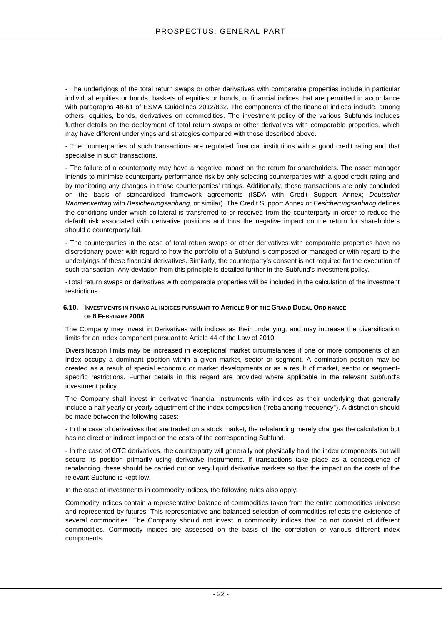- The underlyings of the total return swaps or other derivatives with comparable properties include in particular individual equities or bonds, baskets of equities or bonds, or financial indices that are permitted in accordance with paragraphs 48-61 of ESMA Guidelines 2012/832. The components of the financial indices include, among others, equities, bonds, derivatives on commodities. The investment policy of the various Subfunds includes further details on the deployment of total return swaps or other derivatives with comparable properties, which may have different underlyings and strategies compared with those described above.

- The counterparties of such transactions are regulated financial institutions with a good credit rating and that specialise in such transactions.

- The failure of a counterparty may have a negative impact on the return for shareholders. The asset manager intends to minimise counterparty performance risk by only selecting counterparties with a good credit rating and by monitoring any changes in those counterparties' ratings. Additionally, these transactions are only concluded on the basis of standardised framework agreements (ISDA with Credit Support Annex; *Deutscher Rahmenvertrag* with *Besicherungsanhang*, or similar). The Credit Support Annex or *Besicherungsanhang* defines the conditions under which collateral is transferred to or received from the counterparty in order to reduce the default risk associated with derivative positions and thus the negative impact on the return for shareholders should a counterparty fail.

- The counterparties in the case of total return swaps or other derivatives with comparable properties have no discretionary power with regard to how the portfolio of a Subfund is composed or managed or with regard to the underlyings of these financial derivatives. Similarly, the counterparty's consent is not required for the execution of such transaction. Any deviation from this principle is detailed further in the Subfund's investment policy.

-Total return swaps or derivatives with comparable properties will be included in the calculation of the investment restrictions.

#### <span id="page-21-1"></span><span id="page-21-0"></span>**6.10. INVESTMENTS IN FINANCIAL INDICES PURSUANT TO ARTICLE 9 OF THE GRAND DUCAL ORDINANCE OF 8 FEBRUARY 2008**

The Company may invest in Derivatives with indices as their underlying, and may increase the diversification limits for an index component pursuant to Article 44 of the Law of 2010.

Diversification limits may be increased in exceptional market circumstances if one or more components of an index occupy a dominant position within a given market, sector or segment. A domination position may be created as a result of special economic or market developments or as a result of market, sector or segmentspecific restrictions. Further details in this regard are provided where applicable in the relevant Subfund's investment policy.

The Company shall invest in derivative financial instruments with indices as their underlying that generally include a half-yearly or yearly adjustment of the index composition ("rebalancing frequency"). A distinction should be made between the following cases:

- In the case of derivatives that are traded on a stock market, the rebalancing merely changes the calculation but has no direct or indirect impact on the costs of the corresponding Subfund.

- In the case of OTC derivatives, the counterparty will generally not physically hold the index components but will secure its position primarily using derivative instruments. If transactions take place as a consequence of rebalancing, these should be carried out on very liquid derivative markets so that the impact on the costs of the relevant Subfund is kept low.

In the case of investments in commodity indices, the following rules also apply:

Commodity indices contain a representative balance of commodities taken from the entire commodities universe and represented by futures. This representative and balanced selection of commodities reflects the existence of several commodities. The Company should not invest in commodity indices that do not consist of different commodities. Commodity indices are assessed on the basis of the correlation of various different index components.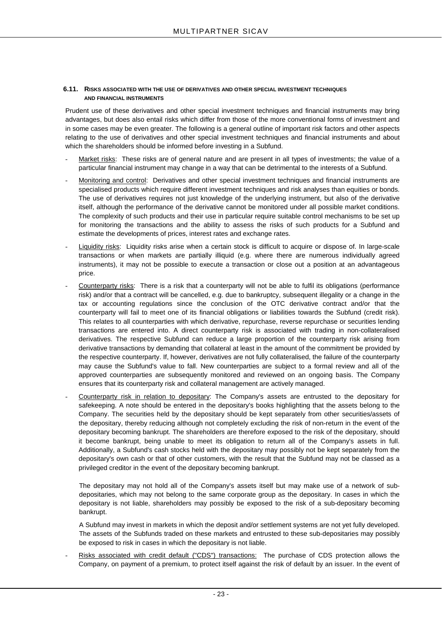## <span id="page-22-1"></span><span id="page-22-0"></span>**6.11. RISKS ASSOCIATED WITH THE USE OF DERIVATIVES AND OTHER SPECIAL INVESTMENT TECHNIQUES AND FINANCIAL INSTRUMENTS**

Prudent use of these derivatives and other special investment techniques and financial instruments may bring advantages, but does also entail risks which differ from those of the more conventional forms of investment and in some cases may be even greater. The following is a general outline of important risk factors and other aspects relating to the use of derivatives and other special investment techniques and financial instruments and about which the shareholders should be informed before investing in a Subfund.

- Market risks: These risks are of general nature and are present in all types of investments; the value of a particular financial instrument may change in a way that can be detrimental to the interests of a Subfund.
- Monitoring and control: Derivatives and other special investment techniques and financial instruments are specialised products which require different investment techniques and risk analyses than equities or bonds. The use of derivatives requires not just knowledge of the underlying instrument, but also of the derivative itself, although the performance of the derivative cannot be monitored under all possible market conditions. The complexity of such products and their use in particular require suitable control mechanisms to be set up for monitoring the transactions and the ability to assess the risks of such products for a Subfund and estimate the developments of prices, interest rates and exchange rates.
- Liquidity risks: Liquidity risks arise when a certain stock is difficult to acquire or dispose of. In large-scale transactions or when markets are partially illiquid (e.g. where there are numerous individually agreed instruments), it may not be possible to execute a transaction or close out a position at an advantageous price.
- Counterparty risks: There is a risk that a counterparty will not be able to fulfil its obligations (performance risk) and/or that a contract will be cancelled, e.g. due to bankruptcy, subsequent illegality or a change in the tax or accounting regulations since the conclusion of the OTC derivative contract and/or that the counterparty will fail to meet one of its financial obligations or liabilities towards the Subfund (credit risk). This relates to all counterparties with which derivative, repurchase, reverse repurchase or securities lending transactions are entered into. A direct counterparty risk is associated with trading in non-collateralised derivatives. The respective Subfund can reduce a large proportion of the counterparty risk arising from derivative transactions by demanding that collateral at least in the amount of the commitment be provided by the respective counterparty. If, however, derivatives are not fully collateralised, the failure of the counterparty may cause the Subfund's value to fall. New counterparties are subject to a formal review and all of the approved counterparties are subsequently monitored and reviewed on an ongoing basis. The Company ensures that its counterparty risk and collateral management are actively managed.
- Counterparty risk in relation to depositary: The Company's assets are entrusted to the depositary for safekeeping. A note should be entered in the depositary's books highlighting that the assets belong to the Company. The securities held by the depositary should be kept separately from other securities/assets of the depositary, thereby reducing although not completely excluding the risk of non-return in the event of the depositary becoming bankrupt. The shareholders are therefore exposed to the risk of the depositary, should it become bankrupt, being unable to meet its obligation to return all of the Company's assets in full. Additionally, a Subfund's cash stocks held with the depositary may possibly not be kept separately from the depositary's own cash or that of other customers, with the result that the Subfund may not be classed as a privileged creditor in the event of the depositary becoming bankrupt.

The depositary may not hold all of the Company's assets itself but may make use of a network of subdepositaries, which may not belong to the same corporate group as the depositary. In cases in which the depositary is not liable, shareholders may possibly be exposed to the risk of a sub-depositary becoming bankrupt.

A Subfund may invest in markets in which the deposit and/or settlement systems are not yet fully developed. The assets of the Subfunds traded on these markets and entrusted to these sub-depositaries may possibly be exposed to risk in cases in which the depositary is not liable.

Risks associated with credit default ("CDS") transactions: The purchase of CDS protection allows the Company, on payment of a premium, to protect itself against the risk of default by an issuer. In the event of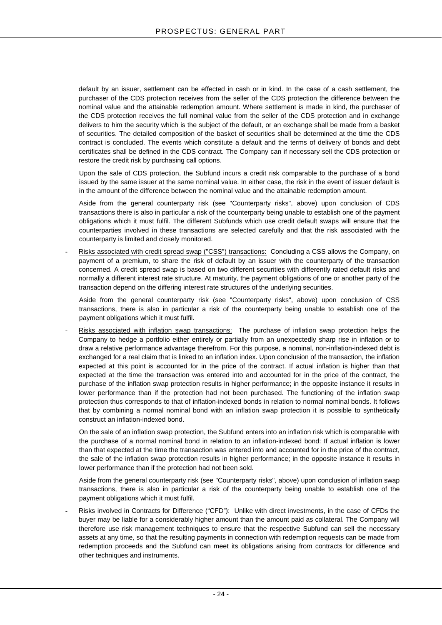default by an issuer, settlement can be effected in cash or in kind. In the case of a cash settlement, the purchaser of the CDS protection receives from the seller of the CDS protection the difference between the nominal value and the attainable redemption amount. Where settlement is made in kind, the purchaser of the CDS protection receives the full nominal value from the seller of the CDS protection and in exchange delivers to him the security which is the subject of the default, or an exchange shall be made from a basket of securities. The detailed composition of the basket of securities shall be determined at the time the CDS contract is concluded. The events which constitute a default and the terms of delivery of bonds and debt certificates shall be defined in the CDS contract. The Company can if necessary sell the CDS protection or restore the credit risk by purchasing call options.

Upon the sale of CDS protection, the Subfund incurs a credit risk comparable to the purchase of a bond issued by the same issuer at the same nominal value. In either case, the risk in the event of issuer default is in the amount of the difference between the nominal value and the attainable redemption amount.

Aside from the general counterparty risk (see "Counterparty risks", above) upon conclusion of CDS transactions there is also in particular a risk of the counterparty being unable to establish one of the payment obligations which it must fulfil. The different Subfunds which use credit default swaps will ensure that the counterparties involved in these transactions are selected carefully and that the risk associated with the counterparty is limited and closely monitored.

- Risks associated with credit spread swap ("CSS") transactions: Concluding a CSS allows the Company, on payment of a premium, to share the risk of default by an issuer with the counterparty of the transaction concerned. A credit spread swap is based on two different securities with differently rated default risks and normally a different interest rate structure. At maturity, the payment obligations of one or another party of the transaction depend on the differing interest rate structures of the underlying securities.

Aside from the general counterparty risk (see "Counterparty risks", above) upon conclusion of CSS transactions, there is also in particular a risk of the counterparty being unable to establish one of the payment obligations which it must fulfil.

Risks associated with inflation swap transactions: The purchase of inflation swap protection helps the Company to hedge a portfolio either entirely or partially from an unexpectedly sharp rise in inflation or to draw a relative performance advantage therefrom. For this purpose, a nominal, non-inflation-indexed debt is exchanged for a real claim that is linked to an inflation index. Upon conclusion of the transaction, the inflation expected at this point is accounted for in the price of the contract. If actual inflation is higher than that expected at the time the transaction was entered into and accounted for in the price of the contract, the purchase of the inflation swap protection results in higher performance; in the opposite instance it results in lower performance than if the protection had not been purchased. The functioning of the inflation swap protection thus corresponds to that of inflation-indexed bonds in relation to normal nominal bonds. It follows that by combining a normal nominal bond with an inflation swap protection it is possible to synthetically construct an inflation-indexed bond.

On the sale of an inflation swap protection, the Subfund enters into an inflation risk which is comparable with the purchase of a normal nominal bond in relation to an inflation-indexed bond: If actual inflation is lower than that expected at the time the transaction was entered into and accounted for in the price of the contract, the sale of the inflation swap protection results in higher performance; in the opposite instance it results in lower performance than if the protection had not been sold.

Aside from the general counterparty risk (see "Counterparty risks", above) upon conclusion of inflation swap transactions, there is also in particular a risk of the counterparty being unable to establish one of the payment obligations which it must fulfil.

Risks involved in Contracts for Difference ("CFD"): Unlike with direct investments, in the case of CFDs the buyer may be liable for a considerably higher amount than the amount paid as collateral. The Company will therefore use risk management techniques to ensure that the respective Subfund can sell the necessary assets at any time, so that the resulting payments in connection with redemption requests can be made from redemption proceeds and the Subfund can meet its obligations arising from contracts for difference and other techniques and instruments.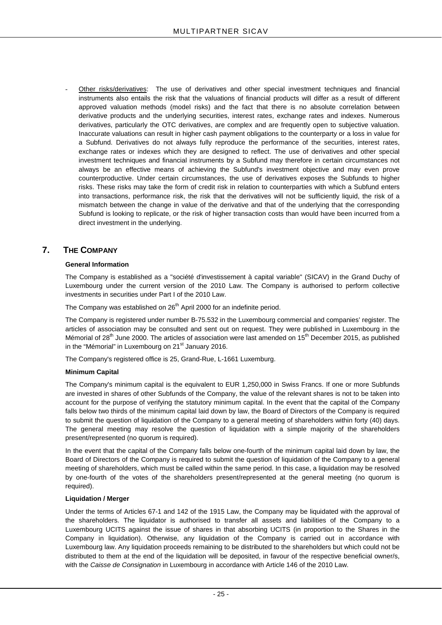Other risks/derivatives: The use of derivatives and other special investment techniques and financial instruments also entails the risk that the valuations of financial products will differ as a result of different approved valuation methods (model risks) and the fact that there is no absolute correlation between derivative products and the underlying securities, interest rates, exchange rates and indexes. Numerous derivatives, particularly the OTC derivatives, are complex and are frequently open to subjective valuation. Inaccurate valuations can result in higher cash payment obligations to the counterparty or a loss in value for a Subfund. Derivatives do not always fully reproduce the performance of the securities, interest rates, exchange rates or indexes which they are designed to reflect. The use of derivatives and other special investment techniques and financial instruments by a Subfund may therefore in certain circumstances not always be an effective means of achieving the Subfund's investment objective and may even prove counterproductive. Under certain circumstances, the use of derivatives exposes the Subfunds to higher risks. These risks may take the form of credit risk in relation to counterparties with which a Subfund enters into transactions, performance risk, the risk that the derivatives will not be sufficiently liquid, the risk of a mismatch between the change in value of the derivative and that of the underlying that the corresponding Subfund is looking to replicate, or the risk of higher transaction costs than would have been incurred from a direct investment in the underlying.

## <span id="page-24-0"></span>**7. THE COMPANY**

## **General Information**

The Company is established as a "société d'investissement à capital variable" (SICAV) in the Grand Duchy of Luxembourg under the current version of the 2010 Law. The Company is authorised to perform collective investments in securities under Part I of the 2010 Law.

The Company was established on 26<sup>th</sup> April 2000 for an indefinite period.

The Company is registered under number B-75.532 in the Luxembourg commercial and companies' register. The articles of association may be consulted and sent out on request. They were published in Luxembourg in the Mémorial of 28<sup>th</sup> June 2000. The articles of association were last amended on 15<sup>th</sup> December 2015, as published in the "Mémorial" in Luxembourg on 21<sup>st</sup> January 2016.

The Company's registered office is 25, Grand-Rue, L-1661 Luxemburg.

## **Minimum Capital**

The Company's minimum capital is the equivalent to EUR 1,250,000 in Swiss Francs. If one or more Subfunds are invested in shares of other Subfunds of the Company, the value of the relevant shares is not to be taken into account for the purpose of verifying the statutory minimum capital. In the event that the capital of the Company falls below two thirds of the minimum capital laid down by law, the Board of Directors of the Company is required to submit the question of liquidation of the Company to a general meeting of shareholders within forty (40) days. The general meeting may resolve the question of liquidation with a simple majority of the shareholders present/represented (no quorum is required).

In the event that the capital of the Company falls below one-fourth of the minimum capital laid down by law, the Board of Directors of the Company is required to submit the question of liquidation of the Company to a general meeting of shareholders, which must be called within the same period. In this case, a liquidation may be resolved by one-fourth of the votes of the shareholders present/represented at the general meeting (no quorum is required).

## **Liquidation / Merger**

Under the terms of Articles 67-1 and 142 of the 1915 Law, the Company may be liquidated with the approval of the shareholders. The liquidator is authorised to transfer all assets and liabilities of the Company to a Luxembourg UCITS against the issue of shares in that absorbing UCITS (in proportion to the Shares in the Company in liquidation). Otherwise, any liquidation of the Company is carried out in accordance with Luxembourg law. Any liquidation proceeds remaining to be distributed to the shareholders but which could not be distributed to them at the end of the liquidation will be deposited, in favour of the respective beneficial owner/s, with the *Caisse de Consignation* in Luxembourg in accordance with Article 146 of the 2010 Law.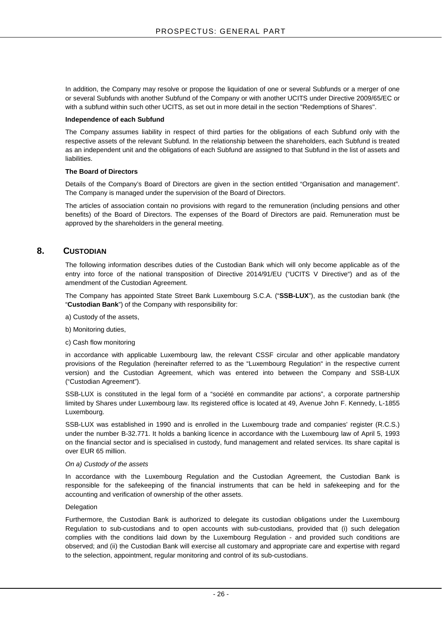In addition, the Company may resolve or propose the liquidation of one or several Subfunds or a merger of one or several Subfunds with another Subfund of the Company or with another UCITS under Directive 2009/65/EC or with a subfund within such other UCITS, as set out in more detail in the section "Redemptions of Shares".

#### **Independence of each Subfund**

The Company assumes liability in respect of third parties for the obligations of each Subfund only with the respective assets of the relevant Subfund. In the relationship between the shareholders, each Subfund is treated as an independent unit and the obligations of each Subfund are assigned to that Subfund in the list of assets and liabilities.

#### **The Board of Directors**

Details of the Company's Board of Directors are given in the section entitled "Organisation and management". The Company is managed under the supervision of the Board of Directors.

The articles of association contain no provisions with regard to the remuneration (including pensions and other benefits) of the Board of Directors. The expenses of the Board of Directors are paid. Remuneration must be approved by the shareholders in the general meeting.

## <span id="page-25-0"></span>**8. CUSTODIAN**

The following information describes duties of the Custodian Bank which will only become applicable as of the entry into force of the national transposition of Directive 2014/91/EU ("UCITS V Directive") and as of the amendment of the Custodian Agreement.

The Company has appointed State Street Bank Luxembourg S.C.A. ("**SSB-LUX**"), as the custodian bank (the "**Custodian Bank**") of the Company with responsibility for:

- a) Custody of the assets,
- b) Monitoring duties,
- c) Cash flow monitoring

in accordance with applicable Luxembourg law, the relevant CSSF circular and other applicable mandatory provisions of the Regulation (hereinafter referred to as the "Luxembourg Regulation" in the respective current version) and the Custodian Agreement, which was entered into between the Company and SSB-LUX ("Custodian Agreement").

SSB-LUX is constituted in the legal form of a "société en commandite par actions", a corporate partnership limited by Shares under Luxembourg law. Its registered office is located at 49, Avenue John F. Kennedy, L-1855 Luxembourg.

SSB-LUX was established in 1990 and is enrolled in the Luxembourg trade and companies' register (R.C.S.) under the number B-32.771. It holds a banking licence in accordance with the Luxembourg law of April 5, 1993 on the financial sector and is specialised in custody, fund management and related services. Its share capital is over EUR 65 million.

#### *On a) Custody of the assets*

In accordance with the Luxembourg Regulation and the Custodian Agreement, the Custodian Bank is responsible for the safekeeping of the financial instruments that can be held in safekeeping and for the accounting and verification of ownership of the other assets.

#### Delegation

Furthermore, the Custodian Bank is authorized to delegate its custodian obligations under the Luxembourg Regulation to sub-custodians and to open accounts with sub-custodians, provided that (i) such delegation complies with the conditions laid down by the Luxembourg Regulation - and provided such conditions are observed; and (ii) the Custodian Bank will exercise all customary and appropriate care and expertise with regard to the selection, appointment, regular monitoring and control of its sub-custodians.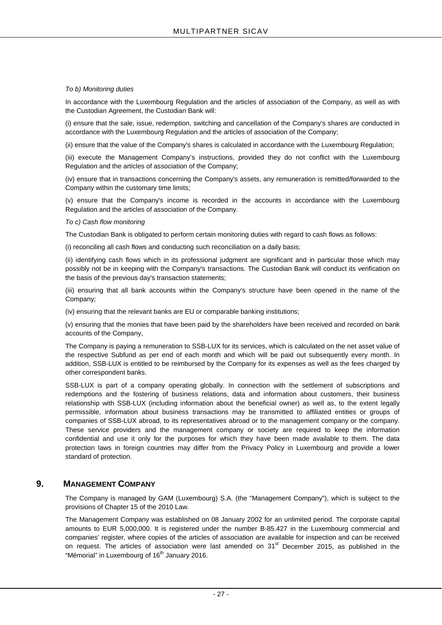## *To b) Monitoring duties*

In accordance with the Luxembourg Regulation and the articles of association of the Company, as well as with the Custodian Agreement, the Custodian Bank will:

(i) ensure that the sale, issue, redemption, switching and cancellation of the Company's shares are conducted in accordance with the Luxembourg Regulation and the articles of association of the Company;

(ii) ensure that the value of the Company's shares is calculated in accordance with the Luxembourg Regulation;

(iii) execute the Management Company's instructions, provided they do not conflict with the Luxembourg Regulation and the articles of association of the Company;

(iv) ensure that in transactions concerning the Company's assets, any remuneration is remitted/forwarded to the Company within the customary time limits;

(v) ensure that the Company's income is recorded in the accounts in accordance with the Luxembourg Regulation and the articles of association of the Company.

## *To c) Cash flow monitoring*

The Custodian Bank is obligated to perform certain monitoring duties with regard to cash flows as follows:

(i) reconciling all cash flows and conducting such reconciliation on a daily basis;

(ii) identifying cash flows which in its professional judgment are significant and in particular those which may possibly not be in keeping with the Company's transactions. The Custodian Bank will conduct its verification on the basis of the previous day's transaction statements;

(iii) ensuring that all bank accounts within the Company's structure have been opened in the name of the Company;

(iv) ensuring that the relevant banks are EU or comparable banking institutions;

(v) ensuring that the monies that have been paid by the shareholders have been received and recorded on bank accounts of the Company,

The Company is paying a remuneration to SSB-LUX for its services, which is calculated on the net asset value of the respective Subfund as per end of each month and which will be paid out subsequently every month. In addition, SSB-LUX is entitled to be reimbursed by the Company for its expenses as well as the fees charged by other correspondent banks.

SSB-LUX is part of a company operating globally. In connection with the settlement of subscriptions and redemptions and the fostering of business relations, data and information about customers, their business relationship with SSB-LUX (including information about the beneficial owner) as well as, to the extent legally permissible, information about business transactions may be transmitted to affiliated entities or groups of companies of SSB-LUX abroad, to its representatives abroad or to the management company or the company. These service providers and the management company or society are required to keep the information confidential and use it only for the purposes for which they have been made available to them. The data protection laws in foreign countries may differ from the Privacy Policy in Luxembourg and provide a lower standard of protection.

## <span id="page-26-0"></span>**9. MANAGEMENT COMPANY**

The Company is managed by GAM (Luxembourg) S.A. (the "Management Company"), which is subject to the provisions of Chapter 15 of the 2010 Law.

The Management Company was established on 08 January 2002 for an unlimited period. The corporate capital amounts to EUR 5,000,000. It is registered under the number B-85.427 in the Luxembourg commercial and companies' register, where copies of the articles of association are available for inspection and can be received on request. The articles of association were last amended on  $31<sup>st</sup>$  December 2015, as published in the "Mémorial" in Luxembourg of 16<sup>th</sup> January 2016.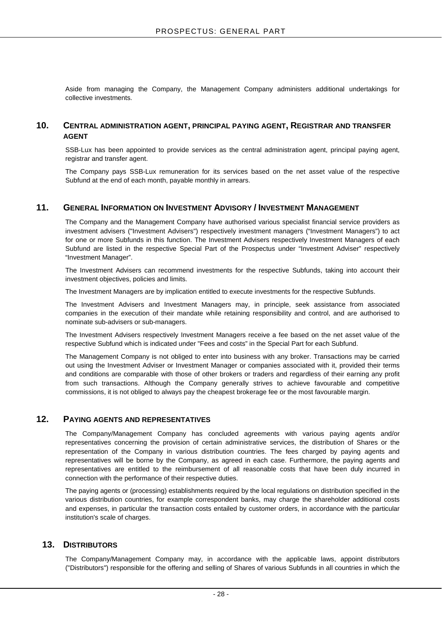Aside from managing the Company, the Management Company administers additional undertakings for collective investments.

## <span id="page-27-0"></span>**10. CENTRAL ADMINISTRATION AGENT, PRINCIPAL PAYING AGENT, REGISTRAR AND TRANSFER AGENT**

SSB-Lux has been appointed to provide services as the central administration agent, principal paying agent, registrar and transfer agent.

The Company pays SSB-Lux remuneration for its services based on the net asset value of the respective Subfund at the end of each month, payable monthly in arrears.

## <span id="page-27-1"></span>**11. GENERAL INFORMATION ON INVESTMENT ADVISORY / INVESTMENT MANAGEMENT**

The Company and the Management Company have authorised various specialist financial service providers as investment advisers ("Investment Advisers") respectively investment managers ("Investment Managers") to act for one or more Subfunds in this function. The Investment Advisers respectively Investment Managers of each Subfund are listed in the respective Special Part of the Prospectus under "Investment Adviser" respectively "Investment Manager".

The Investment Advisers can recommend investments for the respective Subfunds, taking into account their investment objectives, policies and limits.

The Investment Managers are by implication entitled to execute investments for the respective Subfunds.

The Investment Advisers and Investment Managers may, in principle, seek assistance from associated companies in the execution of their mandate while retaining responsibility and control, and are authorised to nominate sub-advisers or sub-managers.

The Investment Advisers respectively Investment Managers receive a fee based on the net asset value of the respective Subfund which is indicated under "Fees and costs" in the Special Part for each Subfund.

The Management Company is not obliged to enter into business with any broker. Transactions may be carried out using the Investment Adviser or Investment Manager or companies associated with it, provided their terms and conditions are comparable with those of other brokers or traders and regardless of their earning any profit from such transactions. Although the Company generally strives to achieve favourable and competitive commissions, it is not obliged to always pay the cheapest brokerage fee or the most favourable margin.

## <span id="page-27-2"></span>**12. PAYING AGENTS AND REPRESENTATIVES**

The Company/Management Company has concluded agreements with various paying agents and/or representatives concerning the provision of certain administrative services, the distribution of Shares or the representation of the Company in various distribution countries. The fees charged by paying agents and representatives will be borne by the Company, as agreed in each case. Furthermore, the paying agents and representatives are entitled to the reimbursement of all reasonable costs that have been duly incurred in connection with the performance of their respective duties.

The paying agents or (processing) establishments required by the local regulations on distribution specified in the various distribution countries, for example correspondent banks, may charge the shareholder additional costs and expenses, in particular the transaction costs entailed by customer orders, in accordance with the particular institution's scale of charges.

## <span id="page-27-3"></span>**13. DISTRIBUTORS**

The Company/Management Company may, in accordance with the applicable laws, appoint distributors ("Distributors") responsible for the offering and selling of Shares of various Subfunds in all countries in which the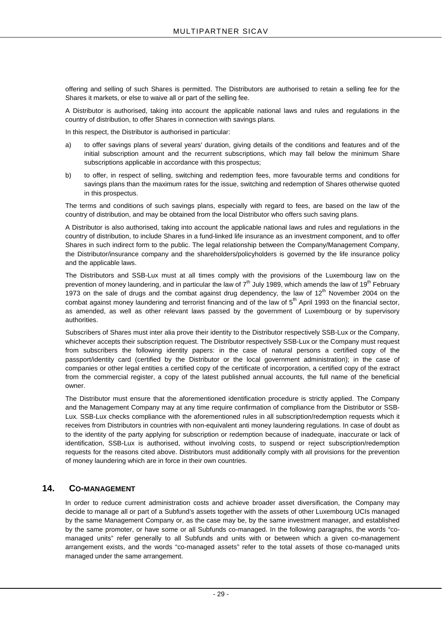offering and selling of such Shares is permitted. The Distributors are authorised to retain a selling fee for the Shares it markets, or else to waive all or part of the selling fee.

A Distributor is authorised, taking into account the applicable national laws and rules and regulations in the country of distribution, to offer Shares in connection with savings plans.

In this respect, the Distributor is authorised in particular:

- a) to offer savings plans of several years' duration, giving details of the conditions and features and of the initial subscription amount and the recurrent subscriptions, which may fall below the minimum Share subscriptions applicable in accordance with this prospectus;
- b) to offer, in respect of selling, switching and redemption fees, more favourable terms and conditions for savings plans than the maximum rates for the issue, switching and redemption of Shares otherwise quoted in this prospectus.

The terms and conditions of such savings plans, especially with regard to fees, are based on the law of the country of distribution, and may be obtained from the local Distributor who offers such saving plans.

A Distributor is also authorised, taking into account the applicable national laws and rules and regulations in the country of distribution, to include Shares in a fund-linked life insurance as an investment component, and to offer Shares in such indirect form to the public. The legal relationship between the Company/Management Company, the Distributor/insurance company and the shareholders/policyholders is governed by the life insurance policy and the applicable laws.

The Distributors and SSB-Lux must at all times comply with the provisions of the Luxembourg law on the prevention of money laundering, and in particular the law of  $7<sup>th</sup>$  July 1989, which amends the law of 19<sup>th</sup> February 1973 on the sale of drugs and the combat against drug dependency, the law of  $12<sup>th</sup>$  November 2004 on the combat against money laundering and terrorist financing and of the law of 5<sup>th</sup> April 1993 on the financial sector, as amended, as well as other relevant laws passed by the government of Luxembourg or by supervisory authorities.

Subscribers of Shares must inter alia prove their identity to the Distributor respectively SSB-Lux or the Company, whichever accepts their subscription request. The Distributor respectively SSB-Lux or the Company must request from subscribers the following identity papers: in the case of natural persons a certified copy of the passport/identity card (certified by the Distributor or the local government administration); in the case of companies or other legal entities a certified copy of the certificate of incorporation, a certified copy of the extract from the commercial register, a copy of the latest published annual accounts, the full name of the beneficial owner.

The Distributor must ensure that the aforementioned identification procedure is strictly applied. The Company and the Management Company may at any time require confirmation of compliance from the Distributor or SSB-Lux. SSB-Lux checks compliance with the aforementioned rules in all subscription/redemption requests which it receives from Distributors in countries with non-equivalent anti money laundering regulations. In case of doubt as to the identity of the party applying for subscription or redemption because of inadequate, inaccurate or lack of identification, SSB-Lux is authorised, without involving costs, to suspend or reject subscription/redemption requests for the reasons cited above. Distributors must additionally comply with all provisions for the prevention of money laundering which are in force in their own countries.

## <span id="page-28-0"></span>**14. CO-MANAGEMENT**

In order to reduce current administration costs and achieve broader asset diversification, the Company may decide to manage all or part of a Subfund's assets together with the assets of other Luxembourg UCIs managed by the same Management Company or, as the case may be, by the same investment manager, and established by the same promoter, or have some or all Subfunds co-managed. In the following paragraphs, the words "comanaged units" refer generally to all Subfunds and units with or between which a given co-management arrangement exists, and the words "co-managed assets" refer to the total assets of those co-managed units managed under the same arrangement.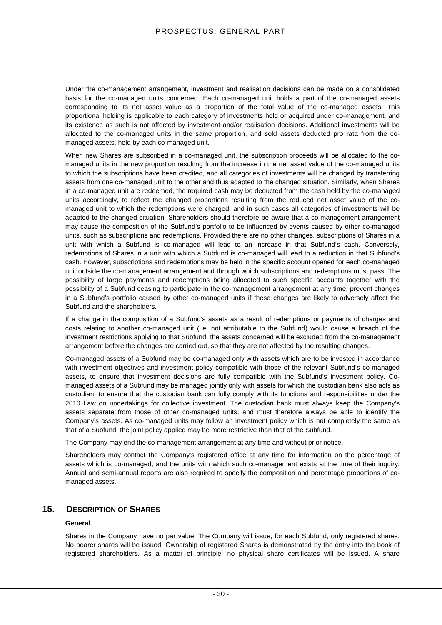Under the co-management arrangement, investment and realisation decisions can be made on a consolidated basis for the co-managed units concerned. Each co-managed unit holds a part of the co-managed assets corresponding to its net asset value as a proportion of the total value of the co-managed assets. This proportional holding is applicable to each category of investments held or acquired under co-management, and its existence as such is not affected by investment and/or realisation decisions. Additional investments will be allocated to the co-managed units in the same proportion, and sold assets deducted pro rata from the comanaged assets, held by each co-managed unit.

When new Shares are subscribed in a co-managed unit, the subscription proceeds will be allocated to the comanaged units in the new proportion resulting from the increase in the net asset value of the co-managed units to which the subscriptions have been credited, and all categories of investments will be changed by transferring assets from one co-managed unit to the other and thus adapted to the changed situation. Similarly, when Shares in a co-managed unit are redeemed, the required cash may be deducted from the cash held by the co-managed units accordingly, to reflect the changed proportions resulting from the reduced net asset value of the comanaged unit to which the redemptions were charged, and in such cases all categories of investments will be adapted to the changed situation. Shareholders should therefore be aware that a co-management arrangement may cause the composition of the Subfund's portfolio to be influenced by events caused by other co-managed units, such as subscriptions and redemptions. Provided there are no other changes, subscriptions of Shares in a unit with which a Subfund is co-managed will lead to an increase in that Subfund's cash. Conversely, redemptions of Shares in a unit with which a Subfund is co-managed will lead to a reduction in that Subfund's cash. However, subscriptions and redemptions may be held in the specific account opened for each co-managed unit outside the co-management arrangement and through which subscriptions and redemptions must pass. The possibility of large payments and redemptions being allocated to such specific accounts together with the possibility of a Subfund ceasing to participate in the co-management arrangement at any time, prevent changes in a Subfund's portfolio caused by other co-managed units if these changes are likely to adversely affect the Subfund and the shareholders.

If a change in the composition of a Subfund's assets as a result of redemptions or payments of charges and costs relating to another co-managed unit (i.e. not attributable to the Subfund) would cause a breach of the investment restrictions applying to that Subfund, the assets concerned will be excluded from the co-management arrangement before the changes are carried out, so that they are not affected by the resulting changes.

Co-managed assets of a Subfund may be co-managed only with assets which are to be invested in accordance with investment objectives and investment policy compatible with those of the relevant Subfund's co-managed assets, to ensure that investment decisions are fully compatible with the Subfund's investment policy. Comanaged assets of a Subfund may be managed jointly only with assets for which the custodian bank also acts as custodian, to ensure that the custodian bank can fully comply with its functions and responsibilities under the 2010 Law on undertakings for collective investment. The custodian bank must always keep the Company's assets separate from those of other co-managed units, and must therefore always be able to identify the Company's assets. As co-managed units may follow an investment policy which is not completely the same as that of a Subfund, the joint policy applied may be more restrictive than that of the Subfund.

The Company may end the co-management arrangement at any time and without prior notice.

Shareholders may contact the Company's registered office at any time for information on the percentage of assets which is co-managed, and the units with which such co-management exists at the time of their inquiry. Annual and semi-annual reports are also required to specify the composition and percentage proportions of comanaged assets.

## <span id="page-29-0"></span>**15. DESCRIPTION OF SHARES**

## **General**

Shares in the Company have no par value. The Company will issue, for each Subfund, only registered shares. No bearer shares will be issued. Ownership of registered Shares is demonstrated by the entry into the book of registered shareholders. As a matter of principle, no physical share certificates will be issued. A share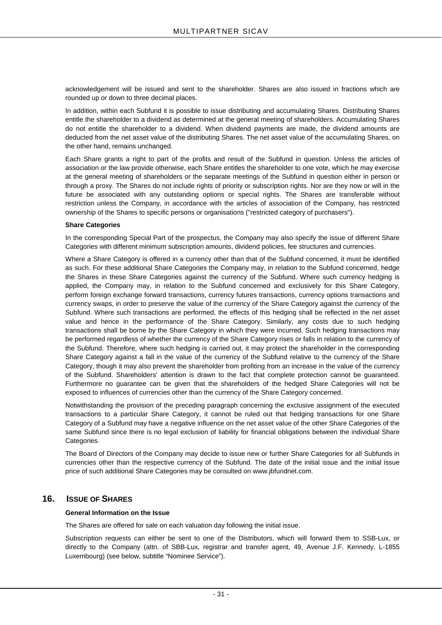acknowledgement will be issued and sent to the shareholder. Shares are also issued in fractions which are rounded up or down to three decimal places.

In addition, within each Subfund it is possible to issue distributing and accumulating Shares. Distributing Shares entitle the shareholder to a dividend as determined at the general meeting of shareholders. Accumulating Shares do not entitle the shareholder to a dividend. When dividend payments are made, the dividend amounts are deducted from the net asset value of the distributing Shares. The net asset value of the accumulating Shares, on the other hand, remains unchanged.

Each Share grants a right to part of the profits and result of the Subfund in question. Unless the articles of association or the law provide otherwise, each Share entitles the shareholder to one vote, which he may exercise at the general meeting of shareholders or the separate meetings of the Subfund in question either in person or through a proxy. The Shares do not include rights of priority or subscription rights. Nor are they now or will in the future be associated with any outstanding options or special rights. The Shares are transferable without restriction unless the Company, in accordance with the articles of association of the Company, has restricted ownership of the Shares to specific persons or organisations ("restricted category of purchasers").

#### **Share Categories**

In the corresponding Special Part of the prospectus, the Company may also specify the issue of different Share Categories with different minimum subscription amounts, dividend policies, fee structures and currencies.

Where a Share Category is offered in a currency other than that of the Subfund concerned, it must be identified as such. For these additional Share Categories the Company may, in relation to the Subfund concerned, hedge the Shares in these Share Categories against the currency of the Subfund. Where such currency hedging is applied, the Company may, in relation to the Subfund concerned and exclusively for this Share Category, perform foreign exchange forward transactions, currency futures transactions, currency options transactions and currency swaps, in order to preserve the value of the currency of the Share Category against the currency of the Subfund. Where such transactions are performed, the effects of this hedging shall be reflected in the net asset value and hence in the performance of the Share Category. Similarly, any costs due to such hedging transactions shall be borne by the Share Category in which they were incurred. Such hedging transactions may be performed regardless of whether the currency of the Share Category rises or falls in relation to the currency of the Subfund. Therefore, where such hedging is carried out, it may protect the shareholder in the corresponding Share Category against a fall in the value of the currency of the Subfund relative to the currency of the Share Category, though it may also prevent the shareholder from profiting from an increase in the value of the currency of the Subfund. Shareholders' attention is drawn to the fact that complete protection cannot be guaranteed. Furthermore no guarantee can be given that the shareholders of the hedged Share Categories will not be exposed to influences of currencies other than the currency of the Share Category concerned.

Notwithstanding the provision of the preceding paragraph concerning the exclusive assignment of the executed transactions to a particular Share Category, it cannot be ruled out that hedging transactions for one Share Category of a Subfund may have a negative influence on the net asset value of the other Share Categories of the same Subfund since there is no legal exclusion of liability for financial obligations between the individual Share Categories.

The Board of Directors of the Company may decide to issue new or further Share Categories for all Subfunds in currencies other than the respective currency of the Subfund. The date of the initial issue and the initial issue price of such additional Share Categories may be consulted on www.jbfundnet.com.

## <span id="page-30-0"></span>**16. ISSUE OF SHARES**

## **General Information on the Issue**

The Shares are offered for sale on each valuation day following the initial issue.

Subscription requests can either be sent to one of the Distributors, which will forward them to SSB-Lux, or directly to the Company (attn. of SBB-Lux, registrar and transfer agent, 49, Avenue J.F. Kennedy, L-1855 Luxembourg) (see below, subtitle "Nominee Service").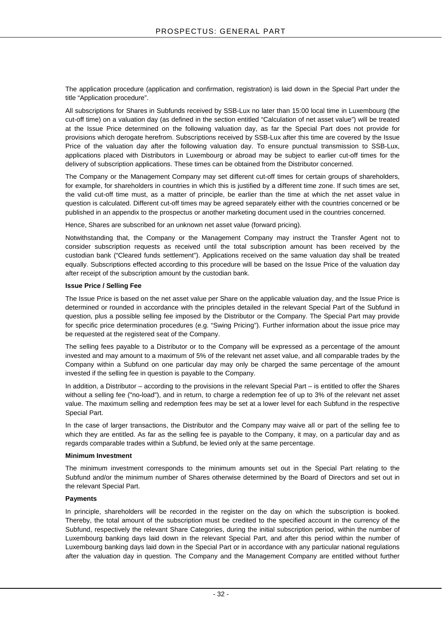The application procedure (application and confirmation, registration) is laid down in the Special Part under the title "Application procedure".

All subscriptions for Shares in Subfunds received by SSB-Lux no later than 15:00 local time in Luxembourg (the cut-off time) on a valuation day (as defined in the section entitled "Calculation of net asset value") will be treated at the Issue Price determined on the following valuation day, as far the Special Part does not provide for provisions which derogate herefrom. Subscriptions received by SSB-Lux after this time are covered by the Issue Price of the valuation day after the following valuation day. To ensure punctual transmission to SSB-Lux, applications placed with Distributors in Luxembourg or abroad may be subject to earlier cut-off times for the delivery of subscription applications. These times can be obtained from the Distributor concerned.

The Company or the Management Company may set different cut-off times for certain groups of shareholders, for example, for shareholders in countries in which this is justified by a different time zone. If such times are set, the valid cut-off time must, as a matter of principle, be earlier than the time at which the net asset value in question is calculated. Different cut-off times may be agreed separately either with the countries concerned or be published in an appendix to the prospectus or another marketing document used in the countries concerned.

Hence, Shares are subscribed for an unknown net asset value (forward pricing).

Notwithstanding that, the Company or the Management Company may instruct the Transfer Agent not to consider subscription requests as received until the total subscription amount has been received by the custodian bank ("Cleared funds settlement"). Applications received on the same valuation day shall be treated equally. Subscriptions effected according to this procedure will be based on the Issue Price of the valuation day after receipt of the subscription amount by the custodian bank.

## **Issue Price / Selling Fee**

The Issue Price is based on the net asset value per Share on the applicable valuation day, and the Issue Price is determined or rounded in accordance with the principles detailed in the relevant Special Part of the Subfund in question, plus a possible selling fee imposed by the Distributor or the Company. The Special Part may provide for specific price determination procedures (e.g. "Swing Pricing"). Further information about the issue price may be requested at the registered seat of the Company.

The selling fees payable to a Distributor or to the Company will be expressed as a percentage of the amount invested and may amount to a maximum of 5% of the relevant net asset value, and all comparable trades by the Company within a Subfund on one particular day may only be charged the same percentage of the amount invested if the selling fee in question is payable to the Company.

In addition, a Distributor – according to the provisions in the relevant Special Part – is entitled to offer the Shares without a selling fee ("no-load"), and in return, to charge a redemption fee of up to 3% of the relevant net asset value. The maximum selling and redemption fees may be set at a lower level for each Subfund in the respective Special Part.

In the case of larger transactions, the Distributor and the Company may waive all or part of the selling fee to which they are entitled. As far as the selling fee is payable to the Company, it may, on a particular day and as regards comparable trades within a Subfund, be levied only at the same percentage.

## **Minimum Investment**

The minimum investment corresponds to the minimum amounts set out in the Special Part relating to the Subfund and/or the minimum number of Shares otherwise determined by the Board of Directors and set out in the relevant Special Part.

## **Payments**

In principle, shareholders will be recorded in the register on the day on which the subscription is booked. Thereby, the total amount of the subscription must be credited to the specified account in the currency of the Subfund, respectively the relevant Share Categories, during the initial subscription period, within the number of Luxembourg banking days laid down in the relevant Special Part, and after this period within the number of Luxembourg banking days laid down in the Special Part or in accordance with any particular national regulations after the valuation day in question. The Company and the Management Company are entitled without further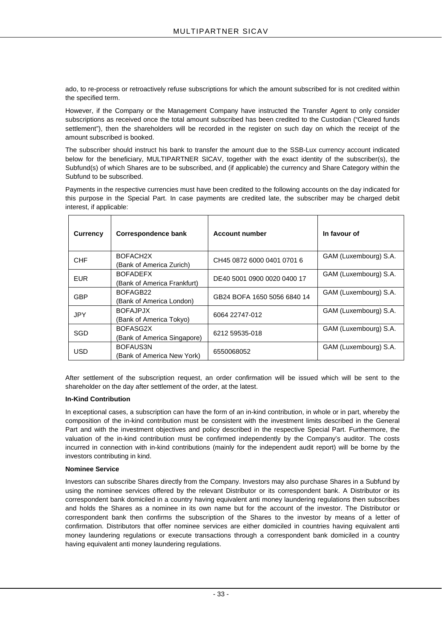ado, to re-process or retroactively refuse subscriptions for which the amount subscribed for is not credited within the specified term.

However, if the Company or the Management Company have instructed the Transfer Agent to only consider subscriptions as received once the total amount subscribed has been credited to the Custodian ("Cleared funds settlement"), then the shareholders will be recorded in the register on such day on which the receipt of the amount subscribed is booked.

The subscriber should instruct his bank to transfer the amount due to the SSB-Lux currency account indicated below for the beneficiary, MULTIPARTNER SICAV, together with the exact identity of the subscriber(s), the Subfund(s) of which Shares are to be subscribed, and (if applicable) the currency and Share Category within the Subfund to be subscribed.

Payments in the respective currencies must have been credited to the following accounts on the day indicated for this purpose in the Special Part. In case payments are credited late, the subscriber may be charged debit interest, if applicable:

| Currency   | Correspondence bank                               | <b>Account number</b>       | In favour of          |
|------------|---------------------------------------------------|-----------------------------|-----------------------|
| <b>CHF</b> | BOFACH <sub>2</sub> X<br>(Bank of America Zurich) | CH45 0872 6000 0401 0701 6  | GAM (Luxembourg) S.A. |
| <b>EUR</b> | <b>BOFADEFX</b><br>(Bank of America Frankfurt)    | DE40 5001 0900 0020 0400 17 | GAM (Luxembourg) S.A. |
| <b>GBP</b> | BOFAGB22<br>(Bank of America London)              | GB24 BOFA 1650 5056 6840 14 | GAM (Luxembourg) S.A. |
| <b>JPY</b> | <b>BOFAJPJX</b><br>(Bank of America Tokyo)        | 6064 22747-012              | GAM (Luxembourg) S.A. |
| SGD        | BOFASG2X<br>(Bank of America Singapore)           | 6212 59535-018              | GAM (Luxembourg) S.A. |
| USD        | BOFAUS3N<br>(Bank of America New York)            | 6550068052                  | GAM (Luxembourg) S.A. |

After settlement of the subscription request, an order confirmation will be issued which will be sent to the shareholder on the day after settlement of the order, at the latest.

## **In-Kind Contribution**

In exceptional cases, a subscription can have the form of an in-kind contribution, in whole or in part, whereby the composition of the in-kind contribution must be consistent with the investment limits described in the General Part and with the investment objectives and policy described in the respective Special Part. Furthermore, the valuation of the in-kind contribution must be confirmed independently by the Company's auditor. The costs incurred in connection with in-kind contributions (mainly for the independent audit report) will be borne by the investors contributing in kind.

## **Nominee Service**

Investors can subscribe Shares directly from the Company. Investors may also purchase Shares in a Subfund by using the nominee services offered by the relevant Distributor or its correspondent bank. A Distributor or its correspondent bank domiciled in a country having equivalent anti money laundering regulations then subscribes and holds the Shares as a nominee in its own name but for the account of the investor. The Distributor or correspondent bank then confirms the subscription of the Shares to the investor by means of a letter of confirmation. Distributors that offer nominee services are either domiciled in countries having equivalent anti money laundering regulations or execute transactions through a correspondent bank domiciled in a country having equivalent anti money laundering regulations.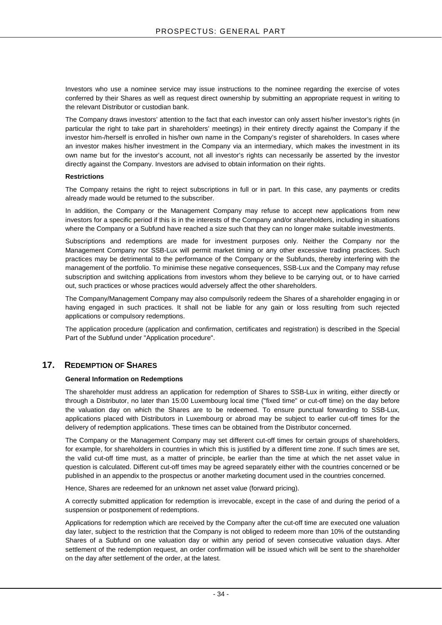Investors who use a nominee service may issue instructions to the nominee regarding the exercise of votes conferred by their Shares as well as request direct ownership by submitting an appropriate request in writing to the relevant Distributor or custodian bank.

The Company draws investors' attention to the fact that each investor can only assert his/her investor's rights (in particular the right to take part in shareholders' meetings) in their entirety directly against the Company if the investor him-/herself is enrolled in his/her own name in the Company's register of shareholders. In cases where an investor makes his/her investment in the Company via an intermediary, which makes the investment in its own name but for the investor's account, not all investor's rights can necessarily be asserted by the investor directly against the Company. Investors are advised to obtain information on their rights.

## **Restrictions**

The Company retains the right to reject subscriptions in full or in part. In this case, any payments or credits already made would be returned to the subscriber.

In addition, the Company or the Management Company may refuse to accept new applications from new investors for a specific period if this is in the interests of the Company and/or shareholders, including in situations where the Company or a Subfund have reached a size such that they can no longer make suitable investments.

Subscriptions and redemptions are made for investment purposes only. Neither the Company nor the Management Company nor SSB-Lux will permit market timing or any other excessive trading practices. Such practices may be detrimental to the performance of the Company or the Subfunds, thereby interfering with the management of the portfolio. To minimise these negative consequences, SSB-Lux and the Company may refuse subscription and switching applications from investors whom they believe to be carrying out, or to have carried out, such practices or whose practices would adversely affect the other shareholders.

The Company/Management Company may also compulsorily redeem the Shares of a shareholder engaging in or having engaged in such practices. It shall not be liable for any gain or loss resulting from such rejected applications or compulsory redemptions.

The application procedure (application and confirmation, certificates and registration) is described in the Special Part of the Subfund under "Application procedure".

## <span id="page-33-0"></span>**17. REDEMPTION OF SHARES**

## **General Information on Redemptions**

The shareholder must address an application for redemption of Shares to SSB-Lux in writing, either directly or through a Distributor, no later than 15:00 Luxembourg local time ("fixed time" or cut-off time) on the day before the valuation day on which the Shares are to be redeemed. To ensure punctual forwarding to SSB-Lux, applications placed with Distributors in Luxembourg or abroad may be subject to earlier cut-off times for the delivery of redemption applications. These times can be obtained from the Distributor concerned.

The Company or the Management Company may set different cut-off times for certain groups of shareholders, for example, for shareholders in countries in which this is justified by a different time zone. If such times are set, the valid cut-off time must, as a matter of principle, be earlier than the time at which the net asset value in question is calculated. Different cut-off times may be agreed separately either with the countries concerned or be published in an appendix to the prospectus or another marketing document used in the countries concerned.

Hence, Shares are redeemed for an unknown net asset value (forward pricing).

A correctly submitted application for redemption is irrevocable, except in the case of and during the period of a suspension or postponement of redemptions.

Applications for redemption which are received by the Company after the cut-off time are executed one valuation day later, subject to the restriction that the Company is not obliged to redeem more than 10% of the outstanding Shares of a Subfund on one valuation day or within any period of seven consecutive valuation days. After settlement of the redemption request, an order confirmation will be issued which will be sent to the shareholder on the day after settlement of the order, at the latest.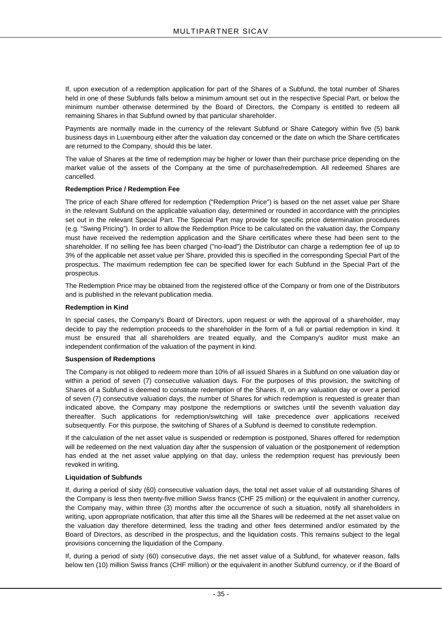If, upon execution of a redemption application for part of the Shares of a Subfund, the total number of Shares held in one of these Subfunds falls below a minimum amount set out in the respective Special Part, or below the minimum number otherwise determined by the Board of Directors, the Company is entitled to redeem all remaining Shares in that Subfund owned by that particular shareholder.

Payments are normally made in the currency of the relevant Subfund or Share Category within five (5) bank business days in Luxembourg either after the valuation day concerned or the date on which the Share certificates are returned to the Company, should this be later.

The value of Shares at the time of redemption may be higher or lower than their purchase price depending on the market value of the assets of the Company at the time of purchase/redemption. All redeemed Shares are cancelled.

## **Redemption Price / Redemption Fee**

The price of each Share offered for redemption ("Redemption Price") is based on the net asset value per Share in the relevant Subfund on the applicable valuation day, determined or rounded in accordance with the principles set out in the relevant Special Part. The Special Part may provide for specific price determination procedures (e.g. "Swing Pricing"). In order to allow the Redemption Price to be calculated on the valuation day, the Company must have received the redemption application and the Share certificates where these had been sent to the shareholder. If no selling fee has been charged ("no-load") the Distributor can charge a redemption fee of up to 3% of the applicable net asset value per Share, provided this is specified in the corresponding Special Part of the prospectus. The maximum redemption fee can be specified lower for each Subfund in the Special Part of the prospectus.

The Redemption Price may be obtained from the registered office of the Company or from one of the Distributors and is published in the relevant publication media.

## **Redemption in Kind**

In special cases, the Company's Board of Directors, upon request or with the approval of a shareholder, may decide to pay the redemption proceeds to the shareholder in the form of a full or partial redemption in kind. It must be ensured that all shareholders are treated equally, and the Company's auditor must make an independent confirmation of the valuation of the payment in kind.

## **Suspension of Redemptions**

The Company is not obliged to redeem more than 10% of all issued Shares in a Subfund on one valuation day or within a period of seven (7) consecutive valuation days. For the purposes of this provision, the switching of Shares of a Subfund is deemed to constitute redemption of the Shares. If, on any valuation day or over a period of seven (7) consecutive valuation days, the number of Shares for which redemption is requested is greater than indicated above, the Company may postpone the redemptions or switches until the seventh valuation day thereafter. Such applications for redemption/switching will take precedence over applications received subsequently. For this purpose, the switching of Shares of a Subfund is deemed to constitute redemption.

If the calculation of the net asset value is suspended or redemption is postponed, Shares offered for redemption will be redeemed on the next valuation day after the suspension of valuation or the postponement of redemption has ended at the net asset value applying on that day, unless the redemption request has previously been revoked in writing.

## **Liquidation of Subfunds**

If, during a period of sixty (60) consecutive valuation days, the total net asset value of all outstanding Shares of the Company is less then twenty-five million Swiss francs (CHF 25 million) or the equivalent in another currency, the Company may, within three (3) months after the occurrence of such a situation, notify all shareholders in writing, upon appropriate notification, that after this time all the Shares will be redeemed at the net asset value on the valuation day therefore determined, less the trading and other fees determined and/or estimated by the Board of Directors, as described in the prospectus, and the liquidation costs. This remains subject to the legal provisions concerning the liquidation of the Company.

If, during a period of sixty (60) consecutive days, the net asset value of a Subfund, for whatever reason, falls below ten (10) million Swiss francs (CHF million) or the equivalent in another Subfund currency, or if the Board of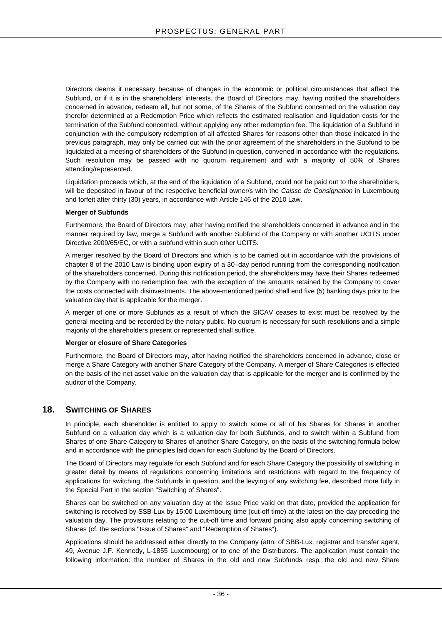Directors deems it necessary because of changes in the economic or political circumstances that affect the Subfund, or if it is in the shareholders' interests, the Board of Directors may, having notified the shareholders concerned in advance, redeem all, but not some, of the Shares of the Subfund concerned on the valuation day therefor determined at a Redemption Price which reflects the estimated realisation and liquidation costs for the termination of the Subfund concerned, without applying any other redemption fee. The liquidation of a Subfund in conjunction with the compulsory redemption of all affected Shares for reasons other than those indicated in the previous paragraph, may only be carried out with the prior agreement of the shareholders in the Subfund to be liquidated at a meeting of shareholders of the Subfund in question, convened in accordance with the regulations. Such resolution may be passed with no quorum requirement and with a majority of 50% of Shares attending/represented.

Liquidation proceeds which, at the end of the liquidation of a Subfund, could not be paid out to the shareholders, will be deposited in favour of the respective beneficial owner/s with the *Caisse de Consignation* in Luxembourg and forfeit after thirty (30) years, in accordance with Article 146 of the 2010 Law.

## **Merger of Subfunds**

Furthermore, the Board of Directors may, after having notified the shareholders concerned in advance and in the manner required by law, merge a Subfund with another Subfund of the Company or with another UCITS under Directive 2009/65/EC, or with a subfund within such other UCITS.

A merger resolved by the Board of Directors and which is to be carried out in accordance with the provisions of chapter 8 of the 2010 Law is binding upon expiry of a 30–day period running from the corresponding notification of the shareholders concerned. During this notification period, the shareholders may have their Shares redeemed by the Company with no redemption fee, with the exception of the amounts retained by the Company to cover the costs connected with disinvestments. The above-mentioned period shall end five (5) banking days prior to the valuation day that is applicable for the merger.

A merger of one or more Subfunds as a result of which the SICAV ceases to exist must be resolved by the general meeting and be recorded by the notary public. No quorum is necessary for such resolutions and a simple majority of the shareholders present or represented shall suffice.

## **Merger or closure of Share Categories**

Furthermore, the Board of Directors may, after having notified the shareholders concerned in advance, close or merge a Share Category with another Share Category of the Company. A merger of Share Categories is effected on the basis of the net asset value on the valuation day that is applicable for the merger and is confirmed by the auditor of the Company.

## <span id="page-35-0"></span>**18. SWITCHING OF SHARES**

In principle, each shareholder is entitled to apply to switch some or all of his Shares for Shares in another Subfund on a valuation day which is a valuation day for both Subfunds, and to switch within a Subfund from Shares of one Share Category to Shares of another Share Category, on the basis of the switching formula below and in accordance with the principles laid down for each Subfund by the Board of Directors.

The Board of Directors may regulate for each Subfund and for each Share Category the possibility of switching in greater detail by means of regulations concerning limitations and restrictions with regard to the frequency of applications for switching, the Subfunds in question, and the levying of any switching fee, described more fully in the Special Part in the section "Switching of Shares".

Shares can be switched on any valuation day at the Issue Price valid on that date, provided the application for switching is received by SSB-Lux by 15:00 Luxembourg time (cut-off time) at the latest on the day preceding the valuation day. The provisions relating to the cut-off time and forward pricing also apply concerning switching of Shares (cf. the sections "Issue of Shares" and "Redemption of Shares").

Applications should be addressed either directly to the Company (attn. of SBB-Lux, registrar and transfer agent, 49, Avenue J.F. Kennedy, L-1855 Luxembourg) or to one of the Distributors. The application must contain the following information: the number of Shares in the old and new Subfunds resp. the old and new Share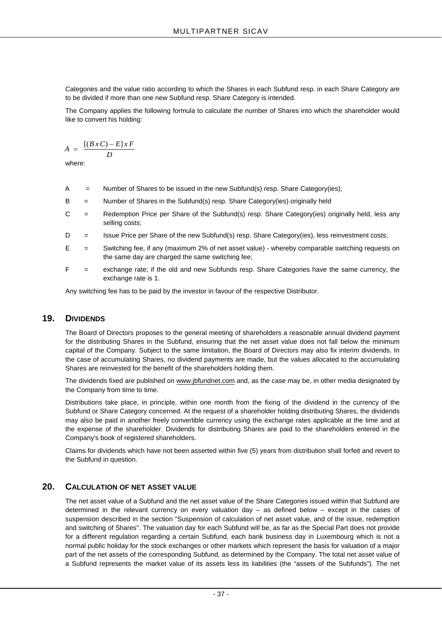Categories and the value ratio according to which the Shares in each Subfund resp. in each Share Category are to be divided if more than one new Subfund resp. Share Category is intended.

The Company applies the following formula to calculate the number of Shares into which the shareholder would like to convert his holding:

$$
A = \frac{[(B \, x \, C) - E] \, x \, F}{D}
$$

where:

- A = Number of Shares to be issued in the new Subfund(s) resp. Share Category(ies);
- B = Number of Shares in the Subfund(s) resp. Share Category(ies) originally held
- C = Redemption Price per Share of the Subfund(s) resp. Share Category(ies) originally held, less any selling costs;
- D = Issue Price per Share of the new Subfund(s) resp. Share Category(ies), less reinvestment costs;
- E = Switching fee, if any (maximum 2% of net asset value) whereby comparable switching requests on the same day are charged the same switching fee;
- F = exchange rate; if the old and new Subfunds resp. Share Categories have the same currency, the exchange rate is 1.

Any switching fee has to be paid by the investor in favour of the respective Distributor.

### **19. DIVIDENDS**

The Board of Directors proposes to the general meeting of shareholders a reasonable annual dividend payment for the distributing Shares in the Subfund, ensuring that the net asset value does not fall below the minimum capital of the Company. Subject to the same limitation, the Board of Directors may also fix interim dividends. In the case of accumulating Shares, no dividend payments are made, but the values allocated to the accumulating Shares are reinvested for the benefit of the shareholders holding them.

The dividends fixed are published on www.jbfundnet.com and, as the case may be, in other media designated by the Company from time to time.

Distributions take place, in principle, within one month from the fixing of the dividend in the currency of the Subfund or Share Category concerned. At the request of a shareholder holding distributing Shares, the dividends may also be paid in another freely convertible currency using the exchange rates applicable at the time and at the expense of the shareholder. Dividends for distributing Shares are paid to the shareholders entered in the Company's book of registered shareholders.

Claims for dividends which have not been asserted within five (5) years from distribution shall forfeit and revert to the Subfund in question.

### **20. CALCULATION OF NET ASSET VALUE**

The net asset value of a Subfund and the net asset value of the Share Categories issued within that Subfund are determined in the relevant currency on every valuation day – as defined below – except in the cases of suspension described in the section "Suspension of calculation of net asset value, and of the issue, redemption and switching of Shares". The valuation day for each Subfund will be, as far as the Special Part does not provide for a different regulation regarding a certain Subfund, each bank business day in Luxembourg which is not a normal public holiday for the stock exchanges or other markets which represent the basis for valuation of a major part of the net assets of the corresponding Subfund, as determined by the Company. The total net asset value of a Subfund represents the market value of its assets less its liabilities (the "assets of the Subfunds"). The net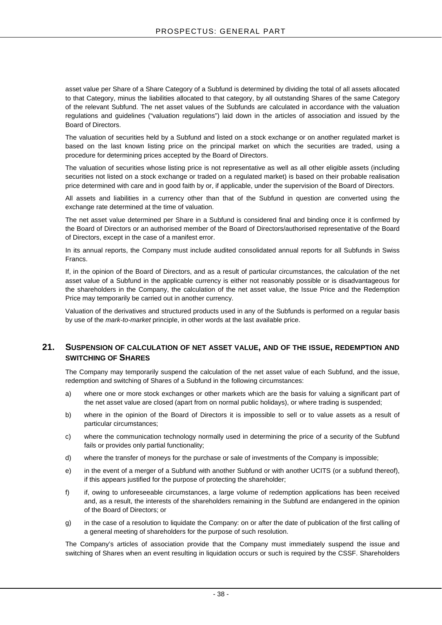asset value per Share of a Share Category of a Subfund is determined by dividing the total of all assets allocated to that Category, minus the liabilities allocated to that category, by all outstanding Shares of the same Category of the relevant Subfund. The net asset values of the Subfunds are calculated in accordance with the valuation regulations and guidelines ("valuation regulations") laid down in the articles of association and issued by the Board of Directors.

The valuation of securities held by a Subfund and listed on a stock exchange or on another regulated market is based on the last known listing price on the principal market on which the securities are traded, using a procedure for determining prices accepted by the Board of Directors.

The valuation of securities whose listing price is not representative as well as all other eligible assets (including securities not listed on a stock exchange or traded on a regulated market) is based on their probable realisation price determined with care and in good faith by or, if applicable, under the supervision of the Board of Directors.

All assets and liabilities in a currency other than that of the Subfund in question are converted using the exchange rate determined at the time of valuation.

The net asset value determined per Share in a Subfund is considered final and binding once it is confirmed by the Board of Directors or an authorised member of the Board of Directors/authorised representative of the Board of Directors, except in the case of a manifest error.

In its annual reports, the Company must include audited consolidated annual reports for all Subfunds in Swiss Francs.

If, in the opinion of the Board of Directors, and as a result of particular circumstances, the calculation of the net asset value of a Subfund in the applicable currency is either not reasonably possible or is disadvantageous for the shareholders in the Company, the calculation of the net asset value, the Issue Price and the Redemption Price may temporarily be carried out in another currency.

Valuation of the derivatives and structured products used in any of the Subfunds is performed on a regular basis by use of the *mark-to-market* principle, in other words at the last available price.

### **21. SUSPENSION OF CALCULATION OF NET ASSET VALUE, AND OF THE ISSUE, REDEMPTION AND SWITCHING OF SHARES**

The Company may temporarily suspend the calculation of the net asset value of each Subfund, and the issue, redemption and switching of Shares of a Subfund in the following circumstances:

- a) where one or more stock exchanges or other markets which are the basis for valuing a significant part of the net asset value are closed (apart from on normal public holidays), or where trading is suspended;
- b) where in the opinion of the Board of Directors it is impossible to sell or to value assets as a result of particular circumstances;
- c) where the communication technology normally used in determining the price of a security of the Subfund fails or provides only partial functionality;
- d) where the transfer of moneys for the purchase or sale of investments of the Company is impossible;
- e) in the event of a merger of a Subfund with another Subfund or with another UCITS (or a subfund thereof), if this appears justified for the purpose of protecting the shareholder;
- f) if, owing to unforeseeable circumstances, a large volume of redemption applications has been received and, as a result, the interests of the shareholders remaining in the Subfund are endangered in the opinion of the Board of Directors; or
- g) in the case of a resolution to liquidate the Company: on or after the date of publication of the first calling of a general meeting of shareholders for the purpose of such resolution.

The Company's articles of association provide that the Company must immediately suspend the issue and switching of Shares when an event resulting in liquidation occurs or such is required by the CSSF. Shareholders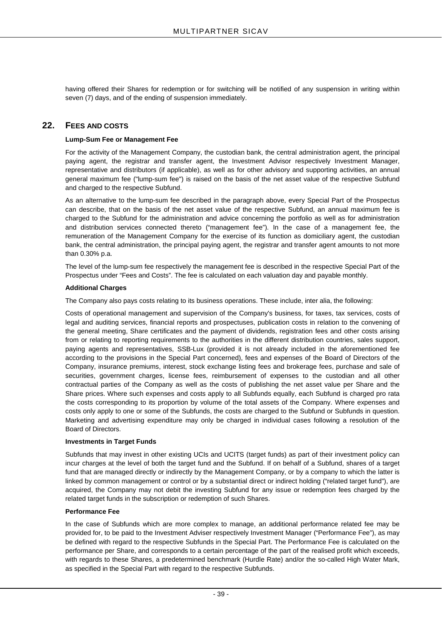having offered their Shares for redemption or for switching will be notified of any suspension in writing within seven (7) days, and of the ending of suspension immediately.

### **22. FEES AND COSTS**

#### **Lump-Sum Fee or Management Fee**

For the activity of the Management Company, the custodian bank, the central administration agent, the principal paying agent, the registrar and transfer agent, the Investment Advisor respectively Investment Manager, representative and distributors (if applicable), as well as for other advisory and supporting activities, an annual general maximum fee ("lump-sum fee") is raised on the basis of the net asset value of the respective Subfund and charged to the respective Subfund.

As an alternative to the lump-sum fee described in the paragraph above, every Special Part of the Prospectus can describe, that on the basis of the net asset value of the respective Subfund, an annual maximum fee is charged to the Subfund for the administration and advice concerning the portfolio as well as for administration and distribution services connected thereto ("management fee"). In the case of a management fee, the remuneration of the Management Company for the exercise of its function as domiciliary agent, the custodian bank, the central administration, the principal paying agent, the registrar and transfer agent amounts to not more than 0.30% p.a.

The level of the lump-sum fee respectively the management fee is described in the respective Special Part of the Prospectus under "Fees and Costs". The fee is calculated on each valuation day and payable monthly.

#### **Additional Charges**

The Company also pays costs relating to its business operations. These include, inter alia, the following:

Costs of operational management and supervision of the Company's business, for taxes, tax services, costs of legal and auditing services, financial reports and prospectuses, publication costs in relation to the convening of the general meeting, Share certificates and the payment of dividends, registration fees and other costs arising from or relating to reporting requirements to the authorities in the different distribution countries, sales support, paying agents and representatives, SSB-Lux (provided it is not already included in the aforementioned fee according to the provisions in the Special Part concerned), fees and expenses of the Board of Directors of the Company, insurance premiums, interest, stock exchange listing fees and brokerage fees, purchase and sale of securities, government charges, license fees, reimbursement of expenses to the custodian and all other contractual parties of the Company as well as the costs of publishing the net asset value per Share and the Share prices. Where such expenses and costs apply to all Subfunds equally, each Subfund is charged pro rata the costs corresponding to its proportion by volume of the total assets of the Company. Where expenses and costs only apply to one or some of the Subfunds, the costs are charged to the Subfund or Subfunds in question. Marketing and advertising expenditure may only be charged in individual cases following a resolution of the Board of Directors.

#### **Investments in Target Funds**

Subfunds that may invest in other existing UCIs and UCITS (target funds) as part of their investment policy can incur charges at the level of both the target fund and the Subfund. If on behalf of a Subfund, shares of a target fund that are managed directly or indirectly by the Management Company, or by a company to which the latter is linked by common management or control or by a substantial direct or indirect holding ("related target fund"), are acquired, the Company may not debit the investing Subfund for any issue or redemption fees charged by the related target funds in the subscription or redemption of such Shares.

#### **Performance Fee**

In the case of Subfunds which are more complex to manage, an additional performance related fee may be provided for, to be paid to the Investment Adviser respectively Investment Manager ("Performance Fee"), as may be defined with regard to the respective Subfunds in the Special Part. The Performance Fee is calculated on the performance per Share, and corresponds to a certain percentage of the part of the realised profit which exceeds, with regards to these Shares, a predetermined benchmark (Hurdle Rate) and/or the so-called High Water Mark, as specified in the Special Part with regard to the respective Subfunds.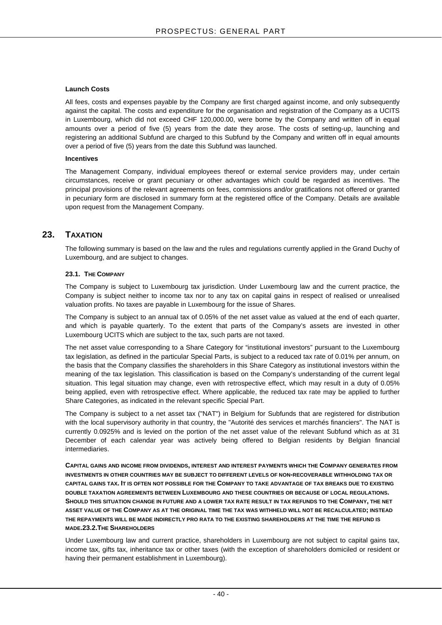#### **Launch Costs**

All fees, costs and expenses payable by the Company are first charged against income, and only subsequently against the capital. The costs and expenditure for the organisation and registration of the Company as a UCITS in Luxembourg, which did not exceed CHF 120,000.00, were borne by the Company and written off in equal amounts over a period of five (5) years from the date they arose. The costs of setting-up, launching and registering an additional Subfund are charged to this Subfund by the Company and written off in equal amounts over a period of five (5) years from the date this Subfund was launched.

#### **Incentives**

The Management Company, individual employees thereof or external service providers may, under certain circumstances, receive or grant pecuniary or other advantages which could be regarded as incentives. The principal provisions of the relevant agreements on fees, commissions and/or gratifications not offered or granted in pecuniary form are disclosed in summary form at the registered office of the Company. Details are available upon request from the Management Company.

### **23. TAXATION**

The following summary is based on the law and the rules and regulations currently applied in the Grand Duchy of Luxembourg, and are subject to changes.

#### **23.1. THE COMPANY**

The Company is subject to Luxembourg tax jurisdiction. Under Luxembourg law and the current practice, the Company is subject neither to income tax nor to any tax on capital gains in respect of realised or unrealised valuation profits. No taxes are payable in Luxembourg for the issue of Shares.

The Company is subject to an annual tax of 0.05% of the net asset value as valued at the end of each quarter, and which is payable quarterly. To the extent that parts of the Company's assets are invested in other Luxembourg UCITS which are subject to the tax, such parts are not taxed.

The net asset value corresponding to a Share Category for "institutional investors" pursuant to the Luxembourg tax legislation, as defined in the particular Special Parts, is subject to a reduced tax rate of 0.01% per annum, on the basis that the Company classifies the shareholders in this Share Category as institutional investors within the meaning of the tax legislation. This classification is based on the Company's understanding of the current legal situation. This legal situation may change, even with retrospective effect, which may result in a duty of 0.05% being applied, even with retrospective effect. Where applicable, the reduced tax rate may be applied to further Share Categories, as indicated in the relevant specific Special Part.

The Company is subject to a net asset tax ("NAT") in Belgium for Subfunds that are registered for distribution with the local supervisory authority in that country, the "Autorité des services et marchés financiers". The NAT is currently 0.0925% and is levied on the portion of the net asset value of the relevant Subfund which as at 31 December of each calendar year was actively being offered to Belgian residents by Belgian financial intermediaries.

**CAPITAL GAINS AND INCOME FROM DIVIDENDS, INTEREST AND INTEREST PAYMENTS WHICH THE COMPANY GENERATES FROM INVESTMENTS IN OTHER COUNTRIES MAY BE SUBJECT TO DIFFERENT LEVELS OF NON-RECOVERABLE WITHHOLDING TAX OR CAPITAL GAINS TAX. IT IS OFTEN NOT POSSIBLE FOR THE COMPANY TO TAKE ADVANTAGE OF TAX BREAKS DUE TO EXISTING DOUBLE TAXATION AGREEMENTS BETWEEN LUXEMBOURG AND THESE COUNTRIES OR BECAUSE OF LOCAL REGULATIONS. SHOULD THIS SITUATION CHANGE IN FUTURE AND A LOWER TAX RATE RESULT IN TAX REFUNDS TO THE COMPANY, THE NET ASSET VALUE OF THE COMPANY AS AT THE ORIGINAL TIME THE TAX WAS WITHHELD WILL NOT BE RECALCULATED; INSTEAD THE REPAYMENTS WILL BE MADE INDIRECTLY PRO RATA TO THE EXISTING SHAREHOLDERS AT THE TIME THE REFUND IS MADE.23.2.THE SHAREHOLDERS**

Under Luxembourg law and current practice, shareholders in Luxembourg are not subject to capital gains tax, income tax, gifts tax, inheritance tax or other taxes (with the exception of shareholders domiciled or resident or having their permanent establishment in Luxembourg).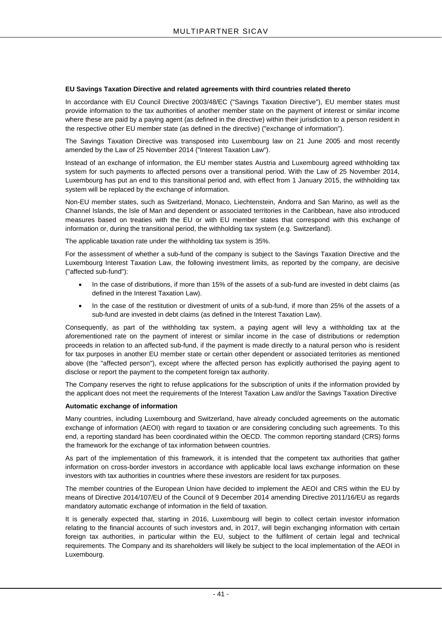#### **EU Savings Taxation Directive and related agreements with third countries related thereto**

In accordance with EU Council Directive 2003/48/EC ("Savings Taxation Directive"), EU member states must provide information to the tax authorities of another member state on the payment of interest or similar income where these are paid by a paying agent (as defined in the directive) within their jurisdiction to a person resident in the respective other EU member state (as defined in the directive) ("exchange of information").

The Savings Taxation Directive was transposed into Luxembourg law on 21 June 2005 and most recently amended by the Law of 25 November 2014 ("Interest Taxation Law").

Instead of an exchange of information, the EU member states Austria and Luxembourg agreed withholding tax system for such payments to affected persons over a transitional period. With the Law of 25 November 2014, Luxembourg has put an end to this transitional period and, with effect from 1 January 2015, the withholding tax system will be replaced by the exchange of information.

Non-EU member states, such as Switzerland, Monaco, Liechtenstein, Andorra and San Marino, as well as the Channel Islands, the Isle of Man and dependent or associated territories in the Caribbean, have also introduced measures based on treaties with the EU or with EU member states that correspond with this exchange of information or, during the transitional period, the withholding tax system (e.g. Switzerland).

The applicable taxation rate under the withholding tax system is 35%.

For the assessment of whether a sub-fund of the company is subject to the Savings Taxation Directive and the Luxembourg Interest Taxation Law, the following investment limits, as reported by the company, are decisive ("affected sub-fund"):

- In the case of distributions, if more than 15% of the assets of a sub-fund are invested in debt claims (as defined in the Interest Taxation Law).
- In the case of the restitution or divestment of units of a sub-fund, if more than 25% of the assets of a sub-fund are invested in debt claims (as defined in the Interest Taxation Law).

Consequently, as part of the withholding tax system, a paying agent will levy a withholding tax at the aforementioned rate on the payment of interest or similar income in the case of distributions or redemption proceeds in relation to an affected sub-fund, if the payment is made directly to a natural person who is resident for tax purposes in another EU member state or certain other dependent or associated territories as mentioned above (the "affected person"), except where the affected person has explicitly authorised the paying agent to disclose or report the payment to the competent foreign tax authority.

The Company reserves the right to refuse applications for the subscription of units if the information provided by the applicant does not meet the requirements of the Interest Taxation Law and/or the Savings Taxation Directive

#### **Automatic exchange of information**

Many countries, including Luxembourg and Switzerland, have already concluded agreements on the automatic exchange of information (AEOI) with regard to taxation or are considering concluding such agreements. To this end, a reporting standard has been coordinated within the OECD. The common reporting standard (CRS) forms the framework for the exchange of tax information between countries.

As part of the implementation of this framework, it is intended that the competent tax authorities that gather information on cross-border investors in accordance with applicable local laws exchange information on these investors with tax authorities in countries where these investors are resident for tax purposes.

The member countries of the European Union have decided to implement the AEOI and CRS within the EU by means of Directive 2014/107/EU of the Council of 9 December 2014 amending Directive 2011/16/EU as regards mandatory automatic exchange of information in the field of taxation.

It is generally expected that, starting in 2016, Luxembourg will begin to collect certain investor information relating to the financial accounts of such investors and, in 2017, will begin exchanging information with certain foreign tax authorities, in particular within the EU, subject to the fulfilment of certain legal and technical requirements. The Company and its shareholders will likely be subject to the local implementation of the AEOI in Luxembourg.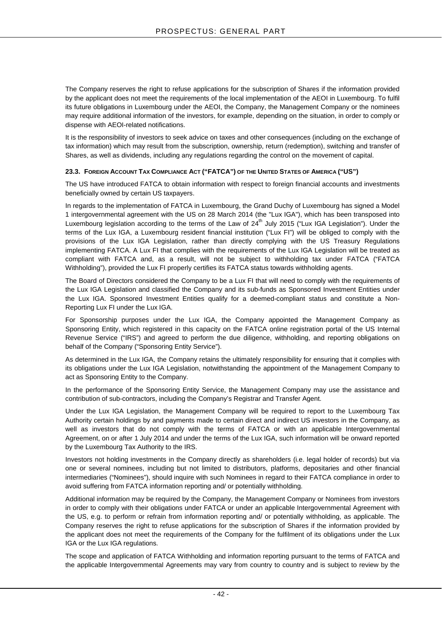The Company reserves the right to refuse applications for the subscription of Shares if the information provided by the applicant does not meet the requirements of the local implementation of the AEOI in Luxembourg. To fulfil its future obligations in Luxembourg under the AEOI, the Company, the Management Company or the nominees may require additional information of the investors, for example, depending on the situation, in order to comply or dispense with AEOI-related notifications.

It is the responsibility of investors to seek advice on taxes and other consequences (including on the exchange of tax information) which may result from the subscription, ownership, return (redemption), switching and transfer of Shares, as well as dividends, including any regulations regarding the control on the movement of capital.

#### **23.3. FOREIGN ACCOUNT TAX COMPLIANCE ACT ("FATCA") OF THE UNITED STATES OF AMERICA ("US")**

The US have introduced FATCA to obtain information with respect to foreign financial accounts and investments beneficially owned by certain US taxpayers.

In regards to the implementation of FATCA in Luxembourg, the Grand Duchy of Luxembourg has signed a Model 1 intergovernmental agreement with the US on 28 March 2014 (the "Lux IGA"), which has been transposed into Luxembourg legislation according to the terms of the Law of 24<sup>th</sup> July 2015 ("Lux IGA Legislation"). Under the terms of the Lux IGA, a Luxembourg resident financial institution ("Lux FI") will be obliged to comply with the provisions of the Lux IGA Legislation, rather than directly complying with the US Treasury Regulations implementing FATCA. A Lux FI that complies with the requirements of the Lux IGA Legislation will be treated as compliant with FATCA and, as a result, will not be subject to withholding tax under FATCA ("FATCA Withholding"), provided the Lux FI properly certifies its FATCA status towards withholding agents.

The Board of Directors considered the Company to be a Lux FI that will need to comply with the requirements of the Lux IGA Legislation and classified the Company and its sub-funds as Sponsored Investment Entities under the Lux IGA. Sponsored Investment Entities qualify for a deemed-compliant status and constitute a Non-Reporting Lux FI under the Lux IGA.

For Sponsorship purposes under the Lux IGA, the Company appointed the Management Company as Sponsoring Entity, which registered in this capacity on the FATCA online registration portal of the US Internal Revenue Service ("IRS") and agreed to perform the due diligence, withholding, and reporting obligations on behalf of the Company ("Sponsoring Entity Service").

As determined in the Lux IGA, the Company retains the ultimately responsibility for ensuring that it complies with its obligations under the Lux IGA Legislation, notwithstanding the appointment of the Management Company to act as Sponsoring Entity to the Company.

In the performance of the Sponsoring Entity Service, the Management Company may use the assistance and contribution of sub-contractors, including the Company's Registrar and Transfer Agent.

Under the Lux IGA Legislation, the Management Company will be required to report to the Luxembourg Tax Authority certain holdings by and payments made to certain direct and indirect US investors in the Company, as well as investors that do not comply with the terms of FATCA or with an applicable Intergovernmental Agreement, on or after 1 July 2014 and under the terms of the Lux IGA, such information will be onward reported by the Luxembourg Tax Authority to the IRS.

Investors not holding investments in the Company directly as shareholders (i.e. legal holder of records) but via one or several nominees, including but not limited to distributors, platforms, depositaries and other financial intermediaries ("Nominees"), should inquire with such Nominees in regard to their FATCA compliance in order to avoid suffering from FATCA information reporting and/ or potentially withholding.

Additional information may be required by the Company, the Management Company or Nominees from investors in order to comply with their obligations under FATCA or under an applicable Intergovernmental Agreement with the US, e.g. to perform or refrain from information reporting and/ or potentially withholding, as applicable. The Company reserves the right to refuse applications for the subscription of Shares if the information provided by the applicant does not meet the requirements of the Company for the fulfilment of its obligations under the Lux IGA or the Lux IGA regulations.

The scope and application of FATCA Withholding and information reporting pursuant to the terms of FATCA and the applicable Intergovernmental Agreements may vary from country to country and is subject to review by the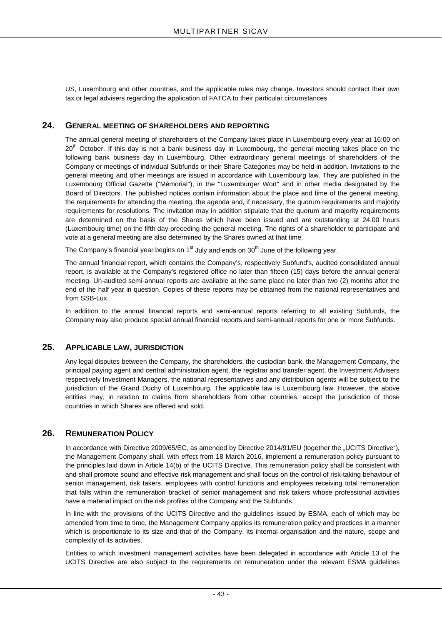US, Luxembourg and other countries, and the applicable rules may change. Investors should contact their own tax or legal advisers regarding the application of FATCA to their particular circumstances.

### **24. GENERAL MEETING OF SHAREHOLDERS AND REPORTING**

The annual general meeting of shareholders of the Company takes place in Luxembourg every year at 16:00 on 20<sup>th</sup> October. If this day is not a bank business day in Luxembourg, the general meeting takes place on the following bank business day in Luxembourg. Other extraordinary general meetings of shareholders of the Company or meetings of individual Subfunds or their Share Categories may be held in addition. Invitations to the general meeting and other meetings are issued in accordance with Luxembourg law. They are published in the Luxembourg Official Gazette ("Mémorial"), in the "Luxemburger Wort" and in other media designated by the Board of Directors. The published notices contain information about the place and time of the general meeting, the requirements for attending the meeting, the agenda and, if necessary, the quorum requirements and majority requirements for resolutions. The invitation may in addition stipulate that the quorum and majority requirements are determined on the basis of the Shares which have been issued and are outstanding at 24.00 hours (Luxembourg time) on the fifth day preceding the general meeting. The rights of a shareholder to participate and vote at a general meeting are also determined by the Shares owned at that time.

The Company's financial year begins on  $1<sup>st</sup>$  July and ends on  $30<sup>th</sup>$  June of the following year.

The annual financial report, which contains the Company's, respectively Subfund's, audited consolidated annual report, is available at the Company's registered office no later than fifteen (15) days before the annual general meeting. Un-audited semi-annual reports are available at the same place no later than two (2) months after the end of the half year in question. Copies of these reports may be obtained from the national representatives and from SSB-Lux.

In addition to the annual financial reports and semi-annual reports referring to all existing Subfunds, the Company may also produce special annual financial reports and semi-annual reports for one or more Subfunds.

### **25. APPLICABLE LAW, JURISDICTION**

Any legal disputes between the Company, the shareholders, the custodian bank, the Management Company, the principal paying agent and central administration agent, the registrar and transfer agent, the Investment Advisers respectively Investment Managers, the national representatives and any distribution agents will be subject to the jurisdiction of the Grand Duchy of Luxembourg. The applicable law is Luxembourg law. However, the above entities may, in relation to claims from shareholders from other countries, accept the jurisdiction of those countries in which Shares are offered and sold.

### **26. REMUNERATION POLICY**

In accordance with Directive 2009/65/EC, as amended by Directive 2014/91/EU (together the "UCITS Directive"), the Management Company shall, with effect from 18 March 2016, implement a remuneration policy pursuant to the principles laid down in Article 14(b) of the UCITS Directive. This remuneration policy shall be consistent with and shall promote sound and effective risk management and shall focus on the control of risk-taking behaviour of senior management, risk takers, employees with control functions and employees receiving total remuneration that falls within the remuneration bracket of senior management and risk takers whose professional activities have a material impact on the risk profiles of the Company and the Subfunds.

In line with the provisions of the UCITS Directive and the guidelines issued by ESMA, each of which may be amended from time to time, the Management Company applies its remuneration policy and practices in a manner which is proportionate to its size and that of the Company, its internal organisation and the nature, scope and complexity of its activities.

Entities to which investment management activities have been delegated in accordance with Article 13 of the UCITS Directive are also subject to the requirements on remuneration under the relevant ESMA guidelines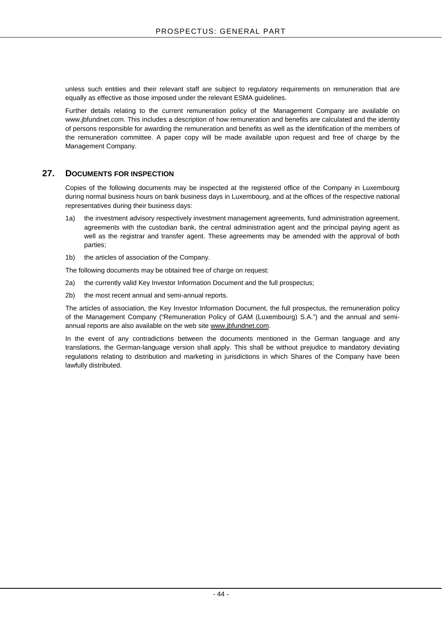unless such entities and their relevant staff are subject to regulatory requirements on remuneration that are equally as effective as those imposed under the relevant ESMA guidelines.

Further details relating to the current remuneration policy of the Management Company are available on www.jbfundnet.com. This includes a description of how remuneration and benefits are calculated and the identity of persons responsible for awarding the remuneration and benefits as well as the identification of the members of the remuneration committee. A paper copy will be made available upon request and free of charge by the Management Company.

### **27. DOCUMENTS FOR INSPECTION**

Copies of the following documents may be inspected at the registered office of the Company in Luxembourg during normal business hours on bank business days in Luxembourg, and at the offices of the respective national representatives during their business days:

- 1a) the investment advisory respectively investment management agreements, fund administration agreement, agreements with the custodian bank, the central administration agent and the principal paying agent as well as the registrar and transfer agent. These agreements may be amended with the approval of both parties;
- 1b) the articles of association of the Company.

The following documents may be obtained free of charge on request:

- 2a) the currently valid Key Investor Information Document and the full prospectus;
- 2b) the most recent annual and semi-annual reports.

The articles of association, the Key Investor Information Document, the full prospectus, the remuneration policy of the Management Company ("Remuneration Policy of GAM (Luxembourg) S.A.") and the annual and semiannual reports are also available on the web sit[e www.jbfundnet.com.](http://www.jbfundnet.com/)

In the event of any contradictions between the documents mentioned in the German language and any translations, the German-language version shall apply. This shall be without prejudice to mandatory deviating regulations relating to distribution and marketing in jurisdictions in which Shares of the Company have been lawfully distributed.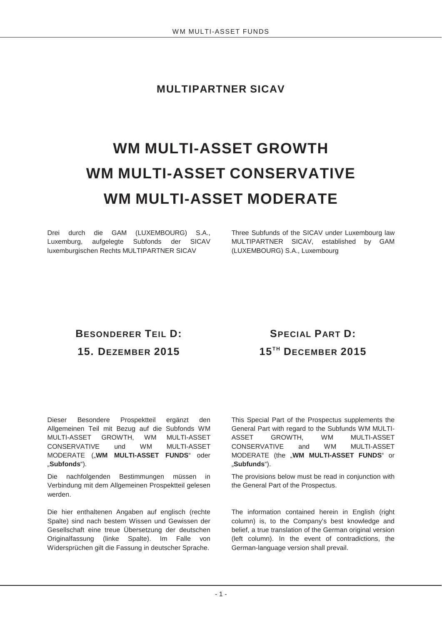**MULTIPARTNER SICAV**

# **WM MULTI-ASSET GROWTH WM MULTI-ASSET CONSERVATIVE WM MULTI-ASSET MODERATE**

Drei durch die GAM (LUXEMBOURG) S.A., Luxemburg, aufgelegte Subfonds der SICAV luxemburgischen Rechts MULTIPARTNER SICAV

Three Subfunds of the SICAV under Luxembourg law MULTIPARTNER SICAV, established by GAM (LUXEMBOURG) S.A., Luxembourg

# **BESONDERER TEIL D: 15. DEZEMBER 2015**

# **SPECIAL PART D: 15TH DECEMBER 2015**

Dieser Besondere Prospektteil ergänzt den Allgemeinen Teil mit Bezug auf die Subfonds WM MULTI-ASSET GROWTH, WM MULTI-ASSET CONSERVATIVE und WM MULTI-ASSET MODERATE ("**WM MULTI-ASSET FUNDS**" oder "**Subfonds**").

Die nachfolgenden Bestimmungen müssen in Verbindung mit dem Allgemeinen Prospektteil gelesen werden.

Die hier enthaltenen Angaben auf englisch (rechte Spalte) sind nach bestem Wissen und Gewissen der Gesellschaft eine treue Übersetzung der deutschen Originalfassung (linke Spalte). Im Falle von Widersprüchen gilt die Fassung in deutscher Sprache.

This Special Part of the Prospectus supplements the General Part with regard to the Subfunds WM MULTI-ASSET GROWTH, WM MULTI-ASSET CONSERVATIVE and WM MULTI-ASSET MODERATE (the "WM MULTI-ASSET FUNDS" or "**Subfunds**").

The provisions below must be read in conjunction with the General Part of the Prospectus.

The information contained herein in English (right column) is, to the Company's best knowledge and belief, a true translation of the German original version (left column). In the event of contradictions, the German-language version shall prevail.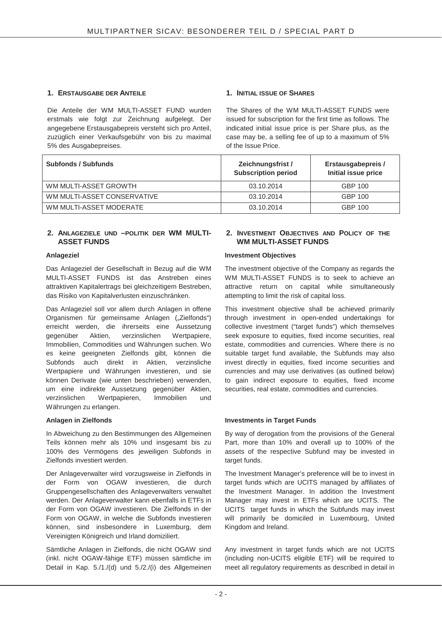### **1. ERSTAUSGABE DER ANTEILE 1. INITIAL ISSUE OF SHARES**

Die Anteile der WM MULTI-ASSET FUND wurden erstmals wie folgt zur Zeichnung aufgelegt. Der angegebene Erstausgabepreis versteht sich pro Anteil, zuzüglich einer Verkaufsgebühr von bis zu maximal 5% des Ausgabepreises.

The Shares of the WM MULTI-ASSET FUNDS were issued for subscription for the first time as follows. The indicated initial issue price is per Share plus, as the case may be, a selling fee of up to a maximum of 5% of the Issue Price.

| <b>Subfonds / Subfunds</b>  | Zeichnungsfrist /<br><b>Subscription period</b> | Erstausgabepreis /<br>Initial issue price |
|-----------------------------|-------------------------------------------------|-------------------------------------------|
| WM MULTI-ASSET GROWTH       | 03.10.2014                                      | GBP 100                                   |
| WM MULTI-ASSET CONSERVATIVE | 03.10.2014                                      | <b>GBP 100</b>                            |
| WM MULTI-ASSET MODERATE     | 03.10.2014                                      | GBP 100                                   |

#### **2. ANLAGEZIELE UND –POLITIK DER WM MULTI-ASSET FUNDS**

Das Anlageziel der Gesellschaft in Bezug auf die WM MULTI-ASSET FUNDS ist das Anstreben eines attraktiven Kapitalertrags bei gleichzeitigem Bestreben, das Risiko von Kapitalverlusten einzuschränken.

Das Anlageziel soll vor allem durch Anlagen in offene Organismen für gemeinsame Anlagen ("Zielfonds") erreicht werden, die ihrerseits eine Aussetzung gegenüber Aktien, verzinslichen Wertpapiere, Immobilien, Commodities und Währungen suchen. Wo es keine geeigneten Zielfonds gibt, können die Subfonds auch direkt in Aktien, verzinsliche Wertpapiere und Währungen investieren, und sie können Derivate (wie unten beschrieben) verwenden, um eine indirekte Aussetzung gegenüber Aktien, verzinslichen Wertpapieren, Immobilien und Währungen zu erlangen.

In Abweichung zu den Bestimmungen des Allgemeinen Teils können mehr als 10% und insgesamt bis zu 100% des Vermögens des jeweiligen Subfonds in Zielfonds investiert werden.

Der Anlageverwalter wird vorzugsweise in Zielfonds in der Form von OGAW investieren, die durch Gruppengesellschaften des Anlageverwalters verwaltet werden. Der Anlageverwalter kann ebenfalls in ETFs in der Form von OGAW investieren. Die Zielfonds in der Form von OGAW, in welche die Subfonds investieren können, sind insbesondere in Luxemburg, dem Vereinigten Königreich und Irland domiziliert.

Sämtliche Anlagen in Zielfonds, die nicht OGAW sind (inkl. nicht OGAW-fähige ETF) müssen sämtliche im Detail in Kap. 5./1./(d) und 5./2./(i) des Allgemeinen

### **2. INVESTMENT OBJECTIVES AND POLICY OF THE WM MULTI-ASSET FUNDS**

#### Anlageziel **Anlageziel Anlageziel Investment Objectives**

The investment objective of the Company as regards the WM MULTI-ASSET FUNDS is to seek to achieve an attractive return on capital while simultaneously attempting to limit the risk of capital loss.

This investment objective shall be achieved primarily through investment in open-ended undertakings for collective investment ("target funds") which themselves seek exposure to equities, fixed income securities, real estate, commodities and currencies. Where there is no suitable target fund available, the Subfunds may also invest directly in equities, fixed income securities and currencies and may use derivatives (as outlined below) to gain indirect exposure to equities, fixed income securities, real estate, commodities and currencies.

### **Anlagen in Zielfonds Investments in Target Funds**

By way of derogation from the provisions of the General Part, more than 10% and overall up to 100% of the assets of the respective Subfund may be invested in target funds.

The Investment Manager's preference will be to invest in target funds which are UCITS managed by affiliates of the Investment Manager. In addition the Investment Manager may invest in ETFs which are UCITS. The UCITS target funds in which the Subfunds may invest will primarily be domiciled in Luxembourg, United Kingdom and Ireland.

Any investment in target funds which are not UCITS (including non-UCITS eligible ETF) will be required to meet all regulatory requirements as described in detail in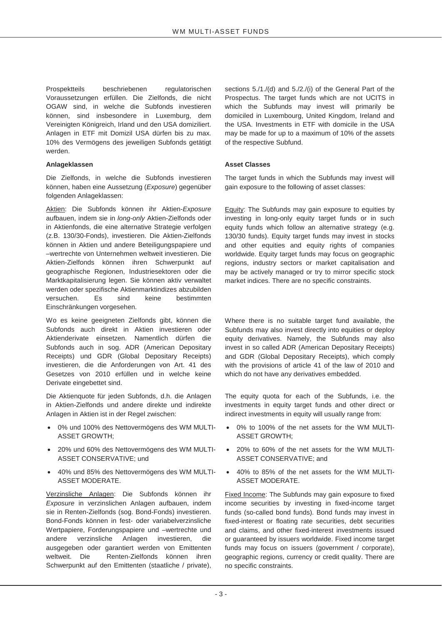Prospektteils beschriebenen regulatorischen Voraussetzungen erfüllen. Die Zielfonds, die nicht OGAW sind, in welche die Subfonds investieren können, sind insbesondere in Luxemburg, dem Vereinigten Königreich, Irland und den USA domiziliert. Anlagen in ETF mit Domizil USA dürfen bis zu max. 10% des Vermögens des jeweiligen Subfonds getätigt werden.

#### **Anlageklassen Asset Classes**

Die Zielfonds, in welche die Subfonds investieren können, haben eine Aussetzung (*Exposure*) gegenüber folgenden Anlageklassen:

Aktien: Die Subfonds können ihr Aktien-*Exposure* aufbauen, indem sie in *long-only* Aktien-Zielfonds oder in Aktienfonds, die eine alternative Strategie verfolgen (z.B. 130/30-Fonds), investieren. Die Aktien-Zielfonds können in Aktien und andere Beteiligungspapiere und –wertrechte von Unternehmen weltweit investieren. Die Aktien-Zielfonds können ihren Schwerpunkt auf geographische Regionen, Industriesektoren oder die Marktkapitalisierung legen. Sie können aktiv verwaltet werden oder spezifische Aktienmarktindizes abzubilden versuchen. Es sind keine bestimmten Einschränkungen vorgesehen.

Wo es keine geeigneten Zielfonds gibt, können die Subfonds auch direkt in Aktien investieren oder Aktienderivate einsetzen. Namentlich dürfen die Subfonds auch in sog. ADR (American Depositary Receipts) und GDR (Global Depositary Receipts) investieren, die die Anforderungen von Art. 41 des Gesetzes von 2010 erfüllen und in welche keine Derivate eingebettet sind.

Die Aktienquote für jeden Subfonds, d.h. die Anlagen in Aktien-Zielfonds und andere direkte und indirekte Anlagen in Aktien ist in der Regel zwischen:

- $\bullet$  0% und 100% des Nettovermögens des WM MULTI-ASSET GROWTH;
- $\bullet$  20% und 60% des Nettovermögens des WM MULTI-ASSET CONSERVATIVE; und
- $\bullet$  40% und 85% des Nettovermögens des WM MULTI-ASSET MODERATE.

Verzinsliche Anlagen: Die Subfonds können ihr *Exposure* in verzinslichen Anlagen aufbauen, indem sie in Renten-Zielfonds (sog. Bond-Fonds) investieren. Bond-Fonds können in fest- oder variabelverzinsliche Wertpapiere, Forderungspapiere und –wertrechte und andere verzinsliche Anlagen investieren, die ausgegeben oder garantiert werden von Emittenten weltweit. Die Renten-Zielfonds können ihren Schwerpunkt auf den Emittenten (staatliche / private),

sections 5./1./(d) and 5./2./(i) of the General Part of the Prospectus. The target funds which are not UCITS in which the Subfunds may invest will primarily be domiciled in Luxembourg, United Kingdom, Ireland and the USA. Investments in ETF with domicile in the USA may be made for up to a maximum of 10% of the assets of the respective Subfund.

The target funds in which the Subfunds may invest will gain exposure to the following of asset classes:

Equity: The Subfunds may gain exposure to equities by investing in long-only equity target funds or in such equity funds which follow an alternative strategy (e.g. 130/30 funds). Equity target funds may invest in stocks and other equities and equity rights of companies worldwide. Equity target funds may focus on geographic regions, industry sectors or market capitalisation and may be actively managed or try to mirror specific stock market indices. There are no specific constraints.

Where there is no suitable target fund available, the Subfunds may also invest directly into equities or deploy equity derivatives. Namely, the Subfunds may also invest in so called ADR (American Depositary Receipts) and GDR (Global Depositary Receipts), which comply with the provisions of article 41 of the law of 2010 and which do not have any derivatives embedded.

The equity quota for each of the Subfunds, i.e. the investments in equity target funds and other direct or indirect investments in equity will usually range from:

- 0% to 100% of the net assets for the WM MULTI-ASSET GROWTH;
- x 20% to 60% of the net assets for the WM MULTI-ASSET CONSERVATIVE; and
- x 40% to 85% of the net assets for the WM MULTI-ASSET MODERATE.

Fixed Income: The Subfunds may gain exposure to fixed income securities by investing in fixed-income target funds (so-called bond funds). Bond funds may invest in fixed-interest or floating rate securities, debt securities and claims, and other fixed-interest investments issued or guaranteed by issuers worldwide. Fixed income target funds may focus on issuers (government / corporate), geographic regions, currency or credit quality. There are no specific constraints.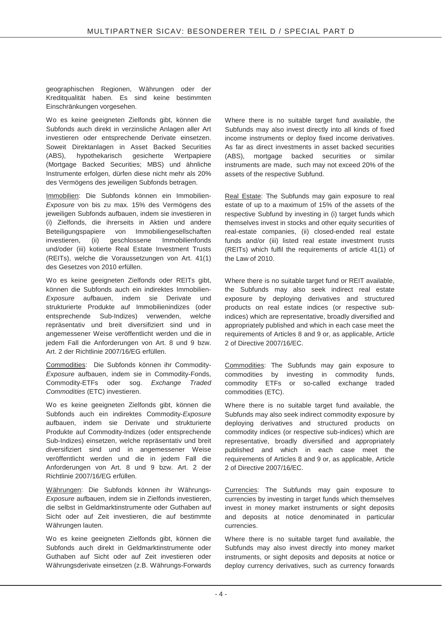geographischen Regionen, Währungen oder der Kreditqualität haben. Es sind keine bestimmten Einschränkungen vorgesehen.

Wo es keine geeigneten Zielfonds gibt, können die Subfonds auch direkt in verzinsliche Anlagen aller Art investieren oder entsprechende Derivate einsetzen. Soweit Direktanlagen in Asset Backed Securities (ABS), hypothekarisch gesicherte Wertpapiere (Mortgage Backed Securities; MBS) und ähnliche Instrumente erfolgen, dürfen diese nicht mehr als 20% des Vermögens des jeweiligen Subfonds betragen.

Immobilien: Die Subfonds können ein Immobilien-*Exposure* von bis zu max. 15% des Vermögens des jeweiligen Subfonds aufbauen, indem sie investieren in (i) Zielfonds, die ihrerseits in Aktien und andere Beteiligungspapiere von Immobiliengesellschaften investieren, (ii) geschlossene Immobilienfonds und/oder (iii) kotierte Real Estate Investment Trusts (REITs), welche die Voraussetzungen von Art. 41(1) des Gesetzes von 2010 erfüllen.

Wo es keine geeigneten Zielfonds oder REITs gibt, können die Subfonds auch ein indirektes Immobilien-*Exposure* aufbauen, indem sie Derivate und strukturierte Produkte auf Immobilienindizes (oder entsprechende Sub-Indizes) verwenden, welche repräsentativ und breit diversifiziert sind und in angemessener Weise veröffentlicht werden und die in jedem Fall die Anforderungen von Art. 8 und 9 bzw. Art. 2 der Richtlinie 2007/16/EG erfüllen.

Commodities: Die Subfonds können ihr Commodity-*Exposure* aufbauen, indem sie in Commodity-Fonds, Commodity-ETFs oder sog. *Exchange Traded Commodities* (ETC) investieren.

Wo es keine geeigneten Zielfonds gibt, können die Subfonds auch ein indirektes Commodity-*Exposure* aufbauen, indem sie Derivate und strukturierte Produkte auf Commodity-Indizes (oder entsprechende Sub-Indizes) einsetzen, welche repräsentativ und breit diversifiziert sind und in angemessener Weise veröffentlicht werden und die in jedem Fall die Anforderungen von Art. 8 und 9 bzw. Art. 2 der Richtlinie 2007/16/EG erfüllen.

Währungen: Die Subfonds können ihr Währungs-*Exposure* aufbauen, indem sie in Zielfonds investieren, die selbst in Geldmarktinstrumente oder Guthaben auf Sicht oder auf Zeit investieren, die auf bestimmte Währungen lauten.

Wo es keine geeigneten Zielfonds gibt, können die Subfonds auch direkt in Geldmarktinstrumente oder Guthaben auf Sicht oder auf Zeit investieren oder Währungsderivate einsetzen (z.B. Währungs-Forwards Where there is no suitable target fund available, the Subfunds may also invest directly into all kinds of fixed income instruments or deploy fixed income derivatives. As far as direct investments in asset backed securities (ABS), mortgage backed securities or similar instruments are made, such may not exceed 20% of the assets of the respective Subfund.

Real Estate: The Subfunds may gain exposure to real estate of up to a maximum of 15% of the assets of the respective Subfund by investing in (i) target funds which themselves invest in stocks and other equity securities of real-estate companies, (ii) closed-ended real estate funds and/or (iii) listed real estate investment trusts (REITs) which fulfil the requirements of article 41(1) of the Law of 2010.

Where there is no suitable target fund or REIT available, the Subfunds may also seek indirect real estate exposure by deploying derivatives and structured products on real estate indices (or respective subindices) which are representative, broadly diversified and appropriately published and which in each case meet the requirements of Articles 8 and 9 or, as applicable, Article 2 of Directive 2007/16/EC.

Commodities: The Subfunds may gain exposure to commodities by investing in commodity funds, commodity ETFs or so-called exchange traded commodities (ETC).

Where there is no suitable target fund available, the Subfunds may also seek indirect commodity exposure by deploying derivatives and structured products on commodity indices (or respective sub-indices) which are representative, broadly diversified and appropriately published and which in each case meet the requirements of Articles 8 and 9 or, as applicable, Article 2 of Directive 2007/16/EC.

Currencies: The Subfunds may gain exposure to currencies by investing in target funds which themselves invest in money market instruments or sight deposits and deposits at notice denominated in particular currencies.

Where there is no suitable target fund available, the Subfunds may also invest directly into money market instruments, or sight deposits and deposits at notice or deploy currency derivatives, such as currency forwards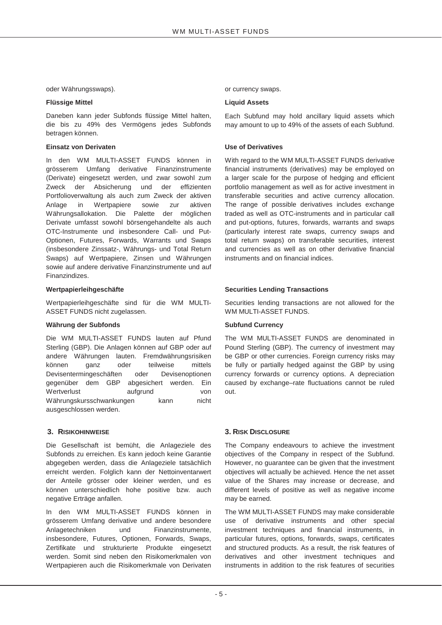oder Währungsswaps). The same state of currency swaps.

#### **Flüssige Mittel Community Community Community Community Community Community Community Community Community Community Community Community Community Community Community Community Community Community Community Community Commu**

Daneben kann jeder Subfonds flüssige Mittel halten, die bis zu 49% des Vermögens jedes Subfonds betragen können.

#### **Einsatz von Derivaten National Einsatz von Derivaten National Einsatz Use of Derivatives**

In den WM MULTI-ASSET FUNDS können in grösserem Umfang derivative Finanzinstrumente (Derivate) eingesetzt werden, und zwar sowohl zum Zweck der Absicherung und der effizienten Portfolioverwaltung als auch zum Zweck der aktiven Anlage in Wertpapiere sowie zur aktiven Währungsallokation. Die Palette der möglichen Derivate umfasst sowohl börsengehandelte als auch OTC-Instrumente und insbesondere Call- und Put-Optionen, Futures, Forwards, Warrants und Swaps (insbesondere Zinssatz-, Währungs- und Total Return Swaps) auf Wertpapiere, Zinsen und Währungen sowie auf andere derivative Finanzinstrumente und auf Finanzindizes.

Wertpapierleihgeschäfte sind für die WM MULTI-ASSET FUNDS nicht zugelassen.

#### Währung der Subfonds **Subfund Currency** Subfund Currency

Die WM MULTI-ASSET FUNDS lauten auf Pfund Sterling (GBP). Die Anlagen können auf GBP oder auf andere Währungen lauten. Fremdwährungsrisiken können ganz oder teilweise mittels Devisentermingeschäften oder Devisenoptionen gegenüber dem GBP abgesichert werden. Ein Wertverlust aufgrund von Währungskursschwankungen kann nicht ausgeschlossen werden.

Die Gesellschaft ist bemüht, die Anlageziele des Subfonds zu erreichen. Es kann jedoch keine Garantie abgegeben werden, dass die Anlageziele tatsächlich erreicht werden. Folglich kann der Nettoinventarwert der Anteile grösser oder kleiner werden, und es können unterschiedlich hohe positive bzw. auch negative Erträge anfallen.

In den WM MULTI-ASSET FUNDS können in grösserem Umfang derivative und andere besondere Anlagetechniken und Finanzinstrumente, insbesondere, Futures, Optionen, Forwards, Swaps, Zertifikate und strukturierte Produkte eingesetzt werden. Somit sind neben den Risikomerkmalen von Wertpapieren auch die Risikomerkmale von Derivaten

Each Subfund may hold ancillary liquid assets which may amount to up to 49% of the assets of each Subfund.

With regard to the WM MULTI-ASSET FUNDS derivative financial instruments (derivatives) may be employed on a larger scale for the purpose of hedging and efficient portfolio management as well as for active investment in transferable securities and active currency allocation. The range of possible derivatives includes exchange traded as well as OTC-instruments and in particular call and put-options, futures, forwards, warrants and swaps (particularly interest rate swaps, currency swaps and total return swaps) on transferable securities, interest and currencies as well as on other derivative financial instruments and on financial indices.

#### Wertpapierleihgeschäfte **Securities Lending Transactions** Securities Lending Transactions

Securities lending transactions are not allowed for the WM MULTI-ASSET FUNDS.

The WM MULTI-ASSET FUNDS are denominated in Pound Sterling (GBP). The currency of investment may be GBP or other currencies. Foreign currency risks may be fully or partially hedged against the GBP by using currency forwards or currency options. A depreciation caused by exchange–rate fluctuations cannot be ruled out.

#### **3. RISIKOHINWEISE 3. RISK DISCLOSURE**

The Company endeavours to achieve the investment objectives of the Company in respect of the Subfund. However, no guarantee can be given that the investment objectives will actually be achieved. Hence the net asset value of the Shares may increase or decrease, and different levels of positive as well as negative income may be earned.

The WM MULTI-ASSET FUNDS may make considerable use of derivative instruments and other special investment techniques and financial instruments, in particular futures, options, forwards, swaps, certificates and structured products. As a result, the risk features of derivatives and other investment techniques and instruments in addition to the risk features of securities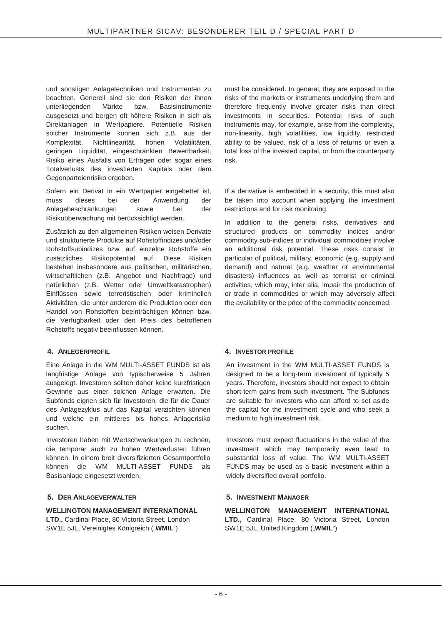und sonstigen Anlagetechniken und Instrumenten zu beachten. Generell sind sie den Risiken der ihnen unterliegenden Märkte bzw. Basisinstrumente ausgesetzt und bergen oft höhere Risiken in sich als Direktanlagen in Wertpapiere. Potentielle Risiken solcher Instrumente können sich z.B. aus der Komplexität, Nichtlinearität, hohen Volatilitäten, geringen Liquidität, eingeschränkten Bewertbarkeit, Risiko eines Ausfalls von Erträgen oder sogar eines Totalverlusts des investierten Kapitals oder dem Gegenparteienrisiko ergeben.

Sofern ein Derivat in ein Wertpapier eingebettet ist, muss dieses bei der Anwendung der Anlagebeschränkungen sowie bei der Risikoüberwachung mit berücksichtigt werden.

Zusätzlich zu den allgemeinen Risiken weisen Derivate und strukturierte Produkte auf Rohstoffindizes und/oder Rohstoffsubindizes bzw. auf einzelne Rohstoffe ein zusätzliches Risikopotential auf. Diese Risiken bestehen insbesondere aus politischen, militärischen, wirtschaftlichen (z.B. Angebot und Nachfrage) und natürlichen (z.B. Wetter oder Umweltkatastrophen) Einflüssen sowie terroristischen oder kriminellen Aktivitäten, die unter anderem die Produktion oder den Handel von Rohstoffen beeinträchtigen können bzw. die Verfügbarkeit oder den Preis des betroffenen Rohstoffs negativ beeinflussen können.

Eine Anlage in die WM MULTI-ASSET FUNDS ist als langfristige Anlage von typischerweise 5 Jahren ausgelegt. Investoren sollten daher keine kurzfristigen Gewinne aus einer solchen Anlage erwarten. Die Subfonds eignen sich für Investoren, die für die Dauer des Anlagezyklus auf das Kapital verzichten können und welche ein mittleres bis hohes Anlagerisiko suchen.

Investoren haben mit Wertschwankungen zu rechnen, die temporär auch zu hohen Wertverlusten führen können. In einem breit diversifizierten Gesamtportfolio können die WM MULTI-ASSET FUNDS als Basisanlage eingesetzt werden.

### **5. DER ANLAGEVERWALTER 5. INVESTMENT MANAGER**

### **WELLINGTON MANAGEMENT INTERNATIONAL**

**LTD.,** Cardinal Place, 80 Victoria Street, London SW1E 5JL, Vereinigtes Königreich ("WMIL")

must be considered. In general, they are exposed to the risks of the markets or instruments underlying them and therefore frequently involve greater risks than direct investments in securities. Potential risks of such instruments may, for example, arise from the complexity, non-linearity, high volatilities, low liquidity, restricted ability to be valued, risk of a loss of returns or even a total loss of the invested capital, or from the counterparty risk.

If a derivative is embedded in a security, this must also be taken into account when applying the investment restrictions and for risk monitoring.

In addition to the general risks, derivatives and structured products on commodity indices and/or commodity sub-indices or individual commodities involve an additional risk potential. These risks consist in particular of political, military, economic (e.g. supply and demand) and natural (e.g. weather or environmental disasters) influences as well as terrorist or criminal activities, which may, inter alia, impair the production of or trade in commodities or which may adversely affect the availability or the price of the commodity concerned.

### **4. ANLEGERPROFIL 4. INVESTOR PROFILE**

An investment in the WM MULTI-ASSET FUNDS is designed to be a long-term investment of typically 5 years. Therefore, investors should not expect to obtain short-term gains from such investment. The Subfunds are suitable for investors who can afford to set aside the capital for the investment cycle and who seek a medium to high investment risk.

Investors must expect fluctuations in the value of the investment which may temporarily even lead to substantial loss of value. The WM MULTI-ASSET FUNDS may be used as a basic investment within a widely diversified overall portfolio.

**WELLINGTON MANAGEMENT INTERNATIONAL LTD.,** Cardinal Place, 80 Victoria Street, London SW1E 5JL, United Kingdom ("WMIL")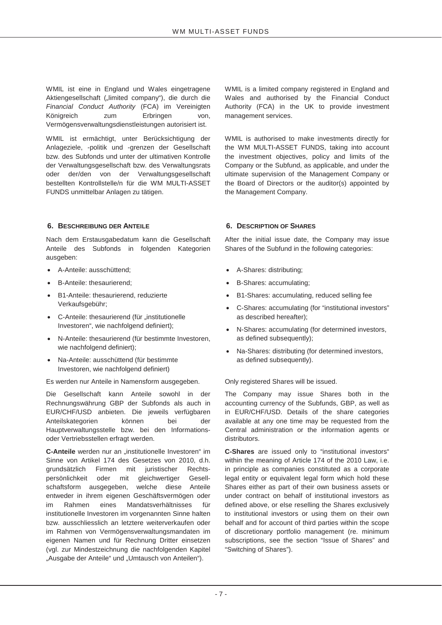WMIL ist eine in England und Wales eingetragene Aktiengesellschaft ("limited company"), die durch die *Financial Conduct Authority* (FCA) im Vereinigten Königreich zum Erbringen von, Vermögensverwaltungsdienstleistungen autorisiert ist.

WMIL ist ermächtigt, unter Berücksichtigung der Anlageziele, -politik und -grenzen der Gesellschaft bzw. des Subfonds und unter der ultimativen Kontrolle der Verwaltungsgesellschaft bzw. des Verwaltungsrats oder der/den von der Verwaltungsgesellschaft bestellten Kontrollstelle/n für die WM MULTI-ASSET FUNDS unmittelbar Anlagen zu tätigen.

### **6. BESCHREIBUNG DER ANTEILE 6. DESCRIPTION OF SHARES**

Nach dem Erstausgabedatum kann die Gesellschaft Anteile des Subfonds in folgenden Kategorien ausgeben:

- A-Anteile: ausschüttend;
- B-Anteile: thesaurierend;
- B1-Anteile: thesaurierend, reduzierte Verkaufsgebühr;
- C-Anteile: thesaurierend (für "institutionelle Investoren", wie nachfolgend definiert);
- x N-Anteile: thesaurierend (für bestimmte Investoren, wie nachfolgend definiert);
- Na-Anteile: ausschüttend (für bestimmte Investoren, wie nachfolgend definiert)

Es werden nur Anteile in Namensform ausgegeben. Only registered Shares will be issued.

Die Gesellschaft kann Anteile sowohl in der Rechnungswährung GBP der Subfonds als auch in EUR/CHF/USD anbieten. Die jeweils verfügbaren Anteilskategorien können bei der Hauptverwaltungsstelle bzw. bei den Informationsoder Vertriebsstellen erfragt werden.

**C-Anteile** werden nur an "institutionelle Investoren" im Sinne von Artikel 174 des Gesetzes von 2010, d.h. grundsätzlich Firmen mit juristischer Rechtspersönlichkeit oder mit gleichwertiger Gesellschaftsform ausgegeben, welche diese Anteile entweder in ihrem eigenen Geschäftsvermögen oder im Rahmen eines Mandatsverhältnisses für institutionelle Investoren im vorgenannten Sinne halten bzw. ausschliesslich an letztere weiterverkaufen oder im Rahmen von Vermögensverwaltungsmandaten im eigenen Namen und für Rechnung Dritter einsetzen (vgl. zur Mindestzeichnung die nachfolgenden Kapitel "Ausgabe der Anteile" und "Umtausch von Anteilen").

WMIL is a limited company registered in England and Wales and authorised by the Financial Conduct Authority (FCA) in the UK to provide investment management services.

WMIL is authorised to make investments directly for the WM MULTI-ASSET FUNDS, taking into account the investment objectives, policy and limits of the Company or the Subfund, as applicable, and under the ultimate supervision of the Management Company or the Board of Directors or the auditor(s) appointed by the Management Company.

After the initial issue date, the Company may issue Shares of the Subfund in the following categories:

- A-Shares: distributing;
- B-Shares: accumulating;
- B1-Shares: accumulating, reduced selling fee
- C-Shares: accumulating (for "institutional investors" as described hereafter);
- N-Shares: accumulating (for determined investors, as defined subsequently);
- Na-Shares: distributing (for determined investors, as defined subsequently).

The Company may issue Shares both in the accounting currency of the Subfunds, GBP, as well as in EUR/CHF/USD. Details of the share categories available at any one time may be requested from the Central administration or the information agents or distributors.

**C-Shares** are issued only to "institutional investors" within the meaning of Article 174 of the 2010 Law, i.e. in principle as companies constituted as a corporate legal entity or equivalent legal form which hold these Shares either as part of their own business assets or under contract on behalf of institutional investors as defined above, or else reselling the Shares exclusively to institutional investors or using them on their own behalf and for account of third parties within the scope of discretionary portfolio management (re. minimum subscriptions, see the section "Issue of Shares" and "Switching of Shares").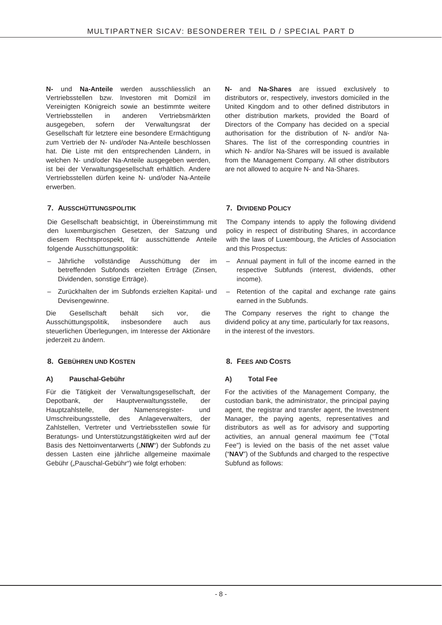**N-** und **Na-Anteile** werden ausschliesslich an Vertriebsstellen bzw. Investoren mit Domizil im Vereinigten Königreich sowie an bestimmte weitere Vertriebsstellen in anderen Vertriebsmärkten ausgegeben, sofern der Verwaltungsrat der Gesellschaft für letztere eine besondere Ermächtigung zum Vertrieb der N- und/oder Na-Anteile beschlossen hat. Die Liste mit den entsprechenden Ländern, in welchen N- und/oder Na-Anteile ausgegeben werden, ist bei der Verwaltungsgesellschaft erhältlich. Andere Vertriebsstellen dürfen keine N- und/oder Na-Anteile erwerben.

### **7. AUSSCHÜTTUNGSPOLITIK 7. DIVIDEND POLICY**

Die Gesellschaft beabsichtigt, in Übereinstimmung mit den luxemburgischen Gesetzen, der Satzung und diesem Rechtsprospekt, für ausschüttende Anteile folgende Ausschüttungspolitik:

- Jährliche vollständige Ausschüttung der im betreffenden Subfonds erzielten Erträge (Zinsen, Dividenden, sonstige Erträge).
- Zurückhalten der im Subfonds erzielten Kapital- und Devisengewinne.

Die Gesellschaft behält sich vor, die Ausschüttungspolitik, insbesondere auch aus steuerlichen Überlegungen, im Interesse der Aktionäre jederzeit zu ändern.

### **8. GEBÜHREN UND KOSTEN 8. FEES AND COSTS**

### A) Pauschal-Gebühr **A)** Total Fee

Für die Tätigkeit der Verwaltungsgesellschaft, der Depotbank, der Hauptverwaltungsstelle, der Hauptzahlstelle, der Namensregister- und Umschreibungsstelle, des Anlageverwalters, der Zahlstellen, Vertreter und Vertriebsstellen sowie für Beratungs- und Unterstützungstätigkeiten wird auf der Basis des Nettoinventarwerts ("NIW") der Subfonds zu dessen Lasten eine jährliche allgemeine maximale Gebühr ("Pauschal-Gebühr") wie folgt erhoben:

**N-** and **Na-Shares** are issued exclusively to distributors or, respectively, investors domiciled in the United Kingdom and to other defined distributors in other distribution markets, provided the Board of Directors of the Company has decided on a special authorisation for the distribution of N- and/or Na-Shares. The list of the corresponding countries in which N- and/or Na-Shares will be issued is available from the Management Company. All other distributors are not allowed to acquire N- and Na-Shares.

The Company intends to apply the following dividend policy in respect of distributing Shares, in accordance with the laws of Luxembourg, the Articles of Association and this Prospectus:

- Annual payment in full of the income earned in the respective Subfunds (interest, dividends, other income).
- Retention of the capital and exchange rate gains earned in the Subfunds.

The Company reserves the right to change the dividend policy at any time, particularly for tax reasons, in the interest of the investors.

For the activities of the Management Company, the custodian bank, the administrator, the principal paying agent, the registrar and transfer agent, the Investment Manager, the paying agents, representatives and distributors as well as for advisory and supporting activities, an annual general maximum fee ("Total Fee") is levied on the basis of the net asset value ("**NAV**") of the Subfunds and charged to the respective Subfund as follows: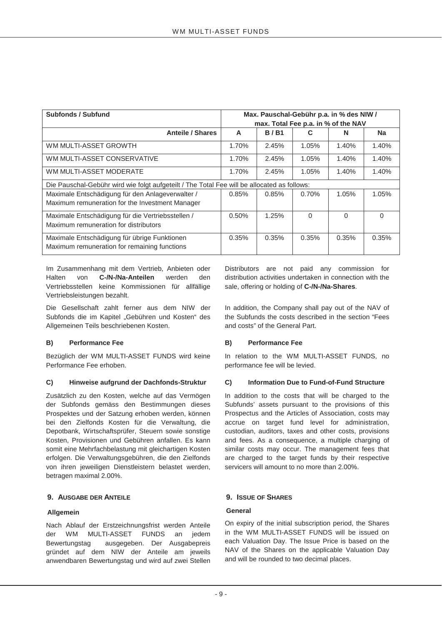| <b>Subfonds / Subfund</b>                                                                   | Max. Pauschal-Gebühr p.a. in % des NIW / |             |          |          |           |  |
|---------------------------------------------------------------------------------------------|------------------------------------------|-------------|----------|----------|-----------|--|
|                                                                                             | max. Total Fee p.a. in % of the NAV      |             |          |          |           |  |
| <b>Anteile / Shares</b>                                                                     | A                                        | <b>B/B1</b> | С        | N        | <b>Na</b> |  |
| WM MULTI-ASSET GROWTH                                                                       | 1.70%                                    | 2.45%       | 1.05%    | 1.40%    | 1.40%     |  |
| WM MULTI-ASSET CONSERVATIVE                                                                 | 1.70%                                    | 2.45%       | 1.05%    | 1.40%    | 1.40%     |  |
| WM MULTI-ASSET MODERATE                                                                     | 1.70%                                    | 2.45%       | 1.05%    | 1.40%    | 1.40%     |  |
| Die Pauschal-Gebühr wird wie folgt aufgeteilt / The Total Fee will be allocated as follows: |                                          |             |          |          |           |  |
| Maximale Entschädigung für den Anlageverwalter /                                            | 0.85%                                    | 0.85%       | 0.70%    | 1.05%    | 1.05%     |  |
| Maximum remuneration for the Investment Manager                                             |                                          |             |          |          |           |  |
| Maximale Entschädigung für die Vertriebsstellen /                                           | 0.50%                                    | 1.25%       | $\Omega$ | $\Omega$ | $\Omega$  |  |
| Maximum remuneration for distributors                                                       |                                          |             |          |          |           |  |
| Maximale Entschädigung für übrige Funktionen                                                | 0.35%                                    | 0.35%       | 0.35%    | 0.35%    | 0.35%     |  |
| Maximum remuneration for remaining functions                                                |                                          |             |          |          |           |  |

Im Zusammenhang mit dem Vertrieb, Anbieten oder Halten von **C-/N-/Na-Anteilen** werden den Vertriebsstellen keine Kommissionen für allfällige Vertriebsleistungen bezahlt.

Die Gesellschaft zahlt ferner aus dem NIW der Subfonds die im Kapitel "Gebühren und Kosten" des Allgemeinen Teils beschriebenen Kosten.

### **B)** Performance Fee B) Performance Fee

Bezüglich der WM MULTI-ASSET FUNDS wird keine Performance Fee erhoben.

### **C) Hinweise aufgrund der Dachfonds-Struktur C) Information Due to Fund-of-Fund Structure**

Zusätzlich zu den Kosten, welche auf das Vermögen der Subfonds gemäss den Bestimmungen dieses Prospektes und der Satzung erhoben werden, können bei den Zielfonds Kosten für die Verwaltung, die Depotbank, Wirtschaftsprüfer, Steuern sowie sonstige Kosten, Provisionen und Gebühren anfallen. Es kann somit eine Mehrfachbelastung mit gleichartigen Kosten erfolgen. Die Verwaltungsgebühren, die den Zielfonds von ihren jeweiligen Dienstleistern belastet werden, betragen maximal 2.00%.

### **9. AUSGABE DER ANTEILE 9. ISSUE OF SHARES**

### **Allgemein**

Nach Ablauf der Erstzeichnungsfrist werden Anteile der WM MULTI-ASSET FUNDS an jedem Bewertungstag ausgegeben. Der Ausgabepreis gründet auf dem NIW der Anteile am jeweils anwendbaren Bewertungstag und wird auf zwei Stellen

Distributors are not paid any commission for distribution activities undertaken in connection with the sale, offering or holding of **C-/N-/Na-Shares**.

In addition, the Company shall pay out of the NAV of the Subfunds the costs described in the section "Fees and costs" of the General Part.

In relation to the WM MULTI-ASSET FUNDS, no performance fee will be levied.

In addition to the costs that will be charged to the Subfunds' assets pursuant to the provisions of this Prospectus and the Articles of Association, costs may accrue on target fund level for administration, custodian, auditors, taxes and other costs, provisions and fees. As a consequence, a multiple charging of similar costs may occur. The management fees that are charged to the target funds by their respective servicers will amount to no more than 2.00%.

### **General**

On expiry of the initial subscription period, the Shares in the WM MULTI-ASSET FUNDS will be issued on each Valuation Day. The Issue Price is based on the NAV of the Shares on the applicable Valuation Day and will be rounded to two decimal places.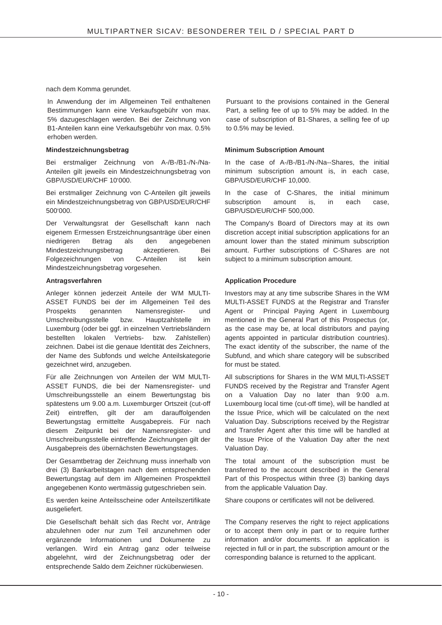nach dem Komma gerundet.

In Anwendung der im Allgemeinen Teil enthaltenen Bestimmungen kann eine Verkaufsgebühr von max. 5% dazugeschlagen werden. Bei der Zeichnung von B1-Anteilen kann eine Verkaufsgebühr von max. 0.5% erhoben werden.

#### **Mindestzeichnungsbetrag**

Bei erstmaliger Zeichnung von A-/B-/B1-/N-/Na-Anteilen gilt jeweils ein Mindestzeichnungsbetrag von GBP/USD/EUR/CHF 10'000.

Bei erstmaliger Zeichnung von C-Anteilen gilt jeweils ein Mindestzeichnungsbetrag von GBP/USD/EUR/CHF 500'000.

Der Verwaltungsrat der Gesellschaft kann nach eigenem Ermessen Erstzeichnungsanträge über einen niedrigeren Betrag als den angegebenen Mindestzeichnungsbetrag akzeptieren. Bei Folgezeichnungen von C-Anteilen ist kein Mindestzeichnungsbetrag vorgesehen.

#### **Antragsverfahren**

Anleger können jederzeit Anteile der WM MULTI-ASSET FUNDS bei der im Allgemeinen Teil des Prospekts genannten Namensregister- und Umschreibungsstelle bzw. Hauptzahlstelle im Luxemburg (oder bei ggf. in einzelnen Vertriebsländern bestellten lokalen Vertriebs- bzw. Zahlstellen) zeichnen. Dabei ist die genaue Identität des Zeichners, der Name des Subfonds und welche Anteilskategorie gezeichnet wird, anzugeben.

Für alle Zeichnungen von Anteilen der WM MULTI-ASSET FUNDS, die bei der Namensregister- und Umschreibungsstelle an einem Bewertungstag bis spätestens um 9.00 a.m. Luxemburger Ortszeit (cut-off Zeit) eintreffen, gilt der am darauffolgenden Bewertungstag ermittelte Ausgabepreis. Für nach diesem Zeitpunkt bei der Namensregister- und Umschreibungsstelle eintreffende Zeichnungen gilt der Ausgabepreis des übernächsten Bewertungstages.

Der Gesamtbetrag der Zeichnung muss innerhalb von drei (3) Bankarbeitstagen nach dem entsprechenden Bewertungstag auf dem im Allgemeinen Prospektteil angegebenen Konto wertmässig gutgeschrieben sein.

Es werden keine Anteilsscheine oder Anteilszertifikate ausgeliefert.

Die Gesellschaft behält sich das Recht vor, Anträge abzulehnen oder nur zum Teil anzunehmen oder ergänzende Informationen und Dokumente zu verlangen. Wird ein Antrag ganz oder teilweise abgelehnt, wird der Zeichnungsbetrag oder der entsprechende Saldo dem Zeichner rücküberwiesen.

Pursuant to the provisions contained in the General Part, a selling fee of up to 5% may be added. In the case of subscription of B1-Shares, a selling fee of up to 0.5% may be levied.

#### **Minimum Subscription Amount**

In the case of A-/B-/B1-/N-/Na--Shares, the initial minimum subscription amount is, in each case, GBP/USD/EUR/CHF 10,000.

In the case of C-Shares, the initial minimum subscription amount is, in each case, GBP/USD/EUR/CHF 500,000.

The Company's Board of Directors may at its own discretion accept initial subscription applications for an amount lower than the stated minimum subscription amount. Further subscriptions of C-Shares are not subject to a minimum subscription amount.

#### **Application Procedure**

Investors may at any time subscribe Shares in the WM MULTI-ASSET FUNDS at the Registrar and Transfer Agent or Principal Paying Agent in Luxembourg mentioned in the General Part of this Prospectus (or, as the case may be, at local distributors and paying agents appointed in particular distribution countries). The exact identity of the subscriber, the name of the Subfund, and which share category will be subscribed for must be stated.

All subscriptions for Shares in the WM MULTI-ASSET FUNDS received by the Registrar and Transfer Agent on a Valuation Day no later than 9:00 a.m. Luxembourg local time (cut-off time), will be handled at the Issue Price, which will be calculated on the next Valuation Day. Subscriptions received by the Registrar and Transfer Agent after this time will be handled at the Issue Price of the Valuation Day after the next Valuation Day.

The total amount of the subscription must be transferred to the account described in the General Part of this Prospectus within three (3) banking days from the applicable Valuation Day.

Share coupons or certificates will not be delivered.

The Company reserves the right to reject applications or to accept them only in part or to require further information and/or documents. If an application is rejected in full or in part, the subscription amount or the corresponding balance is returned to the applicant.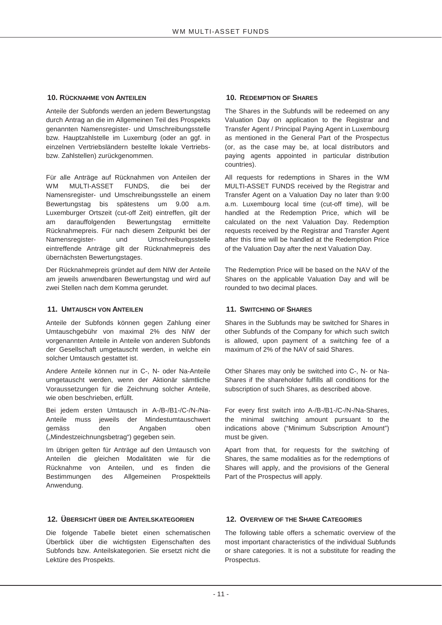#### **10. RÜCKNAHME VON ANTEILEN 10. REDEMPTION OF SHARES**

Anteile der Subfonds werden an jedem Bewertungstag durch Antrag an die im Allgemeinen Teil des Prospekts genannten Namensregister- und Umschreibungsstelle bzw. Hauptzahlstelle im Luxemburg (oder an ggf. in einzelnen Vertriebsländern bestellte lokale Vertriebsbzw. Zahlstellen) zurückgenommen.

Für alle Anträge auf Rücknahmen von Anteilen der WM MULTI-ASSET FUNDS, die bei der Namensregister- und Umschreibungsstelle an einem Bewertungstag bis spätestens um 9.00 a.m. Luxemburger Ortszeit (cut-off Zeit) eintreffen, gilt der am darauffolgenden Bewertungstag ermittelte Rücknahmepreis. Für nach diesem Zeitpunkt bei der Namensregister- und Umschreibungsstelle eintreffende Anträge gilt der Rücknahmepreis des übernächsten Bewertungstages.

Der Rücknahmepreis gründet auf dem NIW der Anteile am jeweils anwendbaren Bewertungstag und wird auf zwei Stellen nach dem Komma gerundet.

### **11. UMTAUSCH VON ANTEILEN 11. SWITCHING OF SHARES**

Anteile der Subfonds können gegen Zahlung einer Umtauschgebühr von maximal 2% des NIW der vorgenannten Anteile in Anteile von anderen Subfonds der Gesellschaft umgetauscht werden, in welche ein solcher Umtausch gestattet ist.

Andere Anteile können nur in C-, N- oder Na-Anteile umgetauscht werden, wenn der Aktionär sämtliche Voraussetzungen für die Zeichnung solcher Anteile, wie oben beschrieben, erfüllt.

Bei jedem ersten Umtausch in A-/B-/B1-/C-/N-/Na-Anteile muss jeweils der Mindestumtauschwert gemäss den Angaben oben ("Mindestzeichnungsbetrag") gegeben sein.

Im übrigen gelten für Anträge auf den Umtausch von Anteilen die gleichen Modalitäten wie für die Rücknahme von Anteilen, und es finden die Bestimmungen des Allgemeinen Prospektteils Anwendung.

### **12. ÜBERSICHT ÜBER DIE ANTEILSKATEGORIEN 12. OVERVIEW OF THE SHARE CATEGORIES**

Die folgende Tabelle bietet einen schematischen Überblick über die wichtigsten Eigenschaften des Subfonds bzw. Anteilskategorien. Sie ersetzt nicht die Lektüre des Prospekts.

The Shares in the Subfunds will be redeemed on any Valuation Day on application to the Registrar and Transfer Agent / Principal Paying Agent in Luxembourg as mentioned in the General Part of the Prospectus (or, as the case may be, at local distributors and paying agents appointed in particular distribution countries).

All requests for redemptions in Shares in the WM MULTI-ASSET FUNDS received by the Registrar and Transfer Agent on a Valuation Day no later than 9:00 a.m. Luxembourg local time (cut-off time), will be handled at the Redemption Price, which will be calculated on the next Valuation Day. Redemption requests received by the Registrar and Transfer Agent after this time will be handled at the Redemption Price of the Valuation Day after the next Valuation Day.

The Redemption Price will be based on the NAV of the Shares on the applicable Valuation Day and will be rounded to two decimal places.

Shares in the Subfunds may be switched for Shares in other Subfunds of the Company for which such switch is allowed, upon payment of a switching fee of a maximum of 2% of the NAV of said Shares.

Other Shares may only be switched into C-, N- or Na-Shares if the shareholder fulfills all conditions for the subscription of such Shares, as described above.

For every first switch into A-/B-/B1-/C-/N-/Na-Shares, the minimal switching amount pursuant to the indications above ("Minimum Subscription Amount") must be given.

Apart from that, for requests for the switching of Shares, the same modalities as for the redemptions of Shares will apply, and the provisions of the General Part of the Prospectus will apply.

The following table offers a schematic overview of the most important characteristics of the individual Subfunds or share categories. It is not a substitute for reading the Prospectus.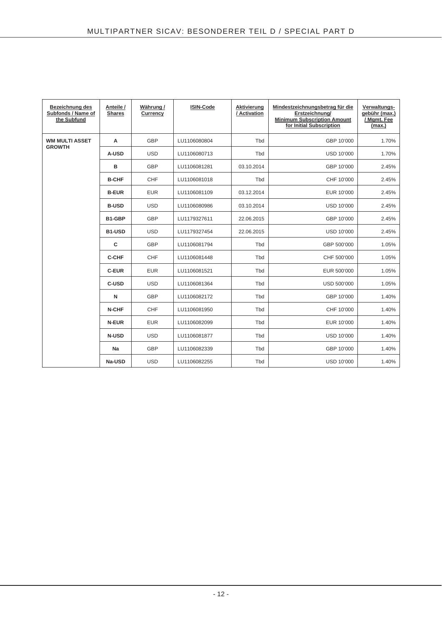| <b>Bezeichnung des</b><br>Subfonds / Name of<br>the Subfund | Anteile /<br><b>Shares</b> | Währung /<br>Currency | <b>ISIN-Code</b> | Aktivierung<br>/ Activation | Mindestzeichnungsbetrag für die<br>Erstzeichnung/<br><b>Minimum Subscription Amount</b><br>for Initial Subscription | Verwaltungs-<br>gebühr (max.)<br>/ Mgmt. Fee<br>(max.) |
|-------------------------------------------------------------|----------------------------|-----------------------|------------------|-----------------------------|---------------------------------------------------------------------------------------------------------------------|--------------------------------------------------------|
| <b>WM MULTI ASSET</b><br><b>GROWTH</b>                      | A                          | GBP                   | LU1106080804     | Tbd                         | GBP 10'000                                                                                                          | 1.70%                                                  |
|                                                             | A-USD                      | <b>USD</b>            | LU1106080713     | Tbd                         | <b>USD 10'000</b>                                                                                                   | 1.70%                                                  |
|                                                             | B                          | GBP                   | LU1106081281     | 03.10.2014                  | GBP 10'000                                                                                                          | 2.45%                                                  |
|                                                             | <b>B-CHF</b>               | CHF                   | LU1106081018     | Tbd                         | CHF 10'000                                                                                                          | 2.45%                                                  |
|                                                             | <b>B-EUR</b>               | <b>EUR</b>            | LU1106081109     | 03.12.2014                  | EUR 10'000                                                                                                          | 2.45%                                                  |
|                                                             | <b>B-USD</b>               | <b>USD</b>            | LU1106080986     | 03.10.2014                  | <b>USD 10'000</b>                                                                                                   | 2.45%                                                  |
|                                                             | B1-GBP                     | <b>GBP</b>            | LU1179327611     | 22.06.2015                  | GBP 10'000                                                                                                          | 2.45%                                                  |
|                                                             | B1-USD                     | <b>USD</b>            | LU1179327454     | 22.06.2015                  | <b>USD 10'000</b>                                                                                                   | 2.45%                                                  |
|                                                             | C                          | <b>GBP</b>            | LU1106081794     | Tbd                         | GBP 500'000                                                                                                         | 1.05%                                                  |
|                                                             | C-CHF                      | CHF                   | LU1106081448     | Tbd                         | CHF 500'000                                                                                                         | 1.05%                                                  |
|                                                             | <b>C-EUR</b>               | <b>EUR</b>            | LU1106081521     | Tbd                         | EUR 500'000                                                                                                         | 1.05%                                                  |
|                                                             | C-USD                      | <b>USD</b>            | LU1106081364     | Tbd                         | USD 500'000                                                                                                         | 1.05%                                                  |
|                                                             | N                          | <b>GBP</b>            | LU1106082172     | Tbd                         | GBP 10'000                                                                                                          | 1.40%                                                  |
|                                                             | N-CHF                      | CHF                   | LU1106081950     | Tbd                         | CHF 10'000                                                                                                          | 1.40%                                                  |
|                                                             | N-EUR                      | <b>EUR</b>            | LU1106082099     | Tbd                         | EUR 10'000                                                                                                          | 1.40%                                                  |
|                                                             | <b>N-USD</b>               | <b>USD</b>            | LU1106081877     | Tbd                         | <b>USD 10'000</b>                                                                                                   | 1.40%                                                  |
|                                                             | Na                         | <b>GBP</b>            | LU1106082339     | Tbd                         | GBP 10'000                                                                                                          | 1.40%                                                  |
|                                                             | Na-USD                     | <b>USD</b>            | LU1106082255     | Tbd                         | <b>USD 10'000</b>                                                                                                   | 1.40%                                                  |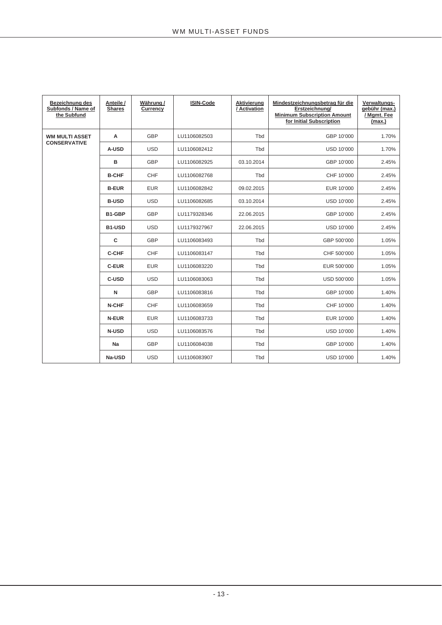| Bezeichnung des<br>Subfonds / Name of<br>the Subfund | Anteile /<br><b>Shares</b> | Währung /<br>Currency | <b>ISIN-Code</b> | Aktivierung<br>/ Activation | Mindestzeichnungsbetrag für die<br>Erstzeichnung/<br><b>Minimum Subscription Amount</b><br>for Initial Subscription | Verwaltungs-<br>gebühr (max.)<br>/ Mgmt. Fee<br>(max.) |
|------------------------------------------------------|----------------------------|-----------------------|------------------|-----------------------------|---------------------------------------------------------------------------------------------------------------------|--------------------------------------------------------|
| <b>WM MULTI ASSET</b>                                | Α                          | <b>GBP</b>            | LU1106082503     | Tbd                         | GBP 10'000                                                                                                          | 1.70%                                                  |
| <b>CONSERVATIVE</b>                                  | A-USD                      | <b>USD</b>            | LU1106082412     | Tbd                         | USD 10'000                                                                                                          | 1.70%                                                  |
|                                                      | в                          | <b>GBP</b>            | LU1106082925     | 03.10.2014                  | GBP 10'000                                                                                                          | 2.45%                                                  |
|                                                      | <b>B-CHF</b>               | CHF                   | LU1106082768     | Tbd                         | CHF 10'000                                                                                                          | 2.45%                                                  |
|                                                      | <b>B-EUR</b>               | <b>EUR</b>            | LU1106082842     | 09.02.2015                  | EUR 10'000                                                                                                          | 2.45%                                                  |
|                                                      | <b>B-USD</b>               | <b>USD</b>            | LU1106082685     | 03.10.2014                  | <b>USD 10'000</b>                                                                                                   | 2.45%                                                  |
|                                                      | B1-GBP                     | <b>GBP</b>            | LU1179328346     | 22.06.2015                  | GBP 10'000                                                                                                          | 2.45%                                                  |
|                                                      | B1-USD                     | <b>USD</b>            | LU1179327967     | 22.06.2015                  | <b>USD 10'000</b>                                                                                                   | 2.45%                                                  |
|                                                      | C                          | <b>GBP</b>            | LU1106083493     | Tbd                         | GBP 500'000                                                                                                         | 1.05%                                                  |
|                                                      | <b>C-CHF</b>               | <b>CHF</b>            | LU1106083147     | Tbd                         | CHF 500'000                                                                                                         | 1.05%                                                  |
|                                                      | <b>C-EUR</b>               | <b>EUR</b>            | LU1106083220     | Tbd                         | EUR 500'000                                                                                                         | 1.05%                                                  |
|                                                      | <b>C-USD</b>               | <b>USD</b>            | LU1106083063     | Tbd                         | USD 500'000                                                                                                         | 1.05%                                                  |
|                                                      | N                          | GBP                   | LU1106083816     | Tbd                         | GBP 10'000                                                                                                          | 1.40%                                                  |
|                                                      | N-CHF                      | <b>CHF</b>            | LU1106083659     | Tbd                         | CHF 10'000                                                                                                          | 1.40%                                                  |
|                                                      | N-EUR                      | <b>EUR</b>            | LU1106083733     | Tbd                         | EUR 10'000                                                                                                          | 1.40%                                                  |
|                                                      | <b>N-USD</b>               | <b>USD</b>            | LU1106083576     | Tbd                         | USD 10'000                                                                                                          | 1.40%                                                  |
|                                                      | Na                         | <b>GBP</b>            | LU1106084038     | Tbd                         | GBP 10'000                                                                                                          | 1.40%                                                  |
|                                                      | Na-USD                     | <b>USD</b>            | LU1106083907     | Tbd                         | <b>USD 10'000</b>                                                                                                   | 1.40%                                                  |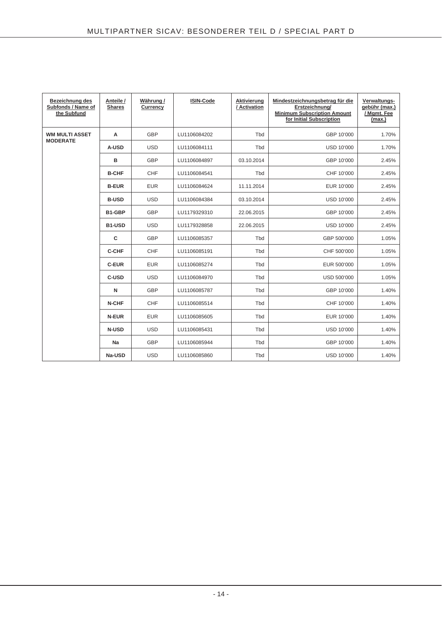| Bezeichnung des<br>Subfonds / Name of<br>the Subfund | Anteile /<br><b>Shares</b> | Währung /<br>Currency | ISIN-Code    | Aktivierung<br>/ Activation | Mindestzeichnungsbetrag für die<br>Erstzeichnung/<br><b>Minimum Subscription Amount</b><br>for Initial Subscription | Verwaltungs-<br>gebühr (max.)<br>/ Mgmt. Fee<br>(max.) |
|------------------------------------------------------|----------------------------|-----------------------|--------------|-----------------------------|---------------------------------------------------------------------------------------------------------------------|--------------------------------------------------------|
| <b>WM MULTI ASSET</b><br><b>MODERATE</b>             | Α                          | <b>GBP</b>            | LU1106084202 | Tbd                         | GBP 10'000                                                                                                          | 1.70%                                                  |
|                                                      | A-USD                      | <b>USD</b>            | LU1106084111 | Tbd                         | USD 10'000                                                                                                          | 1.70%                                                  |
|                                                      | в                          | <b>GBP</b>            | LU1106084897 | 03.10.2014                  | GBP 10'000                                                                                                          | 2.45%                                                  |
|                                                      | <b>B-CHF</b>               | CHF                   | LU1106084541 | Tbd                         | CHF 10'000                                                                                                          | 2.45%                                                  |
|                                                      | <b>B-EUR</b>               | <b>EUR</b>            | LU1106084624 | 11.11.2014                  | EUR 10'000                                                                                                          | 2.45%                                                  |
|                                                      | <b>B-USD</b>               | <b>USD</b>            | LU1106084384 | 03.10.2014                  | <b>USD 10'000</b>                                                                                                   | 2.45%                                                  |
|                                                      | B1-GBP                     | <b>GBP</b>            | LU1179329310 | 22.06.2015                  | GBP 10'000                                                                                                          | 2.45%                                                  |
|                                                      | B1-USD                     | <b>USD</b>            | LU1179328858 | 22.06.2015                  | USD 10'000                                                                                                          | 2.45%                                                  |
|                                                      | C                          | <b>GBP</b>            | LU1106085357 | Tbd                         | GBP 500'000                                                                                                         | 1.05%                                                  |
|                                                      | <b>C-CHF</b>               | <b>CHF</b>            | LU1106085191 | Tbd                         | CHF 500'000                                                                                                         | 1.05%                                                  |
|                                                      | <b>C-EUR</b>               | <b>EUR</b>            | LU1106085274 | Tbd                         | EUR 500'000                                                                                                         | 1.05%                                                  |
|                                                      | C-USD                      | <b>USD</b>            | LU1106084970 | Tbd                         | USD 500'000                                                                                                         | 1.05%                                                  |
|                                                      | $\mathsf{N}$               | <b>GBP</b>            | LU1106085787 | Tbd                         | GBP 10'000                                                                                                          | 1.40%                                                  |
|                                                      | N-CHF                      | <b>CHF</b>            | LU1106085514 | Tbd                         | CHF 10'000                                                                                                          | 1.40%                                                  |
|                                                      | N-EUR                      | <b>EUR</b>            | LU1106085605 | Tbd                         | EUR 10'000                                                                                                          | 1.40%                                                  |
|                                                      | <b>N-USD</b>               | <b>USD</b>            | LU1106085431 | Tbd                         | <b>USD 10'000</b>                                                                                                   | 1.40%                                                  |
|                                                      | Na                         | <b>GBP</b>            | LU1106085944 | Tbd                         | GBP 10'000                                                                                                          | 1.40%                                                  |
|                                                      | Na-USD                     | <b>USD</b>            | LU1106085860 | Tbd                         | <b>USD 10'000</b>                                                                                                   | 1.40%                                                  |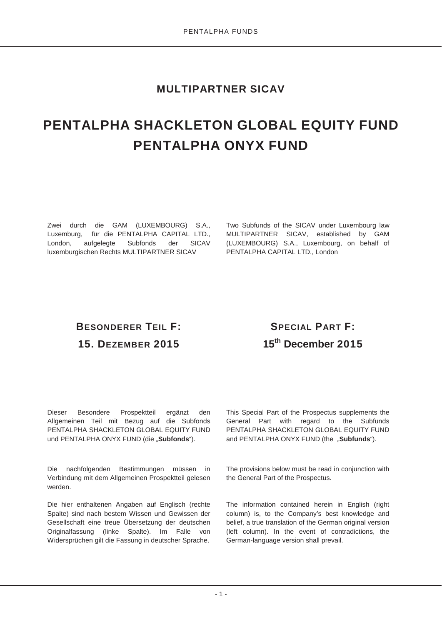## **MULTIPARTNER SICAV**

# **PENTALPHA SHACKLETON GLOBAL EQUITY FUND PENTALPHA ONYX FUND**

Zwei durch die GAM (LUXEMBOURG) S.A., Luxemburg, für die PENTALPHA CAPITAL LTD., London, aufgelegte Subfonds der SICAV luxemburgischen Rechts MULTIPARTNER SICAV

Two Subfunds of the SICAV under Luxembourg law MULTIPARTNER SICAV, established by GAM (LUXEMBOURG) S.A., Luxembourg, on behalf of PENTALPHA CAPITAL LTD., London

# **BESONDERER TEIL F: 15. DEZEMBER 2015**

# **SPECIAL PART F: 15th December 2015**

Dieser Besondere Prospektteil ergänzt den Allgemeinen Teil mit Bezug auf die Subfonds PENTALPHA SHACKLETON GLOBAL EQUITY FUND und PENTALPHA ONYX FUND (die "Subfonds").

Die nachfolgenden Bestimmungen müssen in Verbindung mit dem Allgemeinen Prospektteil gelesen werden.

Die hier enthaltenen Angaben auf Englisch (rechte Spalte) sind nach bestem Wissen und Gewissen der Gesellschaft eine treue Übersetzung der deutschen Originalfassung (linke Spalte). Im Falle von Widersprüchen gilt die Fassung in deutscher Sprache. This Special Part of the Prospectus supplements the General Part with regard to the Subfunds PENTALPHA SHACKLETON GLOBAL EQUITY FUND and PENTALPHA ONYX FUND (the "Subfunds").

The provisions below must be read in conjunction with the General Part of the Prospectus.

The information contained herein in English (right column) is, to the Company's best knowledge and belief, a true translation of the German original version (left column). In the event of contradictions, the German-language version shall prevail.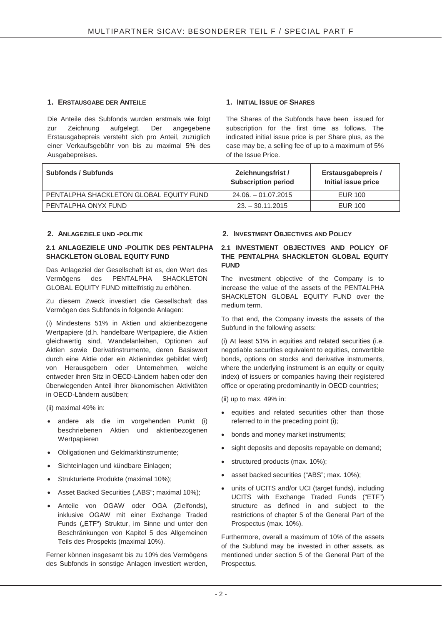### **1. ERSTAUSGABE DER ANTEILE 1. INITIAL ISSUE OF SHARES**

Die Anteile des Subfonds wurden erstmals wie folgt<br>zur Zeichnung aufgelegt. Der angegebene zur Zeichnung aufgelegt. Der angegebene Erstausgabepreis versteht sich pro Anteil, zuzüglich einer Verkaufsgebühr von bis zu maximal 5% des Ausgabepreises.

The Shares of the Subfonds have been issued for subscription for the first time as follows. The indicated initial issue price is per Share plus, as the case may be, a selling fee of up to a maximum of 5% of the Issue Price.

| <b>Subfonds / Subfunds</b>              | Zeichnungsfrist /<br><b>Subscription period</b> | Erstausgabepreis /<br>Initial issue price |
|-----------------------------------------|-------------------------------------------------|-------------------------------------------|
| PENTALPHA SHACKLETON GLOBAL EQUITY FUND | $24.06. - 01.07.2015$                           | EUR 100                                   |
| PENTALPHA ONYX FUND                     | $23. - 30.11.2015$                              | EUR 100                                   |
|                                         |                                                 |                                           |

#### **2.1 ANLAGEZIELE UND -POLITIK DES PENTALPHA SHACKLETON GLOBAL EQUITY FUND**

Das Anlageziel der Gesellschaft ist es, den Wert des Vermögens des PENTALPHA SHACKLETON GLOBAL EQUITY FUND mittelfristig zu erhöhen.

Zu diesem Zweck investiert die Gesellschaft das Vermögen des Subfonds in folgende Anlagen:

(i) Mindestens 51% in Aktien und aktienbezogene Wertpapiere (d.h. handelbare Wertpapiere, die Aktien gleichwertig sind, Wandelanleihen, Optionen auf Aktien sowie Derivatinstrumente, deren Basiswert durch eine Aktie oder ein Aktienindex gebildet wird) von Herausgebern oder Unternehmen, welche entweder ihren Sitz in OECD-Ländern haben oder den überwiegenden Anteil ihrer ökonomischen Aktivitäten in OECD-Ländern ausüben;

(ii) maximal 49% in:

- andere als die im vorgehenden Punkt (i) beschriebenen Aktien und aktienbezogenen Wertpapieren
- Obligationen und Geldmarktinstrumente;
- Sichteinlagen und kündbare Einlagen;
- Strukturierte Produkte (maximal 10%);
- Asset Backed Securities ("ABS"; maximal 10%);
- x Anteile von OGAW oder OGA (Zielfonds), inklusive OGAW mit einer Exchange Traded Funds ("ETF") Struktur, im Sinne und unter den Beschränkungen von Kapitel 5 des Allgemeinen Teils des Prospekts (maximal 10%).

Ferner können insgesamt bis zu 10% des Vermögens des Subfonds in sonstige Anlagen investiert werden,

### **2. ANLAGEZIELE UND -POLITIK 2. INVESTMENT OBJECTIVES AND POLICY**

#### **2.1 INVESTMENT OBJECTIVES AND POLICY OF THE PENTALPHA SHACKLETON GLOBAL EQUITY FUND**

The investment objective of the Company is to increase the value of the assets of the PENTALPHA SHACKLETON GLOBAL EQUITY FUND over the medium term.

To that end, the Company invests the assets of the Subfund in the following assets:

(i) At least 51% in equities and related securities (i.e. negotiable securities equivalent to equities, convertible bonds, options on stocks and derivative instruments, where the underlying instrument is an equity or equity index) of issuers or companies having their registered office or operating predominantly in OECD countries;

(ii) up to max. 49% in:

- equities and related securities other than those referred to in the preceding point (i);
- bonds and money market instruments;
- sight deposits and deposits repayable on demand;
- structured products (max. 10%);
- asset backed securities ("ABS"; max. 10%);
- units of UCITS and/or UCI (target funds), including UCITS with Exchange Traded Funds ("ETF") structure as defined in and subject to the restrictions of chapter 5 of the General Part of the Prospectus (max. 10%).

Furthermore, overall a maximum of 10% of the assets of the Subfund may be invested in other assets, as mentioned under section 5 of the General Part of the Prospectus.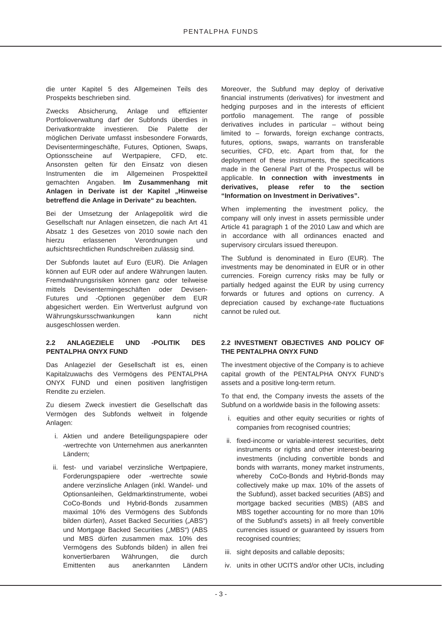die unter Kapitel 5 des Allgemeinen Teils des Prospekts beschrieben sind.

Zwecks Absicherung, Anlage und effizienter Portfolioverwaltung darf der Subfonds überdies in Derivatkontrakte investieren. Die Palette der möglichen Derivate umfasst insbesondere Forwards, Devisentermingeschäfte, Futures, Optionen, Swaps, Optionsscheine auf Wertpapiere, CFD, etc. Ansonsten gelten für den Einsatz von diesen Instrumenten die im Allgemeinen Prospektteil gemachten Angaben. **Im Zusammenhang mit**  Anlagen in Derivate ist der Kapitel "Hinweise **betreffend die Anlage in Derivate" zu beachten.**

Bei der Umsetzung der Anlagepolitik wird die Gesellschaft nur Anlagen einsetzen, die nach Art 41 Absatz 1 des Gesetzes von 2010 sowie nach den hierzu erlassenen Verordnungen und aufsichtsrechtlichen Rundschreiben zulässig sind.

Der Subfonds lautet auf Euro (EUR). Die Anlagen können auf EUR oder auf andere Währungen lauten. Fremdwährungsrisiken können ganz oder teilweise mittels Devisentermingeschäften oder Devisen-Futures und -Optionen gegenüber dem EUR abgesichert werden. Ein Wertverlust aufgrund von Währungskursschwankungen kann nicht ausgeschlossen werden.

#### **2.2 ANLAGEZIELE UND -POLITIK DES PENTALPHA ONYX FUND**

Das Anlageziel der Gesellschaft ist es, einen Kapitalzuwachs des Vermögens des PENTALPHA ONYX FUND und einen positiven langfristigen Rendite zu erzielen.

Zu diesem Zweck investiert die Gesellschaft das Vermögen des Subfonds weltweit in folgende Anlagen:

- i. Aktien und andere Beteiligungspapiere oder -wertrechte von Unternehmen aus anerkannten Ländern;
- ii. fest- und variabel verzinsliche Wertpapiere, Forderungspapiere oder -wertrechte sowie andere verzinsliche Anlagen (inkl. Wandel- und Optionsanleihen, Geldmarktinstrumente, wobei CoCo-Bonds und Hybrid-Bonds zusammen maximal 10% des Vermögens des Subfonds bilden dürfen), Asset Backed Securities ("ABS") und Mortgage Backed Securities ("MBS") (ABS und MBS dürfen zusammen max. 10% des Vermögens des Subfonds bilden) in allen frei konvertierbaren Währungen, die durch Emittenten aus anerkannten Ländern

Moreover, the Subfund may deploy of derivative financial instruments (derivatives) for investment and hedging purposes and in the interests of efficient portfolio management. The range of possible derivatives includes in particular – without being limited to – forwards, foreign exchange contracts, futures, options, swaps, warrants on transferable securities, CFD, etc. Apart from that, for the deployment of these instruments, the specifications made in the General Part of the Prospectus will be applicable. **In connection with investments in derivatives, please refer to the section "Information on Investment in Derivatives".**

When implementing the investment policy, the company will only invest in assets permissible under Article 41 paragraph 1 of the 2010 Law and which are in accordance with all ordinances enacted and supervisory circulars issued thereupon.

The Subfund is denominated in Euro (EUR). The investments may be denominated in EUR or in other currencies. Foreign currency risks may be fully or partially hedged against the EUR by using currency forwards or futures and options on currency. A depreciation caused by exchange-rate fluctuations cannot be ruled out.

#### **2.2 INVESTMENT OBJECTIVES AND POLICY OF THE PENTALPHA ONYX FUND**

The investment objective of the Company is to achieve capital growth of the PENTALPHA ONYX FUND's assets and a positive long-term return.

To that end, the Company invests the assets of the Subfund on a worldwide basis in the following assets:

- i. equities and other equity securities or rights of companies from recognised countries;
- ii. fixed-income or variable-interest securities, debt instruments or rights and other interest-bearing investments (including convertible bonds and bonds with warrants, money market instruments, whereby CoCo-Bonds and Hybrid-Bonds may collectively make up max. 10% of the assets of the Subfund), asset backed securities (ABS) and mortgage backed securities (MBS) (ABS and MBS together accounting for no more than 10% of the Subfund's assets) in all freely convertible currencies issued or guaranteed by issuers from recognised countries;
- iii. sight deposits and callable deposits;
- iv. units in other UCITS and/or other UCIs, including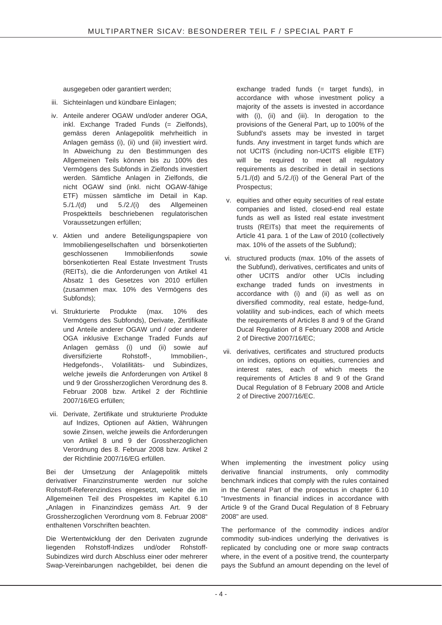ausgegeben oder garantiert werden;

- iii. Sichteinlagen und kündbare Einlagen;
- iv. Anteile anderer OGAW und/oder anderer OGA, inkl. Exchange Traded Funds (= Zielfonds), gemäss deren Anlagepolitik mehrheitlich in Anlagen gemäss (i), (ii) und (iii) investiert wird. In Abweichung zu den Bestimmungen des Allgemeinen Teils können bis zu 100% des Vermögens des Subfonds in Zielfonds investiert werden. Sämtliche Anlagen in Zielfonds, die nicht OGAW sind (inkl. nicht OGAW-fähige ETF) müssen sämtliche im Detail in Kap. 5./1./(d) und 5./2./(i) des Allgemeinen Prospektteils beschriebenen regulatorischen Voraussetzungen erfüllen;
- v. Aktien und andere Beteiligungspapiere von Immobiliengesellschaften und börsenkotierten geschlossenen Immobilienfonds sowie börsenkotierten Real Estate Investment Trusts (REITs), die die Anforderungen von Artikel 41 Absatz 1 des Gesetzes von 2010 erfüllen (zusammen max. 10% des Vermögens des Subfonds);
- vi. Strukturierte Produkte (max. 10% des Vermögens des Subfonds), Derivate, Zertifikate und Anteile anderer OGAW und / oder anderer OGA inklusive Exchange Traded Funds auf Anlagen gemäss (i) und (ii) sowie auf diversifizierte Rohstoff-, Immobilien-, Hedgefonds-, Volatilitäts- und Subindizes, welche jeweils die Anforderungen von Artikel 8 und 9 der Grossherzoglichen Verordnung des 8. Februar 2008 bzw. Artikel 2 der Richtlinie 2007/16/EG erfüllen;
- vii. Derivate, Zertifikate und strukturierte Produkte auf Indizes, Optionen auf Aktien, Währungen sowie Zinsen, welche jeweils die Anforderungen von Artikel 8 und 9 der Grossherzoglichen Verordnung des 8. Februar 2008 bzw. Artikel 2 der Richtlinie 2007/16/EG erfüllen.

Bei der Umsetzung der Anlagepolitik mittels derivativer Finanzinstrumente werden nur solche Rohstoff-Referenzindizes eingesetzt, welche die im Allgemeinen Teil des Prospektes im Kapitel 6.10 "Anlagen in Finanzindizes gemäss Art. 9 der Grossherzoglichen Verordnung vom 8. Februar 2008" enthaltenen Vorschriften beachten.

Die Wertentwicklung der den Derivaten zugrunde liegenden Rohstoff-Indizes und/oder Rohstoff-Subindizes wird durch Abschluss einer oder mehrerer Swap-Vereinbarungen nachgebildet, bei denen die

exchange traded funds (= target funds), in accordance with whose investment policy a majority of the assets is invested in accordance with (i), (ii) and (iii). In derogation to the provisions of the General Part, up to 100% of the Subfund's assets may be invested in target funds. Any investment in target funds which are not UCITS (including non-UCITS eligible ETF) will be required to meet all regulatory requirements as described in detail in sections 5./1./(d) and 5./2./(i) of the General Part of the Prospectus;

- v. equities and other equity securities of real estate companies and listed, closed-end real estate funds as well as listed real estate investment trusts (REITs) that meet the requirements of Article 41 para. 1 of the Law of 2010 (collectively max. 10% of the assets of the Subfund);
- vi. structured products (max. 10% of the assets of the Subfund), derivatives, certificates and units of other UCITS and/or other UCIs including exchange traded funds on investments in accordance with (i) and (ii) as well as on diversified commodity, real estate, hedge-fund, volatility and sub-indices, each of which meets the requirements of Articles 8 and 9 of the Grand Ducal Regulation of 8 February 2008 and Article 2 of Directive 2007/16/EC;
- vii. derivatives, certificates and structured products on indices, options on equities, currencies and interest rates, each of which meets the requirements of Articles 8 and 9 of the Grand Ducal Regulation of 8 February 2008 and Article 2 of Directive 2007/16/EC.

When implementing the investment policy using derivative financial instruments, only commodity benchmark indices that comply with the rules contained in the General Part of the prospectus in chapter 6.10 "Investments in financial indices in accordance with Article 9 of the Grand Ducal Regulation of 8 February 2008" are used.

The performance of the commodity indices and/or commodity sub-indices underlying the derivatives is replicated by concluding one or more swap contracts where, in the event of a positive trend, the counterparty pays the Subfund an amount depending on the level of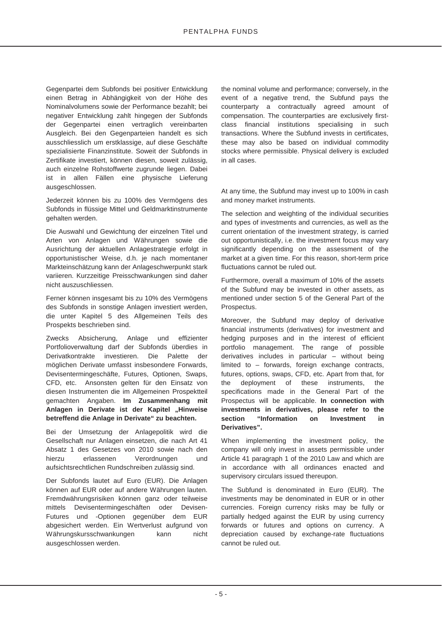Gegenpartei dem Subfonds bei positiver Entwicklung einen Betrag in Abhängigkeit von der Höhe des Nominalvolumens sowie der Performance bezahlt; bei negativer Entwicklung zahlt hingegen der Subfonds der Gegenpartei einen vertraglich vereinbarten Ausgleich. Bei den Gegenparteien handelt es sich ausschliesslich um erstklassige, auf diese Geschäfte spezialisierte Finanzinstitute. Soweit der Subfonds in Zertifikate investiert, können diesen, soweit zulässig, auch einzelne Rohstoffwerte zugrunde liegen. Dabei ist in allen Fällen eine physische Lieferung ausgeschlossen.

Jederzeit können bis zu 100% des Vermögens des Subfonds in flüssige Mittel und Geldmarktinstrumente gehalten werden.

Die Auswahl und Gewichtung der einzelnen Titel und Arten von Anlagen und Währungen sowie die Ausrichtung der aktuellen Anlagestrategie erfolgt in opportunistischer Weise, d.h. je nach momentaner Markteinschätzung kann der Anlageschwerpunkt stark variieren. Kurzzeitige Preisschwankungen sind daher nicht auszuschliessen.

Ferner können insgesamt bis zu 10% des Vermögens des Subfonds in sonstige Anlagen investiert werden, die unter Kapitel 5 des Allgemeinen Teils des Prospekts beschrieben sind.

Zwecks Absicherung, Anlage und effizienter Portfolioverwaltung darf der Subfonds überdies in Derivatkontrakte investieren. Die Palette der möglichen Derivate umfasst insbesondere Forwards, Devisentermingeschäfte, Futures, Optionen, Swaps, CFD, etc. Ansonsten gelten für den Einsatz von diesen Instrumenten die im Allgemeinen Prospektteil gemachten Angaben. **Im Zusammenhang mit**  Anlagen in Derivate ist der Kapitel "Hinweise **betreffend die Anlage in Derivate" zu beachten.**

Bei der Umsetzung der Anlagepolitik wird die Gesellschaft nur Anlagen einsetzen, die nach Art 41 Absatz 1 des Gesetzes von 2010 sowie nach den hierzu erlassenen Verordnungen und aufsichtsrechtlichen Rundschreiben zulässig sind.

Der Subfonds lautet auf Euro (EUR). Die Anlagen können auf EUR oder auf andere Währungen lauten. Fremdwährungsrisiken können ganz oder teilweise mittels Devisentermingeschäften oder Devisen-Futures und -Optionen gegenüber dem EUR abgesichert werden. Ein Wertverlust aufgrund von Währungskursschwankungen kann nicht ausgeschlossen werden.

the nominal volume and performance; conversely, in the event of a negative trend, the Subfund pays the counterparty a contractually agreed amount of compensation. The counterparties are exclusively firstclass financial institutions specialising in such transactions. Where the Subfund invests in certificates, these may also be based on individual commodity stocks where permissible. Physical delivery is excluded in all cases.

At any time, the Subfund may invest up to 100% in cash and money market instruments.

The selection and weighting of the individual securities and types of investments and currencies, as well as the current orientation of the investment strategy, is carried out opportunistically, i.e. the investment focus may vary significantly depending on the assessment of the market at a given time. For this reason, short-term price fluctuations cannot be ruled out.

Furthermore, overall a maximum of 10% of the assets of the Subfund may be invested in other assets, as mentioned under section 5 of the General Part of the Prospectus.

Moreover, the Subfund may deploy of derivative financial instruments (derivatives) for investment and hedging purposes and in the interest of efficient portfolio management. The range of possible derivatives includes in particular – without being limited to – forwards, foreign exchange contracts, futures, options, swaps, CFD, etc. Apart from that, for the deployment of these instruments, the specifications made in the General Part of the Prospectus will be applicable. **In connection with investments in derivatives, please refer to the section "Information on Investment in Derivatives".**

When implementing the investment policy, the company will only invest in assets permissible under Article 41 paragraph 1 of the 2010 Law and which are in accordance with all ordinances enacted and supervisory circulars issued thereupon.

The Subfund is denominated in Euro (EUR). The investments may be denominated in EUR or in other currencies. Foreign currency risks may be fully or partially hedged against the EUR by using currency forwards or futures and options on currency. A depreciation caused by exchange-rate fluctuations cannot be ruled out.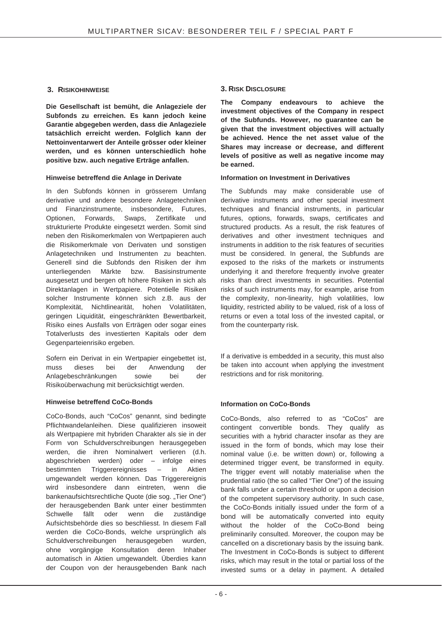**Die Gesellschaft ist bemüht, die Anlageziele der Subfonds zu erreichen. Es kann jedoch keine Garantie abgegeben werden, dass die Anlageziele tatsächlich erreicht werden. Folglich kann der Nettoinventarwert der Anteile grösser oder kleiner werden, und es können unterschiedlich hohe positive bzw. auch negative Erträge anfallen.**

### **Hinweise betreffend die Anlage in Derivate Information on Investment in Derivatives**

In den Subfonds können in grösserem Umfang derivative und andere besondere Anlagetechniken und Finanzinstrumente, insbesondere, Futures, Optionen, Forwards, Swaps, Zertifikate und strukturierte Produkte eingesetzt werden. Somit sind neben den Risikomerkmalen von Wertpapieren auch die Risikomerkmale von Derivaten und sonstigen Anlagetechniken und Instrumenten zu beachten. Generell sind die Subfonds den Risiken der ihm unterliegenden Märkte bzw. Basisinstrumente ausgesetzt und bergen oft höhere Risiken in sich als Direktanlagen in Wertpapiere. Potentielle Risiken solcher Instrumente können sich z.B. aus der Komplexität, Nichtlinearität, hohen Volatilitäten, geringen Liquidität, eingeschränkten Bewertbarkeit, Risiko eines Ausfalls von Erträgen oder sogar eines Totalverlusts des investierten Kapitals oder dem Gegenparteienrisiko ergeben.

Sofern ein Derivat in ein Wertpapier eingebettet ist, muss dieses bei der Anwendung der Anlagebeschränkungen sowie bei der Risikoüberwachung mit berücksichtigt werden.

### **Hinweise betreffend CoCo-Bonds**

CoCo-Bonds, auch "CoCos" genannt, sind bedingte Pflichtwandelanleihen. Diese qualifizieren insoweit als Wertpapiere mit hybriden Charakter als sie in der Form von Schuldverschreibungen herausgegeben werden, die ihren Nominalwert verlieren (d.h. abgeschrieben werden) oder – infolge eines bestimmten Triggerereignisses – in Aktien umgewandelt werden können. Das Triggerereignis wird insbesondere dann eintreten, wenn die bankenaufsichtsrechtliche Quote (die sog. "Tier One") der herausgebenden Bank unter einer bestimmten Schwelle fällt oder wenn die zuständige Aufsichtsbehörde dies so beschliesst. In diesem Fall werden die CoCo-Bonds, welche ursprünglich als Schuldverschreibungen herausgegeben wurden, ohne vorgängige Konsultation deren Inhaber automatisch in Aktien umgewandelt. Überdies kann der Coupon von der herausgebenden Bank nach

### **3. RISIKOHINWEISE 3. RISK DISCLOSURE**

**The Company endeavours to achieve the investment objectives of the Company in respect of the Subfunds. However, no guarantee can be given that the investment objectives will actually be achieved. Hence the net asset value of the Shares may increase or decrease, and different levels of positive as well as negative income may be earned.**

The Subfunds may make considerable use of derivative instruments and other special investment techniques and financial instruments, in particular futures, options, forwards, swaps, certificates and structured products. As a result, the risk features of derivatives and other investment techniques and instruments in addition to the risk features of securities must be considered. In general, the Subfunds are exposed to the risks of the markets or instruments underlying it and therefore frequently involve greater risks than direct investments in securities. Potential risks of such instruments may, for example, arise from the complexity, non-linearity, high volatilities, low liquidity, restricted ability to be valued, risk of a loss of returns or even a total loss of the invested capital, or from the counterparty risk.

If a derivative is embedded in a security, this must also be taken into account when applying the investment restrictions and for risk monitoring.

### **Information on CoCo-Bonds**

CoCo-Bonds, also referred to as "CoCos" are contingent convertible bonds. They qualify as securities with a hybrid character insofar as they are issued in the form of bonds, which may lose their nominal value (i.e. be written down) or, following a determined trigger event, be transformed in equity. The trigger event will notably materialise when the prudential ratio (the so called "Tier One") of the issuing bank falls under a certain threshold or upon a decision of the competent supervisory authority. In such case, the CoCo-Bonds initially issued under the form of a bond will be automatically converted into equity without the holder of the CoCo-Bond being preliminarily consulted. Moreover, the coupon may be cancelled on a discretionary basis by the issuing bank. The Investment in CoCo-Bonds is subject to different risks, which may result in the total or partial loss of the invested sums or a delay in payment. A detailed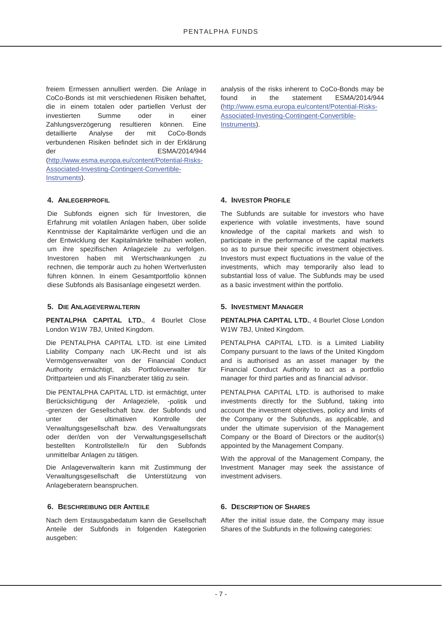freiem Ermessen annulliert werden. Die Anlage in CoCo-Bonds ist mit verschiedenen Risiken behaftet, die in einem totalen oder partiellen Verlust der investierten Summe oder in einer Zahlungsverzögerung resultieren können. Eine<br>detaillierte Analyse der mit CoCo-Bonds Analyse der mit CoCo-Bonds verbundenen Risiken befindet sich in der Erklärung der ESMA/2014/944 (http://www.esma.europa.eu/content/Potential-Risks-Associated-Investing-Contingent-Convertible-Instruments).

Die Subfonds eignen sich für Investoren, die Erfahrung mit volatilen Anlagen haben, über solide Kenntnisse der Kapitalmärkte verfügen und die an der Entwicklung der Kapitalmärkte teilhaben wollen, um ihre spezifischen Anlageziele zu verfolgen. Investoren haben mit Wertschwankungen zu rechnen, die temporär auch zu hohen Wertverlusten führen können. In einem Gesamtportfolio können diese Subfonds als Basisanlage eingesetzt werden.

#### **5. DIE ANLAGEVERWALTERIN 5. INVESTMENT MANAGER**

**PENTALPHA CAPITAL LTD.**, 4 Bourlet Close London W1W 7BJ, United Kingdom.

Die PENTALPHA CAPITAL LTD. ist eine Limited Liability Company nach UK-Recht und ist als Vermögensverwalter von der Financial Conduct Authority ermächtigt, als Portfolioverwalter für Drittparteien und als Finanzberater tätig zu sein.

Die PENTALPHA CAPITAL LTD. ist ermächtigt, unter Berücksichtigung der Anlageziele, -politik und -grenzen der Gesellschaft bzw. der Subfonds und unter der ultimativen Kontrolle der Verwaltungsgesellschaft bzw. des Verwaltungsrats oder der/den von der Verwaltungsgesellschaft bestellten Kontrollstelle/n für den Subfonds unmittelbar Anlagen zu tätigen.

Die Anlageverwalterin kann mit Zustimmung der Verwaltungsgesellschaft die Unterstützung von Anlageberatern beanspruchen.

### **6. BESCHREIBUNG DER ANTEILE 6. DESCRIPTION OF SHARES**

Nach dem Erstausgabedatum kann die Gesellschaft Anteile der Subfonds in folgenden Kategorien ausgeben:

analysis of the risks inherent to CoCo-Bonds may be found in the statement ESMA/2014/944 (http://www.esma.europa.eu/content/Potential-Risks-Associated-Investing-Contingent-Convertible-Instruments).

### **4. ANLEGERPROFIL 4. INVESTOR PROFILE**

The Subfunds are suitable for investors who have experience with volatile investments, have sound knowledge of the capital markets and wish to participate in the performance of the capital markets so as to pursue their specific investment objectives. Investors must expect fluctuations in the value of the investments, which may temporarily also lead to substantial loss of value. The Subfunds may be used as a basic investment within the portfolio.

**PENTALPHA CAPITAL LTD.**, 4 Bourlet Close London W1W 7BJ, United Kingdom.

PENTALPHA CAPITAL LTD. is a Limited Liability Company pursuant to the laws of the United Kingdom and is authorised as an asset manager by the Financial Conduct Authority to act as a portfolio manager for third parties and as financial advisor.

PENTALPHA CAPITAL LTD. is authorised to make investments directly for the Subfund, taking into account the investment objectives, policy and limits of the Company or the Subfunds, as applicable, and under the ultimate supervision of the Management Company or the Board of Directors or the auditor(s) appointed by the Management Company.

With the approval of the Management Company, the Investment Manager may seek the assistance of investment advisers.

After the initial issue date, the Company may issue Shares of the Subfunds in the following categories: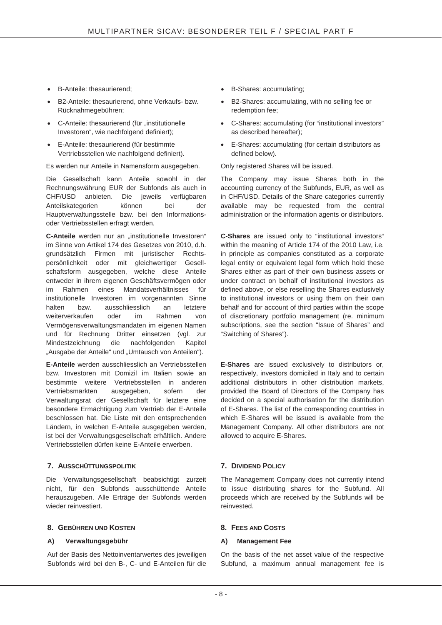- B-Anteile: thesaurierend;
- **•** B2-Anteile: thesaurierend, ohne Verkaufs- bzw. Rücknahmegebühren;
- C-Anteile: thesaurierend (für "institutionelle Investoren", wie nachfolgend definiert);
- E-Anteile: thesaurierend (für bestimmte Vertriebsstellen wie nachfolgend definiert).

Es werden nur Anteile in Namensform ausgegeben. Only registered Shares will be issued.

Die Gesellschaft kann Anteile sowohl in der Rechnungswährung EUR der Subfonds als auch in CHF/USD anbieten. Die jeweils verfügbaren Anteilskategorien können bei der Hauptverwaltungsstelle bzw. bei den Informationsoder Vertriebsstellen erfragt werden.

**C-Anteile** werden nur an ..institutionelle Investoren" im Sinne von Artikel 174 des Gesetzes von 2010, d.h. grundsätzlich Firmen mit juristischer Rechtspersönlichkeit oder mit gleichwertiger Gesellschaftsform ausgegeben, welche diese Anteile entweder in ihrem eigenen Geschäftsvermögen oder im Rahmen eines Mandatsverhältnisses für institutionelle Investoren im vorgenannten Sinne halten bzw. ausschliesslich an weiterverkaufen oder im Rahmen von Vermögensverwaltungsmandaten im eigenen Namen und für Rechnung Dritter einsetzen (vgl. zur Mindestzeichnung die nachfolgenden Kapitel "Ausgabe der Anteile" und "Umtausch von Anteilen").

**E-Anteile** werden ausschliesslich an Vertriebsstellen bzw. Investoren mit Domizil im Italien sowie an bestimmte weitere Vertriebsstellen in anderen Vertriebsmärkten ausgegeben, sofern der Verwaltungsrat der Gesellschaft für letztere eine besondere Ermächtigung zum Vertrieb der E-Anteile beschlossen hat. Die Liste mit den entsprechenden Ländern, in welchen E-Anteile ausgegeben werden, ist bei der Verwaltungsgesellschaft erhältlich. Andere Vertriebsstellen dürfen keine E-Anteile erwerben.

### **7. AUSSCHÜTTUNGSPOLITIK 7. DIVIDEND POLICY**

Die Verwaltungsgesellschaft beabsichtigt zurzeit nicht, für den Subfonds ausschüttende Anteile herauszugeben. Alle Erträge der Subfonds werden wieder reinvestiert.

### **8. GEBÜHREN UND KOSTEN 8. FEES AND COSTS**

### **A) Verwaltungsgebühr**

Auf der Basis des Nettoinventarwertes des jeweiligen Subfonds wird bei den B-, C- und E-Anteilen für die

- B-Shares: accumulating;
- B2-Shares: accumulating, with no selling fee or redemption fee;
- C-Shares: accumulating (for "institutional investors" as described hereafter);
- E-Shares: accumulating (for certain distributors as defined below).

The Company may issue Shares both in the accounting currency of the Subfunds, EUR, as well as in CHF/USD. Details of the Share categories currently available may be requested from the central administration or the information agents or distributors.

**C-Shares** are issued only to "institutional investors" within the meaning of Article 174 of the 2010 Law, i.e. in principle as companies constituted as a corporate legal entity or equivalent legal form which hold these Shares either as part of their own business assets or under contract on behalf of institutional investors as defined above, or else reselling the Shares exclusively to institutional investors or using them on their own behalf and for account of third parties within the scope of discretionary portfolio management (re. minimum subscriptions, see the section "Issue of Shares" and "Switching of Shares").

**E-Shares** are issued exclusively to distributors or, respectively, investors domiciled in Italy and to certain additional distributors in other distribution markets, provided the Board of Directors of the Company has decided on a special authorisation for the distribution of E-Shares. The list of the corresponding countries in which E-Shares will be issued is available from the Management Company. All other distributors are not allowed to acquire E-Shares.

The Management Company does not currently intend to issue distributing shares for the Subfund. All proceeds which are received by the Subfunds will be reinvested.

### **A) Management Fee**

On the basis of the net asset value of the respective Subfund, a maximum annual management fee is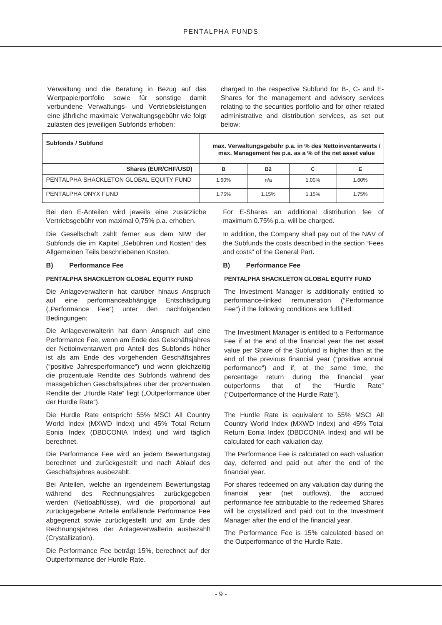Verwaltung und die Beratung in Bezug auf das Wertpapierportfolio sowie für sonstige damit verbundene Verwaltungs- und Vertriebsleistungen eine jährliche maximale Verwaltungsgebühr wie folgt zulasten des jeweiligen Subfonds erhoben:

charged to the respective Subfund for B-, C- and E-Shares for the management and advisory services relating to the securities portfolio and for other related administrative and distribution services, as set out below:

| Subfonds / Subfund                      | max. Verwaltungsgebühr p.a. in % des Nettoinventarwerts /<br>max. Management fee p.a. as a % of the net asset value |           |          |       |  |
|-----------------------------------------|---------------------------------------------------------------------------------------------------------------------|-----------|----------|-------|--|
| <b>Shares (EUR/CHF/USD)</b>             | в                                                                                                                   | <b>B2</b> | С        |       |  |
| PENTALPHA SHACKLETON GLOBAL EQUITY FUND | 1.60%                                                                                                               | n/a       | $1.00\%$ | 1.60% |  |
| PENTALPHA ONYX FUND                     | 1.75%                                                                                                               | 1.15%     | 1.15%    | 1.75% |  |

Bei den E-Anteilen wird jeweils eine zusätzliche Vertriebsgebühr von maximal 0,75% p.a. erhoben.

Die Gesellschaft zahlt ferner aus dem NIW der Subfonds die im Kapitel "Gebühren und Kosten" des Allgemeinen Teils beschriebenen Kosten.

#### **B) Performance Fee**

#### **PENTALPHA SHACKLETON GLOBAL EQUITY FUND**

Die Anlageverwalterin hat darüber hinaus Anspruch auf eine performanceabhängige Entschädigung ("Performance Fee") unter den nachfolgenden Bedingungen:

Die Anlageverwalterin hat dann Anspruch auf eine Performance Fee, wenn am Ende des Geschäftsjahres der Nettoinventarwert pro Anteil des Subfonds höher ist als am Ende des vorgehenden Geschäftsjahres ("positive Jahresperformance") und wenn gleichzeitig die prozentuale Rendite des Subfonds während des massgeblichen Geschäftsjahres über der prozentualen Rendite der "Hurdle Rate" liegt ("Outperformance über der Hurdle Rate").

Die Hurdle Rate entspricht 55% MSCI All Country World Index (MXWD Index) und 45% Total Return Eonia Index (DBDCONIA Index) und wird täglich berechnet.

Die Performance Fee wird an jedem Bewertungstag berechnet und zurückgestellt und nach Ablauf des Geschäftsjahres ausbezahlt.

Bei Anteilen, welche an irgendeinem Bewertungstag während des Rechnungsjahres zurückgegeben werden (Nettoabflüsse), wird die proportional auf zurückgegebene Anteile entfallende Performance Fee abgegrenzt sowie zurückgestellt und am Ende des Rechnungsjahres der Anlageverwalterin ausbezahlt (Crystallization).

Die Performance Fee beträgt 15%, berechnet auf der Outperformance der Hurdle Rate.

For E-Shares an additional distribution fee of maximum 0.75% p.a. will be charged.

In addition, the Company shall pay out of the NAV of the Subfunds the costs described in the section "Fees and costs" of the General Part.

#### **B) Performance Fee**

#### **PENTALPHA SHACKLETON GLOBAL EQUITY FUND**

The Investment Manager is additionally entitled to performance-linked remuneration ("Performance Fee") if the following conditions are fulfilled:

The Investment Manager is entitled to a Performance Fee if at the end of the financial year the net asset value per Share of the Subfund is higher than at the end of the previous financial year ("positive annual performance") and if, at the same time, the percentage return during the financial year outperforms that of the "Hurdle Rate" ("Outperformance of the Hurdle Rate").

The Hurdle Rate is equivalent to 55% MSCI All Country World Index (MXWD Index) and 45% Total Return Eonia Index (DBDCONIA Index) and will be calculated for each valuation day.

The Performance Fee is calculated on each valuation day, deferred and paid out after the end of the financial year.

For shares redeemed on any valuation day during the financial year (net outflows), the accrued performance fee attributable to the redeemed Shares will be crystallized and paid out to the Investment Manager after the end of the financial year.

The Performance Fee is 15% calculated based on the Outperformance of the Hurdle Rate.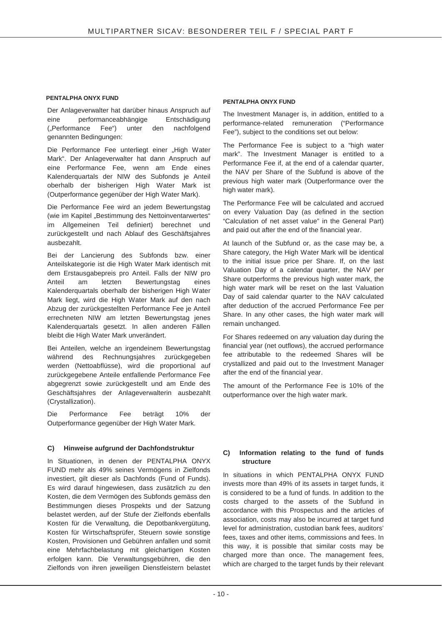#### **PENTALPHA ONYX FUND**

Der Anlageverwalter hat darüber hinaus Anspruch auf eine performanceabhängige Entschädigung ("Performance Fee") unter den nachfolgend genannten Bedingungen:

Die Performance Fee unterliegt einer "High Water Mark". Der Anlageverwalter hat dann Anspruch auf eine Performance Fee, wenn am Ende eines Kalenderquartals der NIW des Subfonds je Anteil oberhalb der bisherigen High Water Mark ist (Outperformance gegenüber der High Water Mark).

Die Performance Fee wird an jedem Bewertungstag (wie im Kapitel "Bestimmung des Nettoinventarwertes" im Allgemeinen Teil definiert) berechnet und zurückgestellt und nach Ablauf des Geschäftsjahres ausbezahlt.

Bei der Lancierung des Subfonds bzw. einer Anteilskategorie ist die High Water Mark identisch mit dem Erstausgabepreis pro Anteil. Falls der NIW pro Anteil am letzten Bewertungstag eines Kalenderquartals oberhalb der bisherigen High Water Mark liegt, wird die High Water Mark auf den nach Abzug der zurückgestellten Performance Fee je Anteil errechneten NIW am letzten Bewertungstag jenes Kalenderquartals gesetzt. In allen anderen Fällen bleibt die High Water Mark unverändert.

Bei Anteilen, welche an irgendeinem Bewertungstag während des Rechnungsjahres zurückgegeben werden (Nettoabflüsse), wird die proportional auf zurückgegebene Anteile entfallende Performance Fee abgegrenzt sowie zurückgestellt und am Ende des Geschäftsjahres der Anlageverwalterin ausbezahlt (Crystallization).

Die Performance Fee beträgt 10% der Outperformance gegenüber der High Water Mark.

#### **C) Hinweise aufgrund der Dachfondstruktur**

In Situationen, in denen der PENTALPHA ONYX FUND mehr als 49% seines Vermögens in Zielfonds investiert, gilt dieser als Dachfonds (Fund of Funds). Es wird darauf hingewiesen, dass zusätzlich zu den Kosten, die dem Vermögen des Subfonds gemäss den Bestimmungen dieses Prospekts und der Satzung belastet werden, auf der Stufe der Zielfonds ebenfalls Kosten für die Verwaltung, die Depotbankvergütung, Kosten für Wirtschaftsprüfer, Steuern sowie sonstige Kosten, Provisionen und Gebühren anfallen und somit eine Mehrfachbelastung mit gleichartigen Kosten erfolgen kann. Die Verwaltungsgebühren, die den Zielfonds von ihren jeweiligen Dienstleistern belastet

#### **PENTALPHA ONYX FUND**

The Investment Manager is, in addition, entitled to a performance-related remuneration ("Performance Fee"), subject to the conditions set out below:

The Performance Fee is subject to a "high water mark". The Investment Manager is entitled to a Performance Fee if, at the end of a calendar quarter, the NAV per Share of the Subfund is above of the previous high water mark (Outperformance over the high water mark).

The Performance Fee will be calculated and accrued on every Valuation Day (as defined in the section "Calculation of net asset value" in the General Part) and paid out after the end of the financial year.

At launch of the Subfund or, as the case may be, a Share category, the High Water Mark will be identical to the initial issue price per Share. If, on the last Valuation Day of a calendar quarter, the NAV per Share outperforms the previous high water mark, the high water mark will be reset on the last Valuation Day of said calendar quarter to the NAV calculated after deduction of the accrued Performance Fee per Share. In any other cases, the high water mark will remain unchanged.

For Shares redeemed on any valuation day during the financial year (net outflows), the accrued performance fee attributable to the redeemed Shares will be crystallized and paid out to the Investment Manager after the end of the financial year.

The amount of the Performance Fee is 10% of the outperformance over the high water mark.

#### **C) Information relating to the fund of funds structure**

In situations in which PENTALPHA ONYX FUND invests more than 49% of its assets in target funds, it is considered to be a fund of funds. In addition to the costs charged to the assets of the Subfund in accordance with this Prospectus and the articles of association, costs may also be incurred at target fund level for administration, custodian bank fees, auditors' fees, taxes and other items, commissions and fees. In this way, it is possible that similar costs may be charged more than once. The management fees, which are charged to the target funds by their relevant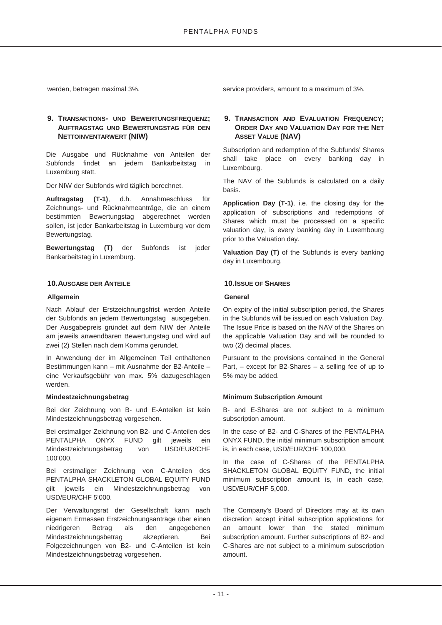### **9. TRANSAKTIONS- UND BEWERTUNGSFREQUENZ; AUFTRAGSTAG UND BEWERTUNGSTAG FÜR DEN NETTOINVENTARWERT (NIW)**

Die Ausgabe und Rücknahme von Anteilen der Subfonds findet an jedem Bankarbeitstag in Luxemburg statt.

Der NIW der Subfonds wird täglich berechnet.

**Auftragstag (T-1)**, d.h. Annahmeschluss für Zeichnungs- und Rücknahmeanträge, die an einem bestimmten Bewertungstag abgerechnet werden sollen, ist jeder Bankarbeitstag in Luxemburg vor dem Bewertungstag.

**Bewertungstag (T)** der Subfonds ist jeder Bankarbeitstag in Luxemburg.

#### **10.AUSGABE DER ANTEILE 10.ISSUE OF SHARES**

#### **Allgemein**

Nach Ablauf der Erstzeichnungsfrist werden Anteile der Subfonds an jedem Bewertungstag ausgegeben. Der Ausgabepreis gründet auf dem NIW der Anteile am jeweils anwendbaren Bewertungstag und wird auf zwei (2) Stellen nach dem Komma gerundet.

In Anwendung der im Allgemeinen Teil enthaltenen Bestimmungen kann – mit Ausnahme der B2-Anteile – eine Verkaufsgebühr von max. 5% dazugeschlagen werden.

#### **Mindestzeichnungsbetrag**

Bei der Zeichnung von B- und E-Anteilen ist kein Mindestzeichnungsbetrag vorgesehen.

Bei erstmaliger Zeichnung von B2- und C-Anteilen des PENTALPHA ONYX FUND gilt jeweils ein Mindestzeichnungsbetrag von USD/EUR/CHF 100'000.

Bei erstmaliger Zeichnung von C-Anteilen des PENTALPHA SHACKLETON GLOBAL EQUITY FUND gilt jeweils ein Mindestzeichnungsbetrag von USD/EUR/CHF 5'000.

Der Verwaltungsrat der Gesellschaft kann nach eigenem Ermessen Erstzeichnungsanträge über einen niedrigeren Betrag als den angegebenen Mindestzeichnungsbetrag akzeptieren. Bei Folgezeichnungen von B2- und C-Anteilen ist kein Mindestzeichnungsbetrag vorgesehen.

werden, betragen maximal 3%. service providers, amount to a maximum of 3%.

#### **9. TRANSACTION AND EVALUATION FREQUENCY; ORDER DAY AND VALUATION DAY FOR THE NET ASSET VALUE (NAV)**

Subscription and redemption of the Subfunds' Shares shall take place on every banking day in Luxembourg.

The NAV of the Subfunds is calculated on a daily basis.

**Application Day (T-1)**, i.e. the closing day for the application of subscriptions and redemptions of Shares which must be processed on a specific valuation day, is every banking day in Luxembourg prior to the Valuation day.

**Valuation Day (T)** of the Subfunds is every banking day in Luxembourg.

#### **General**

On expiry of the initial subscription period, the Shares in the Subfunds will be issued on each Valuation Day. The Issue Price is based on the NAV of the Shares on the applicable Valuation Day and will be rounded to two (2) decimal places.

Pursuant to the provisions contained in the General Part, – except for B2-Shares – a selling fee of up to 5% may be added.

#### **Minimum Subscription Amount**

B- and E-Shares are not subject to a minimum subscription amount.

In the case of B2- and C-Shares of the PENTALPHA ONYX FUND, the initial minimum subscription amount is, in each case, USD/EUR/CHF 100,000.

In the case of C-Shares of the PENTALPHA SHACKLETON GLOBAL EQUITY FUND, the initial minimum subscription amount is, in each case, USD/EUR/CHF 5,000.

The Company's Board of Directors may at its own discretion accept initial subscription applications for an amount lower than the stated minimum subscription amount. Further subscriptions of B2- and C-Shares are not subject to a minimum subscription amount.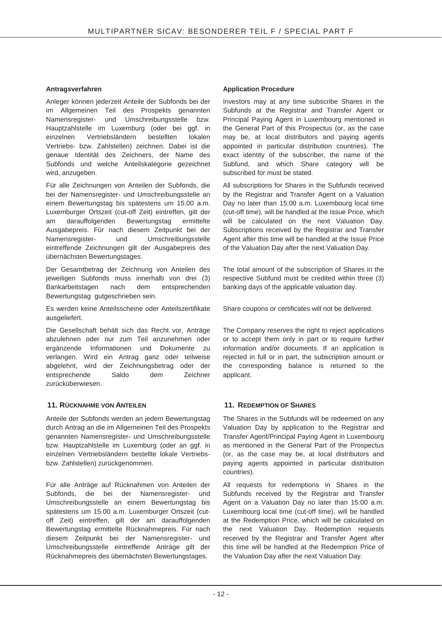#### **Antragsverfahren**

Anleger können jederzeit Anteile der Subfonds bei der im Allgemeinen Teil des Prospekts genannten Namensregister- und Umschreibungsstelle bzw. Hauptzahlstelle im Luxemburg (oder bei ggf. in einzelnen Vertriebsländern bestellten lokalen Vertriebs- bzw. Zahlstellen) zeichnen. Dabei ist die genaue Identität des Zeichners, der Name des Subfonds und welche Anteilskategorie gezeichnet wird, anzugeben.

Für alle Zeichnungen von Anteilen der Subfonds, die bei der Namensregister- und Umschreibungsstelle an einem Bewertungstag bis spätestens um 15.00 a.m. Luxemburger Ortszeit (cut-off Zeit) eintreffen, gilt der am darauffolgenden Bewertungstag ermittelte Ausgabepreis. Für nach diesem Zeitpunkt bei der Namensregister- und Umschreibungsstelle eintreffende Zeichnungen gilt der Ausgabepreis des übernächsten Bewertungstages.

Der Gesamtbetrag der Zeichnung von Anteilen des jeweiligen Subfonds muss innerhalb von drei (3) Bankarbeitstagen nach dem entsprechenden Bewertungstag gutgeschrieben sein.

Es werden keine Anteilsscheine oder Anteilszertifikate ausgeliefert.

Die Gesellschaft behält sich das Recht vor, Anträge abzulehnen oder nur zum Teil anzunehmen oder ergänzende Informationen und Dokumente zu verlangen. Wird ein Antrag ganz oder teilweise abgelehnt, wird der Zeichnungsbetrag oder der entsprechende Saldo dem Zeichner zurücküberwiesen.

### **11. RÜCKNAHME VON ANTEILEN 11. REDEMPTION OF SHARES**

Anteile der Subfonds werden an jedem Bewertungstag durch Antrag an die im Allgemeinen Teil des Prospekts genannten Namensregister- und Umschreibungsstelle bzw. Hauptzahlstelle im Luxemburg (oder an ggf. in einzelnen Vertriebsländern bestellte lokale Vertriebsbzw. Zahlstellen) zurückgenommen.

Für alle Anträge auf Rücknahmen von Anteilen der Subfonds, die bei der Namensregister- und Umschreibungsstelle an einem Bewertungstag bis spätestens um 15.00 a.m. Luxemburger Ortszeit (cutoff Zeit) eintreffen, gilt der am darauffolgenden Bewertungstag ermittelte Rücknahmepreis. Für nach diesem Zeitpunkt bei der Namensregister- und Umschreibungsstelle eintreffende Anträge gilt der Rücknahmepreis des übernächsten Bewertungstages.

#### **Application Procedure**

Investors may at any time subscribe Shares in the Subfunds at the Registrar and Transfer Agent or Principal Paying Agent in Luxembourg mentioned in the General Part of this Prospectus (or, as the case may be, at local distributors and paying agents appointed in particular distribution countries). The exact identity of the subscriber, the name of the Subfund, and which Share category will be subscribed for must be stated.

All subscriptions for Shares in the Subfunds received by the Registrar and Transfer Agent on a Valuation Day no later than 15:00 a.m. Luxembourg local time (cut-off time), will be handled at the Issue Price, which will be calculated on the next Valuation Day. Subscriptions received by the Registrar and Transfer Agent after this time will be handled at the Issue Price of the Valuation Day after the next Valuation Day.

The total amount of the subscription of Shares in the respective Subfund must be credited within three (3) banking days of the applicable valuation day.

Share coupons or certificates will not be delivered.

The Company reserves the right to reject applications or to accept them only in part or to require further information and/or documents. If an application is rejected in full or in part, the subscription amount or the corresponding balance is returned to the applicant.

The Shares in the Subfunds will be redeemed on any Valuation Day by application to the Registrar and Transfer Agent/Principal Paying Agent in Luxembourg as mentioned in the General Part of the Prospectus (or, as the case may be, at local distributors and paying agents appointed in particular distribution countries).

All requests for redemptions in Shares in the Subfunds received by the Registrar and Transfer Agent on a Valuation Day no later than 15:00 a.m. Luxembourg local time (cut-off time), will be handled at the Redemption Price, which will be calculated on the next Valuation Day. Redemption requests received by the Registrar and Transfer Agent after this time will be handled at the Redemption Price of the Valuation Day after the next Valuation Day.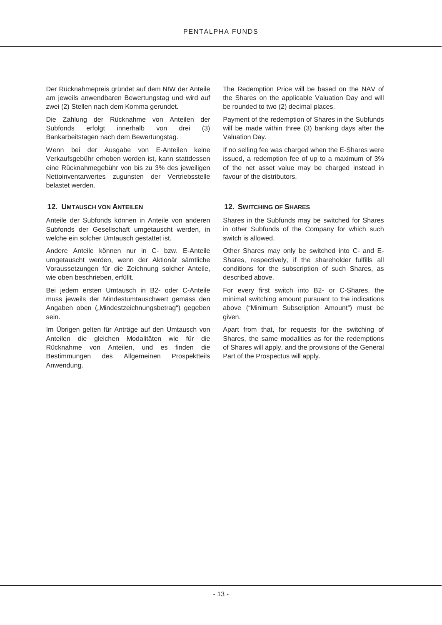Der Rücknahmepreis gründet auf dem NIW der Anteile am jeweils anwendbaren Bewertungstag und wird auf zwei (2) Stellen nach dem Komma gerundet.

Die Zahlung der Rücknahme von Anteilen der Subfonds erfolgt innerhalb von drei (3) Bankarbeitstagen nach dem Bewertungstag.

Wenn bei der Ausgabe von E-Anteilen keine Verkaufsgebühr erhoben worden ist, kann stattdessen eine Rücknahmegebühr von bis zu 3% des jeweiligen Nettoinventarwertes zugunsten der Vertriebsstelle belastet werden.

### **12. UMTAUSCH VON ANTEILEN 12. SWITCHING OF SHARES**

Anteile der Subfonds können in Anteile von anderen Subfonds der Gesellschaft umgetauscht werden, in welche ein solcher Umtausch gestattet ist.

Andere Anteile können nur in C- bzw. E-Anteile umgetauscht werden, wenn der Aktionär sämtliche Voraussetzungen für die Zeichnung solcher Anteile, wie oben beschrieben, erfüllt.

Bei jedem ersten Umtausch in B2- oder C-Anteile muss jeweils der Mindestumtauschwert gemäss den Angaben oben ("Mindestzeichnungsbetrag") gegeben sein.

Im Übrigen gelten für Anträge auf den Umtausch von Anteilen die gleichen Modalitäten wie für die Rücknahme von Anteilen, und es finden die Bestimmungen des Allgemeinen Prospektteils Anwendung.

The Redemption Price will be based on the NAV of the Shares on the applicable Valuation Day and will be rounded to two (2) decimal places.

Payment of the redemption of Shares in the Subfunds will be made within three (3) banking days after the Valuation Day.

If no selling fee was charged when the E-Shares were issued, a redemption fee of up to a maximum of 3% of the net asset value may be charged instead in favour of the distributors.

Shares in the Subfunds may be switched for Shares in other Subfunds of the Company for which such switch is allowed.

Other Shares may only be switched into C- and E-Shares, respectively, if the shareholder fulfills all conditions for the subscription of such Shares, as described above.

For every first switch into B2- or C-Shares, the minimal switching amount pursuant to the indications above ("Minimum Subscription Amount") must be given.

Apart from that, for requests for the switching of Shares, the same modalities as for the redemptions of Shares will apply, and the provisions of the General Part of the Prospectus will apply.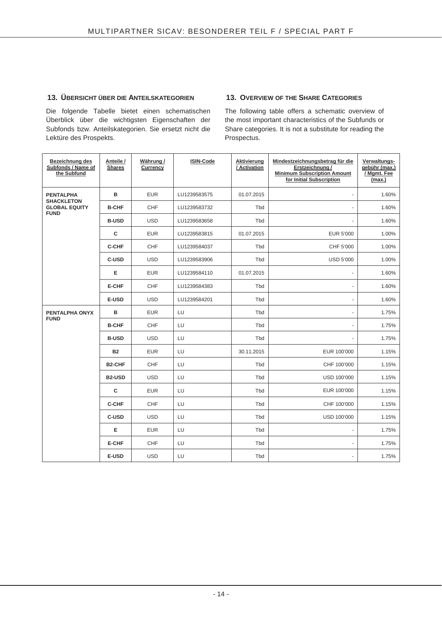### **13. ÜBERSICHT ÜBER DIE ANTEILSKATEGORIEN 13. OVERVIEW OF THE SHARE CATEGORIES**

Die folgende Tabelle bietet einen schematischen Überblick über die wichtigsten Eigenschaften der Subfonds bzw. Anteilskategorien. Sie ersetzt nicht die Lektüre des Prospekts.

The following table offers a schematic overview of the most important characteristics of the Subfunds or Share categories. It is not a substitute for reading the Prospectus.

| Bezeichnung des<br>Subfonds / Name of<br>the Subfund     | Anteile /<br><b>Shares</b> | Währung/<br>Currency | <b>ISIN-Code</b> | Aktivierung<br>/ Activation | Mindestzeichnungsbetrag für die<br>Erstzeichnung /<br><b>Minimum Subscription Amount</b><br>for Initial Subscription | Verwaltungs-<br>gebühr (max.)<br>/ Mgmt. Fee<br>(max.) |
|----------------------------------------------------------|----------------------------|----------------------|------------------|-----------------------------|----------------------------------------------------------------------------------------------------------------------|--------------------------------------------------------|
| <b>PENTALPHA</b>                                         | B                          | <b>EUR</b>           | LU1239583575     | 01.07.2015                  |                                                                                                                      | 1.60%                                                  |
| <b>SHACKLETON</b><br><b>GLOBAL EQUITY</b><br><b>FUND</b> | <b>B-CHF</b>               | <b>CHF</b>           | LU1239583732     | Tbd                         |                                                                                                                      | 1.60%                                                  |
|                                                          | <b>B-USD</b>               | <b>USD</b>           | LU1239583658     | Tbd                         |                                                                                                                      | 1.60%                                                  |
|                                                          | $\mathbf{C}$               | <b>EUR</b>           | LU1239583815     | 01.07.2015                  | <b>EUR 5'000</b>                                                                                                     | 1.00%                                                  |
|                                                          | <b>C-CHF</b>               | CHF                  | LU1239584037     | Tbd                         | CHF 5'000                                                                                                            | 1.00%                                                  |
|                                                          | C-USD                      | <b>USD</b>           | LU1239583906     | Tbd                         | <b>USD 5'000</b>                                                                                                     | 1.00%                                                  |
|                                                          | Е                          | <b>EUR</b>           | LU1239584110     | 01.07.2015                  |                                                                                                                      | 1.60%                                                  |
|                                                          | <b>E-CHF</b>               | <b>CHF</b>           | LU1239584383     | Tbd                         |                                                                                                                      | 1.60%                                                  |
|                                                          | E-USD                      | <b>USD</b>           | LU1239584201     | Tbd                         |                                                                                                                      | 1.60%                                                  |
| PENTALPHA ONYX                                           | в                          | <b>EUR</b>           | LU               | Tbd                         |                                                                                                                      | 1.75%                                                  |
| <b>FUND</b>                                              | <b>B-CHF</b>               | CHF                  | LU               | Tbd                         |                                                                                                                      | 1.75%                                                  |
|                                                          | <b>B-USD</b>               | <b>USD</b>           | LU               | Tbd                         |                                                                                                                      | 1.75%                                                  |
|                                                          | <b>B2</b>                  | <b>EUR</b>           | LU               | 30.11.2015                  | EUR 100'000                                                                                                          | 1.15%                                                  |
|                                                          | <b>B2-CHF</b>              | <b>CHF</b>           | LU               | Tbd                         | CHF 100'000                                                                                                          | 1.15%                                                  |
|                                                          | <b>B2-USD</b>              | <b>USD</b>           | LU               | Tbd                         | USD 100'000                                                                                                          | 1.15%                                                  |
|                                                          | $\mathbf{C}$               | <b>EUR</b>           | LU               | Tbd                         | EUR 100'000                                                                                                          | 1.15%                                                  |
|                                                          | <b>C-CHF</b>               | <b>CHF</b>           | LU               | Tbd                         | CHF 100'000                                                                                                          | 1.15%                                                  |
|                                                          | C-USD                      | <b>USD</b>           | LU               | Tbd                         | USD 100'000                                                                                                          | 1.15%                                                  |
|                                                          | Е                          | <b>EUR</b>           | LU               | Tbd                         |                                                                                                                      | 1.75%                                                  |
|                                                          | <b>E-CHF</b>               | <b>CHF</b>           | LU               | Tbd                         |                                                                                                                      | 1.75%                                                  |
|                                                          | E-USD                      | <b>USD</b>           | LU               | Tbd                         |                                                                                                                      | 1.75%                                                  |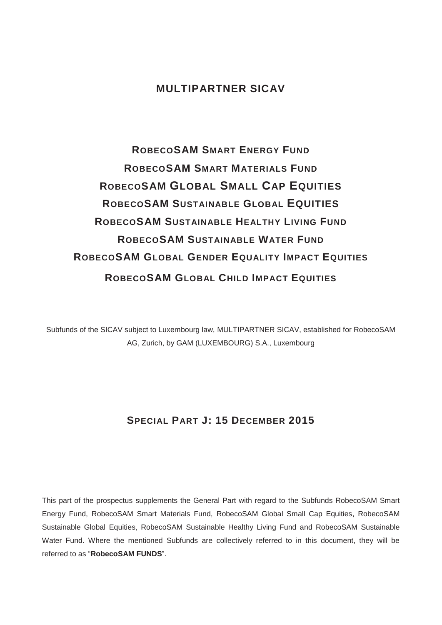# **MULTIPARTNER SICAV**

# **ROBECOSAM SMART ENERGY FUND ROBECOSAM SMART MATERIALS FUND ROBECOSAM GLOBAL SMALL CAP EQUITIES ROBECOSAM SUSTAINABLE GLOBAL EQUITIES ROBECOSAM SUSTAINABLE HEALTHY LIVING FUND ROBECOSAM SUSTAINABLE WATER FUND ROBECOSAM GLOBAL GENDER EQUALITY IMPACT EQUITIES ROBECOSAM GLOBAL CHILD IMPACT EQUITIES**

Subfunds of the SICAV subject to Luxembourg law, MULTIPARTNER SICAV, established for RobecoSAM AG, Zurich, by GAM (LUXEMBOURG) S.A., Luxembourg

# **SPECIAL PART J: 15 DECEMBER 2015**

This part of the prospectus supplements the General Part with regard to the Subfunds RobecoSAM Smart Energy Fund, RobecoSAM Smart Materials Fund, RobecoSAM Global Small Cap Equities, RobecoSAM Sustainable Global Equities, RobecoSAM Sustainable Healthy Living Fund and RobecoSAM Sustainable Water Fund. Where the mentioned Subfunds are collectively referred to in this document, they will be referred to as "**RobecoSAM FUNDS**".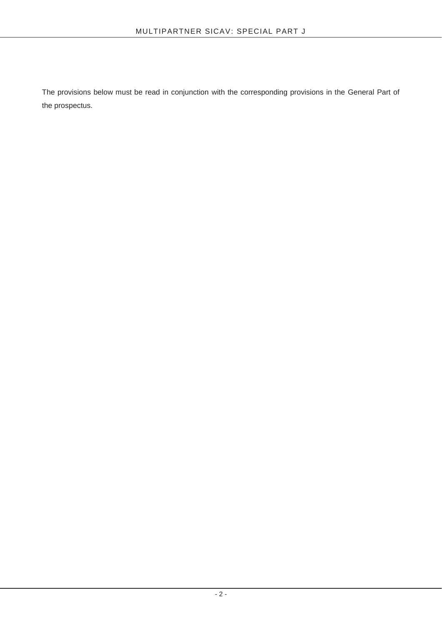The provisions below must be read in conjunction with the corresponding provisions in the General Part of the prospectus.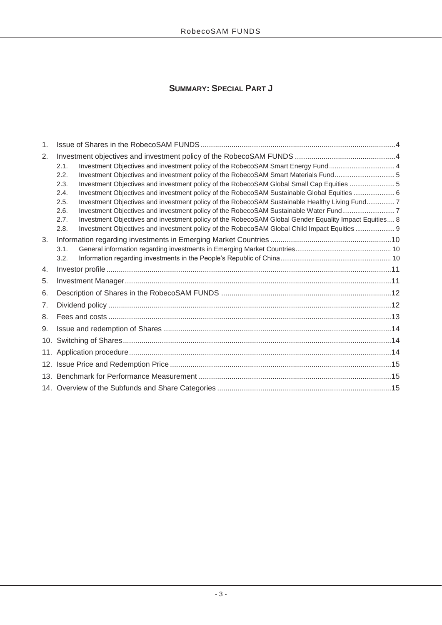# **SUMMARY: SPECIAL PART J**

| 1.  |                                                                                                               |  |
|-----|---------------------------------------------------------------------------------------------------------------|--|
| 2.  |                                                                                                               |  |
|     | Investment Objectives and investment policy of the RobecoSAM Smart Energy Fund 4<br>2.1.                      |  |
|     | Investment Objectives and investment policy of the RobecoSAM Smart Materials Fund 5<br>2.2.                   |  |
|     | Investment Objectives and investment policy of the RobecoSAM Global Small Cap Equities 5<br>2.3.              |  |
|     | Investment Objectives and investment policy of the RobecoSAM Sustainable Global Equities  6<br>2.4.           |  |
|     | Investment Objectives and investment policy of the RobecoSAM Sustainable Healthy Living Fund 7<br>2.5.        |  |
|     | Investment Objectives and investment policy of the RobecoSAM Sustainable Water Fund7<br>2.6.                  |  |
|     | Investment Objectives and investment policy of the RobecoSAM Global Gender Equality Impact Equities 8<br>2.7. |  |
|     | Investment Objectives and investment policy of the RobecoSAM Global Child Impact Equities 9<br>2.8.           |  |
| 3.  |                                                                                                               |  |
|     | 3.1.                                                                                                          |  |
|     | 3.2.                                                                                                          |  |
| 4.  |                                                                                                               |  |
| 5.  |                                                                                                               |  |
| 6.  |                                                                                                               |  |
| 7.  |                                                                                                               |  |
| 8.  |                                                                                                               |  |
| 9.  |                                                                                                               |  |
| 10. |                                                                                                               |  |
| 11. |                                                                                                               |  |
|     |                                                                                                               |  |
| 13. |                                                                                                               |  |
|     |                                                                                                               |  |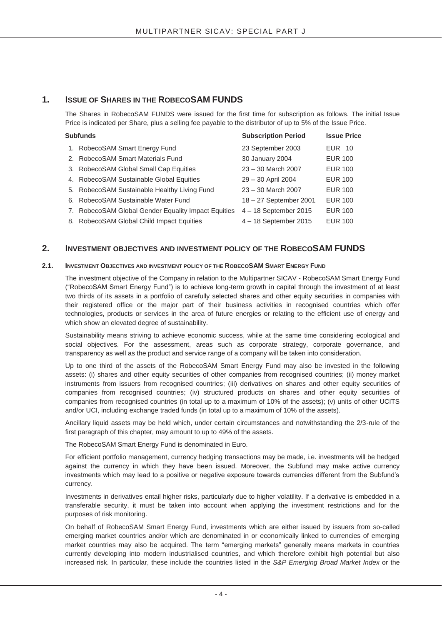## **1. ISSUE OF SHARES IN THE ROBECOSAM FUNDS**

The Shares in RobecoSAM FUNDS were issued for the first time for subscription as follows. The initial Issue Price is indicated per Share, plus a selling fee payable to the distributor of up to 5% of the Issue Price.

| <b>Subfunds</b>                                     | <b>Subscription Period</b> | <b>Issue Price</b> |
|-----------------------------------------------------|----------------------------|--------------------|
| 1. RobecoSAM Smart Energy Fund                      | 23 September 2003          | EUR 10             |
| 2. RobecoSAM Smart Materials Fund                   | 30 January 2004            | <b>EUR 100</b>     |
| 3. Robeco SAM Global Small Cap Equities             | 23 - 30 March 2007         | <b>EUR 100</b>     |
| 4. Robeco SAM Sustainable Global Equities           | 29 - 30 April 2004         | <b>EUR 100</b>     |
| 5. RobecoSAM Sustainable Healthy Living Fund        | $23 - 30$ March 2007       | <b>EUR 100</b>     |
| 6. RobecoSAM Sustainable Water Fund                 | 18 - 27 September 2001     | <b>EUR 100</b>     |
| 7. RobecoSAM Global Gender Equality Impact Equities | 4-18 September 2015        | <b>EUR 100</b>     |
| 8. RobecoSAM Global Child Impact Equities           | 4 - 18 September 2015      | <b>EUR 100</b>     |

#### **2. INVESTMENT OBJECTIVES AND INVESTMENT POLICY OF THE ROBECOSAM FUNDS**

#### **2.1. INVESTMENT OBJECTIVES AND INVESTMENT POLICY OF THE ROBECOSAM SMART ENERGY FUND**

The investment objective of the Company in relation to the Multipartner SICAV - RobecoSAM Smart Energy Fund ("RobecoSAM Smart Energy Fund") is to achieve long-term growth in capital through the investment of at least two thirds of its assets in a portfolio of carefully selected shares and other equity securities in companies with their registered office or the major part of their business activities in recognised countries which offer technologies, products or services in the area of future energies or relating to the efficient use of energy and which show an elevated degree of sustainability.

Sustainability means striving to achieve economic success, while at the same time considering ecological and social objectives. For the assessment, areas such as corporate strategy, corporate governance, and transparency as well as the product and service range of a company will be taken into consideration.

Up to one third of the assets of the RobecoSAM Smart Energy Fund may also be invested in the following assets: (i) shares and other equity securities of other companies from recognised countries; (ii) money market instruments from issuers from recognised countries; (iii) derivatives on shares and other equity securities of companies from recognised countries; (iv) structured products on shares and other equity securities of companies from recognised countries (in total up to a maximum of 10% of the assets); (v) units of other UCITS and/or UCI, including exchange traded funds (in total up to a maximum of 10% of the assets).

Ancillary liquid assets may be held which, under certain circumstances and notwithstanding the 2/3-rule of the first paragraph of this chapter, may amount to up to 49% of the assets.

The RobecoSAM Smart Energy Fund is denominated in Euro.

For efficient portfolio management, currency hedging transactions may be made, i.e. investments will be hedged against the currency in which they have been issued. Moreover, the Subfund may make active currency investments which may lead to a positive or negative exposure towards currencies different from the Subfund's currency.

Investments in derivatives entail higher risks, particularly due to higher volatility. If a derivative is embedded in a transferable security, it must be taken into account when applying the investment restrictions and for the purposes of risk monitoring.

On behalf of RobecoSAM Smart Energy Fund, investments which are either issued by issuers from so-called emerging market countries and/or which are denominated in or economically linked to currencies of emerging market countries may also be acquired. The term "emerging markets" generally means markets in countries currently developing into modern industrialised countries, and which therefore exhibit high potential but also increased risk. In particular, these include the countries listed in the *S&P Emerging Broad Market Index* or the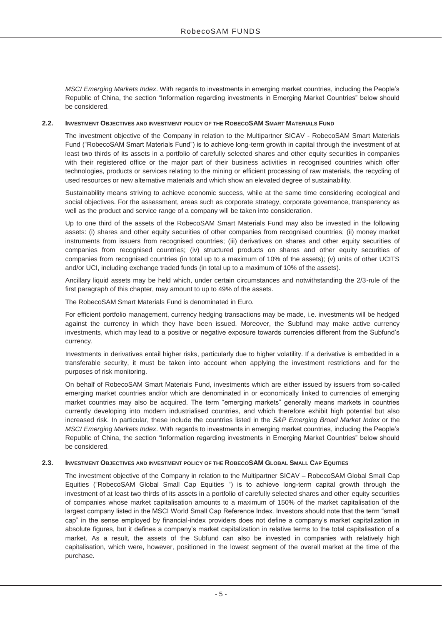*MSCI Emerging Markets Index*. With regards to investments in emerging market countries, including the People's Republic of China, the section "Information regarding investments in Emerging Market Countries" below should be considered.

#### **2.2. INVESTMENT OBJECTIVES AND INVESTMENT POLICY OF THE ROBECOSAM SMART MATERIALS FUND**

The investment objective of the Company in relation to the Multipartner SICAV - RobecoSAM Smart Materials Fund ("RobecoSAM Smart Materials Fund") is to achieve long-term growth in capital through the investment of at least two thirds of its assets in a portfolio of carefully selected shares and other equity securities in companies with their registered office or the major part of their business activities in recognised countries which offer technologies, products or services relating to the mining or efficient processing of raw materials, the recycling of used resources or new alternative materials and which show an elevated degree of sustainability.

Sustainability means striving to achieve economic success, while at the same time considering ecological and social objectives. For the assessment, areas such as corporate strategy, corporate governance, transparency as well as the product and service range of a company will be taken into consideration.

Up to one third of the assets of the RobecoSAM Smart Materials Fund may also be invested in the following assets: (i) shares and other equity securities of other companies from recognised countries; (ii) money market instruments from issuers from recognised countries; (iii) derivatives on shares and other equity securities of companies from recognised countries; (iv) structured products on shares and other equity securities of companies from recognised countries (in total up to a maximum of 10% of the assets); (v) units of other UCITS and/or UCI, including exchange traded funds (in total up to a maximum of 10% of the assets).

Ancillary liquid assets may be held which, under certain circumstances and notwithstanding the 2/3-rule of the first paragraph of this chapter, may amount to up to 49% of the assets.

The RobecoSAM Smart Materials Fund is denominated in Euro.

For efficient portfolio management, currency hedging transactions may be made, i.e. investments will be hedged against the currency in which they have been issued. Moreover, the Subfund may make active currency investments, which may lead to a positive or negative exposure towards currencies different from the Subfund's currency.

Investments in derivatives entail higher risks, particularly due to higher volatility. If a derivative is embedded in a transferable security, it must be taken into account when applying the investment restrictions and for the purposes of risk monitoring.

On behalf of RobecoSAM Smart Materials Fund, investments which are either issued by issuers from so-called emerging market countries and/or which are denominated in or economically linked to currencies of emerging market countries may also be acquired. The term "emerging markets" generally means markets in countries currently developing into modern industrialised countries, and which therefore exhibit high potential but also increased risk. In particular, these include the countries listed in the *S&P Emerging Broad Market Index* or the *MSCI Emerging Markets Index*. With regards to investments in emerging market countries, including the People's Republic of China, the section "Information regarding investments in Emerging Market Countries" below should be considered.

#### **2.3. INVESTMENT OBJECTIVES AND INVESTMENT POLICY OF THE ROBECOSAM GLOBAL SMALL CAP EQUITIES**

The investment objective of the Company in relation to the Multipartner SICAV – RobecoSAM Global Small Cap Equities ("RobecoSAM Global Small Cap Equities ") is to achieve long-term capital growth through the investment of at least two thirds of its assets in a portfolio of carefully selected shares and other equity securities of companies whose market capitalisation amounts to a maximum of 150% of the market capitalisation of the largest company listed in the MSCI World Small Cap Reference Index. Investors should note that the term "small cap" in the sense employed by financial-index providers does not define a company's market capitalization in absolute figures, but it defines a company's market capitalization in relative terms to the total capitalisation of a market. As a result, the assets of the Subfund can also be invested in companies with relatively high capitalisation, which were, however, positioned in the lowest segment of the overall market at the time of the purchase.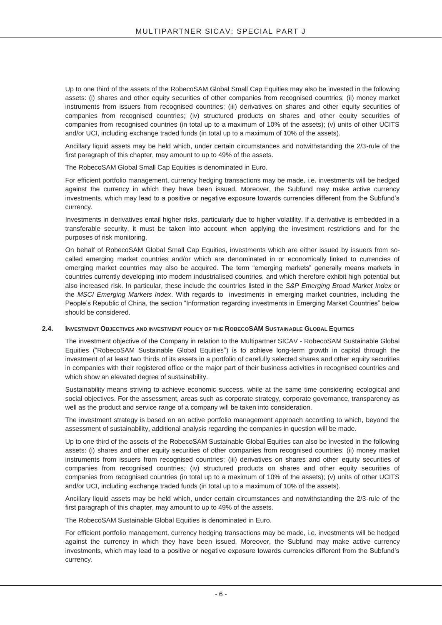Up to one third of the assets of the RobecoSAM Global Small Cap Equities may also be invested in the following assets: (i) shares and other equity securities of other companies from recognised countries; (ii) money market instruments from issuers from recognised countries; (iii) derivatives on shares and other equity securities of companies from recognised countries; (iv) structured products on shares and other equity securities of companies from recognised countries (in total up to a maximum of 10% of the assets); (v) units of other UCITS and/or UCI, including exchange traded funds (in total up to a maximum of 10% of the assets).

Ancillary liquid assets may be held which, under certain circumstances and notwithstanding the 2/3-rule of the first paragraph of this chapter, may amount to up to 49% of the assets.

The RobecoSAM Global Small Cap Equities is denominated in Euro.

For efficient portfolio management, currency hedging transactions may be made, i.e. investments will be hedged against the currency in which they have been issued. Moreover, the Subfund may make active currency investments, which may lead to a positive or negative exposure towards currencies different from the Subfund's currency.

Investments in derivatives entail higher risks, particularly due to higher volatility. If a derivative is embedded in a transferable security, it must be taken into account when applying the investment restrictions and for the purposes of risk monitoring.

On behalf of RobecoSAM Global Small Cap Equities, investments which are either issued by issuers from socalled emerging market countries and/or which are denominated in or economically linked to currencies of emerging market countries may also be acquired. The term "emerging markets" generally means markets in countries currently developing into modern industrialised countries, and which therefore exhibit high potential but also increased risk. In particular, these include the countries listed in the *S&P Emerging Broad Market Index* or the *MSCI Emerging Markets Index*. With regards to investments in emerging market countries, including the People's Republic of China, the section "Information regarding investments in Emerging Market Countries" below should be considered.

#### **2.4. INVESTMENT OBJECTIVES AND INVESTMENT POLICY OF THE ROBECOSAM SUSTAINABLE GLOBAL EQUITIES**

The investment objective of the Company in relation to the Multipartner SICAV - RobecoSAM Sustainable Global Equities ("RobecoSAM Sustainable Global Equities") is to achieve long-term growth in capital through the investment of at least two thirds of its assets in a portfolio of carefully selected shares and other equity securities in companies with their registered office or the major part of their business activities in recognised countries and which show an elevated degree of sustainability.

Sustainability means striving to achieve economic success, while at the same time considering ecological and social objectives. For the assessment, areas such as corporate strategy, corporate governance, transparency as well as the product and service range of a company will be taken into consideration.

The investment strategy is based on an active portfolio management approach according to which, beyond the assessment of sustainability, additional analysis regarding the companies in question will be made.

Up to one third of the assets of the RobecoSAM Sustainable Global Equities can also be invested in the following assets: (i) shares and other equity securities of other companies from recognised countries; (ii) money market instruments from issuers from recognised countries; (iii) derivatives on shares and other equity securities of companies from recognised countries; (iv) structured products on shares and other equity securities of companies from recognised countries (in total up to a maximum of 10% of the assets); (v) units of other UCITS and/or UCI, including exchange traded funds (in total up to a maximum of 10% of the assets).

Ancillary liquid assets may be held which, under certain circumstances and notwithstanding the 2/3-rule of the first paragraph of this chapter, may amount to up to 49% of the assets.

The RobecoSAM Sustainable Global Equities is denominated in Euro.

For efficient portfolio management, currency hedging transactions may be made, i.e. investments will be hedged against the currency in which they have been issued. Moreover, the Subfund may make active currency investments, which may lead to a positive or negative exposure towards currencies different from the Subfund's currency.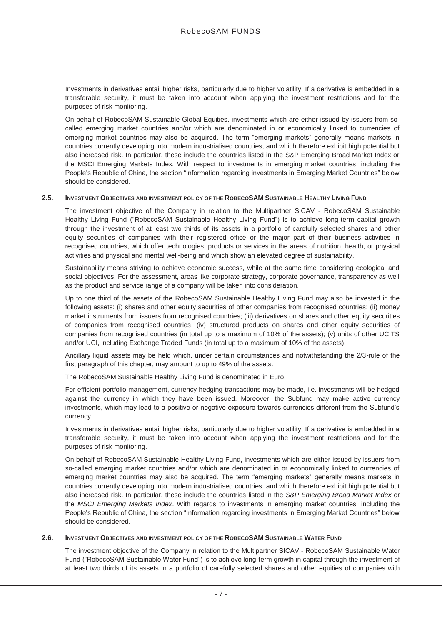Investments in derivatives entail higher risks, particularly due to higher volatility. If a derivative is embedded in a transferable security, it must be taken into account when applying the investment restrictions and for the purposes of risk monitoring.

On behalf of RobecoSAM Sustainable Global Equities, investments which are either issued by issuers from socalled emerging market countries and/or which are denominated in or economically linked to currencies of emerging market countries may also be acquired. The term "emerging markets" generally means markets in countries currently developing into modern industrialised countries, and which therefore exhibit high potential but also increased risk. In particular, these include the countries listed in the S&P Emerging Broad Market Index or the MSCI Emerging Markets Index. With respect to investments in emerging market countries, including the People's Republic of China, the section "Information regarding investments in Emerging Market Countries" below should be considered.

#### **2.5. INVESTMENT OBJECTIVES AND INVESTMENT POLICY OF THE ROBECOSAM SUSTAINABLE HEALTHY LIVING FUND**

The investment objective of the Company in relation to the Multipartner SICAV - RobecoSAM Sustainable Healthy Living Fund ("RobecoSAM Sustainable Healthy Living Fund") is to achieve long-term capital growth through the investment of at least two thirds of its assets in a portfolio of carefully selected shares and other equity securities of companies with their registered office or the major part of their business activities in recognised countries, which offer technologies, products or services in the areas of nutrition, health, or physical activities and physical and mental well-being and which show an elevated degree of sustainability.

Sustainability means striving to achieve economic success, while at the same time considering ecological and social objectives. For the assessment, areas like corporate strategy, corporate governance, transparency as well as the product and service range of a company will be taken into consideration.

Up to one third of the assets of the RobecoSAM Sustainable Healthy Living Fund may also be invested in the following assets: (i) shares and other equity securities of other companies from recognised countries; (ii) money market instruments from issuers from recognised countries; (iii) derivatives on shares and other equity securities of companies from recognised countries; (iv) structured products on shares and other equity securities of companies from recognised countries (in total up to a maximum of 10% of the assets); (v) units of other UCITS and/or UCI, including Exchange Traded Funds (in total up to a maximum of 10% of the assets).

Ancillary liquid assets may be held which, under certain circumstances and notwithstanding the 2/3-rule of the first paragraph of this chapter, may amount to up to 49% of the assets.

The RobecoSAM Sustainable Healthy Living Fund is denominated in Euro.

For efficient portfolio management, currency hedging transactions may be made, i.e. investments will be hedged against the currency in which they have been issued. Moreover, the Subfund may make active currency investments, which may lead to a positive or negative exposure towards currencies different from the Subfund's currency.

Investments in derivatives entail higher risks, particularly due to higher volatility. If a derivative is embedded in a transferable security, it must be taken into account when applying the investment restrictions and for the purposes of risk monitoring.

On behalf of RobecoSAM Sustainable Healthy Living Fund, investments which are either issued by issuers from so-called emerging market countries and/or which are denominated in or economically linked to currencies of emerging market countries may also be acquired. The term "emerging markets" generally means markets in countries currently developing into modern industrialised countries, and which therefore exhibit high potential but also increased risk. In particular, these include the countries listed in the *S&P Emerging Broad Market Index* or the *MSCI Emerging Markets Index*. With regards to investments in emerging market countries, including the People's Republic of China, the section "Information regarding investments in Emerging Market Countries" below should be considered.

#### **2.6. INVESTMENT OBJECTIVES AND INVESTMENT POLICY OF THE ROBECOSAM SUSTAINABLE WATER FUND**

The investment objective of the Company in relation to the Multipartner SICAV - RobecoSAM Sustainable Water Fund ("RobecoSAM Sustainable Water Fund") is to achieve long-term growth in capital through the investment of at least two thirds of its assets in a portfolio of carefully selected shares and other equities of companies with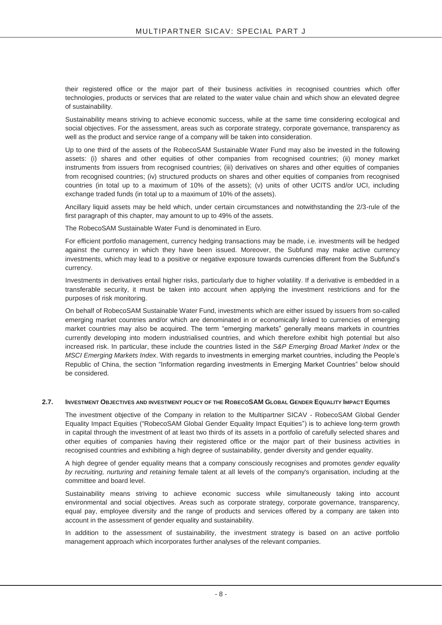their registered office or the major part of their business activities in recognised countries which offer technologies, products or services that are related to the water value chain and which show an elevated degree of sustainability.

Sustainability means striving to achieve economic success, while at the same time considering ecological and social objectives. For the assessment, areas such as corporate strategy, corporate governance, transparency as well as the product and service range of a company will be taken into consideration.

Up to one third of the assets of the RobecoSAM Sustainable Water Fund may also be invested in the following assets: (i) shares and other equities of other companies from recognised countries; (ii) money market instruments from issuers from recognised countries; (iii) derivatives on shares and other equities of companies from recognised countries; (iv) structured products on shares and other equities of companies from recognised countries (in total up to a maximum of 10% of the assets); (v) units of other UCITS and/or UCI, including exchange traded funds (in total up to a maximum of 10% of the assets).

Ancillary liquid assets may be held which, under certain circumstances and notwithstanding the 2/3-rule of the first paragraph of this chapter, may amount to up to 49% of the assets.

The RobecoSAM Sustainable Water Fund is denominated in Euro.

For efficient portfolio management, currency hedging transactions may be made, i.e. investments will be hedged against the currency in which they have been issued. Moreover, the Subfund may make active currency investments, which may lead to a positive or negative exposure towards currencies different from the Subfund's currency.

Investments in derivatives entail higher risks, particularly due to higher volatility. If a derivative is embedded in a transferable security, it must be taken into account when applying the investment restrictions and for the purposes of risk monitoring.

On behalf of RobecoSAM Sustainable Water Fund, investments which are either issued by issuers from so-called emerging market countries and/or which are denominated in or economically linked to currencies of emerging market countries may also be acquired. The term "emerging markets" generally means markets in countries currently developing into modern industrialised countries, and which therefore exhibit high potential but also increased risk. In particular, these include the countries listed in the *S&P Emerging Broad Market Index* or the *MSCI Emerging Markets Index*. With regards to investments in emerging market countries, including the People's Republic of China, the section "Information regarding investments in Emerging Market Countries" below should be considered.

#### **2.7. INVESTMENT OBJECTIVES AND INVESTMENT POLICY OF THE ROBECOSAM GLOBAL GENDER EQUALITY IMPACT EQUITIES**

The investment objective of the Company in relation to the Multipartner SICAV - RobecoSAM Global Gender Equality Impact Equities ("RobecoSAM Global Gender Equality Impact Equities") is to achieve long-term growth in capital through the investment of at least two thirds of its assets in a portfolio of carefully selected shares and other equities of companies having their registered office or the major part of their business activities in recognised countries and exhibiting a high degree of sustainability, gender diversity and gender equality.

A high degree of gender equality means that a company consciously recognises and promotes g*ender equality by recruiting, nurturing and retaining* female talent at all levels of the company's organisation, including at the committee and board level.

Sustainability means striving to achieve economic success while simultaneously taking into account environmental and social objectives. Areas such as corporate strategy, corporate governance, transparency, equal pay, employee diversity and the range of products and services offered by a company are taken into account in the assessment of gender equality and sustainability.

In addition to the assessment of sustainability, the investment strategy is based on an active portfolio management approach which incorporates further analyses of the relevant companies.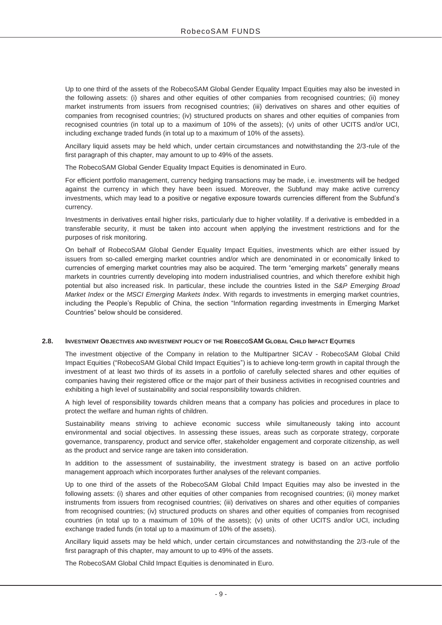Up to one third of the assets of the RobecoSAM Global Gender Equality Impact Equities may also be invested in the following assets: (i) shares and other equities of other companies from recognised countries; (ii) money market instruments from issuers from recognised countries; (iii) derivatives on shares and other equities of companies from recognised countries; (iv) structured products on shares and other equities of companies from recognised countries (in total up to a maximum of 10% of the assets); (v) units of other UCITS and/or UCI, including exchange traded funds (in total up to a maximum of 10% of the assets).

Ancillary liquid assets may be held which, under certain circumstances and notwithstanding the 2/3-rule of the first paragraph of this chapter, may amount to up to 49% of the assets.

The RobecoSAM Global Gender Equality Impact Equities is denominated in Euro.

For efficient portfolio management, currency hedging transactions may be made, i.e. investments will be hedged against the currency in which they have been issued. Moreover, the Subfund may make active currency investments, which may lead to a positive or negative exposure towards currencies different from the Subfund's currency.

Investments in derivatives entail higher risks, particularly due to higher volatility. If a derivative is embedded in a transferable security, it must be taken into account when applying the investment restrictions and for the purposes of risk monitoring.

On behalf of RobecoSAM Global Gender Equality Impact Equities, investments which are either issued by issuers from so-called emerging market countries and/or which are denominated in or economically linked to currencies of emerging market countries may also be acquired. The term "emerging markets" generally means markets in countries currently developing into modern industrialised countries, and which therefore exhibit high potential but also increased risk. In particular, these include the countries listed in the *S&P Emerging Broad Market Index* or the *MSCI Emerging Markets Index*. With regards to investments in emerging market countries, including the People's Republic of China, the section "Information regarding investments in Emerging Market Countries" below should be considered.

#### **2.8. INVESTMENT OBJECTIVES AND INVESTMENT POLICY OF THE ROBECOSAM GLOBAL CHILD IMPACT EQUITIES**

The investment objective of the Company in relation to the Multipartner SICAV - RobecoSAM Global Child Impact Equities ("RobecoSAM Global Child Impact Equities") is to achieve long-term growth in capital through the investment of at least two thirds of its assets in a portfolio of carefully selected shares and other equities of companies having their registered office or the major part of their business activities in recognised countries and exhibiting a high level of sustainability and social responsibility towards children.

A high level of responsibility towards children means that a company has policies and procedures in place to protect the welfare and human rights of children.

Sustainability means striving to achieve economic success while simultaneously taking into account environmental and social objectives. In assessing these issues, areas such as corporate strategy, corporate governance, transparency, product and service offer, stakeholder engagement and corporate citizenship, as well as the product and service range are taken into consideration.

In addition to the assessment of sustainability, the investment strategy is based on an active portfolio management approach which incorporates further analyses of the relevant companies.

Up to one third of the assets of the RobecoSAM Global Child Impact Equities may also be invested in the following assets: (i) shares and other equities of other companies from recognised countries; (ii) money market instruments from issuers from recognised countries; (iii) derivatives on shares and other equities of companies from recognised countries; (iv) structured products on shares and other equities of companies from recognised countries (in total up to a maximum of 10% of the assets); (v) units of other UCITS and/or UCI, including exchange traded funds (in total up to a maximum of 10% of the assets).

Ancillary liquid assets may be held which, under certain circumstances and notwithstanding the 2/3-rule of the first paragraph of this chapter, may amount to up to 49% of the assets.

The RobecoSAM Global Child Impact Equities is denominated in Euro.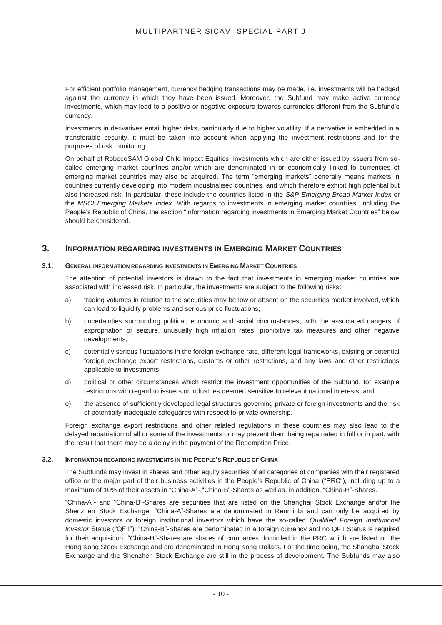For efficient portfolio management, currency hedging transactions may be made, i.e. investments will be hedged against the currency in which they have been issued. Moreover, the Subfund may make active currency investments, which may lead to a positive or negative exposure towards currencies different from the Subfund's currency.

Investments in derivatives entail higher risks, particularly due to higher volatility. If a derivative is embedded in a transferable security, it must be taken into account when applying the investment restrictions and for the purposes of risk monitoring.

On behalf of RobecoSAM Global Child Impact Equities, investments which are either issued by issuers from socalled emerging market countries and/or which are denominated in or economically linked to currencies of emerging market countries may also be acquired. The term "emerging markets" generally means markets in countries currently developing into modern industrialised countries, and which therefore exhibit high potential but also increased risk. In particular, these include the countries listed in the *S&P Emerging Broad Market Index* or the *MSCI Emerging Markets Index*. With regards to investments in emerging market countries, including the People's Republic of China, the section "Information regarding investments in Emerging Market Countries" below should be considered.

#### **3. INFORMATION REGARDING INVESTMENTS IN EMERGING MARKET COUNTRIES**

#### **3.1. GENERAL INFORMATION REGARDING INVESTMENTS IN EMERGING MARKET COUNTRIES**

The attention of potential investors is drawn to the fact that investments in emerging market countries are associated with increased risk. In particular, the investments are subject to the following risks:

- a) trading volumes in relation to the securities may be low or absent on the securities market involved, which can lead to liquidity problems and serious price fluctuations;
- b) uncertainties surrounding political, economic and social circumstances, with the associated dangers of expropriation or seizure, unusually high inflation rates, prohibitive tax measures and other negative developments;
- c) potentially serious fluctuations in the foreign exchange rate, different legal frameworks, existing or potential foreign exchange export restrictions, customs or other restrictions, and any laws and other restrictions applicable to investments;
- d) political or other circumstances which restrict the investment opportunities of the Subfund, for example restrictions with regard to issuers or industries deemed sensitive to relevant national interests, and
- e) the absence of sufficiently developed legal structures governing private or foreign investments and the risk of potentially inadequate safeguards with respect to private ownership.

Foreign exchange export restrictions and other related regulations in these countries may also lead to the delayed repatriation of all or some of the investments or may prevent them being repatriated in full or in part, with the result that there may be a delay in the payment of the Redemption Price.

#### **3.2. INFORMATION REGARDING INVESTMENTS IN THE PEOPLE'S REPUBLIC OF CHINA**

The Subfunds may invest in shares and other equity securities of all categories of companies with their registered office or the major part of their business activities in the People's Republic of China ("PRC"), including up to a maximum of 10% of their assets in "China-A"-,"China-B"-Shares as well as, in addition, "China-H"-Shares.

"China-A"- and "China-B"-Shares are securities that are listed on the Shanghai Stock Exchange and/or the Shenzhen Stock Exchange. "China-A"-Shares are denominated in Renminbi and can only be acquired by domestic investors or foreign institutional investors which have the so-called *Qualified Foreign Institutional Investor* Status ("QFII"). "China-B"-Shares are denominated in a foreign currency and no QFII Status is required for their acquisition. "China-H"-Shares are shares of companies domiciled in the PRC which are listed on the Hong Kong Stock Exchange and are denominated in Hong Kong Dollars. For the time being, the Shanghai Stock Exchange and the Shenzhen Stock Exchange are still in the process of development. The Subfunds may also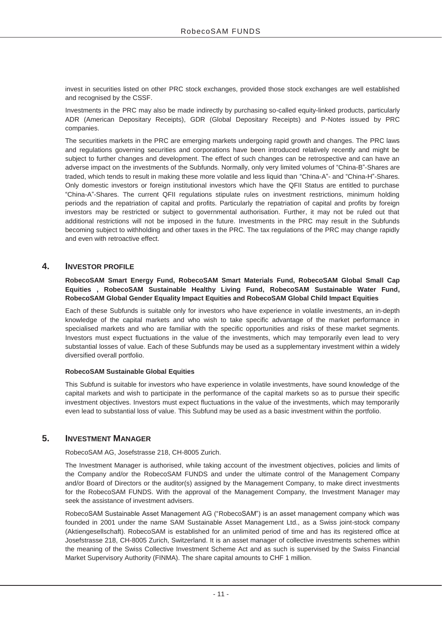invest in securities listed on other PRC stock exchanges, provided those stock exchanges are well established and recognised by the CSSF.

Investments in the PRC may also be made indirectly by purchasing so-called equity-linked products, particularly ADR (American Depositary Receipts), GDR (Global Depositary Receipts) and P-Notes issued by PRC companies.

The securities markets in the PRC are emerging markets undergoing rapid growth and changes. The PRC laws and regulations governing securities and corporations have been introduced relatively recently and might be subject to further changes and development. The effect of such changes can be retrospective and can have an adverse impact on the investments of the Subfunds. Normally, only very limited volumes of "China-B"-Shares are traded, which tends to result in making these more volatile and less liquid than "China-A"- and "China-H"-Shares. Only domestic investors or foreign institutional investors which have the QFII Status are entitled to purchase "China-A"-Shares. The current QFII regulations stipulate rules on investment restrictions, minimum holding periods and the repatriation of capital and profits. Particularly the repatriation of capital and profits by foreign investors may be restricted or subject to governmental authorisation. Further, it may not be ruled out that additional restrictions will not be imposed in the future. Investments in the PRC may result in the Subfunds becoming subject to withholding and other taxes in the PRC. The tax regulations of the PRC may change rapidly and even with retroactive effect.

### **4. INVESTOR PROFILE**

**RobecoSAM Smart Energy Fund, RobecoSAM Smart Materials Fund, RobecoSAM Global Small Cap Equities , RobecoSAM Sustainable Healthy Living Fund, RobecoSAM Sustainable Water Fund, RobecoSAM Global Gender Equality Impact Equities and RobecoSAM Global Child Impact Equities** 

Each of these Subfunds is suitable only for investors who have experience in volatile investments, an in-depth knowledge of the capital markets and who wish to take specific advantage of the market performance in specialised markets and who are familiar with the specific opportunities and risks of these market segments. Investors must expect fluctuations in the value of the investments, which may temporarily even lead to very substantial losses of value. Each of these Subfunds may be used as a supplementary investment within a widely diversified overall portfolio.

#### **RobecoSAM Sustainable Global Equities**

This Subfund is suitable for investors who have experience in volatile investments, have sound knowledge of the capital markets and wish to participate in the performance of the capital markets so as to pursue their specific investment objectives. Investors must expect fluctuations in the value of the investments, which may temporarily even lead to substantial loss of value. This Subfund may be used as a basic investment within the portfolio.

#### **5. INVESTMENT MANAGER**

RobecoSAM AG, Josefstrasse 218, CH-8005 Zurich.

The Investment Manager is authorised, while taking account of the investment objectives, policies and limits of the Company and/or the RobecoSAM FUNDS and under the ultimate control of the Management Company and/or Board of Directors or the auditor(s) assigned by the Management Company, to make direct investments for the RobecoSAM FUNDS. With the approval of the Management Company, the Investment Manager may seek the assistance of investment advisers.

RobecoSAM Sustainable Asset Management AG ("RobecoSAM") is an asset management company which was founded in 2001 under the name SAM Sustainable Asset Management Ltd., as a Swiss joint-stock company (Aktiengesellschaft). RobecoSAM is established for an unlimited period of time and has its registered office at Josefstrasse 218, CH-8005 Zurich, Switzerland. It is an asset manager of collective investments schemes within the meaning of the Swiss Collective Investment Scheme Act and as such is supervised by the Swiss Financial Market Supervisory Authority (FINMA). The share capital amounts to CHF 1 million.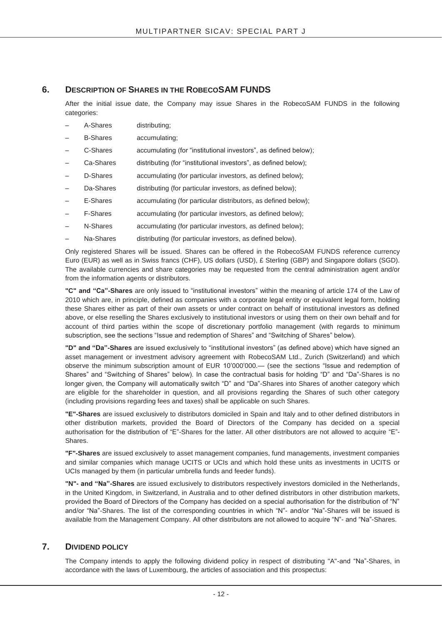### **6. DESCRIPTION OF SHARES IN THE ROBECOSAM FUNDS**

After the initial issue date, the Company may issue Shares in the RobecoSAM FUNDS in the following categories:

- A-Shares distributing;
- B-Shares accumulating;
- C-Shares accumulating (for "institutional investors", as defined below);
- Ca-Shares distributing (for "institutional investors", as defined below);
- D-Shares accumulating (for particular investors, as defined below);
- Da-Shares distributing (for particular investors, as defined below);
- E-Shares accumulating (for particular distributors, as defined below);
- F-Shares accumulating (for particular investors, as defined below);
- N-Shares accumulating (for particular investors, as defined below);
- Na-Shares distributing (for particular investors, as defined below).

Only registered Shares will be issued. Shares can be offered in the RobecoSAM FUNDS reference currency Euro (EUR) as well as in Swiss francs (CHF), US dollars (USD), £ Sterling (GBP) and Singapore dollars (SGD). The available currencies and share categories may be requested from the central administration agent and/or from the information agents or distributors.

**"C" and "Ca"-Shares** are only issued to "institutional investors" within the meaning of article 174 of the Law of 2010 which are, in principle, defined as companies with a corporate legal entity or equivalent legal form, holding these Shares either as part of their own assets or under contract on behalf of institutional investors as defined above, or else reselling the Shares exclusively to institutional investors or using them on their own behalf and for account of third parties within the scope of discretionary portfolio management (with regards to minimum subscription, see the sections "Issue and redemption of Shares" and "Switching of Shares" below).

**"D" and "Da"-Shares** are issued exclusively to "institutional investors" (as defined above) which have signed an asset management or investment advisory agreement with RobecoSAM Ltd., Zurich (Switzerland) and which observe the minimum subscription amount of EUR 10'000'000.— (see the sections "Issue and redemption of Shares" and "Switching of Shares" below). In case the contractual basis for holding "D" and "Da"-Shares is no longer given, the Company will automatically switch "D" and "Da"-Shares into Shares of another category which are eligible for the shareholder in question, and all provisions regarding the Shares of such other category (including provisions regarding fees and taxes) shall be applicable on such Shares.

**"E"-Shares** are issued exclusively to distributors domiciled in Spain and Italy and to other defined distributors in other distribution markets, provided the Board of Directors of the Company has decided on a special authorisation for the distribution of "E"-Shares for the latter. All other distributors are not allowed to acquire "E"- Shares.

**"F"-Shares** are issued exclusively to asset management companies, fund managements, investment companies and similar companies which manage UCITS or UCIs and which hold these units as investments in UCITS or UCIs managed by them (in particular umbrella funds and feeder funds).

**"N"- and "Na"-Shares** are issued exclusively to distributors respectively investors domiciled in the Netherlands, in the United Kingdom, in Switzerland, in Australia and to other defined distributors in other distribution markets, provided the Board of Directors of the Company has decided on a special authorisation for the distribution of "N" and/or "Na"-Shares. The list of the corresponding countries in which "N"- and/or "Na"-Shares will be issued is available from the Management Company. All other distributors are not allowed to acquire "N"- and "Na"-Shares.

#### **7. DIVIDEND POLICY**

The Company intends to apply the following dividend policy in respect of distributing "A"-and "Na"-Shares, in accordance with the laws of Luxembourg, the articles of association and this prospectus: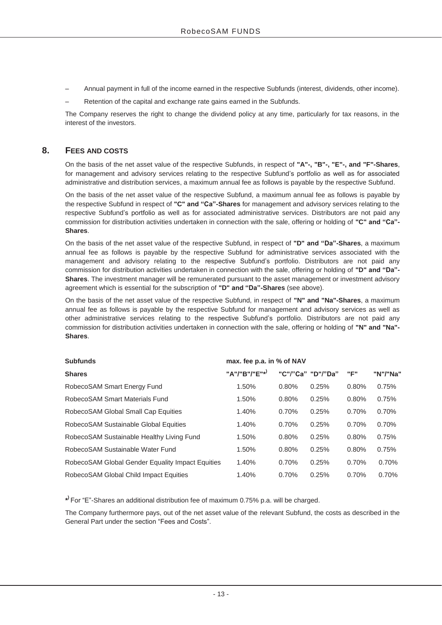- Annual payment in full of the income earned in the respective Subfunds (interest, dividends, other income).
- Retention of the capital and exchange rate gains earned in the Subfunds.

The Company reserves the right to change the dividend policy at any time, particularly for tax reasons, in the interest of the investors.

### **8. FEES AND COSTS**

On the basis of the net asset value of the respective Subfunds, in respect of **"A"-, "B"-, "E"-, and "F"-Shares**, for management and advisory services relating to the respective Subfund's portfolio as well as for associated administrative and distribution services, a maximum annual fee as follows is payable by the respective Subfund.

On the basis of the net asset value of the respective Subfund, a maximum annual fee as follows is payable by the respective Subfund in respect of **"C" and "Ca"-Shares** for management and advisory services relating to the respective Subfund's portfolio as well as for associated administrative services. Distributors are not paid any commission for distribution activities undertaken in connection with the sale, offering or holding of **"C" and "Ca"- Shares**.

On the basis of the net asset value of the respective Subfund, in respect of **"D" and "Da"-Shares**, a maximum annual fee as follows is payable by the respective Subfund for administrative services associated with the management and advisory relating to the respective Subfund's portfolio. Distributors are not paid any commission for distribution activities undertaken in connection with the sale, offering or holding of **"D" and "Da"- Shares**. The investment manager will be remunerated pursuant to the asset management or investment advisory agreement which is essential for the subscription of **"D" and "Da"-Shares** (see above).

On the basis of the net asset value of the respective Subfund, in respect of **"N" and "Na"-Shares**, a maximum annual fee as follows is payable by the respective Subfund for management and advisory services as well as other administrative services relating to the respective Subfund's portfolio. Distributors are not paid any commission for distribution activities undertaken in connection with the sale, offering or holding of **"N" and "Na"- Shares**.

| <b>Subfunds</b>                                  | max. fee p.a. in % of NAV |          |                   |       |          |
|--------------------------------------------------|---------------------------|----------|-------------------|-------|----------|
| <b>Shares</b>                                    | "A"/"B"/"E"*)             |          | "C"/"Ca" "D"/"Da" | "F"   | "N"/"Na" |
| RobecoSAM Smart Energy Fund                      | 1.50%                     | 0.80%    | 0.25%             | 0.80% | 0.75%    |
| RobecoSAM Smart Materials Fund                   | 1.50%                     | 0.80%    | 0.25%             | 0.80% | 0.75%    |
| RobecoSAM Global Small Cap Equities              | 1.40%                     | 0.70%    | 0.25%             | 0.70% | 0.70%    |
| RobecoSAM Sustainable Global Equities            | 1.40%                     | 0.70%    | 0.25%             | 0.70% | 0.70%    |
| RobecoSAM Sustainable Healthy Living Fund        | 1.50%                     | 0.80%    | 0.25%             | 0.80% | 0.75%    |
| RobecoSAM Sustainable Water Fund                 | 1.50%                     | 0.80%    | 0.25%             | 0.80% | 0.75%    |
| RobecoSAM Global Gender Equality Impact Equities | 1.40%                     | $0.70\%$ | 0.25%             | 0.70% | 0.70%    |
| RobecoSAM Global Child Impact Equities           | 1.40%                     | 0.70%    | 0.25%             | 0.70% | 0.70%    |

**\* )** For "E"-Shares an additional distribution fee of maximum 0.75% p.a. will be charged.

The Company furthermore pays, out of the net asset value of the relevant Subfund, the costs as described in the General Part under the section "Fees and Costs".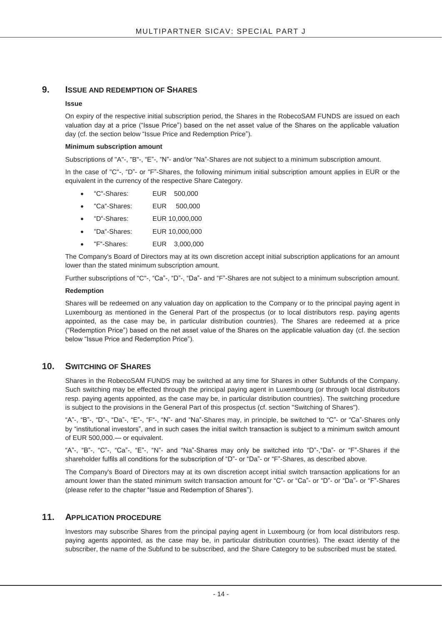### **9. ISSUE AND REDEMPTION OF SHARES**

#### **Issue**

On expiry of the respective initial subscription period, the Shares in the RobecoSAM FUNDS are issued on each valuation day at a price ("Issue Price") based on the net asset value of the Shares on the applicable valuation day (cf. the section below "Issue Price and Redemption Price").

#### **Minimum subscription amount**

Subscriptions of "A"-, "B"-, "E"-, "N"- and/or "Na"-Shares are not subject to a minimum subscription amount.

In the case of "C"-, "D"- or "F"-Shares, the following minimum initial subscription amount applies in EUR or the equivalent in the currency of the respective Share Category.

- x "C"-Shares: EUR 500,000
- x "Ca"-Shares: EUR 500,000
- x "D"-Shares: EUR 10,000,000
- x "Da"-Shares: EUR 10,000,000
- x "F"-Shares: EUR 3,000,000

The Company's Board of Directors may at its own discretion accept initial subscription applications for an amount lower than the stated minimum subscription amount.

Further subscriptions of "C"-, "Ca"-, "D"-, "Da"- and "F"-Shares are not subject to a minimum subscription amount.

#### **Redemption**

Shares will be redeemed on any valuation day on application to the Company or to the principal paying agent in Luxembourg as mentioned in the General Part of the prospectus (or to local distributors resp. paying agents appointed, as the case may be, in particular distribution countries). The Shares are redeemed at a price ("Redemption Price") based on the net asset value of the Shares on the applicable valuation day (cf. the section below "Issue Price and Redemption Price").

#### **10. SWITCHING OF SHARES**

Shares in the RobecoSAM FUNDS may be switched at any time for Shares in other Subfunds of the Company. Such switching may be effected through the principal paying agent in Luxembourg (or through local distributors resp. paying agents appointed, as the case may be, in particular distribution countries). The switching procedure is subject to the provisions in the General Part of this prospectus (cf. section "Switching of Shares").

"A"-, "B"-, "D"-, "Da"-, "E"-, "F"-, "N"- and "Na"-Shares may, in principle, be switched to "C"- or "Ca"-Shares only by "institutional investors", and in such cases the initial switch transaction is subject to a minimum switch amount of EUR 500,000.— or equivalent.

"A"-, "B"-, "C"-, "Ca"-, "E"-, "N"- and "Na"-Shares may only be switched into "D"-,"Da"- or "F"-Shares if the shareholder fulfils all conditions for the subscription of "D"- or "Da"- or "F"-Shares, as described above.

The Company's Board of Directors may at its own discretion accept initial switch transaction applications for an amount lower than the stated minimum switch transaction amount for "C"- or "Ca"- or "D"- or "Da"- or "F"-Shares (please refer to the chapter "Issue and Redemption of Shares").

#### **11. APPLICATION PROCEDURE**

Investors may subscribe Shares from the principal paying agent in Luxembourg (or from local distributors resp. paying agents appointed, as the case may be, in particular distribution countries). The exact identity of the subscriber, the name of the Subfund to be subscribed, and the Share Category to be subscribed must be stated.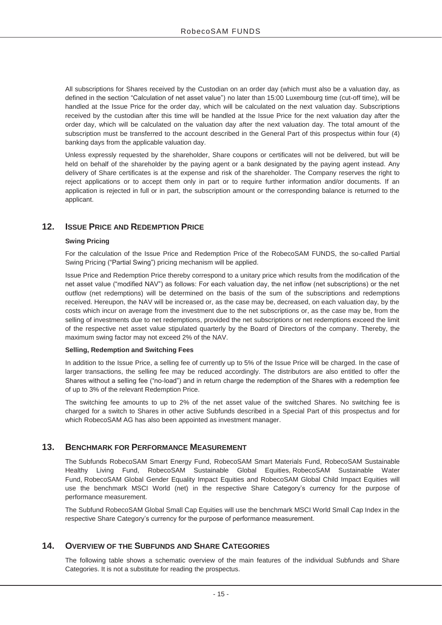All subscriptions for Shares received by the Custodian on an order day (which must also be a valuation day, as defined in the section "Calculation of net asset value") no later than 15:00 Luxembourg time (cut-off time), will be handled at the Issue Price for the order day, which will be calculated on the next valuation day. Subscriptions received by the custodian after this time will be handled at the Issue Price for the next valuation day after the order day, which will be calculated on the valuation day after the next valuation day. The total amount of the subscription must be transferred to the account described in the General Part of this prospectus within four (4) banking days from the applicable valuation day.

Unless expressly requested by the shareholder, Share coupons or certificates will not be delivered, but will be held on behalf of the shareholder by the paying agent or a bank designated by the paying agent instead. Any delivery of Share certificates is at the expense and risk of the shareholder. The Company reserves the right to reject applications or to accept them only in part or to require further information and/or documents. If an application is rejected in full or in part, the subscription amount or the corresponding balance is returned to the applicant.

### **12. ISSUE PRICE AND REDEMPTION PRICE**

#### **Swing Pricing**

For the calculation of the Issue Price and Redemption Price of the RobecoSAM FUNDS, the so-called Partial Swing Pricing ("Partial Swing") pricing mechanism will be applied.

Issue Price and Redemption Price thereby correspond to a unitary price which results from the modification of the net asset value ("modified NAV") as follows: For each valuation day, the net inflow (net subscriptions) or the net outflow (net redemptions) will be determined on the basis of the sum of the subscriptions and redemptions received. Hereupon, the NAV will be increased or, as the case may be, decreased, on each valuation day, by the costs which incur on average from the investment due to the net subscriptions or, as the case may be, from the selling of investments due to net redemptions, provided the net subscriptions or net redemptions exceed the limit of the respective net asset value stipulated quarterly by the Board of Directors of the company. Thereby, the maximum swing factor may not exceed 2% of the NAV.

#### **Selling, Redemption and Switching Fees**

In addition to the Issue Price, a selling fee of currently up to 5% of the Issue Price will be charged. In the case of larger transactions, the selling fee may be reduced accordingly. The distributors are also entitled to offer the Shares without a selling fee ("no-load") and in return charge the redemption of the Shares with a redemption fee of up to 3% of the relevant Redemption Price.

The switching fee amounts to up to 2% of the net asset value of the switched Shares. No switching fee is charged for a switch to Shares in other active Subfunds described in a Special Part of this prospectus and for which RobecoSAM AG has also been appointed as investment manager.

### **13. BENCHMARK FOR PERFORMANCE MEASUREMENT**

The Subfunds RobecoSAM Smart Energy Fund, RobecoSAM Smart Materials Fund, RobecoSAM Sustainable Healthy Living Fund, RobecoSAM Sustainable Global Equities, RobecoSAM Sustainable Water Fund, RobecoSAM Global Gender Equality Impact Equities and RobecoSAM Global Child Impact Equities will use the benchmark MSCI World (net) in the respective Share Category's currency for the purpose of performance measurement.

The Subfund RobecoSAM Global Small Cap Equities will use the benchmark MSCI World Small Cap Index in the respective Share Category's currency for the purpose of performance measurement.

### **14. OVERVIEW OF THE SUBFUNDS AND SHARE CATEGORIES**

The following table shows a schematic overview of the main features of the individual Subfunds and Share Categories. It is not a substitute for reading the prospectus.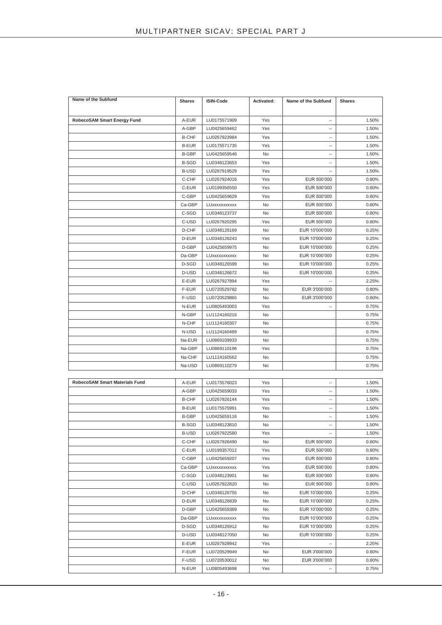| Name of the Subfund            | <b>Shares</b> | ISIN-Code    | Activated: | Name of the Subfund      | <b>Shares</b> |
|--------------------------------|---------------|--------------|------------|--------------------------|---------------|
|                                |               |              |            |                          |               |
| RobecoSAM Smart Energy Fund    | A-EUR         | LU0175571909 | Yes        | $\overline{\phantom{a}}$ | 1.50%         |
|                                | A-GBP         | LU0425659462 | Yes        | $\overline{\phantom{a}}$ | 1.50%         |
|                                | <b>B-CHF</b>  | LU0267923984 | Yes        | $\overline{\phantom{a}}$ | 1.50%         |
|                                | <b>B-EUR</b>  | LU0175571735 | Yes        | $\overline{\phantom{a}}$ | 1.50%         |
|                                | <b>B-GBP</b>  | LU0425659546 | No         | $\overline{\phantom{a}}$ | 1.50%         |
|                                | <b>B-SGD</b>  | LU0348123653 | Yes        | $\overline{\phantom{a}}$ | 1.50%         |
|                                | <b>B-USD</b>  | LU0267919529 | Yes        | $\overline{\phantom{a}}$ | 1.50%         |
|                                | C-CHF         | LU0267924016 | Yes        | EUR 500'000              | 0.80%         |
|                                | C-EUR         | LU0199356550 | Yes        | EUR 500'000              | 0.80%         |
|                                | C-GBP         | LU0425659629 | Yes        | EUR 500'000              | 0.80%         |
|                                | Ca-GBP        | LUXXXXXXXXXX | No         | EUR 500'000              | 0.80%         |
|                                | C-SGD         | LU0348123737 | No         | EUR 500'000              | 0.80%         |
|                                | C-USD         | LU0267920295 | Yes        | EUR 500'000              | 0.80%         |
|                                | D-CHF         | LU0348126169 | No         | EUR 10'000'000           | 0.25%         |
|                                | D-EUR         | LU0348126243 | Yes        | EUR 10'000'000           | 0.25%         |
|                                | D-GBP         | LU0425659975 | No         | EUR 10'000'000           | 0.25%         |
|                                | Da-GBP        | LUXXXXXXXXXX | No         | EUR 10'000'000           | 0.25%         |
|                                | D-SGD         | LU0348126599 | No         | EUR 10'000'000           | 0.25%         |
|                                | D-USD         | LU0348126672 | No         | EUR 10'000'000           | 0.25%         |
|                                | E-EUR         | LU0267927894 | Yes        |                          | 2.25%         |
|                                | F-EUR         | LU0720529782 | No         | EUR 3'000'000            | 0.80%         |
|                                | F-USD         | LU0720529865 | No         | EUR 3'000'000            | 0.80%         |
|                                | N-EUR         | LU0805493003 | Yes        | $\overline{\phantom{a}}$ | 0.75%         |
|                                | N-GBP         | LU1124160216 | No         |                          | 0.75%         |
|                                | N-CHF         | LU1124160307 | No         |                          | 0.75%         |
|                                | N-USD         | LU1124160489 | No         |                          | 0.75%         |
|                                | Na-EUR        | LU0869109933 | No         |                          | 0.75%         |
|                                | Na-GBP        | LU0869110196 | Yes        |                          | 0.75%         |
|                                | Na-CHF        | LU1124160562 | No         |                          | 0.75%         |
|                                | Na-USD        | LU0869110279 | No         |                          | 0.75%         |
|                                |               |              |            |                          |               |
| RobecoSAM Smart Materials Fund | A-EUR         | LU0175576023 | Yes        | $\overline{\phantom{a}}$ | 1.50%         |
|                                | A-GBP         | LU0425659033 | Yes        | $\overline{\phantom{a}}$ | 1.50%         |
|                                | <b>B-CHF</b>  | LU0267926144 | Yes        | $\overline{\phantom{a}}$ | 1.50%         |
|                                | <b>B-EUR</b>  | LU0175575991 | Yes        | $\overline{\phantom{a}}$ | 1.50%         |
|                                | <b>B-GBP</b>  | LU0425659116 | No         | $\overline{\phantom{a}}$ | 1.50%         |
|                                | <b>B-SGD</b>  | LU0348123810 | No         | $\overline{\phantom{a}}$ | 1.50%         |
|                                | <b>B-USD</b>  | LU0267922580 | Yes        |                          | 1.50%         |
|                                | C-CHF         | LU0267926490 | No         | EUR 500'000              | 0.80%         |
|                                | C-EUR         | LU0199357012 | Yes        | EUR 500'000              | 0.80%         |
|                                | C-GBP         | LU0425659207 | Yes        | EUR 500'000              | 0.80%         |
|                                | Ca-GBP        | LUXXXXXXXXXX | Yes        | EUR 500'000              | 0.80%         |
|                                | C-SGD         | LU0348123901 | No         | EUR 500'000              | 0.80%         |
|                                | C-USD         | LU0267922820 | No         | EUR 500'000              | 0.80%         |
|                                | D-CHF         | LU0348126755 | No         | EUR 10'000'000           | 0.25%         |
|                                | D-EUR         | LU0348126839 | No         | EUR 10'000'000           | 0.25%         |
|                                | D-GBP         | LU0425659389 | No         | EUR 10'000'000           | 0.25%         |
|                                | Da-GBP        | LUXXXXXXXXXX | Yes        | EUR 10'000'000           | 0.25%         |
|                                | D-SGD         | LU0348126912 | No         | EUR 10'000'000           | 0.25%         |
|                                | D-USD         | LU0348127050 | No         | EUR 10'000'000           | 0.25%         |
|                                | E-EUR         | LU0267928942 | Yes        |                          | 2.25%         |
|                                | F-EUR         | LU0720529949 | No         | EUR 3'000'000            | 0.80%         |
|                                | F-USD         | LU0720530012 | No         | EUR 3'000'000            | 0.80%         |
|                                | N-EUR         | LU0805493698 | Yes        |                          | 0.75%         |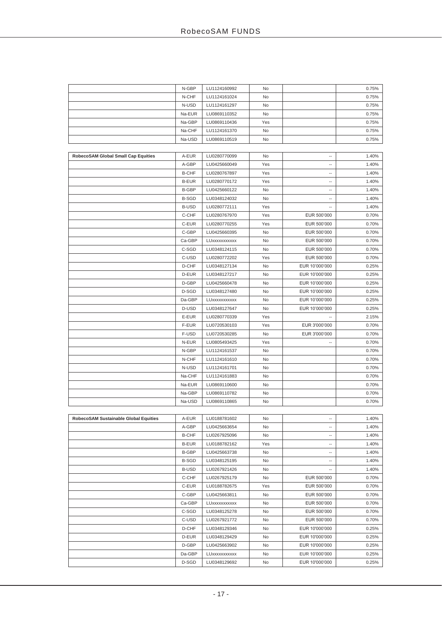|                                       | N-GBP        | LU1124160992 | No  |                          | 0.75% |
|---------------------------------------|--------------|--------------|-----|--------------------------|-------|
|                                       | N-CHF        | LU1124161024 | No  |                          | 0.75% |
|                                       | N-USD        | LU1124161297 | No  |                          | 0.75% |
|                                       | Na-EUR       | LU0869110352 | No  |                          | 0.75% |
|                                       | Na-GBP       | LU0869110436 | Yes |                          | 0.75% |
|                                       | Na-CHF       | LU1124161370 | No  |                          | 0.75% |
|                                       | Na-USD       | LU0869110519 | No  |                          | 0.75% |
|                                       |              |              |     |                          |       |
| RobecoSAM Global Small Cap Equities   | A-EUR        | LU0280770099 | No  | --                       | 1.40% |
|                                       | A-GBP        | LU0425660049 | Yes | --                       | 1.40% |
|                                       | <b>B-CHF</b> | LU0280767897 | Yes | $\overline{\phantom{a}}$ | 1.40% |
|                                       | <b>B-EUR</b> | LU0280770172 | Yes | $\overline{\phantom{a}}$ | 1.40% |
|                                       | B-GBP        | LU0425660122 | No  | $\overline{\phantom{a}}$ | 1.40% |
|                                       | <b>B-SGD</b> | LU0348124032 | No  | --                       | 1.40% |
|                                       | <b>B-USD</b> | LU0280772111 | Yes | $\overline{\phantom{a}}$ | 1.40% |
|                                       | C-CHF        | LU0280767970 | Yes | EUR 500'000              | 0.70% |
|                                       | C-EUR        | LU0280770255 | Yes | EUR 500'000              | 0.70% |
|                                       | C-GBP        | LU0425660395 | No  | EUR 500'000              | 0.70% |
|                                       | Ca-GBP       | LUXXXXXXXXXX | No  | EUR 500'000              | 0.70% |
|                                       | C-SGD        | LU0348124115 | No  | EUR 500'000              | 0.70% |
|                                       | C-USD        | LU0280772202 | Yes | EUR 500'000              | 0.70% |
|                                       | D-CHF        | LU0348127134 | No  | EUR 10'000'000           | 0.25% |
|                                       | D-EUR        | LU0348127217 | No  | EUR 10'000'000           | 0.25% |
|                                       | D-GBP        | LU0425660478 | No  | EUR 10'000'000           | 0.25% |
|                                       | D-SGD        | LU0348127480 | No  | EUR 10'000'000           | 0.25% |
|                                       | Da-GBP       | LUXXXXXXXXXX | No  | EUR 10'000'000           | 0.25% |
|                                       | D-USD        | LU0348127647 | No  | EUR 10'000'000           | 0.25% |
|                                       | E-EUR        | LU0280770339 | Yes | --                       | 2.15% |
|                                       | F-EUR        | LU0720530103 | Yes | EUR 3'000'000            | 0.70% |
|                                       | F-USD        | LU0720530285 | No  | EUR 3'000'000            | 0.70% |
|                                       | N-EUR        | LU0805493425 | Yes | $\overline{\phantom{a}}$ | 0.70% |
|                                       | N-GBP        | LU1124161537 | No  |                          | 0.70% |
|                                       | N-CHF        | LU1124161610 | No  |                          | 0.70% |
|                                       | N-USD        | LU1124161701 | No  |                          | 0.70% |
|                                       | Na-CHF       | LU1124161883 | No  |                          | 0.70% |
|                                       | Na-EUR       | LU0869110600 | No  |                          | 0.70% |
|                                       | Na-GBP       | LU0869110782 | No  |                          | 0.70% |
|                                       | Na-USD       | LU0869110865 | No  |                          | 0.70% |
|                                       |              |              |     |                          |       |
| RobecoSAM Sustainable Global Equities | A-EUR        | LU0188781602 | No  | --                       | 1.40% |
|                                       | A-GBP        | LU0425663654 | No  | $\overline{\phantom{a}}$ | 1.40% |
|                                       | <b>B-CHF</b> | LU0267925096 | No  | --                       | 1.40% |
|                                       | <b>B-EUR</b> | LU0188782162 | Yes | $\overline{\phantom{a}}$ | 1.40% |
|                                       | B-GBP        | LU0425663738 | No  | $\overline{\phantom{a}}$ | 1.40% |
|                                       | <b>B-SGD</b> | LU0348125195 | No  | ۰.                       | 1.40% |
|                                       | B-USD        | LU0267921426 | No  | $\overline{\phantom{a}}$ | 1.40% |
|                                       | C-CHF        | LU0267925179 | No  | EUR 500'000              | 0.70% |
|                                       | C-EUR        | LU0188782675 | Yes | EUR 500'000              | 0.70% |
|                                       | C-GBP        | LU0425663811 | No  | EUR 500'000              | 0.70% |
|                                       | Ca-GBP       | LUXXXXXXXXXX | No  | EUR 500'000              | 0.70% |
|                                       | C-SGD        | LU0348125278 | No  | EUR 500'000              | 0.70% |
|                                       | C-USD        | LU0267921772 | No  | EUR 500'000              | 0.70% |
|                                       | D-CHF        | LU0348129346 | No  | EUR 10'000'000           | 0.25% |
|                                       | D-EUR        | LU0348129429 | No  | EUR 10'000'000           | 0.25% |
|                                       |              |              |     |                          |       |

D-GBP LU0425663902 No EUR 10'000'000 0.25% Da-GBP LUxxxxxxxxxx No EUR 10'000'000 0.25% D-SGD LU0348129692 No EUR 10'000'000 0.25%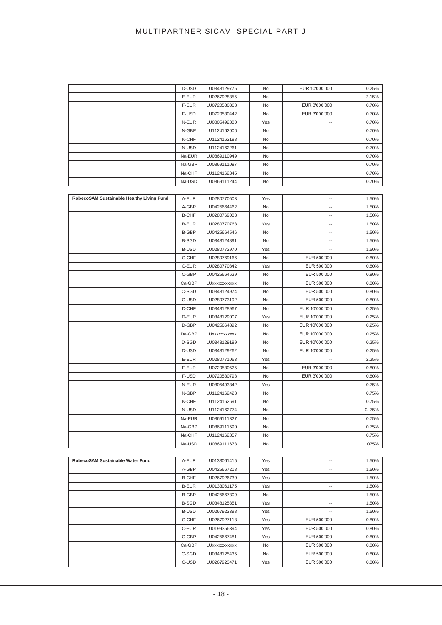|                                           | D-USD        | LU0348129775 | No  | EUR 10'000'000           | 0.25% |
|-------------------------------------------|--------------|--------------|-----|--------------------------|-------|
|                                           | E-EUR        | LU0267928355 | No  |                          | 2.15% |
|                                           | F-EUR        | LU0720530368 | No  | EUR 3'000'000            | 0.70% |
|                                           | F-USD        | LU0720530442 | No  | EUR 3'000'000            | 0.70% |
|                                           | N-EUR        | LU0805492880 | Yes |                          | 0.70% |
|                                           | N-GBP        | LU1124162006 | No  |                          | 0.70% |
|                                           | N-CHF        | LU1124162188 | No  |                          | 0.70% |
|                                           | N-USD        | LU1124162261 | No  |                          | 0.70% |
|                                           | Na-EUR       | LU0869110949 | No  |                          | 0.70% |
|                                           | Na-GBP       | LU0869111087 | No  |                          | 0.70% |
|                                           | Na-CHF       | LU1124162345 | No  |                          | 0.70% |
|                                           | Na-USD       | LU0869111244 | No  |                          | 0.70% |
|                                           |              |              |     |                          |       |
|                                           | A-EUR        | LU0280770503 | Yes | $\overline{a}$           | 1.50% |
| RobecoSAM Sustainable Healthy Living Fund |              |              |     |                          |       |
|                                           | A-GBP        | LU0425664462 | No  | --                       | 1.50% |
|                                           | <b>B-CHF</b> | LU0280769083 | No  | $\overline{\phantom{a}}$ | 1.50% |
|                                           | <b>B-EUR</b> | LU0280770768 | Yes | $\overline{\phantom{a}}$ | 1.50% |
|                                           | <b>B-GBP</b> | LU0425664546 | No  | --                       | 1.50% |
|                                           | <b>B-SGD</b> | LU0348124891 | No  | $\overline{\phantom{a}}$ | 1.50% |
|                                           | <b>B-USD</b> | LU0280772970 | Yes | ۰.                       | 1.50% |
|                                           | C-CHF        | LU0280769166 | No  | EUR 500'000              | 0.80% |
|                                           | C-EUR        | LU0280770842 | Yes | EUR 500'000              | 0.80% |
|                                           | C-GBP        | LU0425664629 | No  | EUR 500'000              | 0.80% |
|                                           | Ca-GBP       | LUXXXXXXXXXX | No  | EUR 500'000              | 0.80% |
|                                           | C-SGD        | LU0348124974 | No  | EUR 500'000              | 0.80% |
|                                           | C-USD        | LU0280773192 | No  | EUR 500'000              | 0.80% |
|                                           | D-CHF        | LU0348128967 | No  | EUR 10'000'000           | 0.25% |
|                                           | D-EUR        | LU0348129007 | Yes | EUR 10'000'000           | 0.25% |
|                                           | D-GBP        | LU0425664892 | No  | EUR 10'000'000           | 0.25% |
|                                           | Da-GBP       | LUXXXXXXXXXX | No  | EUR 10'000'000           | 0.25% |
|                                           | D-SGD        | LU0348129189 | No  | EUR 10'000'000           | 0.25% |
|                                           | D-USD        | LU0348129262 | No  | EUR 10'000'000           | 0.25% |
|                                           | E-EUR        | LU0280771063 | Yes | $\overline{\phantom{a}}$ | 2.25% |
|                                           | F-EUR        | LU0720530525 | No  | EUR 3'000'000            | 0.80% |
|                                           | F-USD        | LU0720530798 | No  | EUR 3'000'000            | 0.80% |
|                                           | N-EUR        | LU0805493342 | Yes | $\overline{\phantom{a}}$ | 0.75% |
|                                           | N-GBP        | LU1124162428 | No  |                          | 0.75% |
|                                           | N-CHF        | LU1124162691 | No  |                          | 0.75% |
|                                           | N-USD        | LU1124162774 | No  |                          | 0.75% |
|                                           | Na-EUR       | LU0869111327 | No  |                          | 0.75% |
|                                           | Na-GBP       | LU0869111590 | No  |                          | 0.75% |
|                                           | Na-CHF       | LU1124162857 | No  |                          | 0.75% |
|                                           | Na-USD       | LU0869111673 | No  |                          | 075%  |
|                                           |              |              |     |                          |       |
| RobecoSAM Sustainable Water Fund          | A-EUR        | LU0133061415 | Yes | $\overline{\phantom{a}}$ | 1.50% |
|                                           |              | LU0425667218 |     | $\overline{\phantom{a}}$ |       |
|                                           | A-GBP        |              | Yes | $\overline{\phantom{a}}$ | 1.50% |
|                                           | <b>B-CHF</b> | LU0267926730 | Yes |                          | 1.50% |
|                                           | <b>B-EUR</b> | LU0133061175 | Yes | ۰.                       | 1.50% |
|                                           | <b>B-GBP</b> | LU0425667309 | No  | $\overline{\phantom{a}}$ | 1.50% |
|                                           | <b>B-SGD</b> | LU0348125351 | Yes | $\overline{\phantom{a}}$ | 1.50% |
|                                           | <b>B-USD</b> | LU0267923398 | Yes | $\overline{\phantom{a}}$ | 1.50% |
|                                           | C-CHF        | LU0267927118 | Yes | EUR 500'000              | 0.80% |
|                                           | C-EUR        | LU0199356394 | Yes | EUR 500'000              | 0.80% |
|                                           | C-GBP        | LU0425667481 | Yes | EUR 500'000              | 0.80% |
|                                           | Ca-GBP       | LUXXXXXXXXXX | No  | EUR 500'000              | 0.80% |
|                                           | C-SGD        | LU0348125435 | No  | EUR 500'000              | 0.80% |

C-USD LU0267923471 Yes EUR 500'000 0.80%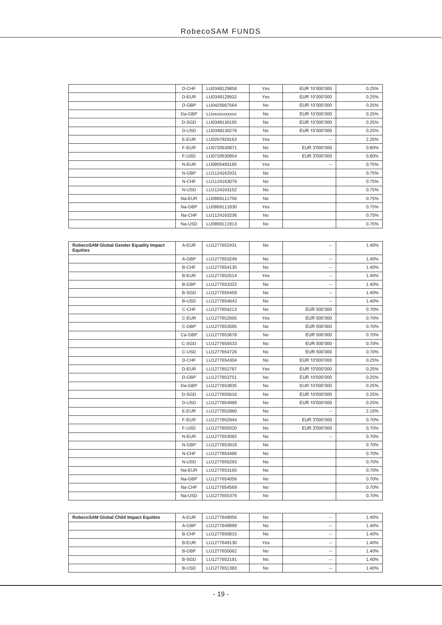| D-CHF  | LU0348129858 | Yes       | EUR 10'000'000           | 0.25% |
|--------|--------------|-----------|--------------------------|-------|
| D-EUR  | LU0348129932 | Yes       | EUR 10'000'000           | 0.25% |
| D-GBP  | LU0425667564 | No        | EUR 10'000'000           | 0.25% |
| Da-GBP | LUXXXXXXXXXX | No        | EUR 10'000'000           | 0.25% |
| D-SGD  | LU0348130195 | No        | EUR 10'000'000           | 0.25% |
| D-USD  | LU0348130278 | <b>No</b> | EUR 10'000'000           | 0.25% |
| E-EUR  | LU0267929163 | Yes       | $\overline{\phantom{a}}$ | 2.25% |
| F-EUR  | LU0720530871 | No        | EUR 3'000'000            | 0.80% |
| F-USD  | LU0720530954 | No        | EUR 3'000'000            | 0.80% |
| N-EUR  | LU0805493185 | Yes       | $\overline{\phantom{a}}$ | 0.75% |
| N-GBP  | LU1124162931 | No        |                          | 0.75% |
| N-CHF  | LU1124163079 | No        |                          | 0.75% |
| N-USD  | LU1124163152 | No        |                          | 0.75% |
| Na-EUR | LU0869111756 | No        |                          | 0.75% |
| Na-GBP | LU0869111830 | Yes       |                          | 0.75% |
| Na-CHF | LU1124163236 | No        |                          | 0.75% |
| Na-USD | LU0869111913 | No        |                          | 0.75% |

| RobecoSAM Global Gender Equality Impact<br><b>Equities</b> | A-EUR        | LU1277652431 | <b>No</b> | $\overline{\phantom{a}}$ | 1.40% |
|------------------------------------------------------------|--------------|--------------|-----------|--------------------------|-------|
|                                                            | A-GBP        | LU1277653249 | <b>No</b> | $\overline{\phantom{a}}$ | 1.40% |
|                                                            | <b>B-CHF</b> | LU1277654130 | No        | $\overline{\phantom{a}}$ | 1.40% |
|                                                            | <b>B-EUR</b> | LU1277652514 | Yes       | $\overline{\phantom{a}}$ | 1.40% |
|                                                            | <b>B-GBP</b> | LU1277653322 | <b>No</b> | $\overline{\phantom{a}}$ | 1.40% |
|                                                            | <b>B-SGD</b> | LU1277655459 | <b>No</b> | $\overline{\phantom{a}}$ | 1.40% |
|                                                            | <b>B-USD</b> | LU1277654643 | <b>No</b> | $\overline{\phantom{a}}$ | 1.40% |
|                                                            | C-CHF        | LU1277654213 | No        | EUR 500'000              | 0.70% |
|                                                            | C-EUR        | LU1277652605 | Yes       | EUR 500'000              | 0.70% |
|                                                            | C-GBP        | LU1277653595 | <b>No</b> | EUR 500'000              | 0.70% |
|                                                            | Ca-GBP       | LU1277653678 | <b>No</b> | EUR 500'000              | 0.70% |
|                                                            | C-SGD        | LU1277655533 | No        | EUR 500'000              | 0.70% |
|                                                            | C-USD        | LU1277654726 | <b>No</b> | EUR 500'000              | 0.70% |
|                                                            | D-CHF        | LU1277654304 | No        | EUR 10'000'000           | 0.25% |
|                                                            | D-EUR        | LU1277652787 | Yes       | EUR 10'000'000           | 0.25% |
|                                                            | D-GBP        | LU1277653751 | <b>No</b> | EUR 10'000'000           | 0.25% |
|                                                            | Da-GBP       | LU1277653835 | No        | EUR 10'000'000           | 0.25% |
|                                                            | D-SGD        | LU1277655616 | <b>No</b> | EUR 10'000'000           | 0.25% |
|                                                            | D-USD        | LU1277654999 | <b>No</b> | EUR 10'000'000           | 0.25% |
|                                                            | E-EUR        | LU1277652860 | <b>No</b> |                          | 2.15% |
|                                                            | F-EUR        | LU1277652944 | <b>No</b> | EUR 3'000'000            | 0.70% |
|                                                            | F-USD        | LU1277655020 | <b>No</b> | EUR 3'000'000            | 0.70% |
|                                                            | N-EUR        | LU1277653082 | <b>No</b> | $\overline{\phantom{a}}$ | 0.70% |
|                                                            | N-GBP        | LU1277653918 | <b>No</b> |                          | 0.70% |
|                                                            | N-CHF        | LU1277654486 | No        |                          | 0.70% |
|                                                            | N-USD        | LU1277655293 | <b>No</b> |                          | 0.70% |
|                                                            | Na-EUR       | LU1277653165 | <b>No</b> |                          | 0.70% |
|                                                            | Na-GBP       | LU1277654056 | <b>No</b> |                          | 0.70% |
|                                                            | Na-CHF       | LU1277654569 | <b>No</b> |                          | 0.70% |
|                                                            | Na-USD       | LU1277655376 | No        |                          | 0.70% |

| RobecoSAM Global Child Impact Equities | A-EUR        | LU1277649056 | <b>No</b> | $- -$ | 1.40% |
|----------------------------------------|--------------|--------------|-----------|-------|-------|
|                                        | A-GBP        | LU1277649999 | <b>No</b> | $- -$ | 1.40% |
|                                        | <b>B-CHF</b> | LU1277650815 | <b>No</b> | $- -$ | 1.40% |
|                                        | <b>B-EUR</b> | LU1277649130 | Yes       | $- -$ | 1.40% |
|                                        | <b>B-GBP</b> | LU1277650062 | <b>No</b> | $- -$ | 1.40% |
|                                        | <b>B-SGD</b> | LU1277652191 | <b>No</b> | $- -$ | 1.40% |
|                                        | <b>B-USD</b> | LU1277651383 | <b>No</b> | $- -$ | 1.40% |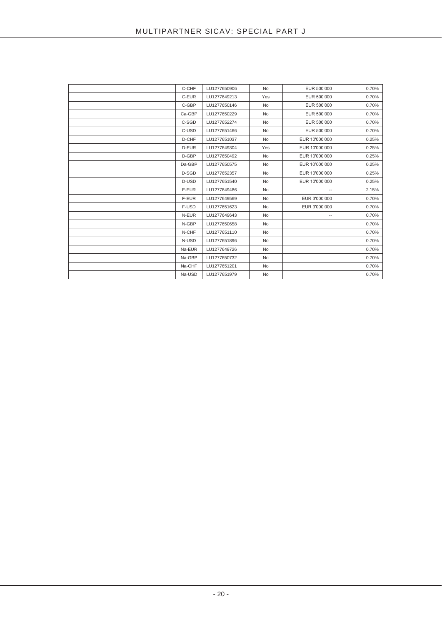| C-CHF  | LU1277650906 | <b>No</b> | EUR 500'000              | 0.70% |
|--------|--------------|-----------|--------------------------|-------|
| C-EUR  | LU1277649213 | Yes       | EUR 500'000              | 0.70% |
| C-GBP  | LU1277650146 | <b>No</b> | EUR 500'000              | 0.70% |
| Ca-GBP | LU1277650229 | <b>No</b> | EUR 500'000              | 0.70% |
| C-SGD  | LU1277652274 | <b>No</b> | EUR 500'000              | 0.70% |
| C-USD  | LU1277651466 | <b>No</b> | EUR 500'000              | 0.70% |
| D-CHF  | LU1277651037 | <b>No</b> | EUR 10'000'000           | 0.25% |
| D-EUR  | LU1277649304 | Yes       | EUR 10'000'000           | 0.25% |
| D-GBP  | LU1277650492 | <b>No</b> | EUR 10'000'000           | 0.25% |
| Da-GBP | LU1277650575 | <b>No</b> | EUR 10'000'000           | 0.25% |
| D-SGD  | LU1277652357 | <b>No</b> | EUR 10'000'000           | 0.25% |
| D-USD  | LU1277651540 | <b>No</b> | EUR 10'000'000           | 0.25% |
| E-EUR  | LU1277649486 | <b>No</b> | $\overline{\phantom{a}}$ | 2.15% |
| F-EUR  | LU1277649569 | <b>No</b> | EUR 3'000'000            | 0.70% |
| F-USD  | LU1277651623 | <b>No</b> | EUR 3'000'000            | 0.70% |
| N-EUR  | LU1277649643 | <b>No</b> | $\overline{\phantom{a}}$ | 0.70% |
| N-GBP  | LU1277650658 | <b>No</b> |                          | 0.70% |
| N-CHF  | LU1277651110 | <b>No</b> |                          | 0.70% |
| N-USD  | LU1277651896 | <b>No</b> |                          | 0.70% |
| Na-EUR | LU1277649726 | <b>No</b> |                          | 0.70% |
| Na-GBP | LU1277650732 | <b>No</b> |                          | 0.70% |
| Na-CHF | LU1277651201 | <b>No</b> |                          | 0.70% |
| Na-USD | LU1277651979 | <b>No</b> |                          | 0.70% |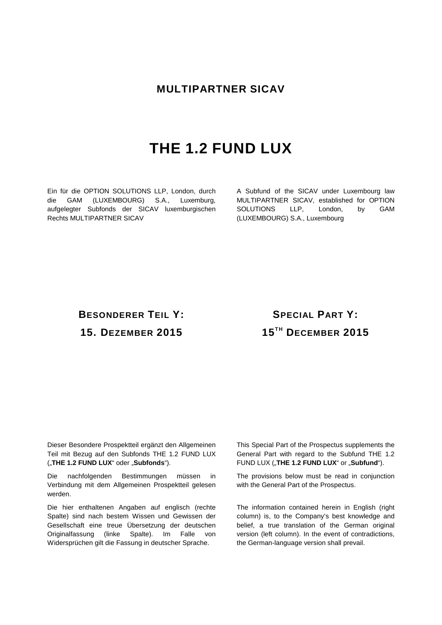# **MULTIPARTNER SICAV**

# **THE 1.2 FUND LUX**

Ein für die OPTION SOLUTIONS LLP, London, durch die GAM (LUXEMBOURG) S.A., Luxemburg, aufgelegter Subfonds der SICAV luxemburgischen Rechts MULTIPARTNER SICAV

A Subfund of the SICAV under Luxembourg law MULTIPARTNER SICAV, established for OPTION SOLUTIONS LLP, London, by GAM (LUXEMBOURG) S.A., Luxembourg

# **BESONDERER TEIL Y: 15. DEZEMBER 2015**

# **SPECIAL PART Y: 15TH DECEMBER 2015**

Dieser Besondere Prospektteil ergänzt den Allgemeinen Teil mit Bezug auf den Subfonds THE 1.2 FUND LUX ("THE 1.2 FUND LUX" oder "Subfonds").

Die nachfolgenden Bestimmungen müssen in Verbindung mit dem Allgemeinen Prospektteil gelesen werden.

Die hier enthaltenen Angaben auf englisch (rechte Spalte) sind nach bestem Wissen und Gewissen der Gesellschaft eine treue Übersetzung der deutschen Originalfassung (linke Spalte). Im Falle von Widersprüchen gilt die Fassung in deutscher Sprache.

This Special Part of the Prospectus supplements the General Part with regard to the Subfund THE 1.2 FUND LUX ("THE 1.2 FUND LUX" or "Subfund").

The provisions below must be read in conjunction with the General Part of the Prospectus.

The information contained herein in English (right column) is, to the Company's best knowledge and belief, a true translation of the German original version (left column). In the event of contradictions, the German-language version shall prevail.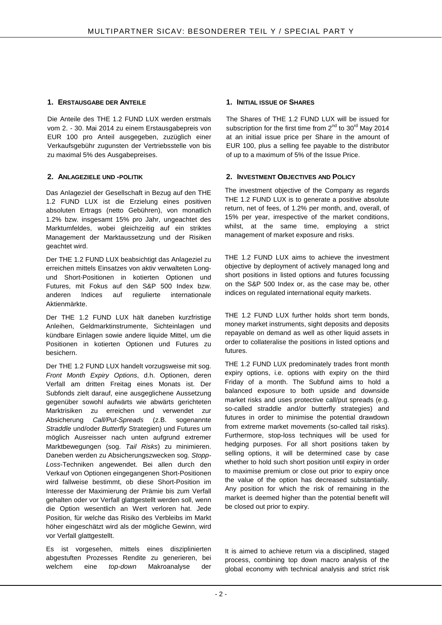#### **1. ERSTAUSGABE DER ANTEILE 1. INITIAL ISSUE OF SHARES**

Die Anteile des THE 1.2 FUND LUX werden erstmals vom 2. - 30. Mai 2014 zu einem Erstausgabepreis von EUR 100 pro Anteil ausgegeben, zuzüglich einer Verkaufsgebühr zugunsten der Vertriebsstelle von bis zu maximal 5% des Ausgabepreises.

Das Anlageziel der Gesellschaft in Bezug auf den THE 1.2 FUND LUX ist die Erzielung eines positiven absoluten Ertrags (netto Gebühren), von monatlich 1.2% bzw. insgesamt 15% pro Jahr, ungeachtet des Marktumfeldes, wobei gleichzeitig auf ein striktes Management der Marktaussetzung und der Risiken geachtet wird.

Der THE 1.2 FUND LUX beabsichtigt das Anlageziel zu erreichen mittels Einsatzes von aktiv verwalteten Longund Short-Positionen in kotierten Optionen und Futures, mit Fokus auf den S&P 500 Index bzw. anderen Indices auf regulierte internationale Aktienmärkte.

Der THE 1.2 FUND LUX hält daneben kurzfristige Anleihen, Geldmarktinstrumente, Sichteinlagen und kündbare Einlagen sowie andere liquide Mittel, um die Positionen in kotierten Optionen und Futures zu besichern.

Der THE 1.2 FUND LUX handelt vorzugsweise mit sog. *Front Month Expiry Options*, d.h. Optionen, deren Verfall am dritten Freitag eines Monats ist. Der Subfonds zielt darauf, eine ausgeglichene Aussetzung gegenüber sowohl aufwärts wie abwärts gerichteten Marktrisiken zu erreichen und verwendet zur Absicherung *Call/Put-Spreads* (z.B. sogenannte *Straddle* und/oder *Butterfly* Strategien) und Futures um möglich Ausreisser nach unten aufgrund extremer Marktbewegungen (sog. *Tail Risks*) zu minimieren. Daneben werden zu Absicherungszwecken sog. *Stopp-Loss*-Techniken angewendet. Bei allen durch den Verkauf von Optionen eingegangenen Short-Positionen wird fallweise bestimmt, ob diese Short-Position im Interesse der Maximierung der Prämie bis zum Verfall gehalten oder vor Verfall glattgestellt werden soll, wenn die Option wesentlich an Wert verloren hat. Jede Position, für welche das Risiko des Verbleibs im Markt höher eingeschätzt wird als der mögliche Gewinn, wird vor Verfall glattgestellt.

Es ist vorgesehen, mittels eines disziplinierten abgestuften Prozesses Rendite zu generieren, bei welchem eine *top-down* Makroanalyse der

The Shares of THE 1.2 FUND LUX will be issued for subscription for the first time from  $2^{nd}$  to  $30^{rd}$  May 2014 at an initial issue price per Share in the amount of EUR 100, plus a selling fee payable to the distributor of up to a maximum of 5% of the Issue Price.

#### **2. ANLAGEZIELE UND -POLITIK 2. INVESTMENT OBJECTIVES AND POLICY**

The investment objective of the Company as regards THE 1.2 FUND LUX is to generate a positive absolute return, net of fees, of 1.2% per month, and, overall, of 15% per year, irrespective of the market conditions, whilst, at the same time, employing a strict management of market exposure and risks.

THE 1.2 FUND LUX aims to achieve the investment objective by deployment of actively managed long and short positions in listed options and futures focussing on the S&P 500 Index or, as the case may be, other indices on regulated international equity markets.

THE 1.2 FUND LUX further holds short term bonds, money market instruments, sight deposits and deposits repayable on demand as well as other liquid assets in order to collateralise the positions in listed options and futures.

THE 1.2 FUND LUX predominately trades front month expiry options, i.e. options with expiry on the third Friday of a month. The Subfund aims to hold a balanced exposure to both upside and downside market risks and uses protective call/put spreads (e.g. so-called straddle and/or butterfly strategies) and futures in order to minimise the potential drawdown from extreme market movements (so-called tail risks). Furthermore, stop-loss techniques will be used for hedging purposes. For all short positions taken by selling options, it will be determined case by case whether to hold such short position until expiry in order to maximise premium or close out prior to expiry once the value of the option has decreased substantially. Any position for which the risk of remaining in the market is deemed higher than the potential benefit will be closed out prior to expiry.

It is aimed to achieve return via a disciplined, staged process, combining top down macro analysis of the global economy with technical analysis and strict risk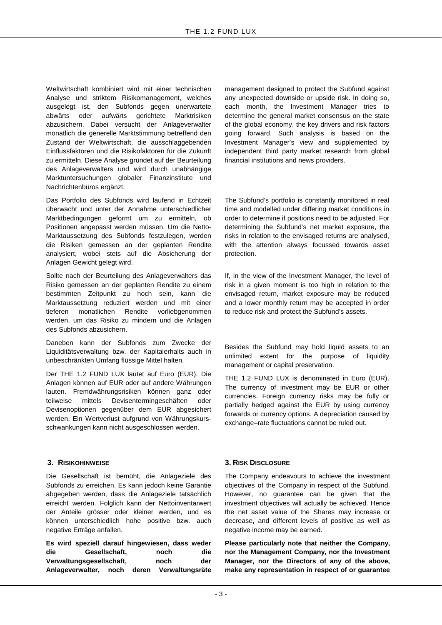Weltwirtschaft kombiniert wird mit einer technischen Analyse und striktem Risikomanagement, welches ausgelegt ist, den Subfonds gegen unerwartete abwärts oder aufwärts gerichtete Marktrisiken abzusichern. Dabei versucht der Anlageverwalter monatlich die generelle Marktstimmung betreffend den Zustand der Weltwirtschaft, die ausschlaggebenden Einflussfaktoren und die Risikofaktoren für die Zukunft zu ermitteln. Diese Analyse gründet auf der Beurteilung des Anlageverwalters und wird durch unabhängige Marktuntersuchungen globaler Finanzinstitute und Nachrichtenbüros ergänzt.

Das Portfolio des Subfonds wird laufend in Echtzeit überwacht und unter der Annahme unterschiedlicher Marktbedingungen geformt um zu ermitteln, ob Positionen angepasst werden müssen. Um die Netto-Marktaussetzung des Subfonds festzulegen, werden die Risiken gemessen an der geplanten Rendite analysiert, wobei stets auf die Absicherung der Anlagen Gewicht gelegt wird.

Sollte nach der Beurteilung des Anlageverwalters das Risiko gemessen an der geplanten Rendite zu einem bestimmten Zeitpunkt zu hoch sein, kann die Marktaussetzung reduziert werden und mit einer tieferen monatlichen Rendite vorliebgenommen werden, um das Risiko zu mindern und die Anlagen des Subfonds abzusichern.

Daneben kann der Subfonds zum Zwecke der Liquiditätsverwaltung bzw. der Kapitalerhalts auch in unbeschränkten Umfang flüssige Mittel halten.

Der THE 1.2 FUND LUX lautet auf Euro (EUR). Die Anlagen können auf EUR oder auf andere Währungen lauten. Fremdwährungsrisiken können ganz oder teilweise mittels Devisentermingeschäften oder Devisenoptionen gegenüber dem EUR abgesichert werden. Ein Wertverlust aufgrund von Währungskursschwankungen kann nicht ausgeschlossen werden.

Die Gesellschaft ist bemüht, die Anlageziele des Subfonds zu erreichen. Es kann jedoch keine Garantie abgegeben werden, dass die Anlageziele tatsächlich erreicht werden. Folglich kann der Nettoinventarwert der Anteile grösser oder kleiner werden, und es können unterschiedlich hohe positive bzw. auch negative Erträge anfallen.

**Es wird speziell darauf hingewiesen, dass weder die Gesellschaft, noch die**  Verwaltungsgesellschaft, noch der **Anlageverwalter, noch deren Verwaltungsräte**  management designed to protect the Subfund against any unexpected downside or upside risk. In doing so, each month, the Investment Manager tries to determine the general market consensus on the state of the global economy, the key drivers and risk factors going forward. Such analysis is based on the Investment Manager's view and supplemented by independent third party market research from global financial institutions and news providers.

The Subfund's portfolio is constantly monitored in real time and modelled under differing market conditions in order to determine if positions need to be adjusted. For determining the Subfund's net market exposure, the risks in relation to the envisaged returns are analysed, with the attention always focussed towards asset protection.

If, in the view of the Investment Manager, the level of risk in a given moment is too high in relation to the envisaged return, market exposure may be reduced and a lower monthly return may be accepted in order to reduce risk and protect the Subfund's assets.

Besides the Subfund may hold liquid assets to an unlimited extent for the purpose of liquidity management or capital preservation.

THE 1.2 FUND LUX is denominated in Euro (EUR). The currency of investment may be EUR or other currencies. Foreign currency risks may be fully or partially hedged against the EUR by using currency forwards or currency options. A depreciation caused by exchange–rate fluctuations cannot be ruled out.

#### **3. RISIKOHINWEISE 3. RISK DISCLOSURE**

The Company endeavours to achieve the investment objectives of the Company in respect of the Subfund. However, no guarantee can be given that the investment objectives will actually be achieved. Hence the net asset value of the Shares may increase or decrease, and different levels of positive as well as negative income may be earned.

**Please particularly note that neither the Company, nor the Management Company, nor the Investment Manager, nor the Directors of any of the above, make any representation in respect of or guarantee**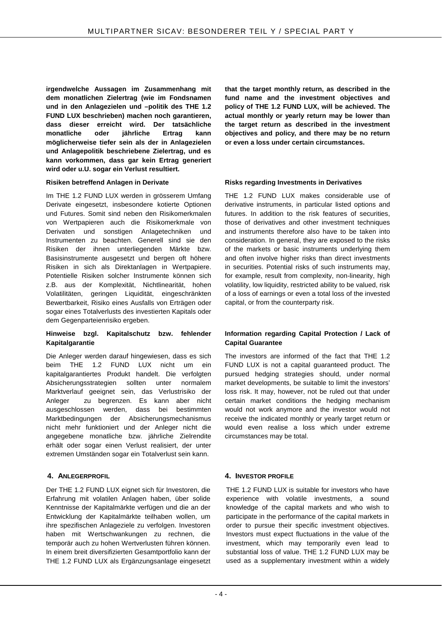**irgendwelche Aussagen im Zusammenhang mit dem monatlichen Zielertrag (wie im Fondsnamen und in den Anlagezielen und –politik des THE 1.2 FUND LUX beschrieben) machen noch garantieren, dass dieser erreicht wird. Der tatsächliche monatliche oder jährliche Ertrag kann möglicherweise tiefer sein als der in Anlagezielen und Anlagepolitik beschriebene Zielertrag, und es kann vorkommen, dass gar kein Ertrag generiert wird oder u.U. sogar ein Verlust resultiert.**

#### **Risiken betreffend Anlagen in Derivate**

Im THE 1.2 FUND LUX werden in grösserem Umfang Derivate eingesetzt, insbesondere kotierte Optionen und Futures. Somit sind neben den Risikomerkmalen von Wertpapieren auch die Risikomerkmale von Derivaten und sonstigen Anlagetechniken und Instrumenten zu beachten. Generell sind sie den Risiken der ihnen unterliegenden Märkte bzw. Basisinstrumente ausgesetzt und bergen oft höhere Risiken in sich als Direktanlagen in Wertpapiere. Potentielle Risiken solcher Instrumente können sich z.B. aus der Komplexität, Nichtlinearität, hohen Volatilitäten, geringen Liquidität, eingeschränkten Bewertbarkeit, Risiko eines Ausfalls von Erträgen oder sogar eines Totalverlusts des investierten Kapitals oder dem Gegenparteienrisiko ergeben.

#### **Hinweise bzgl. Kapitalschutz bzw. fehlender Kapitalgarantie**

Die Anleger werden darauf hingewiesen, dass es sich beim THE 1.2 FUND LUX nicht um ein kapitalgarantiertes Produkt handelt. Die verfolgten Absicherungsstrategien sollten unter normalem Marktverlauf geeignet sein, das Verlustrisiko der Anleger zu begrenzen. Es kann aber nicht ausgeschlossen werden, dass bei bestimmten Marktbedingungen der Absicherungsmechanismus nicht mehr funktioniert und der Anleger nicht die angegebene monatliche bzw. jährliche Zielrendite erhält oder sogar einen Verlust realisiert, der unter extremen Umständen sogar ein Totalverlust sein kann.

Der THE 1.2 FUND LUX eignet sich für Investoren, die Erfahrung mit volatilen Anlagen haben, über solide Kenntnisse der Kapitalmärkte verfügen und die an der Entwicklung der Kapitalmärkte teilhaben wollen, um ihre spezifischen Anlageziele zu verfolgen. Investoren haben mit Wertschwankungen zu rechnen, die temporär auch zu hohen Wertverlusten führen können. In einem breit diversifizierten Gesamtportfolio kann der THE 1.2 FUND LUX als Ergänzungsanlage eingesetzt **that the target monthly return, as described in the fund name and the investment objectives and policy of THE 1.2 FUND LUX, will be achieved. The actual monthly or yearly return may be lower than the target return as described in the investment objectives and policy, and there may be no return or even a loss under certain circumstances.**

#### **Risks regarding Investments in Derivatives**

THE 1.2 FUND LUX makes considerable use of derivative instruments, in particular listed options and futures. In addition to the risk features of securities, those of derivatives and other investment techniques and instruments therefore also have to be taken into consideration. In general, they are exposed to the risks of the markets or basic instruments underlying them and often involve higher risks than direct investments in securities. Potential risks of such instruments may, for example, result from complexity, non-linearity, high volatility, low liquidity, restricted ability to be valued, risk of a loss of earnings or even a total loss of the invested capital, or from the counterparty risk.

#### **Information regarding Capital Protection / Lack of Capital Guarantee**

The investors are informed of the fact that THE 1.2 FUND LUX is not a capital guaranteed product. The pursued hedging strategies should, under normal market developments, be suitable to limit the investors' loss risk. It may, however, not be ruled out that under certain market conditions the hedging mechanism would not work anymore and the investor would not receive the indicated monthly or yearly target return or would even realise a loss which under extreme circumstances may be total.

#### **4. ANLEGERPROFIL 4. INVESTOR PROFILE**

THE 1.2 FUND LUX is suitable for investors who have experience with volatile investments, a sound knowledge of the capital markets and who wish to participate in the performance of the capital markets in order to pursue their specific investment objectives. Investors must expect fluctuations in the value of the investment, which may temporarily even lead to substantial loss of value. THE 1.2 FUND LUX may be used as a supplementary investment within a widely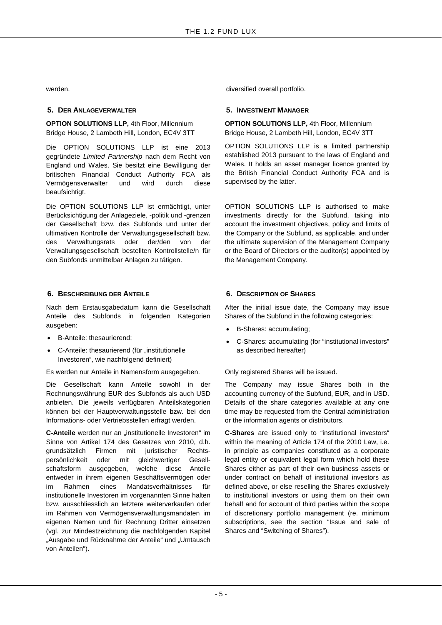#### **5. DER ANLAGEVERWALTER 5. INVESTMENT MANAGER**

**OPTION SOLUTIONS LLP,** 4th Floor, Millennium Bridge House, 2 Lambeth Hill, London, EC4V 3TT

Die OPTION SOLUTIONS LLP ist eine 2013 gegründete *Limited Partnership* nach dem Recht von England und Wales. Sie besitzt eine Bewilligung der britischen Financial Conduct Authority FCA als Vermögensverwalter und wird durch diese beaufsichtigt.

Die OPTION SOLUTIONS LLP ist ermächtigt, unter Berücksichtigung der Anlageziele, -politik und -grenzen der Gesellschaft bzw. des Subfonds und unter der ultimativen Kontrolle der Verwaltungsgesellschaft bzw. des Verwaltungsrats oder der/den von der Verwaltungsgesellschaft bestellten Kontrollstelle/n für den Subfonds unmittelbar Anlagen zu tätigen.

#### **6. BESCHREIBUNG DER ANTEILE 6. DESCRIPTION OF SHARES**

Nach dem Erstausgabedatum kann die Gesellschaft Anteile des Subfonds in folgenden Kategorien ausgeben:

- B-Anteile: thesaurierend;
- C-Anteile: thesaurierend (für "institutionelle Investoren", wie nachfolgend definiert)

Es werden nur Anteile in Namensform ausgegeben.

Die Gesellschaft kann Anteile sowohl in der Rechnungswährung EUR des Subfonds als auch USD anbieten. Die jeweils verfügbaren Anteilskategorien können bei der Hauptverwaltungsstelle bzw. bei den Informations- oder Vertriebsstellen erfragt werden.

**C-Anteile** werden nur an "institutionelle Investoren" im Sinne von Artikel 174 des Gesetzes von 2010, d.h. grundsätzlich Firmen mit juristischer Rechtspersönlichkeit oder mit gleichwertiger Gesellschaftsform ausgegeben, welche diese Anteile entweder in ihrem eigenen Geschäftsvermögen oder im Rahmen eines Mandatsverhältnisses für institutionelle Investoren im vorgenannten Sinne halten bzw. ausschliesslich an letztere weiterverkaufen oder im Rahmen von Vermögensverwaltungsmandaten im eigenen Namen und für Rechnung Dritter einsetzen (vgl. zur Mindestzeichnung die nachfolgenden Kapitel "Ausgabe und Rücknahme der Anteile" und "Umtausch von Anteilen").

werden. **diversified overall portfolio. diversified overall portfolio.** 

**OPTION SOLUTIONS LLP,** 4th Floor, Millennium Bridge House, 2 Lambeth Hill, London, EC4V 3TT

OPTION SOLUTIONS LLP is a limited partnership established 2013 pursuant to the laws of England and Wales. It holds an asset manager licence granted by the British Financial Conduct Authority FCA and is supervised by the latter.

OPTION SOLUTIONS LLP is authorised to make investments directly for the Subfund, taking into account the investment objectives, policy and limits of the Company or the Subfund, as applicable, and under the ultimate supervision of the Management Company or the Board of Directors or the auditor(s) appointed by the Management Company.

After the initial issue date, the Company may issue Shares of the Subfund in the following categories:

- B-Shares: accumulating;
- C-Shares: accumulating (for "institutional investors" as described hereafter)

Only registered Shares will be issued.

The Company may issue Shares both in the accounting currency of the Subfund, EUR, and in USD. Details of the share categories available at any one time may be requested from the Central administration or the information agents or distributors.

**C-Shares** are issued only to "institutional investors" within the meaning of Article 174 of the 2010 Law, i.e. in principle as companies constituted as a corporate legal entity or equivalent legal form which hold these Shares either as part of their own business assets or under contract on behalf of institutional investors as defined above, or else reselling the Shares exclusively to institutional investors or using them on their own behalf and for account of third parties within the scope of discretionary portfolio management (re. minimum subscriptions, see the section "Issue and sale of Shares and "Switching of Shares").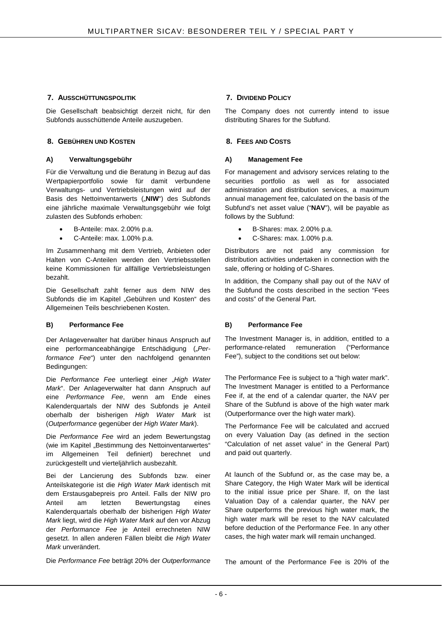#### **7. AUSSCHÜTTUNGSPOLITIK 7. DIVIDEND POLICY**

Die Gesellschaft beabsichtigt derzeit nicht, für den Subfonds ausschüttende Anteile auszugeben.

#### **8. GEBÜHREN UND KOSTEN 8. FEES AND COSTS**

#### **A) Verwaltungsgebühr A) Management Fee**

Für die Verwaltung und die Beratung in Bezug auf das Wertpapierportfolio sowie für damit verbundene Verwaltungs- und Vertriebsleistungen wird auf der Basis des Nettoinventarwerts ("NIW") des Subfonds eine jährliche maximale Verwaltungsgebühr wie folgt zulasten des Subfonds erhoben:

- B-Anteile: max. 2.00% p.a.
- C-Anteile: max. 1.00% p.a.

Im Zusammenhang mit dem Vertrieb, Anbieten oder Halten von C-Anteilen werden den Vertriebsstellen keine Kommissionen für allfällige Vertriebsleistungen bezahlt.

Die Gesellschaft zahlt ferner aus dem NIW des Subfonds die im Kapitel "Gebühren und Kosten" des Allgemeinen Teils beschriebenen Kosten.

#### **B) Performance Fee B) Performance Fee**

Der Anlageverwalter hat darüber hinaus Anspruch auf eine performanceabhängige Entschädigung ("Per*formance Fee*") unter den nachfolgend genannten Bedingungen:

Die Performance Fee unterliegt einer "High Water *Mark*". Der Anlageverwalter hat dann Anspruch auf eine *Performance Fee*, wenn am Ende eines Kalenderquartals der NIW des Subfonds je Anteil oberhalb der bisherigen *High Water Mark* ist (*Outperformance* gegenüber der *High Water Mark*).

Die *Performance Fee* wird an jedem Bewertungstag (wie im Kapitel "Bestimmung des Nettoinventarwertes" im Allgemeinen Teil definiert) berechnet und zurückgestellt und vierteljährlich ausbezahlt.

Bei der Lancierung des Subfonds bzw. einer Anteilskategorie ist die *High Water Mark* identisch mit dem Erstausgabepreis pro Anteil. Falls der NIW pro Anteil am letzten Bewertungstag eines Kalenderquartals oberhalb der bisherigen *High Water Mark* liegt, wird die *High Water Mark* auf den vor Abzug der *Performance Fee* je Anteil errechneten NIW gesetzt. In allen anderen Fällen bleibt die *High Water Mark* unverändert.

Die *Performance Fee* beträgt 20% der *Outperformance*

The Company does not currently intend to issue distributing Shares for the Subfund.

For management and advisory services relating to the securities portfolio as well as for associated administration and distribution services, a maximum annual management fee, calculated on the basis of the Subfund's net asset value ("**NAV**"), will be payable as follows by the Subfund:

- B-Shares: max. 2.00% p.a.
- C-Shares: max. 1.00% p.a.

Distributors are not paid any commission for distribution activities undertaken in connection with the sale, offering or holding of C-Shares.

In addition, the Company shall pay out of the NAV of the Subfund the costs described in the section "Fees and costs" of the General Part.

The Investment Manager is, in addition, entitled to a performance-related remuneration ("Performance Fee"), subject to the conditions set out below:

The Performance Fee is subject to a "high water mark". The Investment Manager is entitled to a Performance Fee if, at the end of a calendar quarter, the NAV per Share of the Subfund is above of the high water mark (Outperformance over the high water mark).

The Performance Fee will be calculated and accrued on every Valuation Day (as defined in the section "Calculation of net asset value" in the General Part) and paid out quarterly.

At launch of the Subfund or, as the case may be, a Share Category, the High Water Mark will be identical to the initial issue price per Share. If, on the last Valuation Day of a calendar quarter, the NAV per Share outperforms the previous high water mark, the high water mark will be reset to the NAV calculated before deduction of the Performance Fee. In any other cases, the high water mark will remain unchanged.

The amount of the Performance Fee is 20% of the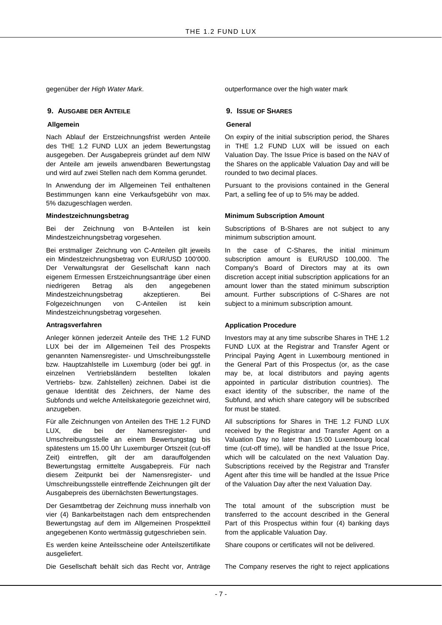#### **9. AUSGABE DER ANTEILE 9. ISSUE OF SHARES**

#### **Allgemein**

Nach Ablauf der Erstzeichnungsfrist werden Anteile des THE 1.2 FUND LUX an jedem Bewertungstag ausgegeben. Der Ausgabepreis gründet auf dem NIW der Anteile am jeweils anwendbaren Bewertungstag und wird auf zwei Stellen nach dem Komma gerundet.

In Anwendung der im Allgemeinen Teil enthaltenen Bestimmungen kann eine Verkaufsgebühr von max. 5% dazugeschlagen werden.

#### **Mindestzeichnungsbetrag**

Bei der Zeichnung von B-Anteilen ist kein Mindestzeichnungsbetrag vorgesehen.

Bei erstmaliger Zeichnung von C-Anteilen gilt jeweils ein Mindestzeichnungsbetrag von EUR/USD 100'000. Der Verwaltungsrat der Gesellschaft kann nach eigenem Ermessen Erstzeichnungsanträge über einen niedrigeren Betrag als den angegebenen Mindestzeichnungsbetrag akzeptieren. Bei Folgezeichnungen von C-Anteilen ist kein Mindestzeichnungsbetrag vorgesehen.

#### **Antragsverfahren**

Anleger können jederzeit Anteile des THE 1.2 FUND LUX bei der im Allgemeinen Teil des Prospekts genannten Namensregister- und Umschreibungsstelle bzw. Hauptzahlstelle im Luxemburg (oder bei ggf. in einzelnen Vertriebsländern bestellten lokalen Vertriebs- bzw. Zahlstellen) zeichnen. Dabei ist die genaue Identität des Zeichners, der Name des Subfonds und welche Anteilskategorie gezeichnet wird, anzugeben.

Für alle Zeichnungen von Anteilen des THE 1.2 FUND LUX, die bei der Namensregister- und Umschreibungsstelle an einem Bewertungstag bis spätestens um 15.00 Uhr Luxemburger Ortszeit (cut-off Zeit) eintreffen, gilt der am darauffolgenden Bewertungstag ermittelte Ausgabepreis. Für nach diesem Zeitpunkt bei der Namensregister- und Umschreibungsstelle eintreffende Zeichnungen gilt der Ausgabepreis des übernächsten Bewertungstages.

Der Gesamtbetrag der Zeichnung muss innerhalb von vier (4) Bankarbeitstagen nach dem entsprechenden Bewertungstag auf dem im Allgemeinen Prospektteil angegebenen Konto wertmässig gutgeschrieben sein.

Es werden keine Anteilsscheine oder Anteilszertifikate ausgeliefert.

Die Gesellschaft behält sich das Recht vor, Anträge

gegenüber der *High Water Mark*. **Der alle als and the set of the water was been dependent over the high water mark** 

#### **General**

On expiry of the initial subscription period, the Shares in THE 1.2 FUND LUX will be issued on each Valuation Day. The Issue Price is based on the NAV of the Shares on the applicable Valuation Day and will be rounded to two decimal places.

Pursuant to the provisions contained in the General Part, a selling fee of up to 5% may be added.

#### **Minimum Subscription Amount**

Subscriptions of B-Shares are not subject to any minimum subscription amount.

In the case of C-Shares, the initial minimum subscription amount is EUR/USD 100,000. The Company's Board of Directors may at its own discretion accept initial subscription applications for an amount lower than the stated minimum subscription amount. Further subscriptions of C-Shares are not subject to a minimum subscription amount.

#### **Application Procedure**

Investors may at any time subscribe Shares in THE 1.2 FUND LUX at the Registrar and Transfer Agent or Principal Paying Agent in Luxembourg mentioned in the General Part of this Prospectus (or, as the case may be, at local distributors and paying agents appointed in particular distribution countries). The exact identity of the subscriber, the name of the Subfund, and which share category will be subscribed for must be stated.

All subscriptions for Shares in THE 1.2 FUND LUX received by the Registrar and Transfer Agent on a Valuation Day no later than 15:00 Luxembourg local time (cut-off time), will be handled at the Issue Price, which will be calculated on the next Valuation Day. Subscriptions received by the Registrar and Transfer Agent after this time will be handled at the Issue Price of the Valuation Day after the next Valuation Day.

The total amount of the subscription must be transferred to the account described in the General Part of this Prospectus within four (4) banking days from the applicable Valuation Day.

Share coupons or certificates will not be delivered.

The Company reserves the right to reject applications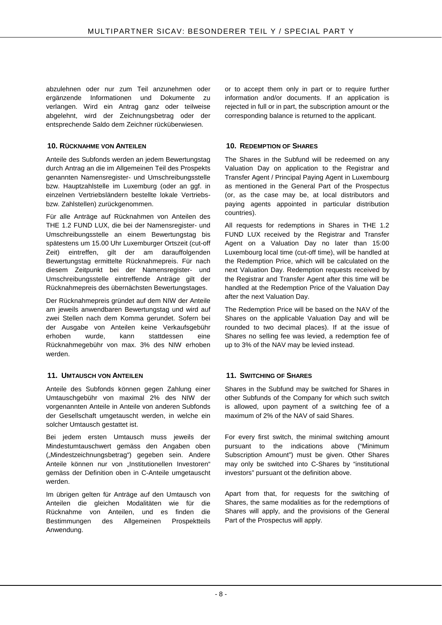abzulehnen oder nur zum Teil anzunehmen oder ergänzende Informationen und Dokumente zu verlangen. Wird ein Antrag ganz oder teilweise abgelehnt, wird der Zeichnungsbetrag oder der entsprechende Saldo dem Zeichner rücküberwiesen.

#### **10. RÜCKNAHME VON ANTEILEN 10. REDEMPTION OF SHARES**

Anteile des Subfonds werden an jedem Bewertungstag durch Antrag an die im Allgemeinen Teil des Prospekts genannten Namensregister- und Umschreibungsstelle bzw. Hauptzahlstelle im Luxemburg (oder an ggf. in einzelnen Vertriebsländern bestellte lokale Vertriebsbzw. Zahlstellen) zurückgenommen.

Für alle Anträge auf Rücknahmen von Anteilen des THE 1.2 FUND LUX, die bei der Namensregister- und Umschreibungsstelle an einem Bewertungstag bis spätestens um 15.00 Uhr Luxemburger Ortszeit (cut-off Zeit) eintreffen, gilt der am darauffolgenden Bewertungstag ermittelte Rücknahmepreis. Für nach diesem Zeitpunkt bei der Namensregister- und Umschreibungsstelle eintreffende Anträge gilt der Rücknahmepreis des übernächsten Bewertungstages.

Der Rücknahmepreis gründet auf dem NIW der Anteile am jeweils anwendbaren Bewertungstag und wird auf zwei Stellen nach dem Komma gerundet. Sofern bei der Ausgabe von Anteilen keine Verkaufsgebühr erhoben wurde, kann stattdessen eine Rücknahmegebühr von max. 3% des NIW erhoben werden.

### **11. UMTAUSCH VON ANTEILEN 11. SWITCHING OF SHARES**

Anteile des Subfonds können gegen Zahlung einer Umtauschgebühr von maximal 2% des NIW der vorgenannten Anteile in Anteile von anderen Subfonds der Gesellschaft umgetauscht werden, in welche ein solcher Umtausch gestattet ist.

Bei jedem ersten Umtausch muss jeweils der Mindestumtauschwert gemäss den Angaben oben ("Mindestzeichnungsbetrag") gegeben sein. Andere Anteile können nur von "Institutionellen Investoren" gemäss der Definition oben in C-Anteile umgetauscht werden.

Im übrigen gelten für Anträge auf den Umtausch von Anteilen die gleichen Modalitäten wie für die Rücknahme von Anteilen, und es finden die Bestimmungen des Allgemeinen Prospektteils Anwendung.

or to accept them only in part or to require further information and/or documents. If an application is rejected in full or in part, the subscription amount or the corresponding balance is returned to the applicant.

The Shares in the Subfund will be redeemed on any Valuation Day on application to the Registrar and Transfer Agent / Principal Paying Agent in Luxembourg as mentioned in the General Part of the Prospectus (or, as the case may be, at local distributors and paying agents appointed in particular distribution countries).

All requests for redemptions in Shares in THE 1.2 FUND LUX received by the Registrar and Transfer Agent on a Valuation Day no later than 15:00 Luxembourg local time (cut-off time), will be handled at the Redemption Price, which will be calculated on the next Valuation Day. Redemption requests received by the Registrar and Transfer Agent after this time will be handled at the Redemption Price of the Valuation Day after the next Valuation Day.

The Redemption Price will be based on the NAV of the Shares on the applicable Valuation Day and will be rounded to two decimal places). If at the issue of Shares no selling fee was levied, a redemption fee of up to 3% of the NAV may be levied instead.

Shares in the Subfund may be switched for Shares in other Subfunds of the Company for which such switch is allowed, upon payment of a switching fee of a maximum of 2% of the NAV of said Shares.

For every first switch, the minimal switching amount pursuant to the indications above ("Minimum Subscription Amount") must be given. Other Shares may only be switched into C-Shares by "institutional investors" pursuant ot the definition above.

Apart from that, for requests for the switching of Shares, the same modalities as for the redemptions of Shares will apply, and the provisions of the General Part of the Prospectus will apply.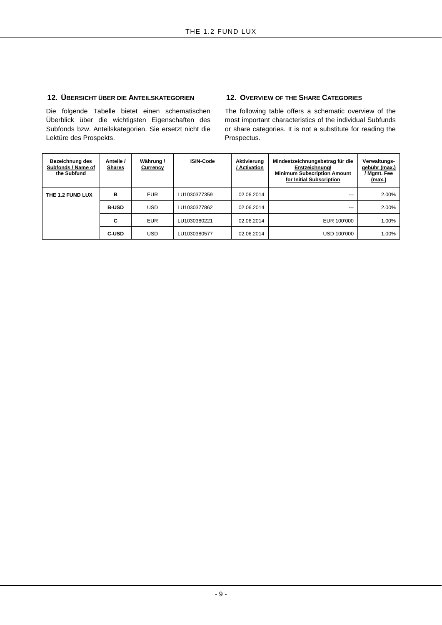### **12. ÜBERSICHT ÜBER DIE ANTEILSKATEGORIEN 12. OVERVIEW OF THE SHARE CATEGORIES**

Die folgende Tabelle bietet einen schematischen Überblick über die wichtigsten Eigenschaften des Subfonds bzw. Anteilskategorien. Sie ersetzt nicht die Lektüre des Prospekts.

The following table offers a schematic overview of the most important characteristics of the individual Subfunds or share categories. It is not a substitute for reading the Prospectus.

| <b>Bezeichnung des</b><br>Subfonds / Name of<br>the Subfund | Anteile /<br><b>Shares</b> | Währung /<br>Currency | <b>ISIN-Code</b> | Aktivierung<br>Activation | Mindestzeichnungsbetrag für die<br>Erstzeichnung/<br><b>Minimum Subscription Amount</b><br>for Initial Subscription | Verwaltungs-<br>gebühr (max.)<br>' Mgmt. Fee<br>(max.) |
|-------------------------------------------------------------|----------------------------|-----------------------|------------------|---------------------------|---------------------------------------------------------------------------------------------------------------------|--------------------------------------------------------|
| THE 1.2 FUND LUX                                            | в                          | <b>EUR</b>            | LU1030377359     | 02.06.2014                | ---                                                                                                                 | 2.00%                                                  |
|                                                             | <b>B-USD</b>               | <b>USD</b>            | LU1030377862     | 02.06.2014                | $- - -$                                                                                                             | 2.00%                                                  |
|                                                             | C                          | <b>EUR</b>            | LU1030380221     | 02.06.2014                | EUR 100'000                                                                                                         | 1.00%                                                  |
|                                                             | <b>C-USD</b>               | <b>USD</b>            | LU1030380577     | 02.06.2014                | USD 100'000                                                                                                         | 1.00%                                                  |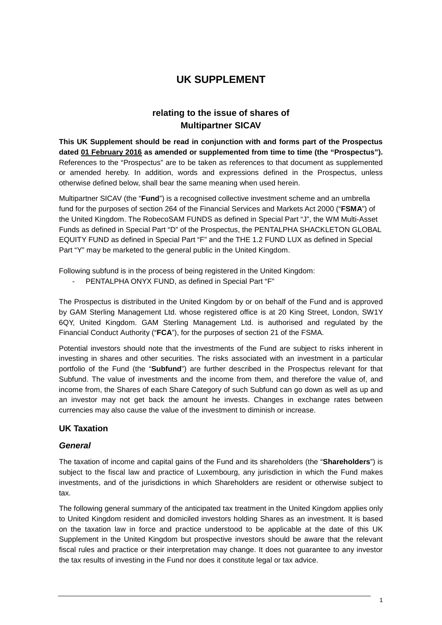# **UK SUPPLEMENT**

# **relating to the issue of shares of Multipartner SICAV**

**This UK Supplement should be read in conjunction with and forms part of the Prospectus dated 01 February 2016 as amended or supplemented from time to time (the "Prospectus").** References to the "Prospectus" are to be taken as references to that document as supplemented or amended hereby. In addition, words and expressions defined in the Prospectus, unless otherwise defined below, shall bear the same meaning when used herein.

Multipartner SICAV (the "**Fund**") is a recognised collective investment scheme and an umbrella fund for the purposes of section 264 of the Financial Services and Markets Act 2000 ("**FSMA**") of the United Kingdom. The RobecoSAM FUNDS as defined in Special Part "J", the WM Multi-Asset Funds as defined in Special Part "D" of the Prospectus, the PENTALPHA SHACKLETON GLOBAL EQUITY FUND as defined in Special Part "F" and the THE 1.2 FUND LUX as defined in Special Part "Y" may be marketed to the general public in the United Kingdom.

Following subfund is in the process of being registered in the United Kingdom:

- PENTALPHA ONYX FUND, as defined in Special Part "F"

The Prospectus is distributed in the United Kingdom by or on behalf of the Fund and is approved by GAM Sterling Management Ltd. whose registered office is at 20 King Street, London, SW1Y 6QY, United Kingdom. GAM Sterling Management Ltd. is authorised and regulated by the Financial Conduct Authority ("**FCA**"), for the purposes of section 21 of the FSMA.

Potential investors should note that the investments of the Fund are subject to risks inherent in investing in shares and other securities. The risks associated with an investment in a particular portfolio of the Fund (the "**Subfund**") are further described in the Prospectus relevant for that Subfund. The value of investments and the income from them, and therefore the value of, and income from, the Shares of each Share Category of such Subfund can go down as well as up and an investor may not get back the amount he invests. Changes in exchange rates between currencies may also cause the value of the investment to diminish or increase.

## **UK Taxation**

### *General*

The taxation of income and capital gains of the Fund and its shareholders (the "**Shareholders**") is subject to the fiscal law and practice of Luxembourg, any jurisdiction in which the Fund makes investments, and of the jurisdictions in which Shareholders are resident or otherwise subject to tax.

The following general summary of the anticipated tax treatment in the United Kingdom applies only to United Kingdom resident and domiciled investors holding Shares as an investment. It is based on the taxation law in force and practice understood to be applicable at the date of this UK Supplement in the United Kingdom but prospective investors should be aware that the relevant fiscal rules and practice or their interpretation may change. It does not guarantee to any investor the tax results of investing in the Fund nor does it constitute legal or tax advice.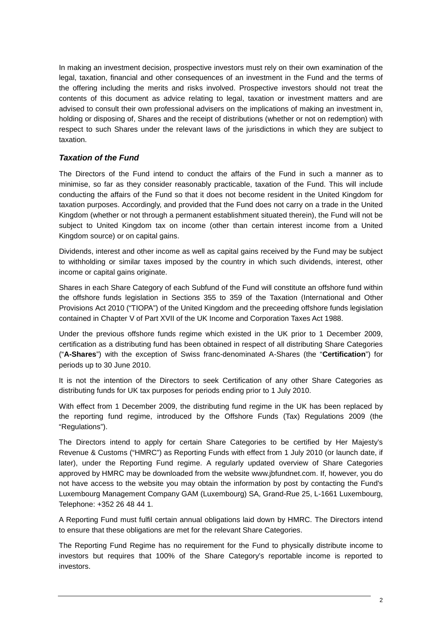In making an investment decision, prospective investors must rely on their own examination of the legal, taxation, financial and other consequences of an investment in the Fund and the terms of the offering including the merits and risks involved. Prospective investors should not treat the contents of this document as advice relating to legal, taxation or investment matters and are advised to consult their own professional advisers on the implications of making an investment in, holding or disposing of, Shares and the receipt of distributions (whether or not on redemption) with respect to such Shares under the relevant laws of the jurisdictions in which they are subject to taxation.

### *Taxation of the Fund*

The Directors of the Fund intend to conduct the affairs of the Fund in such a manner as to minimise, so far as they consider reasonably practicable, taxation of the Fund. This will include conducting the affairs of the Fund so that it does not become resident in the United Kingdom for taxation purposes. Accordingly, and provided that the Fund does not carry on a trade in the United Kingdom (whether or not through a permanent establishment situated therein), the Fund will not be subject to United Kingdom tax on income (other than certain interest income from a United Kingdom source) or on capital gains.

Dividends, interest and other income as well as capital gains received by the Fund may be subject to withholding or similar taxes imposed by the country in which such dividends, interest, other income or capital gains originate.

Shares in each Share Category of each Subfund of the Fund will constitute an offshore fund within the offshore funds legislation in Sections 355 to 359 of the Taxation (International and Other Provisions Act 2010 ("TIOPA") of the United Kingdom and the preceeding offshore funds legislation contained in Chapter V of Part XVII of the UK Income and Corporation Taxes Act 1988.

Under the previous offshore funds regime which existed in the UK prior to 1 December 2009, certification as a distributing fund has been obtained in respect of all distributing Share Categories ("**A-Shares**") with the exception of Swiss franc-denominated A-Shares (the "**Certification**") for periods up to 30 June 2010.

It is not the intention of the Directors to seek Certification of any other Share Categories as distributing funds for UK tax purposes for periods ending prior to 1 July 2010.

With effect from 1 December 2009, the distributing fund regime in the UK has been replaced by the reporting fund regime, introduced by the Offshore Funds (Tax) Regulations 2009 (the "Regulations").

The Directors intend to apply for certain Share Categories to be certified by Her Majesty's Revenue & Customs ("HMRC") as Reporting Funds with effect from 1 July 2010 (or launch date, if later), under the Reporting Fund regime. A regularly updated overview of Share Categories approved by HMRC may be downloaded from the website www.jbfundnet.com. If, however, you do not have access to the website you may obtain the information by post by contacting the Fund's Luxembourg Management Company GAM (Luxembourg) SA, Grand-Rue 25, L-1661 Luxembourg, Telephone: +352 26 48 44 1.

A Reporting Fund must fulfil certain annual obligations laid down by HMRC. The Directors intend to ensure that these obligations are met for the relevant Share Categories.

The Reporting Fund Regime has no requirement for the Fund to physically distribute income to investors but requires that 100% of the Share Category's reportable income is reported to investors.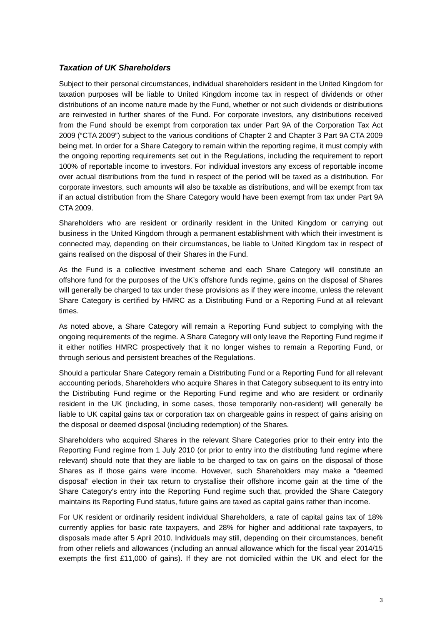### *Taxation of UK Shareholders*

Subject to their personal circumstances, individual shareholders resident in the United Kingdom for taxation purposes will be liable to United Kingdom income tax in respect of dividends or other distributions of an income nature made by the Fund, whether or not such dividends or distributions are reinvested in further shares of the Fund. For corporate investors, any distributions received from the Fund should be exempt from corporation tax under Part 9A of the Corporation Tax Act 2009 ("CTA 2009") subject to the various conditions of Chapter 2 and Chapter 3 Part 9A CTA 2009 being met. In order for a Share Category to remain within the reporting regime, it must comply with the ongoing reporting requirements set out in the Regulations, including the requirement to report 100% of reportable income to investors. For individual investors any excess of reportable income over actual distributions from the fund in respect of the period will be taxed as a distribution. For corporate investors, such amounts will also be taxable as distributions, and will be exempt from tax if an actual distribution from the Share Category would have been exempt from tax under Part 9A CTA 2009.

Shareholders who are resident or ordinarily resident in the United Kingdom or carrying out business in the United Kingdom through a permanent establishment with which their investment is connected may, depending on their circumstances, be liable to United Kingdom tax in respect of gains realised on the disposal of their Shares in the Fund.

As the Fund is a collective investment scheme and each Share Category will constitute an offshore fund for the purposes of the UK's offshore funds regime, gains on the disposal of Shares will generally be charged to tax under these provisions as if they were income, unless the relevant Share Category is certified by HMRC as a Distributing Fund or a Reporting Fund at all relevant times.

As noted above, a Share Category will remain a Reporting Fund subject to complying with the ongoing requirements of the regime. A Share Category will only leave the Reporting Fund regime if it either notifies HMRC prospectively that it no longer wishes to remain a Reporting Fund, or through serious and persistent breaches of the Regulations.

Should a particular Share Category remain a Distributing Fund or a Reporting Fund for all relevant accounting periods, Shareholders who acquire Shares in that Category subsequent to its entry into the Distributing Fund regime or the Reporting Fund regime and who are resident or ordinarily resident in the UK (including, in some cases, those temporarily non-resident) will generally be liable to UK capital gains tax or corporation tax on chargeable gains in respect of gains arising on the disposal or deemed disposal (including redemption) of the Shares.

Shareholders who acquired Shares in the relevant Share Categories prior to their entry into the Reporting Fund regime from 1 July 2010 (or prior to entry into the distributing fund regime where relevant) should note that they are liable to be charged to tax on gains on the disposal of those Shares as if those gains were income. However, such Shareholders may make a "deemed disposal" election in their tax return to crystallise their offshore income gain at the time of the Share Category's entry into the Reporting Fund regime such that, provided the Share Category maintains its Reporting Fund status, future gains are taxed as capital gains rather than income.

For UK resident or ordinarily resident individual Shareholders, a rate of capital gains tax of 18% currently applies for basic rate taxpayers, and 28% for higher and additional rate taxpayers, to disposals made after 5 April 2010. Individuals may still, depending on their circumstances, benefit from other reliefs and allowances (including an annual allowance which for the fiscal year 2014/15 exempts the first £11,000 of gains). If they are not domiciled within the UK and elect for the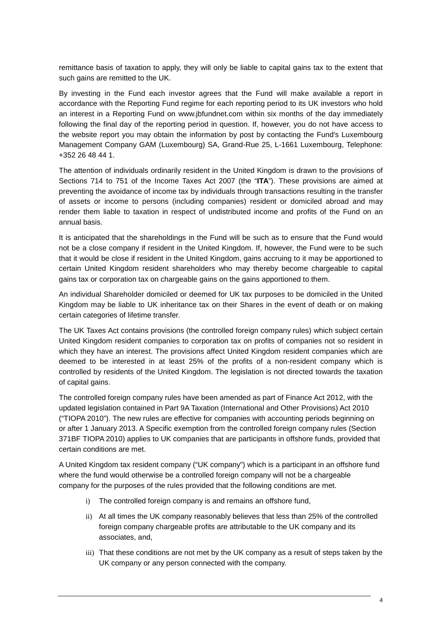remittance basis of taxation to apply, they will only be liable to capital gains tax to the extent that such gains are remitted to the UK.

By investing in the Fund each investor agrees that the Fund will make available a report in accordance with the Reporting Fund regime for each reporting period to its UK investors who hold an interest in a Reporting Fund on www.jbfundnet.com within six months of the day immediately following the final day of the reporting period in question. If, however, you do not have access to the website report you may obtain the information by post by contacting the Fund's Luxembourg Management Company GAM (Luxembourg) SA, Grand-Rue 25, L-1661 Luxembourg, Telephone: +352 26 48 44 1.

The attention of individuals ordinarily resident in the United Kingdom is drawn to the provisions of Sections 714 to 751 of the Income Taxes Act 2007 (the "**ITA**"). These provisions are aimed at preventing the avoidance of income tax by individuals through transactions resulting in the transfer of assets or income to persons (including companies) resident or domiciled abroad and may render them liable to taxation in respect of undistributed income and profits of the Fund on an annual basis.

It is anticipated that the shareholdings in the Fund will be such as to ensure that the Fund would not be a close company if resident in the United Kingdom. If, however, the Fund were to be such that it would be close if resident in the United Kingdom, gains accruing to it may be apportioned to certain United Kingdom resident shareholders who may thereby become chargeable to capital gains tax or corporation tax on chargeable gains on the gains apportioned to them.

An individual Shareholder domiciled or deemed for UK tax purposes to be domiciled in the United Kingdom may be liable to UK inheritance tax on their Shares in the event of death or on making certain categories of lifetime transfer.

The UK Taxes Act contains provisions (the controlled foreign company rules) which subject certain United Kingdom resident companies to corporation tax on profits of companies not so resident in which they have an interest. The provisions affect United Kingdom resident companies which are deemed to be interested in at least 25% of the profits of a non-resident company which is controlled by residents of the United Kingdom. The legislation is not directed towards the taxation of capital gains.

The controlled foreign company rules have been amended as part of Finance Act 2012, with the updated legislation contained in Part 9A Taxation (International and Other Provisions) Act 2010 ("TIOPA 2010"). The new rules are effective for companies with accounting periods beginning on or after 1 January 2013. A Specific exemption from the controlled foreign company rules (Section 371BF TIOPA 2010) applies to UK companies that are participants in offshore funds, provided that certain conditions are met.

A United Kingdom tax resident company ("UK company") which is a participant in an offshore fund where the fund would otherwise be a controlled foreign company will not be a chargeable company for the purposes of the rules provided that the following conditions are met.

- i) The controlled foreign company is and remains an offshore fund,
- ii) At all times the UK company reasonably believes that less than 25% of the controlled foreign company chargeable profits are attributable to the UK company and its associates, and,
- iii) That these conditions are not met by the UK company as a result of steps taken by the UK company or any person connected with the company.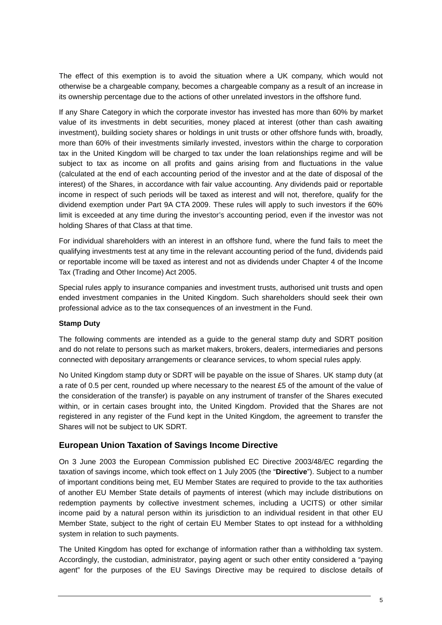The effect of this exemption is to avoid the situation where a UK company, which would not otherwise be a chargeable company, becomes a chargeable company as a result of an increase in its ownership percentage due to the actions of other unrelated investors in the offshore fund.

If any Share Category in which the corporate investor has invested has more than 60% by market value of its investments in debt securities, money placed at interest (other than cash awaiting investment), building society shares or holdings in unit trusts or other offshore funds with, broadly, more than 60% of their investments similarly invested, investors within the charge to corporation tax in the United Kingdom will be charged to tax under the loan relationships regime and will be subject to tax as income on all profits and gains arising from and fluctuations in the value (calculated at the end of each accounting period of the investor and at the date of disposal of the interest) of the Shares, in accordance with fair value accounting. Any dividends paid or reportable income in respect of such periods will be taxed as interest and will not, therefore, qualify for the dividend exemption under Part 9A CTA 2009. These rules will apply to such investors if the 60% limit is exceeded at any time during the investor's accounting period, even if the investor was not holding Shares of that Class at that time.

For individual shareholders with an interest in an offshore fund, where the fund fails to meet the qualifying investments test at any time in the relevant accounting period of the fund, dividends paid or reportable income will be taxed as interest and not as dividends under Chapter 4 of the Income Tax (Trading and Other Income) Act 2005.

Special rules apply to insurance companies and investment trusts, authorised unit trusts and open ended investment companies in the United Kingdom. Such shareholders should seek their own professional advice as to the tax consequences of an investment in the Fund.

#### **Stamp Duty**

The following comments are intended as a guide to the general stamp duty and SDRT position and do not relate to persons such as market makers, brokers, dealers, intermediaries and persons connected with depositary arrangements or clearance services, to whom special rules apply.

No United Kingdom stamp duty or SDRT will be payable on the issue of Shares. UK stamp duty (at a rate of 0.5 per cent, rounded up where necessary to the nearest £5 of the amount of the value of the consideration of the transfer) is payable on any instrument of transfer of the Shares executed within, or in certain cases brought into, the United Kingdom. Provided that the Shares are not registered in any register of the Fund kept in the United Kingdom, the agreement to transfer the Shares will not be subject to UK SDRT.

### **European Union Taxation of Savings Income Directive**

On 3 June 2003 the European Commission published EC Directive 2003/48/EC regarding the taxation of savings income, which took effect on 1 July 2005 (the "**Directive**"). Subject to a number of important conditions being met, EU Member States are required to provide to the tax authorities of another EU Member State details of payments of interest (which may include distributions on redemption payments by collective investment schemes, including a UCITS) or other similar income paid by a natural person within its jurisdiction to an individual resident in that other EU Member State, subject to the right of certain EU Member States to opt instead for a withholding system in relation to such payments.

The United Kingdom has opted for exchange of information rather than a withholding tax system. Accordingly, the custodian, administrator, paying agent or such other entity considered a "paying agent" for the purposes of the EU Savings Directive may be required to disclose details of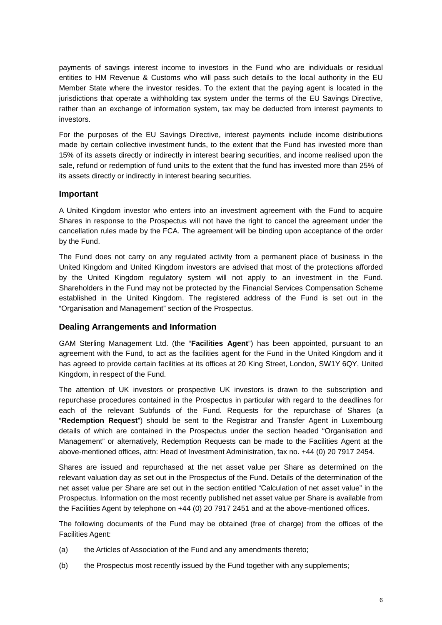payments of savings interest income to investors in the Fund who are individuals or residual entities to HM Revenue & Customs who will pass such details to the local authority in the EU Member State where the investor resides. To the extent that the paying agent is located in the jurisdictions that operate a withholding tax system under the terms of the EU Savings Directive, rather than an exchange of information system, tax may be deducted from interest payments to investors.

For the purposes of the EU Savings Directive, interest payments include income distributions made by certain collective investment funds, to the extent that the Fund has invested more than 15% of its assets directly or indirectly in interest bearing securities, and income realised upon the sale, refund or redemption of fund units to the extent that the fund has invested more than 25% of its assets directly or indirectly in interest bearing securities.

### **Important**

A United Kingdom investor who enters into an investment agreement with the Fund to acquire Shares in response to the Prospectus will not have the right to cancel the agreement under the cancellation rules made by the FCA. The agreement will be binding upon acceptance of the order by the Fund.

The Fund does not carry on any regulated activity from a permanent place of business in the United Kingdom and United Kingdom investors are advised that most of the protections afforded by the United Kingdom regulatory system will not apply to an investment in the Fund. Shareholders in the Fund may not be protected by the Financial Services Compensation Scheme established in the United Kingdom. The registered address of the Fund is set out in the "Organisation and Management" section of the Prospectus.

### **Dealing Arrangements and Information**

GAM Sterling Management Ltd. (the "**Facilities Agent**") has been appointed, pursuant to an agreement with the Fund, to act as the facilities agent for the Fund in the United Kingdom and it has agreed to provide certain facilities at its offices at 20 King Street, London, SW1Y 6QY, United Kingdom, in respect of the Fund.

The attention of UK investors or prospective UK investors is drawn to the subscription and repurchase procedures contained in the Prospectus in particular with regard to the deadlines for each of the relevant Subfunds of the Fund. Requests for the repurchase of Shares (a "**Redemption Request**") should be sent to the Registrar and Transfer Agent in Luxembourg details of which are contained in the Prospectus under the section headed "Organisation and Management" or alternatively, Redemption Requests can be made to the Facilities Agent at the above-mentioned offices, attn: Head of Investment Administration, fax no. +44 (0) 20 7917 2454.

Shares are issued and repurchased at the net asset value per Share as determined on the relevant valuation day as set out in the Prospectus of the Fund. Details of the determination of the net asset value per Share are set out in the section entitled "Calculation of net asset value" in the Prospectus. Information on the most recently published net asset value per Share is available from the Facilities Agent by telephone on +44 (0) 20 7917 2451 and at the above-mentioned offices.

The following documents of the Fund may be obtained (free of charge) from the offices of the Facilities Agent:

- (a) the Articles of Association of the Fund and any amendments thereto;
- (b) the Prospectus most recently issued by the Fund together with any supplements;